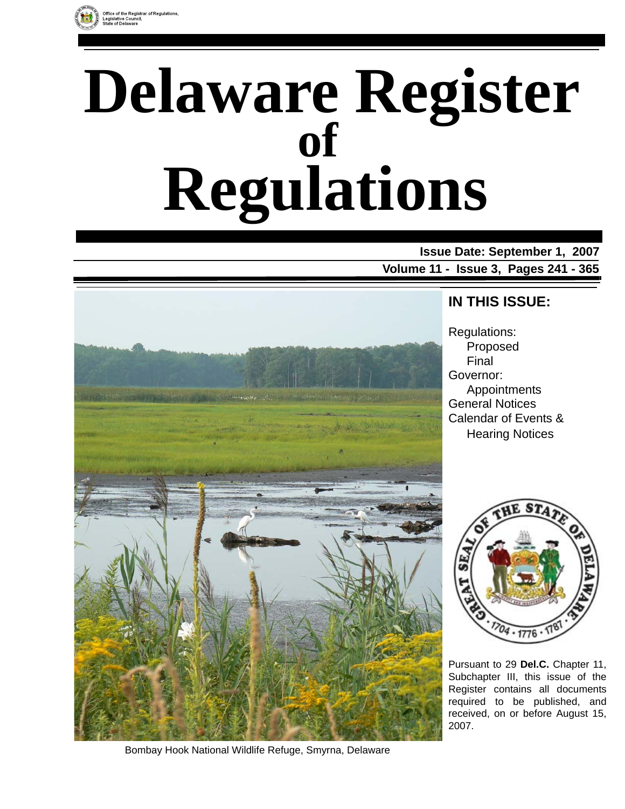

# **Delaware Register Regulations of**

**Issue Date: September 1, 2007 Volume 11 - Issue 3, Pages 241 - 365**



**IN THIS ISSUE:**

Regulations: Proposed Final Governor: Appointments General Notices Calendar of Events & Hearing Notices



Pursuant to 29 **Del.C.** Chapter 11, Subchapter III, this issue of the Register contains all documents required to be published, and received, on or before August 15, 2007.

Bombay Hook National Wildlife Refuge, Smyrna, Delaware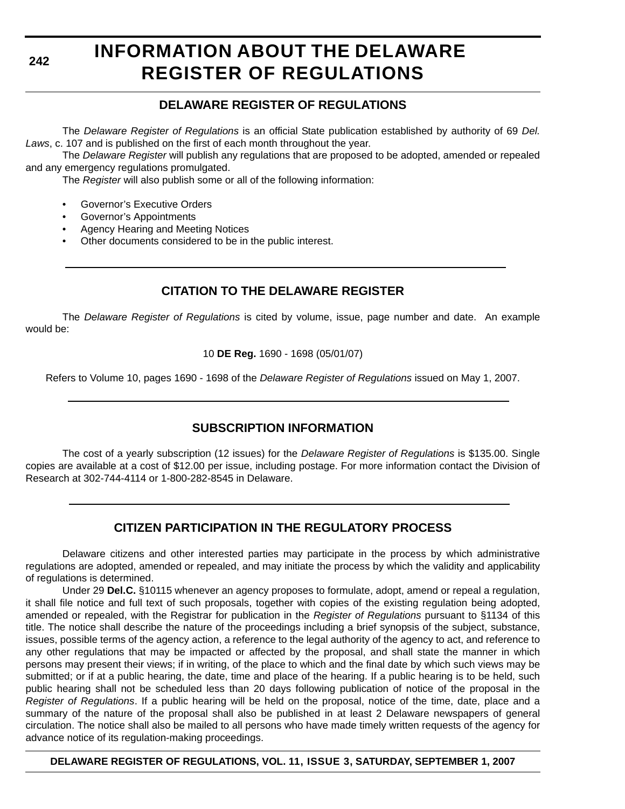**242**

# **INFORMATION ABOUT THE DELAWARE REGISTER OF REGULATIONS**

### **DELAWARE REGISTER OF REGULATIONS**

The *Delaware Register of Regulations* is an official State publication established by authority of 69 *Del. Laws*, c. 107 and is published on the first of each month throughout the year.

The *Delaware Register* will publish any regulations that are proposed to be adopted, amended or repealed and any emergency regulations promulgated.

The *Register* will also publish some or all of the following information:

- Governor's Executive Orders
- Governor's Appointments
- Agency Hearing and Meeting Notices
- Other documents considered to be in the public interest.

### **CITATION TO THE DELAWARE REGISTER**

The *Delaware Register of Regulations* is cited by volume, issue, page number and date. An example would be:

10 **DE Reg.** 1690 - 1698 (05/01/07)

Refers to Volume 10, pages 1690 - 1698 of the *Delaware Register of Regulations* issued on May 1, 2007.

### **SUBSCRIPTION INFORMATION**

The cost of a yearly subscription (12 issues) for the *Delaware Register of Regulations* is \$135.00. Single copies are available at a cost of \$12.00 per issue, including postage. For more information contact the Division of Research at 302-744-4114 or 1-800-282-8545 in Delaware.

### **CITIZEN PARTICIPATION IN THE REGULATORY PROCESS**

Delaware citizens and other interested parties may participate in the process by which administrative regulations are adopted, amended or repealed, and may initiate the process by which the validity and applicability of regulations is determined.

Under 29 **Del.C.** §10115 whenever an agency proposes to formulate, adopt, amend or repeal a regulation, it shall file notice and full text of such proposals, together with copies of the existing regulation being adopted, amended or repealed, with the Registrar for publication in the *Register of Regulations* pursuant to §1134 of this title. The notice shall describe the nature of the proceedings including a brief synopsis of the subject, substance, issues, possible terms of the agency action, a reference to the legal authority of the agency to act, and reference to any other regulations that may be impacted or affected by the proposal, and shall state the manner in which persons may present their views; if in writing, of the place to which and the final date by which such views may be submitted; or if at a public hearing, the date, time and place of the hearing. If a public hearing is to be held, such public hearing shall not be scheduled less than 20 days following publication of notice of the proposal in the *Register of Regulations*. If a public hearing will be held on the proposal, notice of the time, date, place and a summary of the nature of the proposal shall also be published in at least 2 Delaware newspapers of general circulation. The notice shall also be mailed to all persons who have made timely written requests of the agency for advance notice of its regulation-making proceedings.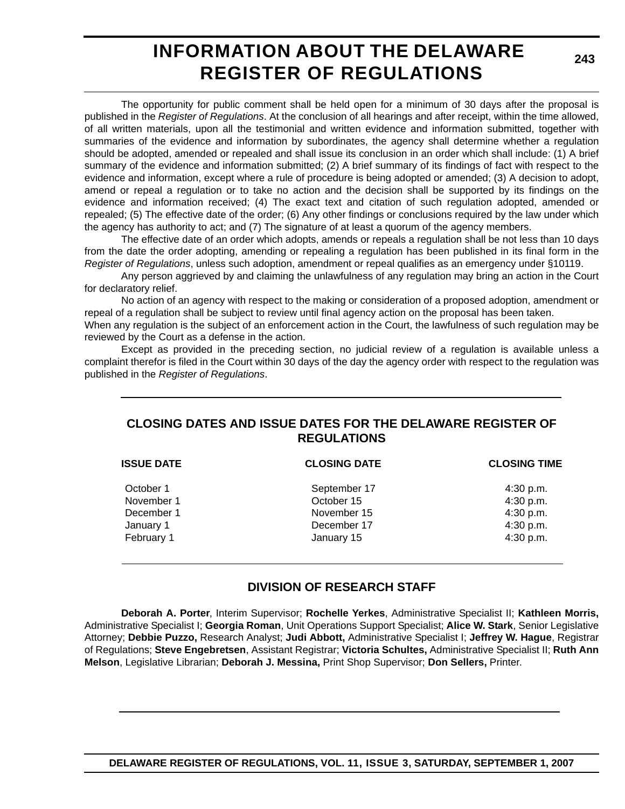# **INFORMATION ABOUT THE DELAWARE REGISTER OF REGULATIONS**

**243**

The opportunity for public comment shall be held open for a minimum of 30 days after the proposal is published in the *Register of Regulations*. At the conclusion of all hearings and after receipt, within the time allowed, of all written materials, upon all the testimonial and written evidence and information submitted, together with summaries of the evidence and information by subordinates, the agency shall determine whether a regulation should be adopted, amended or repealed and shall issue its conclusion in an order which shall include: (1) A brief summary of the evidence and information submitted; (2) A brief summary of its findings of fact with respect to the evidence and information, except where a rule of procedure is being adopted or amended; (3) A decision to adopt, amend or repeal a regulation or to take no action and the decision shall be supported by its findings on the evidence and information received; (4) The exact text and citation of such regulation adopted, amended or repealed; (5) The effective date of the order; (6) Any other findings or conclusions required by the law under which the agency has authority to act; and (7) The signature of at least a quorum of the agency members.

The effective date of an order which adopts, amends or repeals a regulation shall be not less than 10 days from the date the order adopting, amending or repealing a regulation has been published in its final form in the *Register of Regulations*, unless such adoption, amendment or repeal qualifies as an emergency under §10119.

Any person aggrieved by and claiming the unlawfulness of any regulation may bring an action in the Court for declaratory relief.

No action of an agency with respect to the making or consideration of a proposed adoption, amendment or repeal of a regulation shall be subject to review until final agency action on the proposal has been taken.

When any regulation is the subject of an enforcement action in the Court, the lawfulness of such regulation may be reviewed by the Court as a defense in the action.

Except as provided in the preceding section, no judicial review of a regulation is available unless a complaint therefor is filed in the Court within 30 days of the day the agency order with respect to the regulation was published in the *Register of Regulations*.

### **CLOSING DATES AND ISSUE DATES FOR THE DELAWARE REGISTER OF REGULATIONS**

| <b>ISSUE DATE</b> | <b>CLOSING DATE</b> | <b>CLOSING TIME</b> |
|-------------------|---------------------|---------------------|
| October 1         | September 17        | 4:30 p.m.           |
| November 1        | October 15          | 4:30 p.m.           |
| December 1        | November 15         | 4:30 p.m.           |
| January 1         | December 17         | 4:30 p.m.           |
| February 1        | January 15          | 4:30 p.m.           |
|                   |                     |                     |

### **DIVISION OF RESEARCH STAFF**

**Deborah A. Porter**, Interim Supervisor; **Rochelle Yerkes**, Administrative Specialist II; **Kathleen Morris,** Administrative Specialist I; **Georgia Roman**, Unit Operations Support Specialist; **Alice W. Stark**, Senior Legislative Attorney; **Debbie Puzzo,** Research Analyst; **Judi Abbott,** Administrative Specialist I; **Jeffrey W. Hague**, Registrar of Regulations; **Steve Engebretsen**, Assistant Registrar; **Victoria Schultes,** Administrative Specialist II; **Ruth Ann Melson**, Legislative Librarian; **Deborah J. Messina,** Print Shop Supervisor; **Don Sellers,** Printer.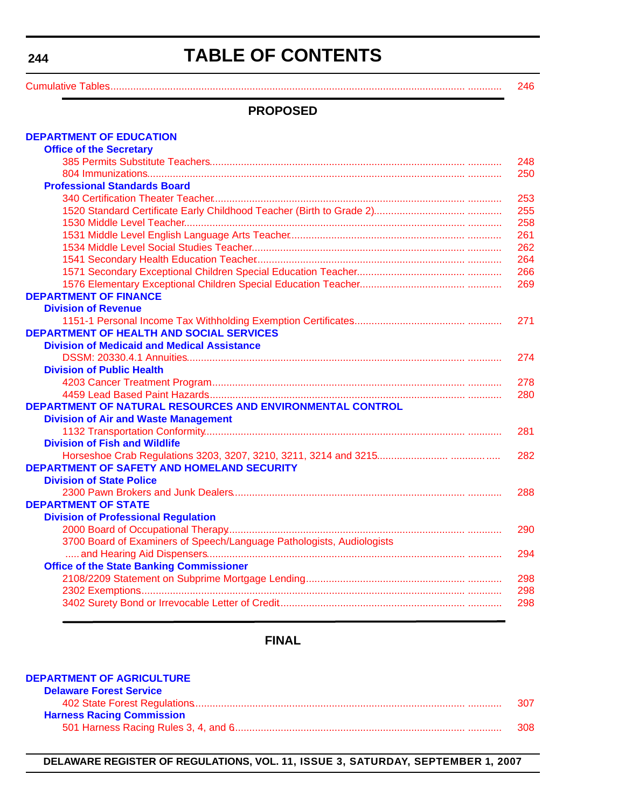# **TABLE OF CONTENTS**

<span id="page-3-0"></span>[Cumulative Tables.............................................................................................................................. ............ 246](#page-5-0)

#### **PROPOSED**

| <b>DEPARTMENT OF EDUCATION</b>                                        |     |
|-----------------------------------------------------------------------|-----|
| <b>Office of the Secretary</b>                                        |     |
|                                                                       | 248 |
|                                                                       | 250 |
| <b>Professional Standards Board</b>                                   |     |
|                                                                       | 253 |
|                                                                       | 255 |
|                                                                       | 258 |
|                                                                       | 261 |
|                                                                       | 262 |
|                                                                       | 264 |
|                                                                       | 266 |
|                                                                       | 269 |
| <b>DEPARTMENT OF FINANCE</b>                                          |     |
| <b>Division of Revenue</b>                                            |     |
|                                                                       | 271 |
| <b>DEPARTMENT OF HEALTH AND SOCIAL SERVICES</b>                       |     |
| <b>Division of Medicaid and Medical Assistance</b>                    |     |
|                                                                       | 274 |
| <b>Division of Public Health</b>                                      |     |
|                                                                       | 278 |
|                                                                       | 280 |
| DEPARTMENT OF NATURAL RESOURCES AND ENVIRONMENTAL CONTROL             |     |
| <b>Division of Air and Waste Management</b>                           |     |
|                                                                       | 281 |
| <b>Division of Fish and Wildlife</b>                                  |     |
|                                                                       | 282 |
| <b>DEPARTMENT OF SAFETY AND HOMELAND SECURITY</b>                     |     |
| <b>Division of State Police</b>                                       |     |
|                                                                       | 288 |
| <b>DEPARTMENT OF STATE</b>                                            |     |
| <b>Division of Professional Regulation</b>                            |     |
|                                                                       | 290 |
| 3700 Board of Examiners of Speech/Language Pathologists, Audiologists |     |
|                                                                       | 294 |
| <b>Office of the State Banking Commissioner</b>                       |     |
|                                                                       | 298 |
|                                                                       | 298 |
|                                                                       | 298 |

### **FINAL**

| <b>DEPARTMENT OF AGRICULTURE</b> |     |
|----------------------------------|-----|
| <b>Delaware Forest Service</b>   |     |
|                                  | 307 |
| <b>Harness Racing Commission</b> |     |
|                                  | 308 |

**DELAWARE REGISTER OF REGULATIONS, VOL. 11, ISSUE 3, SATURDAY, SEPTEMBER 1, 2007**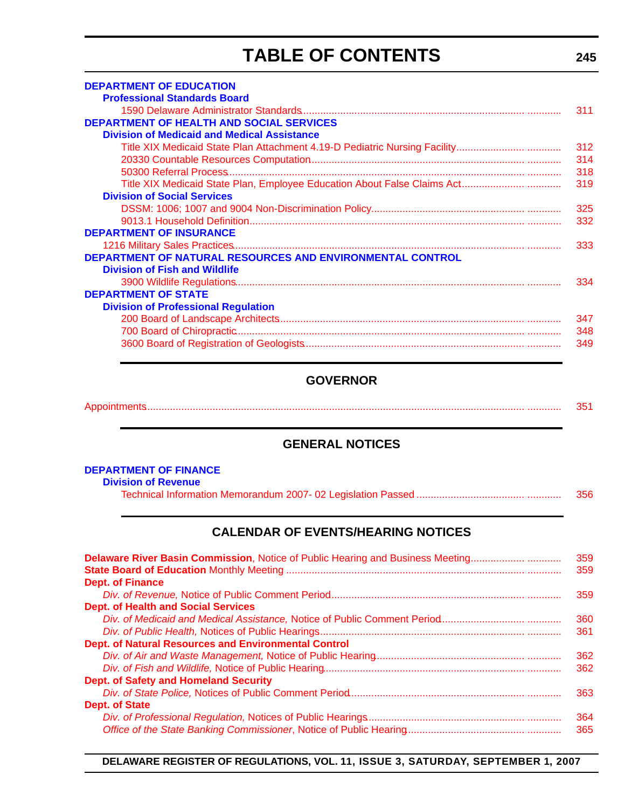# **TABLE OF CONTENTS**

| <b>DEPARTMENT OF EDUCATION</b>                                   |     |
|------------------------------------------------------------------|-----|
| <b>Professional Standards Board</b>                              |     |
|                                                                  | 311 |
| <b>DEPARTMENT OF HEALTH AND SOCIAL SERVICES</b>                  |     |
| <b>Division of Medicaid and Medical Assistance</b>               |     |
|                                                                  | 312 |
|                                                                  | 314 |
|                                                                  | 318 |
|                                                                  | 319 |
| <b>Division of Social Services</b>                               |     |
|                                                                  | 325 |
|                                                                  | 332 |
| <b>DEPARTMENT OF INSURANCE</b>                                   |     |
|                                                                  | 333 |
| <b>DEPARTMENT OF NATURAL RESOURCES AND ENVIRONMENTAL CONTROL</b> |     |
| <b>Division of Fish and Wildlife</b>                             |     |
|                                                                  | 334 |
| <b>DEPARTMENT OF STATE</b>                                       |     |
| <b>Division of Professional Regulation</b>                       |     |
|                                                                  | 347 |
|                                                                  | 348 |
|                                                                  | 349 |

#### **GOVERNOR**

| Annointmante<br>NDDVII III IVI IIQmaanaa maanaa maanaa maanaa maanaa maanaa maanaa maanaa maanaa maanaa maanaa maanaa maanaa m |  |
|--------------------------------------------------------------------------------------------------------------------------------|--|
|--------------------------------------------------------------------------------------------------------------------------------|--|

#### **GENERAL NOTICES**

#### **[DEPARTMENT OF FINANCE](http://finance.delaware.gov/)**

#### **Division of Revenue**

|  | 356 |
|--|-----|
|--|-----|

#### **CALENDAR OF EVENTS/HEARING NOTICES**

| <b>Delaware River Basin Commission, Notice of Public Hearing and Business Meeting</b> | 359 |
|---------------------------------------------------------------------------------------|-----|
|                                                                                       | 359 |
| <b>Dept. of Finance</b>                                                               |     |
|                                                                                       | 359 |
| <b>Dept. of Health and Social Services</b>                                            |     |
|                                                                                       | 360 |
|                                                                                       | 361 |
| <b>Dept. of Natural Resources and Environmental Control</b>                           |     |
|                                                                                       | 362 |
|                                                                                       | 362 |
| <b>Dept. of Safety and Homeland Security</b>                                          |     |
|                                                                                       | 363 |
| <b>Dept. of State</b>                                                                 |     |
|                                                                                       | 364 |
|                                                                                       | 365 |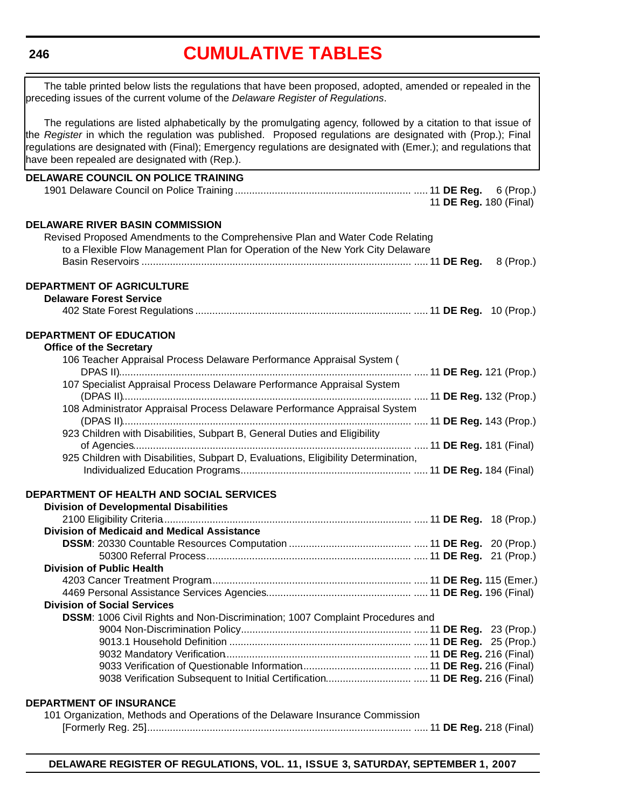#### <span id="page-5-0"></span>**246**

### **[CUMULATIVE TABLES](#page-3-0)**

| The table printed below lists the regulations that have been proposed, adopted, amended or repealed in the<br>preceding issues of the current volume of the Delaware Register of Regulations.                                                                                                                                                    |                        |  |  |  |  |
|--------------------------------------------------------------------------------------------------------------------------------------------------------------------------------------------------------------------------------------------------------------------------------------------------------------------------------------------------|------------------------|--|--|--|--|
| The regulations are listed alphabetically by the promulgating agency, followed by a citation to that issue of<br>the Register in which the regulation was published. Proposed regulations are designated with (Prop.); Final<br>regulations are designated with (Final); Emergency regulations are designated with (Emer.); and regulations that |                        |  |  |  |  |
| have been repealed are designated with (Rep.).                                                                                                                                                                                                                                                                                                   |                        |  |  |  |  |
| <b>DELAWARE COUNCIL ON POLICE TRAINING</b>                                                                                                                                                                                                                                                                                                       |                        |  |  |  |  |
|                                                                                                                                                                                                                                                                                                                                                  | 11 DE Reg. 180 (Final) |  |  |  |  |
|                                                                                                                                                                                                                                                                                                                                                  |                        |  |  |  |  |
| <b>DELAWARE RIVER BASIN COMMISSION</b>                                                                                                                                                                                                                                                                                                           |                        |  |  |  |  |
| Revised Proposed Amendments to the Comprehensive Plan and Water Code Relating                                                                                                                                                                                                                                                                    |                        |  |  |  |  |
| to a Flexible Flow Management Plan for Operation of the New York City Delaware                                                                                                                                                                                                                                                                   |                        |  |  |  |  |
|                                                                                                                                                                                                                                                                                                                                                  | 8 (Prop.)              |  |  |  |  |
| DEPARTMENT OF AGRICULTURE                                                                                                                                                                                                                                                                                                                        |                        |  |  |  |  |
| <b>Delaware Forest Service</b>                                                                                                                                                                                                                                                                                                                   |                        |  |  |  |  |
|                                                                                                                                                                                                                                                                                                                                                  |                        |  |  |  |  |
| <b>DEPARTMENT OF EDUCATION</b>                                                                                                                                                                                                                                                                                                                   |                        |  |  |  |  |
| <b>Office of the Secretary</b>                                                                                                                                                                                                                                                                                                                   |                        |  |  |  |  |
| 106 Teacher Appraisal Process Delaware Performance Appraisal System (                                                                                                                                                                                                                                                                            |                        |  |  |  |  |
|                                                                                                                                                                                                                                                                                                                                                  |                        |  |  |  |  |
| 107 Specialist Appraisal Process Delaware Performance Appraisal System                                                                                                                                                                                                                                                                           |                        |  |  |  |  |
|                                                                                                                                                                                                                                                                                                                                                  |                        |  |  |  |  |
| 108 Administrator Appraisal Process Delaware Performance Appraisal System                                                                                                                                                                                                                                                                        |                        |  |  |  |  |
|                                                                                                                                                                                                                                                                                                                                                  |                        |  |  |  |  |
| 923 Children with Disabilities, Subpart B, General Duties and Eligibility                                                                                                                                                                                                                                                                        |                        |  |  |  |  |
| 925 Children with Disabilities, Subpart D, Evaluations, Eligibility Determination,                                                                                                                                                                                                                                                               |                        |  |  |  |  |
|                                                                                                                                                                                                                                                                                                                                                  |                        |  |  |  |  |
|                                                                                                                                                                                                                                                                                                                                                  |                        |  |  |  |  |
| DEPARTMENT OF HEALTH AND SOCIAL SERVICES                                                                                                                                                                                                                                                                                                         |                        |  |  |  |  |
| <b>Division of Developmental Disabilities</b>                                                                                                                                                                                                                                                                                                    |                        |  |  |  |  |
|                                                                                                                                                                                                                                                                                                                                                  |                        |  |  |  |  |
| Division of Medicaid and Medical Assistance                                                                                                                                                                                                                                                                                                      |                        |  |  |  |  |
|                                                                                                                                                                                                                                                                                                                                                  |                        |  |  |  |  |
| <b>Division of Public Health</b>                                                                                                                                                                                                                                                                                                                 |                        |  |  |  |  |
|                                                                                                                                                                                                                                                                                                                                                  |                        |  |  |  |  |
|                                                                                                                                                                                                                                                                                                                                                  |                        |  |  |  |  |
| <b>Division of Social Services</b>                                                                                                                                                                                                                                                                                                               |                        |  |  |  |  |
| DSSM: 1006 Civil Rights and Non-Discrimination; 1007 Complaint Procedures and                                                                                                                                                                                                                                                                    |                        |  |  |  |  |
|                                                                                                                                                                                                                                                                                                                                                  |                        |  |  |  |  |
|                                                                                                                                                                                                                                                                                                                                                  |                        |  |  |  |  |
|                                                                                                                                                                                                                                                                                                                                                  |                        |  |  |  |  |
|                                                                                                                                                                                                                                                                                                                                                  |                        |  |  |  |  |
|                                                                                                                                                                                                                                                                                                                                                  |                        |  |  |  |  |
| <b>DEPARTMENT OF INSURANCE</b>                                                                                                                                                                                                                                                                                                                   |                        |  |  |  |  |
| 101 Organization, Methods and Operations of the Delaware Insurance Commission                                                                                                                                                                                                                                                                    |                        |  |  |  |  |
|                                                                                                                                                                                                                                                                                                                                                  |                        |  |  |  |  |
|                                                                                                                                                                                                                                                                                                                                                  |                        |  |  |  |  |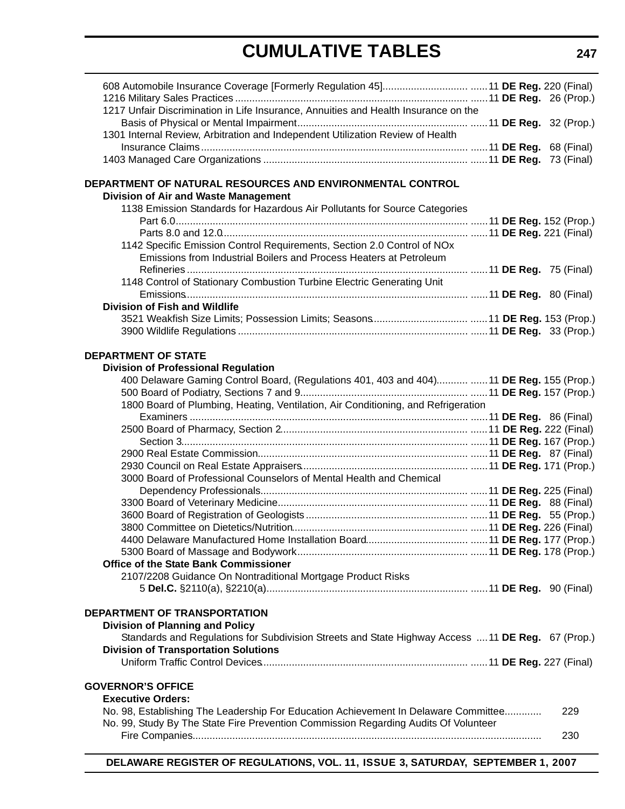# **CUMULATIVE TABLES**

| 1217 Unfair Discrimination in Life Insurance, Annuities and Health Insurance on the               |  |  |     |
|---------------------------------------------------------------------------------------------------|--|--|-----|
|                                                                                                   |  |  |     |
| 1301 Internal Review, Arbitration and Independent Utilization Review of Health                    |  |  |     |
|                                                                                                   |  |  |     |
|                                                                                                   |  |  |     |
| DEPARTMENT OF NATURAL RESOURCES AND ENVIRONMENTAL CONTROL                                         |  |  |     |
| Division of Air and Waste Management                                                              |  |  |     |
| 1138 Emission Standards for Hazardous Air Pollutants for Source Categories                        |  |  |     |
|                                                                                                   |  |  |     |
|                                                                                                   |  |  |     |
| 1142 Specific Emission Control Requirements, Section 2.0 Control of NOx                           |  |  |     |
| Emissions from Industrial Boilers and Process Heaters at Petroleum                                |  |  |     |
|                                                                                                   |  |  |     |
| 1148 Control of Stationary Combustion Turbine Electric Generating Unit                            |  |  |     |
|                                                                                                   |  |  |     |
| <b>Division of Fish and Wildlife</b>                                                              |  |  |     |
|                                                                                                   |  |  |     |
|                                                                                                   |  |  |     |
|                                                                                                   |  |  |     |
| <b>DEPARTMENT OF STATE</b>                                                                        |  |  |     |
| <b>Division of Professional Regulation</b>                                                        |  |  |     |
| 400 Delaware Gaming Control Board, (Regulations 401, 403 and 404)  11 DE Reg. 155 (Prop.)         |  |  |     |
|                                                                                                   |  |  |     |
| 1800 Board of Plumbing, Heating, Ventilation, Air Conditioning, and Refrigeration                 |  |  |     |
|                                                                                                   |  |  |     |
|                                                                                                   |  |  |     |
|                                                                                                   |  |  |     |
|                                                                                                   |  |  |     |
| 3000 Board of Professional Counselors of Mental Health and Chemical                               |  |  |     |
|                                                                                                   |  |  |     |
|                                                                                                   |  |  |     |
|                                                                                                   |  |  |     |
|                                                                                                   |  |  |     |
|                                                                                                   |  |  |     |
|                                                                                                   |  |  |     |
| <b>Office of the State Bank Commissioner</b>                                                      |  |  |     |
| 2107/2208 Guidance On Nontraditional Mortgage Product Risks                                       |  |  |     |
|                                                                                                   |  |  |     |
|                                                                                                   |  |  |     |
| DEPARTMENT OF TRANSPORTATION                                                                      |  |  |     |
| <b>Division of Planning and Policy</b>                                                            |  |  |     |
| Standards and Regulations for Subdivision Streets and State Highway Access  11 DE Reg. 67 (Prop.) |  |  |     |
| <b>Division of Transportation Solutions</b>                                                       |  |  |     |
|                                                                                                   |  |  |     |
| <b>GOVERNOR'S OFFICE</b>                                                                          |  |  |     |
| <b>Executive Orders:</b>                                                                          |  |  |     |
| No. 98, Establishing The Leadership For Education Achievement In Delaware Committee               |  |  | 229 |
| No. 99, Study By The State Fire Prevention Commission Regarding Audits Of Volunteer               |  |  |     |
|                                                                                                   |  |  | 230 |
|                                                                                                   |  |  |     |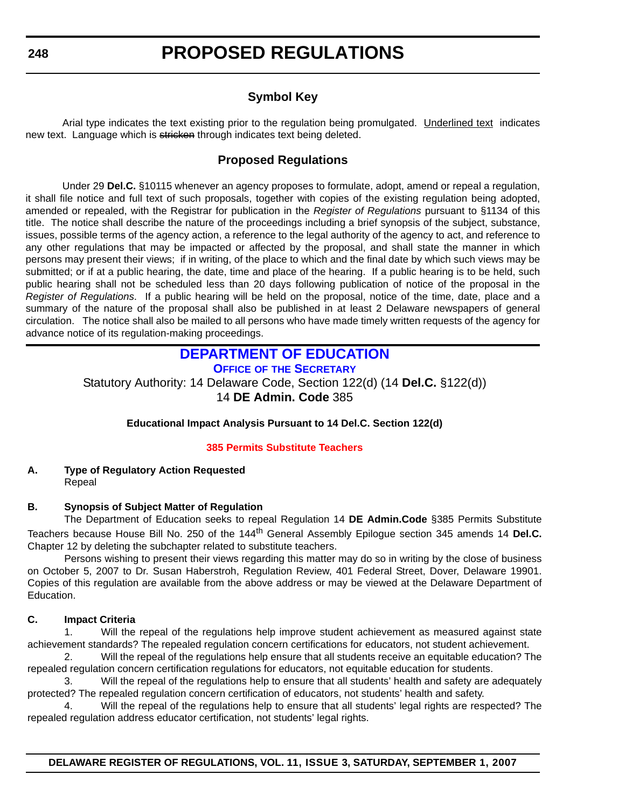### **Symbol Key**

<span id="page-7-0"></span>Arial type indicates the text existing prior to the regulation being promulgated. Underlined text indicates new text. Language which is stricken through indicates text being deleted.

#### **Proposed Regulations**

Under 29 **Del.C.** §10115 whenever an agency proposes to formulate, adopt, amend or repeal a regulation, it shall file notice and full text of such proposals, together with copies of the existing regulation being adopted, amended or repealed, with the Registrar for publication in the *Register of Regulations* pursuant to §1134 of this title. The notice shall describe the nature of the proceedings including a brief synopsis of the subject, substance, issues, possible terms of the agency action, a reference to the legal authority of the agency to act, and reference to any other regulations that may be impacted or affected by the proposal, and shall state the manner in which persons may present their views; if in writing, of the place to which and the final date by which such views may be submitted; or if at a public hearing, the date, time and place of the hearing. If a public hearing is to be held, such public hearing shall not be scheduled less than 20 days following publication of notice of the proposal in the *Register of Regulations*. If a public hearing will be held on the proposal, notice of the time, date, place and a summary of the nature of the proposal shall also be published in at least 2 Delaware newspapers of general circulation. The notice shall also be mailed to all persons who have made timely written requests of the agency for advance notice of its regulation-making proceedings.

### **DEPARTMENT OF EDUCATION**

**OFFICE OF THE SECRETARY**

Statutory Authority: 14 Delaware Code, Section 122(d) (14 **Del.C.** §122(d)) 14 **DE Admin. Code** 385

#### **Educational Impact Analysis Pursuant to 14 Del.C. Section 122(d)**

#### **[385 Permits Substitute Teachers](#page-3-0)**

#### **A. Type of Regulatory Action Requested** Repeal

#### **B. Synopsis of Subject Matter of Regulation**

The Department of Education seeks to repeal Regulation 14 **DE Admin.Code** §385 Permits Substitute Teachers because House Bill No. 250 of the 144th General Assembly Epilogue section 345 amends 14 **Del.C.** Chapter 12 by deleting the subchapter related to substitute teachers.

Persons wishing to present their views regarding this matter may do so in writing by the close of business on October 5, 2007 to Dr. Susan Haberstroh, Regulation Review, 401 Federal Street, Dover, Delaware 19901. Copies of this regulation are available from the above address or may be viewed at the Delaware Department of Education.

#### **C. Impact Criteria**

1. Will the repeal of the regulations help improve student achievement as measured against state achievement standards? The repealed regulation concern certifications for educators, not student achievement.

2. Will the repeal of the regulations help ensure that all students receive an equitable education? The repealed regulation concern certification regulations for educators, not equitable education for students.

3. Will the repeal of the regulations help to ensure that all students' health and safety are adequately protected? The repealed regulation concern certification of educators, not students' health and safety.

Will the repeal of the regulations help to ensure that all students' legal rights are respected? The repealed regulation address educator certification, not students' legal rights.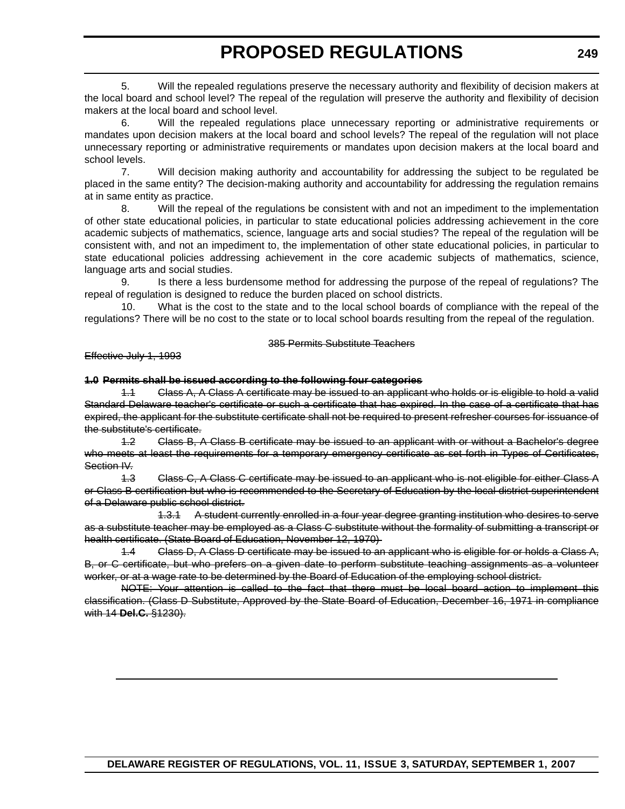5. Will the repealed regulations preserve the necessary authority and flexibility of decision makers at the local board and school level? The repeal of the regulation will preserve the authority and flexibility of decision makers at the local board and school level.

6. Will the repealed regulations place unnecessary reporting or administrative requirements or mandates upon decision makers at the local board and school levels? The repeal of the regulation will not place unnecessary reporting or administrative requirements or mandates upon decision makers at the local board and school levels.

7. Will decision making authority and accountability for addressing the subject to be regulated be placed in the same entity? The decision-making authority and accountability for addressing the regulation remains at in same entity as practice.

8. Will the repeal of the regulations be consistent with and not an impediment to the implementation of other state educational policies, in particular to state educational policies addressing achievement in the core academic subjects of mathematics, science, language arts and social studies? The repeal of the regulation will be consistent with, and not an impediment to, the implementation of other state educational policies, in particular to state educational policies addressing achievement in the core academic subjects of mathematics, science, language arts and social studies.

9. Is there a less burdensome method for addressing the purpose of the repeal of regulations? The repeal of regulation is designed to reduce the burden placed on school districts.

10. What is the cost to the state and to the local school boards of compliance with the repeal of the regulations? There will be no cost to the state or to local school boards resulting from the repeal of the regulation.

385 Permits Substitute Teachers

#### Effective July 1, 1993

#### **1.0 Permits shall be issued according to the following four categories**

1.1 Class A, A Class A certificate may be issued to an applicant who holds or is eligible to hold a valid Standard Delaware teacher's certificate or such a certificate that has expired. In the case of a certificate that has expired, the applicant for the substitute certificate shall not be required to present refresher courses for issuance of the substitute's certificate.

1.2 Class B, A Class B certificate may be issued to an applicant with or without a Bachelor's degree who meets at least the requirements for a temporary emergency certificate as set forth in Types of Certificates, Section IV.

1.3 Class C, A Class C certificate may be issued to an applicant who is not eligible for either Class A or Class B certification but who is recommended to the Secretary of Education by the local district superintendent of a Delaware public school district.

1.3.1 A student currently enrolled in a four year degree granting institution who desires to serve as a substitute teacher may be employed as a Class C substitute without the formality of submitting a transcript or health certificate. (State Board of Education, November 12, 1970)

1.4 Class D, A Class D certificate may be issued to an applicant who is eligible for or holds a Class A, B, or C certificate, but who prefers on a given date to perform substitute teaching assignments as a volunteer worker, or at a wage rate to be determined by the Board of Education of the employing school district.

NOTE: Your attention is called to the fact that there must be local board action to implement this classification. (Class D Substitute, Approved by the State Board of Education, December 16, 1971 in compliance with 14 **Del.C.** §1230).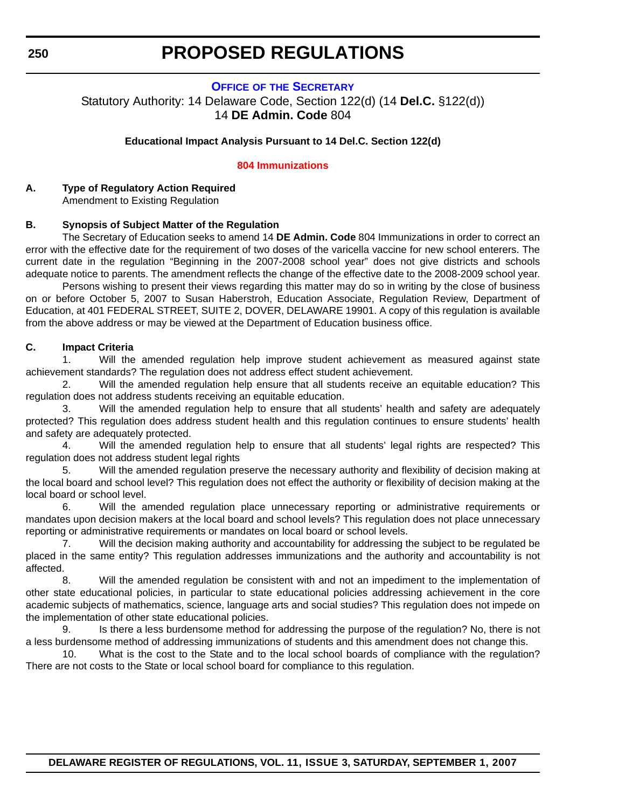#### **OFFICE OF THE SECRETARY**

<span id="page-9-0"></span>Statutory Authority: 14 Delaware Code, Section 122(d) (14 **Del.C.** §122(d)) 14 **DE Admin. Code** 804

#### **Educational Impact Analysis Pursuant to 14 Del.C. Section 122(d)**

#### **[804 Immunizations](#page-3-0)**

#### **A. Type of Regulatory Action Required** Amendment to Existing Regulation

#### **B. Synopsis of Subject Matter of the Regulation**

The Secretary of Education seeks to amend 14 **DE Admin. Code** 804 Immunizations in order to correct an error with the effective date for the requirement of two doses of the varicella vaccine for new school enterers. The current date in the regulation "Beginning in the 2007-2008 school year" does not give districts and schools adequate notice to parents. The amendment reflects the change of the effective date to the 2008-2009 school year.

Persons wishing to present their views regarding this matter may do so in writing by the close of business on or before October 5, 2007 to Susan Haberstroh, Education Associate, Regulation Review, Department of Education, at 401 FEDERAL STREET, SUITE 2, DOVER, DELAWARE 19901. A copy of this regulation is available from the above address or may be viewed at the Department of Education business office.

#### **C. Impact Criteria**

1. Will the amended regulation help improve student achievement as measured against state achievement standards? The regulation does not address effect student achievement.

2. Will the amended regulation help ensure that all students receive an equitable education? This regulation does not address students receiving an equitable education.

3. Will the amended regulation help to ensure that all students' health and safety are adequately protected? This regulation does address student health and this regulation continues to ensure students' health and safety are adequately protected.

4. Will the amended regulation help to ensure that all students' legal rights are respected? This regulation does not address student legal rights

5. Will the amended regulation preserve the necessary authority and flexibility of decision making at the local board and school level? This regulation does not effect the authority or flexibility of decision making at the local board or school level.

6. Will the amended regulation place unnecessary reporting or administrative requirements or mandates upon decision makers at the local board and school levels? This regulation does not place unnecessary reporting or administrative requirements or mandates on local board or school levels.

7. Will the decision making authority and accountability for addressing the subject to be regulated be placed in the same entity? This regulation addresses immunizations and the authority and accountability is not affected.

8. Will the amended regulation be consistent with and not an impediment to the implementation of other state educational policies, in particular to state educational policies addressing achievement in the core academic subjects of mathematics, science, language arts and social studies? This regulation does not impede on the implementation of other state educational policies.

9. Is there a less burdensome method for addressing the purpose of the regulation? No, there is not a less burdensome method of addressing immunizations of students and this amendment does not change this.

10. What is the cost to the State and to the local school boards of compliance with the regulation? There are not costs to the State or local school board for compliance to this regulation.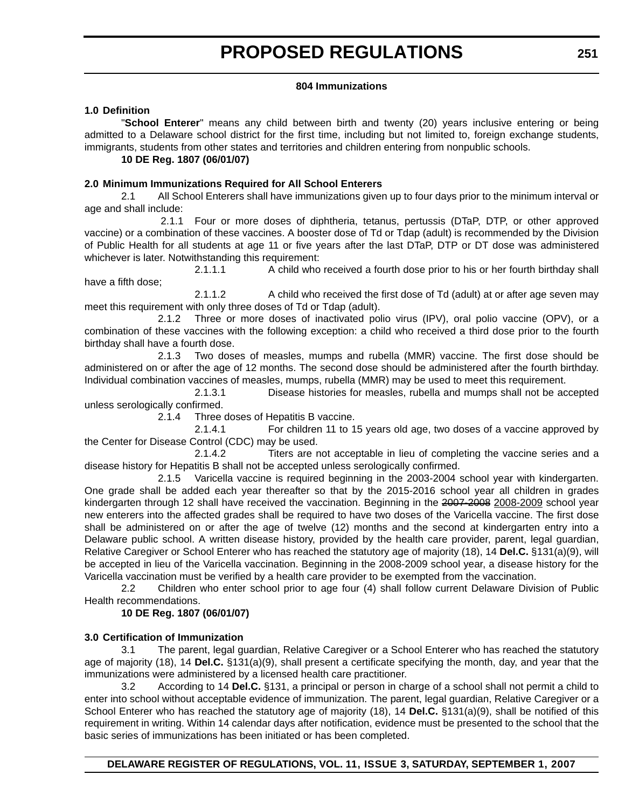#### **804 Immunizations**

#### **1.0 Definition**

"**School Enterer**" means any child between birth and twenty (20) years inclusive entering or being admitted to a Delaware school district for the first time, including but not limited to, foreign exchange students, immigrants, students from other states and territories and children entering from nonpublic schools.

#### **10 DE Reg. 1807 (06/01/07)**

#### **2.0 Minimum Immunizations Required for All School Enterers**

2.1 All School Enterers shall have immunizations given up to four days prior to the minimum interval or age and shall include:

 2.1.1 Four or more doses of diphtheria, tetanus, pertussis (DTaP, DTP, or other approved vaccine) or a combination of these vaccines. A booster dose of Td or Tdap (adult) is recommended by the Division of Public Health for all students at age 11 or five years after the last DTaP, DTP or DT dose was administered whichever is later. Notwithstanding this requirement:

2.1.1.1 A child who received a fourth dose prior to his or her fourth birthday shall have a fifth dose;

2.1.1.2 A child who received the first dose of Td (adult) at or after age seven may meet this requirement with only three doses of Td or Tdap (adult).

2.1.2 Three or more doses of inactivated polio virus (IPV), oral polio vaccine (OPV), or a combination of these vaccines with the following exception: a child who received a third dose prior to the fourth birthday shall have a fourth dose.

2.1.3 Two doses of measles, mumps and rubella (MMR) vaccine. The first dose should be administered on or after the age of 12 months. The second dose should be administered after the fourth birthday. Individual combination vaccines of measles, mumps, rubella (MMR) may be used to meet this requirement.

2.1.3.1 Disease histories for measles, rubella and mumps shall not be accepted unless serologically confirmed.

2.1.4 Three doses of Hepatitis B vaccine.

2.1.4.1 For children 11 to 15 years old age, two doses of a vaccine approved by the Center for Disease Control (CDC) may be used.

2.1.4.2 Titers are not acceptable in lieu of completing the vaccine series and a disease history for Hepatitis B shall not be accepted unless serologically confirmed.

2.1.5 Varicella vaccine is required beginning in the 2003-2004 school year with kindergarten. One grade shall be added each year thereafter so that by the 2015-2016 school year all children in grades kindergarten through 12 shall have received the vaccination. Beginning in the 2007-2008 2008-2009 school year new enterers into the affected grades shall be required to have two doses of the Varicella vaccine. The first dose shall be administered on or after the age of twelve (12) months and the second at kindergarten entry into a Delaware public school. A written disease history, provided by the health care provider, parent, legal guardian, Relative Caregiver or School Enterer who has reached the statutory age of majority (18), 14 **Del.C.** §131(a)(9), will be accepted in lieu of the Varicella vaccination. Beginning in the 2008-2009 school year, a disease history for the Varicella vaccination must be verified by a health care provider to be exempted from the vaccination.

2.2 Children who enter school prior to age four (4) shall follow current Delaware Division of Public Health recommendations.

#### **10 DE Reg. 1807 (06/01/07)**

#### **3.0 Certification of Immunization**

3.1 The parent, legal guardian, Relative Caregiver or a School Enterer who has reached the statutory age of majority (18), 14 **Del.C.** §131(a)(9), shall present a certificate specifying the month, day, and year that the immunizations were administered by a licensed health care practitioner.

3.2 According to 14 **Del.C.** §131, a principal or person in charge of a school shall not permit a child to enter into school without acceptable evidence of immunization. The parent, legal guardian, Relative Caregiver or a School Enterer who has reached the statutory age of majority (18), 14 **Del.C.** §131(a)(9), shall be notified of this requirement in writing. Within 14 calendar days after notification, evidence must be presented to the school that the basic series of immunizations has been initiated or has been completed.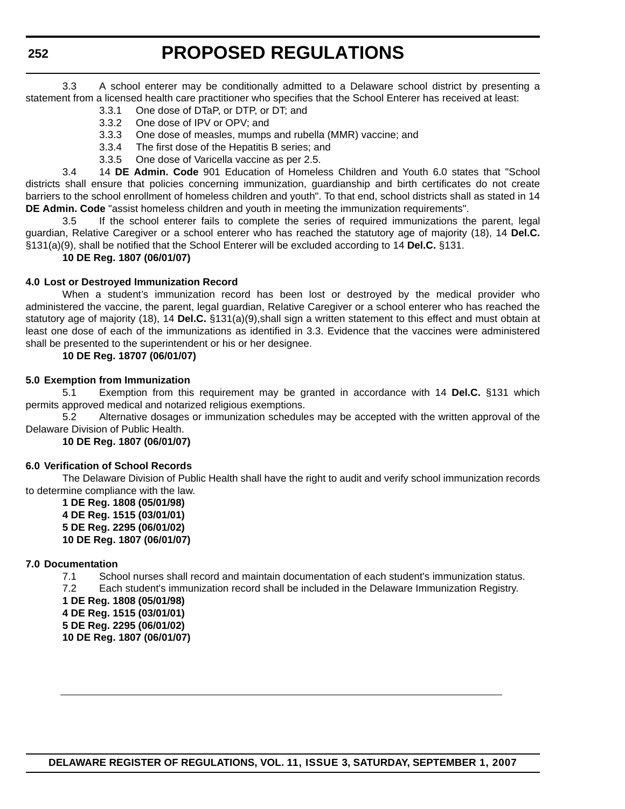3.3 A school enterer may be conditionally admitted to a Delaware school district by presenting a statement from a licensed health care practitioner who specifies that the School Enterer has received at least:

- 3.3.1 One dose of DTaP, or DTP, or DT; and
- 3.3.2 One dose of IPV or OPV; and
- 3.3.3 One dose of measles, mumps and rubella (MMR) vaccine; and
- 3.3.4 The first dose of the Hepatitis B series; and
- 3.3.5 One dose of Varicella vaccine as per 2.5.

3.4 14 **DE Admin. Code** 901 Education of Homeless Children and Youth 6.0 states that "School districts shall ensure that policies concerning immunization, guardianship and birth certificates do not create barriers to the school enrollment of homeless children and youth". To that end, school districts shall as stated in 14 **DE Admin. Code** "assist homeless children and youth in meeting the immunization requirements".

3.5 If the school enterer fails to complete the series of required immunizations the parent, legal guardian, Relative Caregiver or a school enterer who has reached the statutory age of majority (18), 14 **Del.C.** §131(a)(9), shall be notified that the School Enterer will be excluded according to 14 **Del.C.** §131.

#### **10 DE Reg. 1807 (06/01/07)**

#### **4.0 Lost or Destroyed Immunization Record**

When a student's immunization record has been lost or destroyed by the medical provider who administered the vaccine, the parent, legal guardian, Relative Caregiver or a school enterer who has reached the statutory age of majority (18), 14 **Del.C.** §131(a)(9),shall sign a written statement to this effect and must obtain at least one dose of each of the immunizations as identified in 3.3. Evidence that the vaccines were administered shall be presented to the superintendent or his or her designee.

#### **10 DE Reg. 18707 (06/01/07)**

#### **5.0 Exemption from Immunization**

5.1 Exemption from this requirement may be granted in accordance with 14 **Del.C.** §131 which permits approved medical and notarized religious exemptions.

5.2 Alternative dosages or immunization schedules may be accepted with the written approval of the Delaware Division of Public Health.

**10 DE Reg. 1807 (06/01/07)**

#### **6.0 Verification of School Records**

The Delaware Division of Public Health shall have the right to audit and verify school immunization records to determine compliance with the law.

**1 DE Reg. 1808 (05/01/98) 4 DE Reg. 1515 (03/01/01) 5 DE Reg. 2295 (06/01/02) 10 DE Reg. 1807 (06/01/07)**

#### **7.0 Documentation**

7.1 School nurses shall record and maintain documentation of each student's immunization status.

7.2 Each student's immunization record shall be included in the Delaware Immunization Registry.

**1 DE Reg. 1808 (05/01/98) 4 DE Reg. 1515 (03/01/01) 5 DE Reg. 2295 (06/01/02) 10 DE Reg. 1807 (06/01/07)**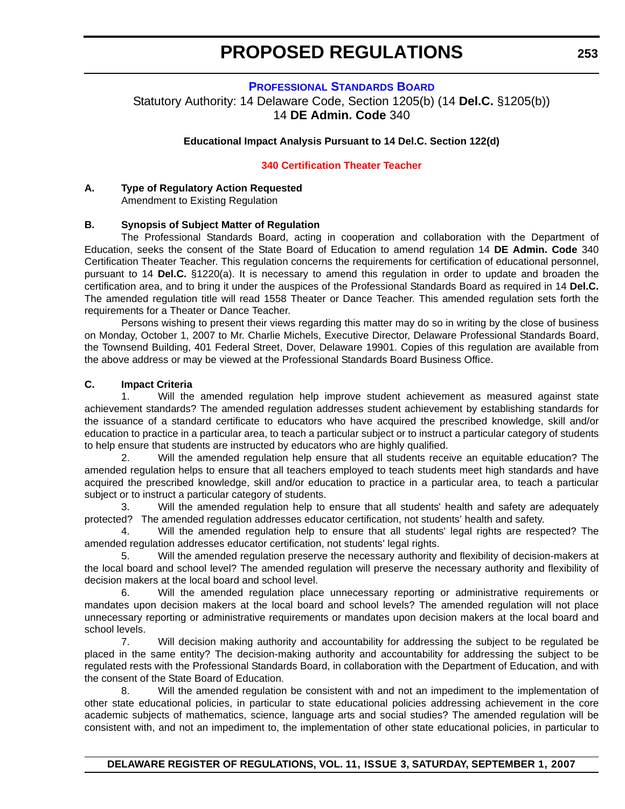#### **PROFESSIONAL STANDARDS BOARD**

<span id="page-12-0"></span>Statutory Authority: 14 Delaware Code, Section 1205(b) (14 **Del.C.** §1205(b)) 14 **DE Admin. Code** 340

#### **Educational Impact Analysis Pursuant to 14 Del.C. Section 122(d)**

#### **[340 Certification Theater Teacher](#page-3-0)**

#### **A. Type of Regulatory Action Requested** Amendment to Existing Regulation

#### **B. Synopsis of Subject Matter of Regulation**

The Professional Standards Board, acting in cooperation and collaboration with the Department of Education, seeks the consent of the State Board of Education to amend regulation 14 **DE Admin. Code** 340 Certification Theater Teacher. This regulation concerns the requirements for certification of educational personnel, pursuant to 14 **Del.C.** §1220(a). It is necessary to amend this regulation in order to update and broaden the certification area, and to bring it under the auspices of the Professional Standards Board as required in 14 **Del.C.** The amended regulation title will read 1558 Theater or Dance Teacher. This amended regulation sets forth the requirements for a Theater or Dance Teacher.

Persons wishing to present their views regarding this matter may do so in writing by the close of business on Monday, October 1, 2007 to Mr. Charlie Michels, Executive Director, Delaware Professional Standards Board, the Townsend Building, 401 Federal Street, Dover, Delaware 19901. Copies of this regulation are available from the above address or may be viewed at the Professional Standards Board Business Office.

#### **C. Impact Criteria**

1. Will the amended regulation help improve student achievement as measured against state achievement standards? The amended regulation addresses student achievement by establishing standards for the issuance of a standard certificate to educators who have acquired the prescribed knowledge, skill and/or education to practice in a particular area, to teach a particular subject or to instruct a particular category of students to help ensure that students are instructed by educators who are highly qualified.

2. Will the amended regulation help ensure that all students receive an equitable education? The amended regulation helps to ensure that all teachers employed to teach students meet high standards and have acquired the prescribed knowledge, skill and/or education to practice in a particular area, to teach a particular subject or to instruct a particular category of students.

3. Will the amended regulation help to ensure that all students' health and safety are adequately protected? The amended regulation addresses educator certification, not students' health and safety.

4. Will the amended regulation help to ensure that all students' legal rights are respected? The amended regulation addresses educator certification, not students' legal rights.

5. Will the amended regulation preserve the necessary authority and flexibility of decision-makers at the local board and school level? The amended regulation will preserve the necessary authority and flexibility of decision makers at the local board and school level.

6. Will the amended regulation place unnecessary reporting or administrative requirements or mandates upon decision makers at the local board and school levels? The amended regulation will not place unnecessary reporting or administrative requirements or mandates upon decision makers at the local board and school levels.

7. Will decision making authority and accountability for addressing the subject to be regulated be placed in the same entity? The decision-making authority and accountability for addressing the subject to be regulated rests with the Professional Standards Board, in collaboration with the Department of Education, and with the consent of the State Board of Education.

8. Will the amended regulation be consistent with and not an impediment to the implementation of other state educational policies, in particular to state educational policies addressing achievement in the core academic subjects of mathematics, science, language arts and social studies? The amended regulation will be consistent with, and not an impediment to, the implementation of other state educational policies, in particular to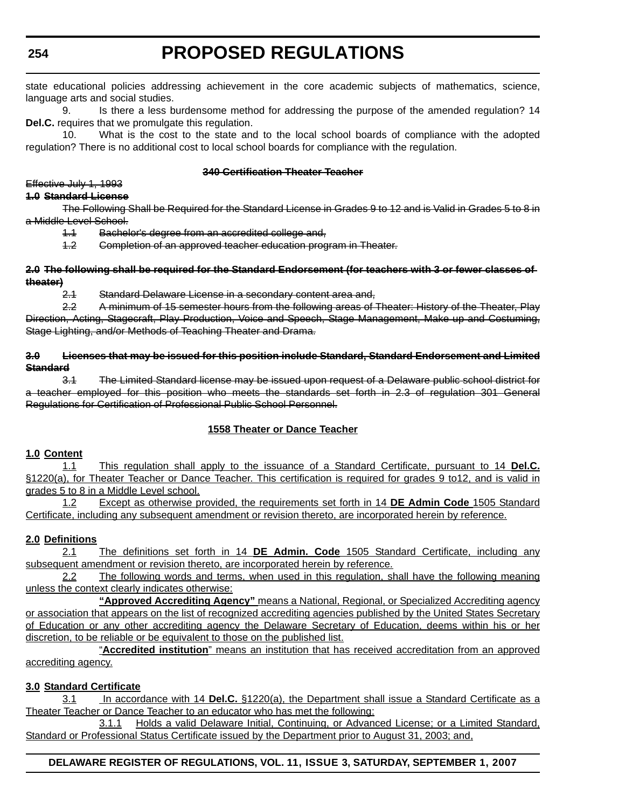**254**

# **PROPOSED REGULATIONS**

state educational policies addressing achievement in the core academic subjects of mathematics, science, language arts and social studies.

9. Is there a less burdensome method for addressing the purpose of the amended regulation? 14 **Del.C.** requires that we promulgate this regulation.

10. What is the cost to the state and to the local school boards of compliance with the adopted regulation? There is no additional cost to local school boards for compliance with the regulation.

#### **340 Certification Theater Teacher**

### Effective July 1, 1993

**1.0 Standard License**

The Following Shall be Required for the Standard License in Grades 9 to 12 and is Valid in Grades 5 to 8 in a Middle Level School.

1.1 Bachelor's degree from an accredited college and,

1.2 Completion of an approved teacher education program in Theater.

#### **2.0 The following shall be required for the Standard Endorsement (for teachers with 3 or fewer classes of theater)**

2.1 Standard Delaware License in a secondary content area and,

2.2 A minimum of 15 semester hours from the following areas of Theater: History of the Theater, Play Direction, Acting, Stagecraft, Play Production, Voice and Speech, Stage Management, Make up and Costuming, Stage Lighting, and/or Methods of Teaching Theater and Drama.

#### **3.0 Licenses that may be issued for this position include Standard, Standard Endorsement and Limited Standard**

3.1 The Limited Standard license may be issued upon request of a Delaware public school district for a teacher employed for this position who meets the standards set forth in 2.3 of regulation 301 General Regulations for Certification of Professional Public School Personnel.

#### **1558 Theater or Dance Teacher**

#### **1.0 Content**

1.1 This regulation shall apply to the issuance of a Standard Certificate, pursuant to 14 **Del.C.** §1220(a), for Theater Teacher or Dance Teacher. This certification is required for grades 9 to12, and is valid in grades 5 to 8 in a Middle Level school.

1.2 Except as otherwise provided, the requirements set forth in 14 **DE Admin Code** 1505 Standard Certificate, including any subsequent amendment or revision thereto, are incorporated herein by reference.

#### **2.0 Definitions**

2.1 The definitions set forth in 14 **DE Admin. Code** 1505 Standard Certificate, including any subsequent amendment or revision thereto, are incorporated herein by reference.

2.2 The following words and terms, when used in this regulation, shall have the following meaning unless the context clearly indicates otherwise:

**"Approved Accrediting Agency"** means a National, Regional, or Specialized Accrediting agency or association that appears on the list of recognized accrediting agencies published by the United States Secretary of Education or any other accrediting agency the Delaware Secretary of Education, deems within his or her discretion, to be reliable or be equivalent to those on the published list.

"**Accredited institution**" means an institution that has received accreditation from an approved accrediting agency.

#### **3.0 Standard Certificate**

3.1 In accordance with 14 **Del.C.** §1220(a), the Department shall issue a Standard Certificate as a Theater Teacher or Dance Teacher to an educator who has met the following:

3.1.1 Holds a valid Delaware Initial, Continuing, or Advanced License; or a Limited Standard, Standard or Professional Status Certificate issued by the Department prior to August 31, 2003; and,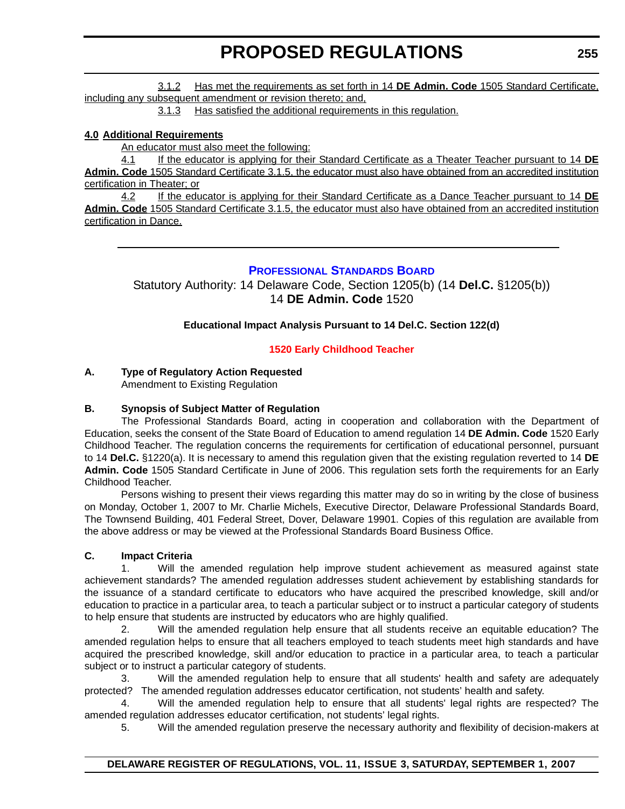<span id="page-14-0"></span>3.1.2 Has met the requirements as set forth in 14 **DE Admin. Code** 1505 Standard Certificate, including any subsequent amendment or revision thereto; and,

3.1.3 Has satisfied the additional requirements in this regulation.

#### **4.0 Additional Requirements**

An educator must also meet the following:

4.1 If the educator is applying for their Standard Certificate as a Theater Teacher pursuant to 14 **DE Admin. Code** 1505 Standard Certificate 3.1.5, the educator must also have obtained from an accredited institution certification in Theater; or

4.2 If the educator is applying for their Standard Certificate as a Dance Teacher pursuant to 14 **DE Admin. Code** 1505 Standard Certificate 3.1.5, the educator must also have obtained from an accredited institution certification in Dance.

#### **PROFESSIONAL STANDARDS BOARD**

Statutory Authority: 14 Delaware Code, Section 1205(b) (14 **Del.C.** §1205(b)) 14 **DE Admin. Code** 1520

#### **Educational Impact Analysis Pursuant to 14 Del.C. Section 122(d)**

#### **[1520 Early Childhood Teacher](#page-3-0)**

#### **A. Type of Regulatory Action Requested**

Amendment to Existing Regulation

#### **B. Synopsis of Subject Matter of Regulation**

The Professional Standards Board, acting in cooperation and collaboration with the Department of Education, seeks the consent of the State Board of Education to amend regulation 14 **DE Admin. Code** 1520 Early Childhood Teacher. The regulation concerns the requirements for certification of educational personnel, pursuant to 14 **Del.C.** §1220(a). It is necessary to amend this regulation given that the existing regulation reverted to 14 **DE Admin. Code** 1505 Standard Certificate in June of 2006. This regulation sets forth the requirements for an Early Childhood Teacher.

Persons wishing to present their views regarding this matter may do so in writing by the close of business on Monday, October 1, 2007 to Mr. Charlie Michels, Executive Director, Delaware Professional Standards Board, The Townsend Building, 401 Federal Street, Dover, Delaware 19901. Copies of this regulation are available from the above address or may be viewed at the Professional Standards Board Business Office.

#### **C. Impact Criteria**

1. Will the amended regulation help improve student achievement as measured against state achievement standards? The amended regulation addresses student achievement by establishing standards for the issuance of a standard certificate to educators who have acquired the prescribed knowledge, skill and/or education to practice in a particular area, to teach a particular subject or to instruct a particular category of students to help ensure that students are instructed by educators who are highly qualified.

2. Will the amended regulation help ensure that all students receive an equitable education? The amended regulation helps to ensure that all teachers employed to teach students meet high standards and have acquired the prescribed knowledge, skill and/or education to practice in a particular area, to teach a particular subject or to instruct a particular category of students.

3. Will the amended regulation help to ensure that all students' health and safety are adequately protected? The amended regulation addresses educator certification, not students' health and safety.

4. Will the amended regulation help to ensure that all students' legal rights are respected? The amended regulation addresses educator certification, not students' legal rights.

5. Will the amended regulation preserve the necessary authority and flexibility of decision-makers at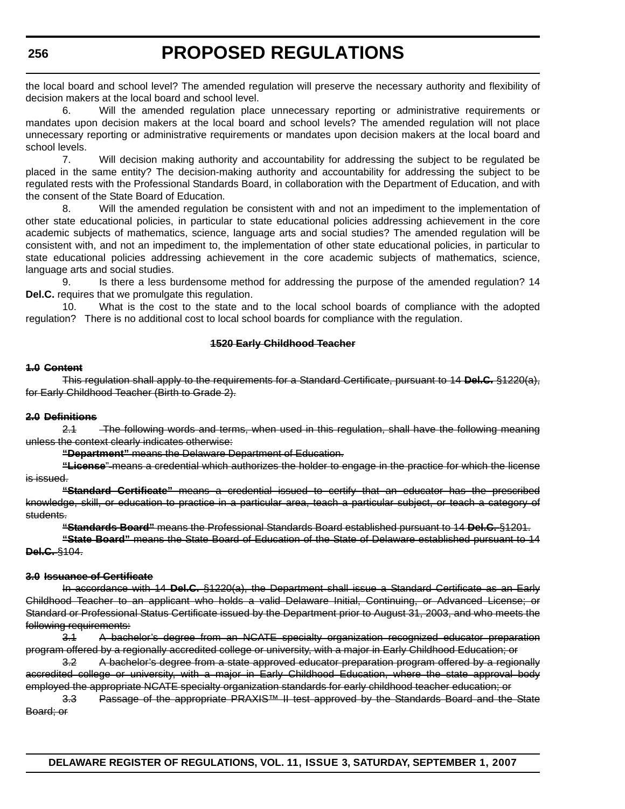the local board and school level? The amended regulation will preserve the necessary authority and flexibility of decision makers at the local board and school level.

6. Will the amended regulation place unnecessary reporting or administrative requirements or mandates upon decision makers at the local board and school levels? The amended regulation will not place unnecessary reporting or administrative requirements or mandates upon decision makers at the local board and school levels.

7. Will decision making authority and accountability for addressing the subject to be regulated be placed in the same entity? The decision-making authority and accountability for addressing the subject to be regulated rests with the Professional Standards Board, in collaboration with the Department of Education, and with the consent of the State Board of Education.

8. Will the amended regulation be consistent with and not an impediment to the implementation of other state educational policies, in particular to state educational policies addressing achievement in the core academic subjects of mathematics, science, language arts and social studies? The amended regulation will be consistent with, and not an impediment to, the implementation of other state educational policies, in particular to state educational policies addressing achievement in the core academic subjects of mathematics, science, language arts and social studies.

9. Is there a less burdensome method for addressing the purpose of the amended regulation? 14 **Del.C.** requires that we promulgate this regulation.

10. What is the cost to the state and to the local school boards of compliance with the adopted regulation? There is no additional cost to local school boards for compliance with the regulation.

#### **1520 Early Childhood Teacher**

#### **1.0 Content**

This regulation shall apply to the requirements for a Standard Certificate, pursuant to 14 **Del.C.** §1220(a), for Early Childhood Teacher (Birth to Grade 2).

#### **2.0 Definitions**

2.1 The following words and terms, when used in this regulation, shall have the following meaning unless the context clearly indicates otherwise:

**"Department"** means the Delaware Department of Education.

**"License**" means a credential which authorizes the holder to engage in the practice for which the license is issued.

**"Standard Certificate"** means a credential issued to certify that an educator has the prescribed knowledge, skill, or education to practice in a particular area, teach a particular subject, or teach a category of students.

**"Standards Board"** means the Professional Standards Board established pursuant to 14 **Del.C.** §1201.

**"State Board"** means the State Board of Education of the State of Delaware established pursuant to 14 **Del.C.** §104.

#### **3.0 Issuance of Certificate**

In accordance with 14 **Del.C.** §1220(a), the Department shall issue a Standard Certificate as an Early Childhood Teacher to an applicant who holds a valid Delaware Initial, Continuing, or Advanced License; or Standard or Professional Status Certificate issued by the Department prior to August 31, 2003, and who meets the following requirements:

3.1 A bachelor's degree from an NCATE specialty organization recognized educator preparation program offered by a regionally accredited college or university, with a major in Early Childhood Education; or

3.2 A bachelor's degree from a state approved educator preparation program offered by a regionally accredited college or university, with a major in Early Childhood Education, where the state approval body employed the appropriate NCATE specialty organization standards for early childhood teacher education; or

3.3 Passage of the appropriate PRAXIS™ II test approved by the Standards Board and the State Board; or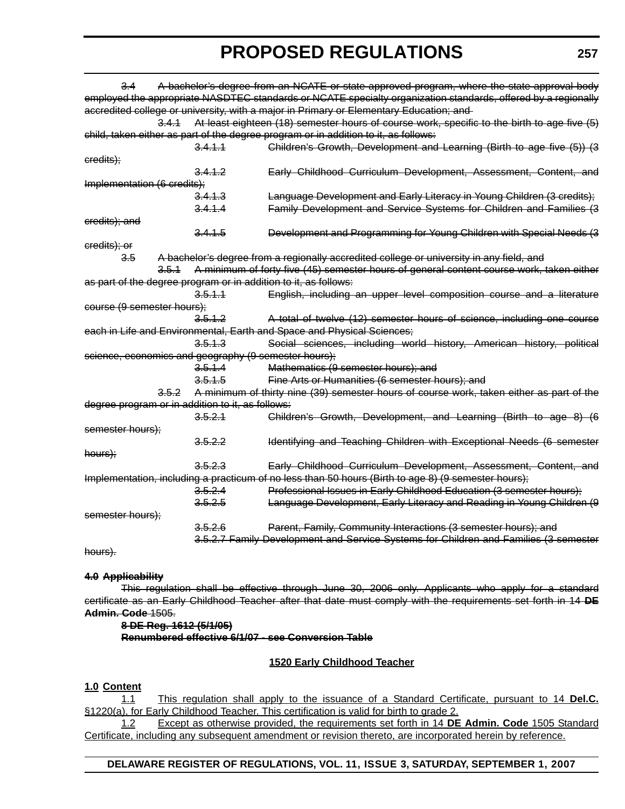3.4 A bachelor's degree from an NCATE or state approved program, where the state approval body employed the appropriate NASDTEC standards or NCATE specialty organization standards, offered by a regionally accredited college or university, with a major in Primary or Elementary Education; and 3.4.1 At least eighteen (18) semester hours of course work, specific to the birth to age five (5) child, taken either as part of the degree program or in addition to it, as follows: 3.4.1.1 Children's Growth, Development and Learning (Birth to age five (5)) (3 credits); 3.4.1.2 Early Childhood Curriculum Development, Assessment, Content, and Implementation (6 credits); 3.4.1.3 Language Development and Early Literacy in Young Children (3 credits); 3.4.1.4 Family Development and Service Systems for Children and Families (3 credits); and 3.4.1.5 Development and Programming for Young Children with Special Needs (3 credits); or 3.5 A bachelor's degree from a regionally accredited college or university in any field, and 3.5.1 A minimum of forty five (45) semester hours of general content course work, taken either as part of the degree program or in addition to it, as follows: 3.5.1.1 English, including an upper level composition course and a literature course (9 semester hours); 3.5.1.2 A total of twelve (12) semester hours of science, including one course each in Life and Environmental, Earth and Space and Physical Sciences; 3.5.1.3 Social sciences, including world history, American history, political science, economics and geography (9 semester hours); 3.5.1.4 Mathematics (9 semester hours); and 3.5.1.5 Fine Arts or Humanities (6 semester hours); and 3.5.2 A minimum of thirty nine (39) semester hours of course work, taken either as part of the degree program or in addition to it, as follows: 3.5.2.1 Children's Growth, Development, and Learning (Birth to age 8) (6 semester hours); 3.5.2.2 Identifying and Teaching Children with Exceptional Needs (6 semester hours); 3.5.2.3 Early Childhood Curriculum Development, Assessment, Content, and Implementation, including a practicum of no less than 50 hours (Birth to age 8) (9 semester hours); 3.5.2.4 Professional Issues in Early Childhood Education (3 semester hours); 3.5.2.5 Language Development, Early Literacy and Reading in Young Children (9 semester hours); 3.5.2.6 Parent, Family, Community Interactions (3 semester hours); and 3.5.2.7 Family Development and Service Systems for Children and Families (3 semester

hours).

#### **4.0 Applicability**

This regulation shall be effective through June 30, 2006 only. Applicants who apply for a standard certificate as an Early Childhood Teacher after that date must comply with the requirements set forth in 14 **DE Admin. Code** 1505.

#### **8 DE Reg. 1612 (5/1/05) Renumbered effective 6/1/07 - see Conversion Table**

#### **1520 Early Childhood Teacher**

#### **1.0 Content**

1.1 This regulation shall apply to the issuance of a Standard Certificate, pursuant to 14 **Del.C.** §1220(a), for Early Childhood Teacher. This certification is valid for birth to grade 2.

1.2 Except as otherwise provided, the requirements set forth in 14 **DE Admin. Code** 1505 Standard Certificate, including any subsequent amendment or revision thereto, are incorporated herein by reference.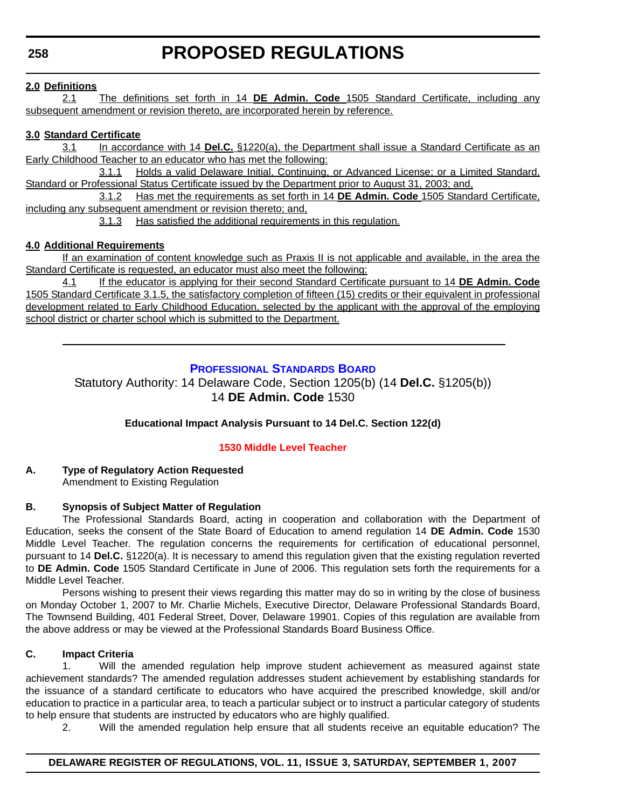#### <span id="page-17-0"></span>**2.0 Definitions**

2.1 The definitions set forth in 14 **DE Admin. Code** 1505 Standard Certificate, including any subsequent amendment or revision thereto, are incorporated herein by reference.

#### **3.0 Standard Certificate**

3.1 In accordance with 14 **Del.C.** §1220(a), the Department shall issue a Standard Certificate as an Early Childhood Teacher to an educator who has met the following:

3.1.1 Holds a valid Delaware Initial, Continuing, or Advanced License; or a Limited Standard, Standard or Professional Status Certificate issued by the Department prior to August 31, 2003; and,

3.1.2 Has met the requirements as set forth in 14 **DE Admin. Code** 1505 Standard Certificate, including any subsequent amendment or revision thereto; and,

3.1.3 Has satisfied the additional requirements in this regulation.

#### **4.0 Additional Requirements**

If an examination of content knowledge such as Praxis II is not applicable and available, in the area the Standard Certificate is requested, an educator must also meet the following:

4.1 If the educator is applying for their second Standard Certificate pursuant to 14 **DE Admin. Code** 1505 Standard Certificate 3.1.5, the satisfactory completion of fifteen (15) credits or their equivalent in professional development related to Early Childhood Education, selected by the applicant with the approval of the employing school district or charter school which is submitted to the Department.

#### **PROFESSIONAL STANDARDS BOARD**

Statutory Authority: 14 Delaware Code, Section 1205(b) (14 **Del.C.** §1205(b)) 14 **DE Admin. Code** 1530

#### **Educational Impact Analysis Pursuant to 14 Del.C. Section 122(d)**

#### **[1530 Middle Level Teacher](#page-3-0)**

#### **A. Type of Regulatory Action Requested** Amendment to Existing Regulation

### **B. Synopsis of Subject Matter of Regulation**

The Professional Standards Board, acting in cooperation and collaboration with the Department of Education, seeks the consent of the State Board of Education to amend regulation 14 **DE Admin. Code** 1530 Middle Level Teacher. The regulation concerns the requirements for certification of educational personnel, pursuant to 14 **Del.C.** §1220(a). It is necessary to amend this regulation given that the existing regulation reverted to **DE Admin. Code** 1505 Standard Certificate in June of 2006. This regulation sets forth the requirements for a Middle Level Teacher.

Persons wishing to present their views regarding this matter may do so in writing by the close of business on Monday October 1, 2007 to Mr. Charlie Michels, Executive Director, Delaware Professional Standards Board, The Townsend Building, 401 Federal Street, Dover, Delaware 19901. Copies of this regulation are available from the above address or may be viewed at the Professional Standards Board Business Office.

#### **C. Impact Criteria**

1. Will the amended regulation help improve student achievement as measured against state achievement standards? The amended regulation addresses student achievement by establishing standards for the issuance of a standard certificate to educators who have acquired the prescribed knowledge, skill and/or education to practice in a particular area, to teach a particular subject or to instruct a particular category of students to help ensure that students are instructed by educators who are highly qualified.

2. Will the amended regulation help ensure that all students receive an equitable education? The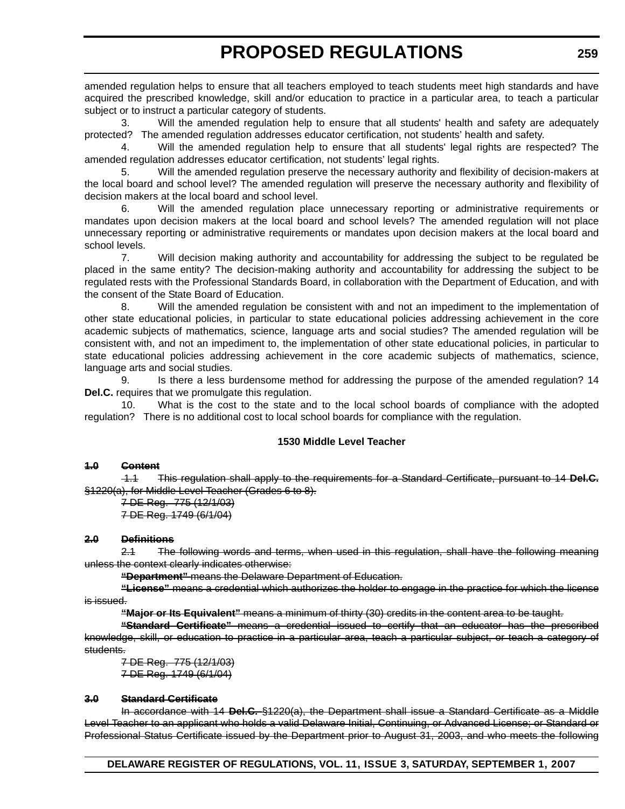amended regulation helps to ensure that all teachers employed to teach students meet high standards and have acquired the prescribed knowledge, skill and/or education to practice in a particular area, to teach a particular subject or to instruct a particular category of students.

3. Will the amended regulation help to ensure that all students' health and safety are adequately protected? The amended regulation addresses educator certification, not students' health and safety.

4. Will the amended regulation help to ensure that all students' legal rights are respected? The amended regulation addresses educator certification, not students' legal rights.

5. Will the amended regulation preserve the necessary authority and flexibility of decision-makers at the local board and school level? The amended regulation will preserve the necessary authority and flexibility of decision makers at the local board and school level.

6. Will the amended regulation place unnecessary reporting or administrative requirements or mandates upon decision makers at the local board and school levels? The amended regulation will not place unnecessary reporting or administrative requirements or mandates upon decision makers at the local board and school levels.

7. Will decision making authority and accountability for addressing the subject to be regulated be placed in the same entity? The decision-making authority and accountability for addressing the subject to be regulated rests with the Professional Standards Board, in collaboration with the Department of Education, and with the consent of the State Board of Education.

8. Will the amended regulation be consistent with and not an impediment to the implementation of other state educational policies, in particular to state educational policies addressing achievement in the core academic subjects of mathematics, science, language arts and social studies? The amended regulation will be consistent with, and not an impediment to, the implementation of other state educational policies, in particular to state educational policies addressing achievement in the core academic subjects of mathematics, science, language arts and social studies.

9. Is there a less burdensome method for addressing the purpose of the amended regulation? 14 **Del.C.** requires that we promulgate this regulation.

10. What is the cost to the state and to the local school boards of compliance with the adopted regulation? There is no additional cost to local school boards for compliance with the regulation.

#### **1530 Middle Level Teacher**

#### **1.0 Content**

 1.1 This regulation shall apply to the requirements for a Standard Certificate, pursuant to 14 **Del.C.** §1220(a), for Middle Level Teacher (Grades 6 to 8).

7 DE Reg. 775 (12/1/03) 7 DE Reg. 1749 (6/1/04)

#### **2.0 Definitions**

2.1 The following words and terms, when used in this regulation, shall have the following meaning unless the context clearly indicates otherwise:

**"Department"** means the Delaware Department of Education.

**"License"** means a credential which authorizes the holder to engage in the practice for which the license is issued.

**"Major or Its Equivalent"** means a minimum of thirty (30) credits in the content area to be taught.

**"Standard Certificate"** means a credential issued to certify that an educator has the prescribed knowledge, skill, or education to practice in a particular area, teach a particular subject, or teach a category of students.

7 DE Reg. 775 (12/1/03) 7 DE Reg. 1749 (6/1/04)

#### **3.0 Standard Certificate**

In accordance with 14 **Del.C.** §1220(a), the Department shall issue a Standard Certificate as a Middle Level Teacher to an applicant who holds a valid Delaware Initial, Continuing, or Advanced License; or Standard or Professional Status Certificate issued by the Department prior to August 31, 2003, and who meets the following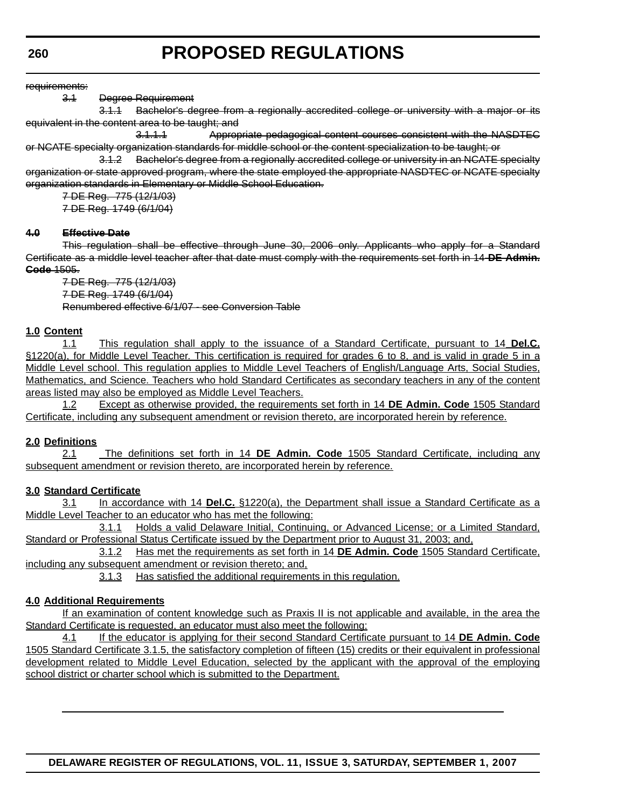requirements:

3.1 Degree Requirement

3.1.1 Bachelor's degree from a regionally accredited college or university with a major or its equivalent in the content area to be taught; and

3.1.1.1 Appropriate pedagogical content courses consistent with the NASDTEC or NCATE specialty organization standards for middle school or the content specialization to be taught; or

3.1.2 Bachelor's degree from a regionally accredited college or university in an NCATE specialty organization or state approved program, where the state employed the appropriate NASDTEC or NCATE specialty organization standards in Elementary or Middle School-Education.

7 DE Reg. 775 (12/1/03) 7 DE Reg. 1749 (6/1/04)

#### **4.0 Effective Date**

This regulation shall be effective through June 30, 2006 only. Applicants who apply for a Standard Certificate as a middle level teacher after that date must comply with the requirements set forth in 14 **DE Admin. Code** 1505.

7 DE Reg. 775 (12/1/03) 7 DE Reg. 1749 (6/1/04) Renumbered effective 6/1/07 - see Conversion Table

#### **1.0 Content**

1.1 This regulation shall apply to the issuance of a Standard Certificate, pursuant to 14 **Del.C.** §1220(a), for Middle Level Teacher. This certification is required for grades 6 to 8, and is valid in grade 5 in a Middle Level school. This regulation applies to Middle Level Teachers of English/Language Arts, Social Studies, Mathematics, and Science. Teachers who hold Standard Certificates as secondary teachers in any of the content areas listed may also be employed as Middle Level Teachers.

1.2 Except as otherwise provided, the requirements set forth in 14 **DE Admin. Code** 1505 Standard Certificate, including any subsequent amendment or revision thereto, are incorporated herein by reference.

#### **2.0 Definitions**

2.1 The definitions set forth in 14 **DE Admin. Code** 1505 Standard Certificate, including any subsequent amendment or revision thereto, are incorporated herein by reference.

#### **3.0 Standard Certificate**

3.1 In accordance with 14 **Del.C.** §1220(a), the Department shall issue a Standard Certificate as a Middle Level Teacher to an educator who has met the following:

3.1.1 Holds a valid Delaware Initial, Continuing, or Advanced License; or a Limited Standard, Standard or Professional Status Certificate issued by the Department prior to August 31, 2003; and,

3.1.2 Has met the requirements as set forth in 14 **DE Admin. Code** 1505 Standard Certificate, including any subsequent amendment or revision thereto; and,

3.1.3 Has satisfied the additional requirements in this regulation.

#### **4.0 Additional Requirements**

If an examination of content knowledge such as Praxis II is not applicable and available, in the area the Standard Certificate is requested, an educator must also meet the following:

4.1 If the educator is applying for their second Standard Certificate pursuant to 14 **DE Admin. Code** 1505 Standard Certificate 3.1.5, the satisfactory completion of fifteen (15) credits or their equivalent in professional development related to Middle Level Education, selected by the applicant with the approval of the employing school district or charter school which is submitted to the Department.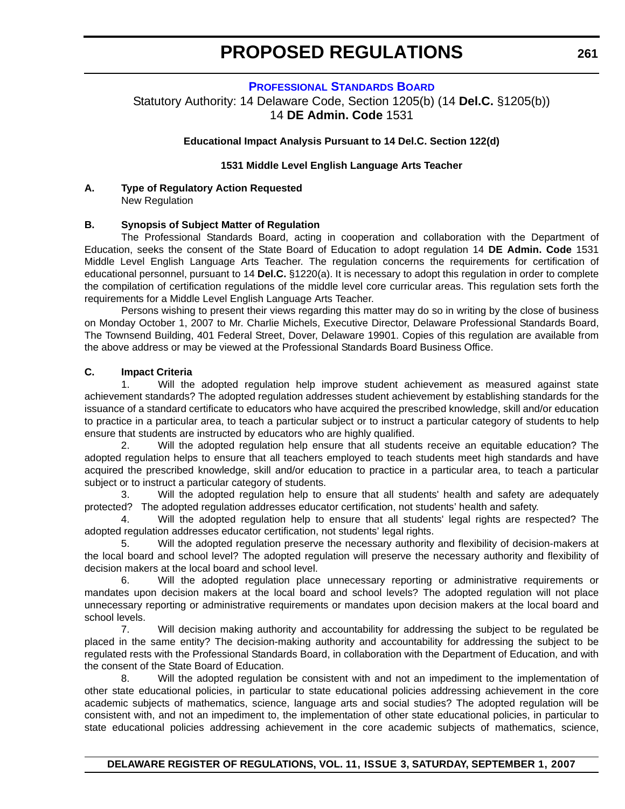#### **PROFESSIONAL STANDARDS BOARD**

<span id="page-20-0"></span>Statutory Authority: 14 Delaware Code, Section 1205(b) (14 **Del.C.** §1205(b)) 14 **DE Admin. Code** 1531

#### **Educational Impact Analysis Pursuant to 14 Del.C. Section 122(d)**

#### **1531 Middle Level English Language Arts Teacher**

#### **A. Type of Regulatory Action Requested** New Regulation

#### **B. Synopsis of Subject Matter of Regulation**

The Professional Standards Board, acting in cooperation and collaboration with the Department of Education, seeks the consent of the State Board of Education to adopt regulation 14 **DE Admin. Code** 1531 Middle Level English Language Arts Teacher. The regulation concerns the requirements for certification of educational personnel, pursuant to 14 **Del.C.** §1220(a). It is necessary to adopt this regulation in order to complete the compilation of certification regulations of the middle level core curricular areas. This regulation sets forth the requirements for a Middle Level English Language Arts Teacher.

Persons wishing to present their views regarding this matter may do so in writing by the close of business on Monday October 1, 2007 to Mr. Charlie Michels, Executive Director, Delaware Professional Standards Board, The Townsend Building, 401 Federal Street, Dover, Delaware 19901. Copies of this regulation are available from the above address or may be viewed at the Professional Standards Board Business Office.

#### **C. Impact Criteria**

1. Will the adopted regulation help improve student achievement as measured against state achievement standards? The adopted regulation addresses student achievement by establishing standards for the issuance of a standard certificate to educators who have acquired the prescribed knowledge, skill and/or education to practice in a particular area, to teach a particular subject or to instruct a particular category of students to help ensure that students are instructed by educators who are highly qualified.

2. Will the adopted regulation help ensure that all students receive an equitable education? The adopted regulation helps to ensure that all teachers employed to teach students meet high standards and have acquired the prescribed knowledge, skill and/or education to practice in a particular area, to teach a particular subject or to instruct a particular category of students.

3. Will the adopted regulation help to ensure that all students' health and safety are adequately protected? The adopted regulation addresses educator certification, not students' health and safety.

4. Will the adopted regulation help to ensure that all students' legal rights are respected? The adopted regulation addresses educator certification, not students' legal rights.

5. Will the adopted regulation preserve the necessary authority and flexibility of decision-makers at the local board and school level? The adopted regulation will preserve the necessary authority and flexibility of decision makers at the local board and school level.

6. Will the adopted regulation place unnecessary reporting or administrative requirements or mandates upon decision makers at the local board and school levels? The adopted regulation will not place unnecessary reporting or administrative requirements or mandates upon decision makers at the local board and school levels.

7. Will decision making authority and accountability for addressing the subject to be regulated be placed in the same entity? The decision-making authority and accountability for addressing the subject to be regulated rests with the Professional Standards Board, in collaboration with the Department of Education, and with the consent of the State Board of Education.

8. Will the adopted regulation be consistent with and not an impediment to the implementation of other state educational policies, in particular to state educational policies addressing achievement in the core academic subjects of mathematics, science, language arts and social studies? The adopted regulation will be consistent with, and not an impediment to, the implementation of other state educational policies, in particular to state educational policies addressing achievement in the core academic subjects of mathematics, science,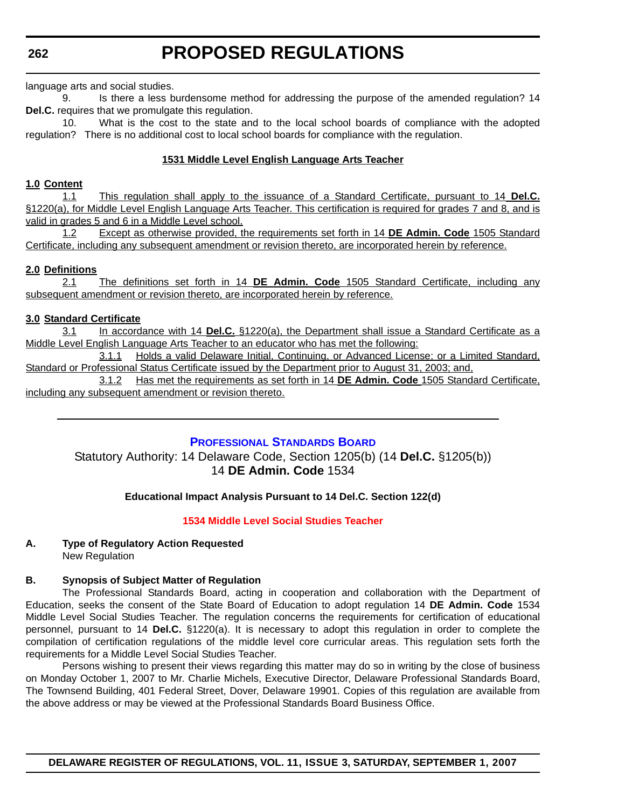<span id="page-21-0"></span>**262**

language arts and social studies.

9. Is there a less burdensome method for addressing the purpose of the amended regulation? 14 **Del.C.** requires that we promulgate this regulation.

10. What is the cost to the state and to the local school boards of compliance with the adopted regulation? There is no additional cost to local school boards for compliance with the regulation.

#### **1531 Middle Level English Language Arts Teacher**

#### **1.0 Content**

1.1 This regulation shall apply to the issuance of a Standard Certificate, pursuant to 14 **Del.C.** §1220(a), for Middle Level English Language Arts Teacher. This certification is required for grades 7 and 8, and is valid in grades 5 and 6 in a Middle Level school.

1.2 Except as otherwise provided, the requirements set forth in 14 **DE Admin. Code** 1505 Standard Certificate, including any subsequent amendment or revision thereto, are incorporated herein by reference.

#### **2.0 Definitions**

2.1 The definitions set forth in 14 **DE Admin. Code** 1505 Standard Certificate, including any subsequent amendment or revision thereto, are incorporated herein by reference.

#### **3.0 Standard Certificate**

3.1 In accordance with 14 **Del.C.** §1220(a), the Department shall issue a Standard Certificate as a Middle Level English Language Arts Teacher to an educator who has met the following:

3.1.1 Holds a valid Delaware Initial, Continuing, or Advanced License; or a Limited Standard, Standard or Professional Status Certificate issued by the Department prior to August 31, 2003; and,

3.1.2 Has met the requirements as set forth in 14 **DE Admin. Code** 1505 Standard Certificate, including any subsequent amendment or revision thereto.

#### **PROFESSIONAL STANDARDS BOARD**

Statutory Authority: 14 Delaware Code, Section 1205(b) (14 **Del.C.** §1205(b)) 14 **DE Admin. Code** 1534

#### **Educational Impact Analysis Pursuant to 14 Del.C. Section 122(d)**

#### **[1534 Middle Level Social Studies Teacher](#page-3-0)**

#### **A. Type of Regulatory Action Requested** New Regulation

#### **B. Synopsis of Subject Matter of Regulation**

The Professional Standards Board, acting in cooperation and collaboration with the Department of Education, seeks the consent of the State Board of Education to adopt regulation 14 **DE Admin. Code** 1534 Middle Level Social Studies Teacher. The regulation concerns the requirements for certification of educational personnel, pursuant to 14 **Del.C.** §1220(a). It is necessary to adopt this regulation in order to complete the compilation of certification regulations of the middle level core curricular areas. This regulation sets forth the requirements for a Middle Level Social Studies Teacher.

Persons wishing to present their views regarding this matter may do so in writing by the close of business on Monday October 1, 2007 to Mr. Charlie Michels, Executive Director, Delaware Professional Standards Board, The Townsend Building, 401 Federal Street, Dover, Delaware 19901. Copies of this regulation are available from the above address or may be viewed at the Professional Standards Board Business Office.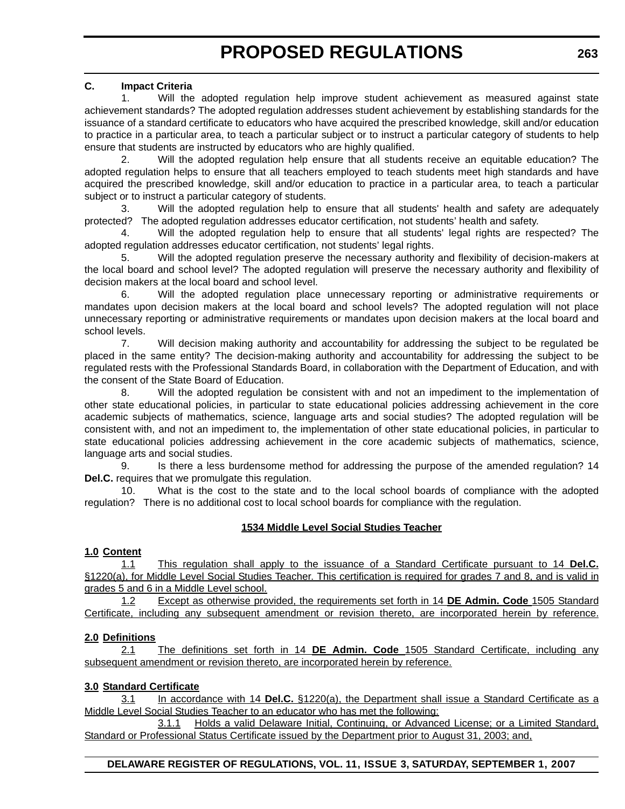#### **C. Impact Criteria**

1. Will the adopted regulation help improve student achievement as measured against state achievement standards? The adopted regulation addresses student achievement by establishing standards for the issuance of a standard certificate to educators who have acquired the prescribed knowledge, skill and/or education to practice in a particular area, to teach a particular subject or to instruct a particular category of students to help ensure that students are instructed by educators who are highly qualified.

2. Will the adopted regulation help ensure that all students receive an equitable education? The adopted regulation helps to ensure that all teachers employed to teach students meet high standards and have acquired the prescribed knowledge, skill and/or education to practice in a particular area, to teach a particular subject or to instruct a particular category of students.

3. Will the adopted regulation help to ensure that all students' health and safety are adequately protected? The adopted regulation addresses educator certification, not students' health and safety.

4. Will the adopted regulation help to ensure that all students' legal rights are respected? The adopted regulation addresses educator certification, not students' legal rights.

5. Will the adopted regulation preserve the necessary authority and flexibility of decision-makers at the local board and school level? The adopted regulation will preserve the necessary authority and flexibility of decision makers at the local board and school level.

6. Will the adopted regulation place unnecessary reporting or administrative requirements or mandates upon decision makers at the local board and school levels? The adopted regulation will not place unnecessary reporting or administrative requirements or mandates upon decision makers at the local board and school levels.

7. Will decision making authority and accountability for addressing the subject to be regulated be placed in the same entity? The decision-making authority and accountability for addressing the subject to be regulated rests with the Professional Standards Board, in collaboration with the Department of Education, and with the consent of the State Board of Education.

8. Will the adopted regulation be consistent with and not an impediment to the implementation of other state educational policies, in particular to state educational policies addressing achievement in the core academic subjects of mathematics, science, language arts and social studies? The adopted regulation will be consistent with, and not an impediment to, the implementation of other state educational policies, in particular to state educational policies addressing achievement in the core academic subjects of mathematics, science, language arts and social studies.

9. Is there a less burdensome method for addressing the purpose of the amended regulation? 14 **Del.C.** requires that we promulgate this regulation.

10. What is the cost to the state and to the local school boards of compliance with the adopted regulation? There is no additional cost to local school boards for compliance with the regulation.

#### **1534 Middle Level Social Studies Teacher**

#### **1.0 Content**

1.1 This regulation shall apply to the issuance of a Standard Certificate pursuant to 14 **Del.C.** §1220(a), for Middle Level Social Studies Teacher. This certification is required for grades 7 and 8, and is valid in grades 5 and 6 in a Middle Level school.

1.2 Except as otherwise provided, the requirements set forth in 14 **DE Admin. Code** 1505 Standard Certificate, including any subsequent amendment or revision thereto, are incorporated herein by reference.

#### **2.0 Definitions**

2.1 The definitions set forth in 14 **DE Admin. Code** 1505 Standard Certificate, including any subsequent amendment or revision thereto, are incorporated herein by reference.

#### **3.0 Standard Certificate**

3.1 In accordance with 14 **Del.C.** §1220(a), the Department shall issue a Standard Certificate as a Middle Level Social Studies Teacher to an educator who has met the following:

3.1.1 Holds a valid Delaware Initial, Continuing, or Advanced License; or a Limited Standard, Standard or Professional Status Certificate issued by the Department prior to August 31, 2003; and,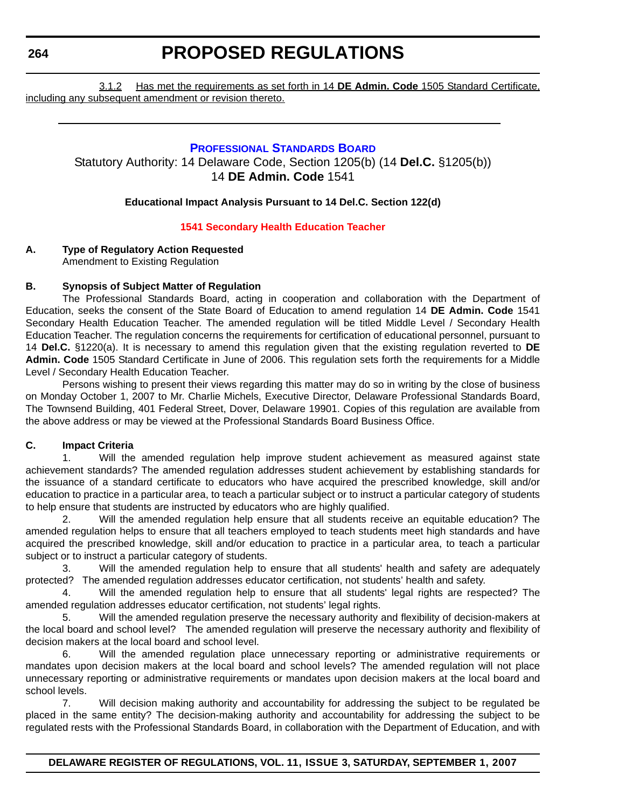<span id="page-23-0"></span>**264**

### **PROPOSED REGULATIONS**

3.1.2 Has met the requirements as set forth in 14 **DE Admin. Code** 1505 Standard Certificate, including any subsequent amendment or revision thereto.

#### **PROFESSIONAL STANDARDS BOARD**

Statutory Authority: 14 Delaware Code, Section 1205(b) (14 **Del.C.** §1205(b)) 14 **DE Admin. Code** 1541

#### **Educational Impact Analysis Pursuant to 14 Del.C. Section 122(d)**

#### **[1541 Secondary Health Education Teacher](#page-3-0)**

### **A. Type of Regulatory Action Requested**

Amendment to Existing Regulation

#### **B. Synopsis of Subject Matter of Regulation**

The Professional Standards Board, acting in cooperation and collaboration with the Department of Education, seeks the consent of the State Board of Education to amend regulation 14 **DE Admin. Code** 1541 Secondary Health Education Teacher. The amended regulation will be titled Middle Level / Secondary Health Education Teacher. The regulation concerns the requirements for certification of educational personnel, pursuant to 14 **Del.C.** §1220(a). It is necessary to amend this regulation given that the existing regulation reverted to **DE Admin. Code** 1505 Standard Certificate in June of 2006. This regulation sets forth the requirements for a Middle Level / Secondary Health Education Teacher.

Persons wishing to present their views regarding this matter may do so in writing by the close of business on Monday October 1, 2007 to Mr. Charlie Michels, Executive Director, Delaware Professional Standards Board, The Townsend Building, 401 Federal Street, Dover, Delaware 19901. Copies of this regulation are available from the above address or may be viewed at the Professional Standards Board Business Office.

#### **C. Impact Criteria**

1. Will the amended regulation help improve student achievement as measured against state achievement standards? The amended regulation addresses student achievement by establishing standards for the issuance of a standard certificate to educators who have acquired the prescribed knowledge, skill and/or education to practice in a particular area, to teach a particular subject or to instruct a particular category of students to help ensure that students are instructed by educators who are highly qualified.

2. Will the amended regulation help ensure that all students receive an equitable education? The amended regulation helps to ensure that all teachers employed to teach students meet high standards and have acquired the prescribed knowledge, skill and/or education to practice in a particular area, to teach a particular subject or to instruct a particular category of students.

3. Will the amended regulation help to ensure that all students' health and safety are adequately protected? The amended regulation addresses educator certification, not students' health and safety.

4. Will the amended regulation help to ensure that all students' legal rights are respected? The amended regulation addresses educator certification, not students' legal rights.

5. Will the amended regulation preserve the necessary authority and flexibility of decision-makers at the local board and school level? The amended regulation will preserve the necessary authority and flexibility of decision makers at the local board and school level.

6. Will the amended regulation place unnecessary reporting or administrative requirements or mandates upon decision makers at the local board and school levels? The amended regulation will not place unnecessary reporting or administrative requirements or mandates upon decision makers at the local board and school levels.

7. Will decision making authority and accountability for addressing the subject to be regulated be placed in the same entity? The decision-making authority and accountability for addressing the subject to be regulated rests with the Professional Standards Board, in collaboration with the Department of Education, and with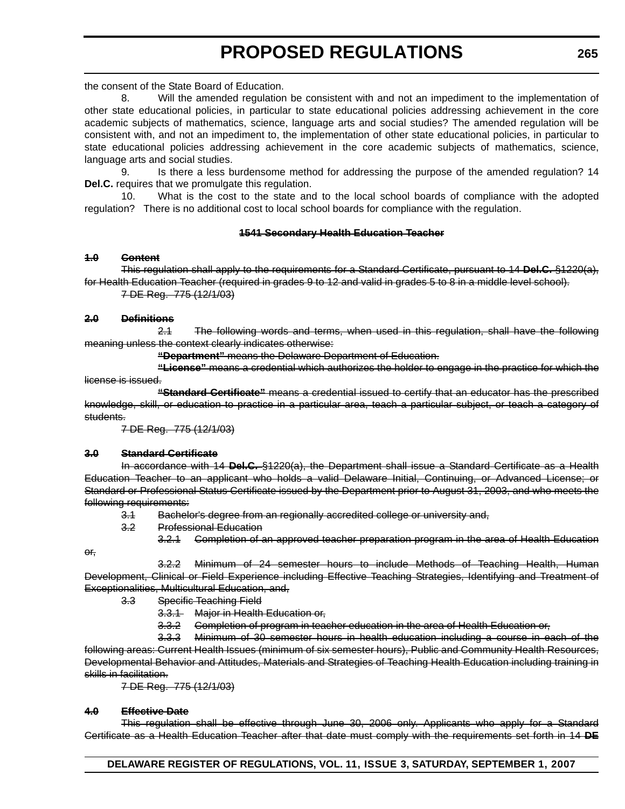the consent of the State Board of Education.

8. Will the amended regulation be consistent with and not an impediment to the implementation of other state educational policies, in particular to state educational policies addressing achievement in the core academic subjects of mathematics, science, language arts and social studies? The amended regulation will be consistent with, and not an impediment to, the implementation of other state educational policies, in particular to state educational policies addressing achievement in the core academic subjects of mathematics, science, language arts and social studies.

9. Is there a less burdensome method for addressing the purpose of the amended regulation? 14 **Del.C.** requires that we promulgate this regulation.

10. What is the cost to the state and to the local school boards of compliance with the adopted regulation? There is no additional cost to local school boards for compliance with the regulation.

#### **1541 Secondary Health Education Teacher**

#### **1.0 Content**

This regulation shall apply to the requirements for a Standard Certificate, pursuant to 14 **Del.C.** §1220(a), for Health Education Teacher (required in grades 9 to 12 and valid in grades 5 to 8 in a middle level school).

7 DE Reg. 775 (12/1/03)

#### **2.0 Definitions**

2.1 The following words and terms, when used in this regulation, shall have the following meaning unless the context clearly indicates otherwise:

**"Department"** means the Delaware Department of Education.

**"License"** means a credential which authorizes the holder to engage in the practice for which the license is issued.

**"Standard Certificate"** means a credential issued to certify that an educator has the prescribed knowledge, skill, or education to practice in a particular area, teach a particular subject, or teach a category of students.

7 DE Reg. 775 (12/1/03)

#### **3.0 Standard Certificate**

In accordance with 14 **Del.C.** §1220(a), the Department shall issue a Standard Certificate as a Health Education Teacher to an applicant who holds a valid Delaware Initial, Continuing, or Advanced License; or Standard or Professional Status Certificate issued by the Department prior to August 31, 2003, and who meets the following requirements:

- 3.1 Bachelor's degree from an regionally accredited college or university and,
- 3.2 Professional Education
	- 3.2.1 Completion of an approved teacher preparation program in the area of Health Education

or,

3.2.2 Minimum of 24 semester hours to include Methods of Teaching Health, Human Development, Clinical or Field Experience including Effective Teaching Strategies, Identifying and Treatment of Exceptionalities, Multicultural Education, and,

- 3.3 Specific Teaching Field
	- 3.3.1 Major in Health Education or,
	- 3.3.2 Completion of program in teacher education in the area of Health Education or,

3.3.3 Minimum of 30 semester hours in health education including a course in each of the following areas: Current Health Issues (minimum of six semester hours), Public and Community Health Resources, Developmental Behavior and Attitudes, Materials and Strategies of Teaching Health Education including training in skills in facilitation.

7 DE Reg. 775 (12/1/03)

#### **4.0 Effective Date**

This regulation shall be effective through June 30, 2006 only. Applicants who apply for a Standard Certificate as a Health Education Teacher after that date must comply with the requirements set forth in 14 **DE**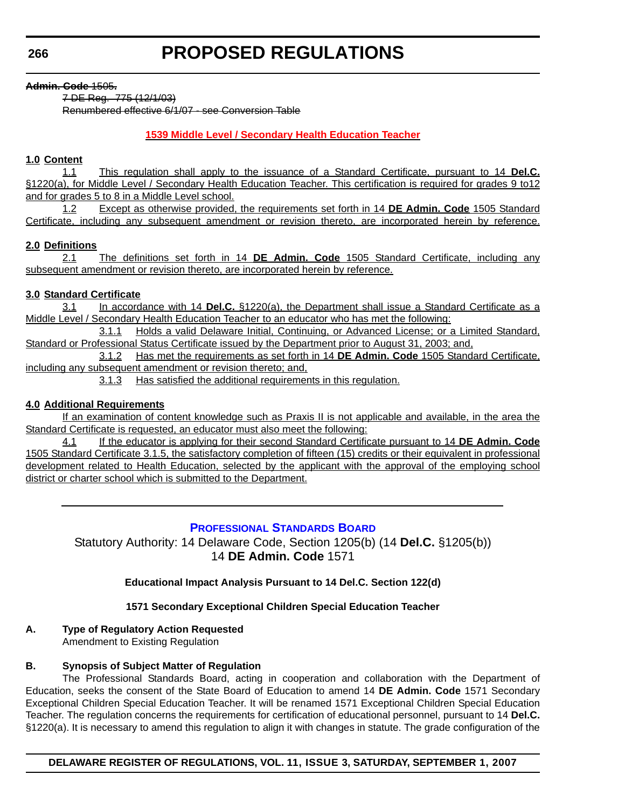#### <span id="page-25-0"></span>**Admin. Code** 1505**.**

7 DE Reg. 775 (12/1/03) Renumbered effective 6/1/07 - see Conversion Table

#### **[1539 Middle Level / Secondary Health Education Teacher](#page-3-0)**

#### **1.0 Content**

1.1 This regulation shall apply to the issuance of a Standard Certificate, pursuant to 14 **Del.C.** §1220(a), for Middle Level / Secondary Health Education Teacher. This certification is required for grades 9 to12 and for grades 5 to 8 in a Middle Level school.

1.2 Except as otherwise provided, the requirements set forth in 14 **DE Admin. Code** 1505 Standard Certificate, including any subsequent amendment or revision thereto, are incorporated herein by reference.

#### **2.0 Definitions**

2.1 The definitions set forth in 14 **DE Admin. Code** 1505 Standard Certificate, including any subsequent amendment or revision thereto, are incorporated herein by reference.

#### **3.0 Standard Certificate**

3.1 In accordance with 14 **Del.C.** §1220(a), the Department shall issue a Standard Certificate as a Middle Level / Secondary Health Education Teacher to an educator who has met the following:

3.1.1 Holds a valid Delaware Initial, Continuing, or Advanced License; or a Limited Standard, Standard or Professional Status Certificate issued by the Department prior to August 31, 2003; and,

3.1.2 Has met the requirements as set forth in 14 **DE Admin. Code** 1505 Standard Certificate, including any subsequent amendment or revision thereto; and,

3.1.3 Has satisfied the additional requirements in this regulation.

#### **4.0 Additional Requirements**

If an examination of content knowledge such as Praxis II is not applicable and available, in the area the Standard Certificate is requested, an educator must also meet the following:

4.1 If the educator is applying for their second Standard Certificate pursuant to 14 **DE Admin. Code** 1505 Standard Certificate 3.1.5, the satisfactory completion of fifteen (15) credits or their equivalent in professional development related to Health Education, selected by the applicant with the approval of the employing school district or charter school which is submitted to the Department.

#### **PROFESSIONAL STANDARDS BOARD**

Statutory Authority: 14 Delaware Code, Section 1205(b) (14 **Del.C.** §1205(b)) 14 **DE Admin. Code** 1571

#### **Educational Impact Analysis Pursuant to 14 Del.C. Section 122(d)**

#### **1571 Secondary Exceptional Children Special Education Teacher**

#### **A. Type of Regulatory Action Requested**

Amendment to Existing Regulation

#### **B. Synopsis of Subject Matter of Regulation**

The Professional Standards Board, acting in cooperation and collaboration with the Department of Education, seeks the consent of the State Board of Education to amend 14 **DE Admin. Code** 1571 Secondary Exceptional Children Special Education Teacher. It will be renamed 1571 Exceptional Children Special Education Teacher. The regulation concerns the requirements for certification of educational personnel, pursuant to 14 **Del.C.** §1220(a). It is necessary to amend this regulation to align it with changes in statute. The grade configuration of the

**DELAWARE REGISTER OF REGULATIONS, VOL. 11, ISSUE 3, SATURDAY, SEPTEMBER 1, 2007**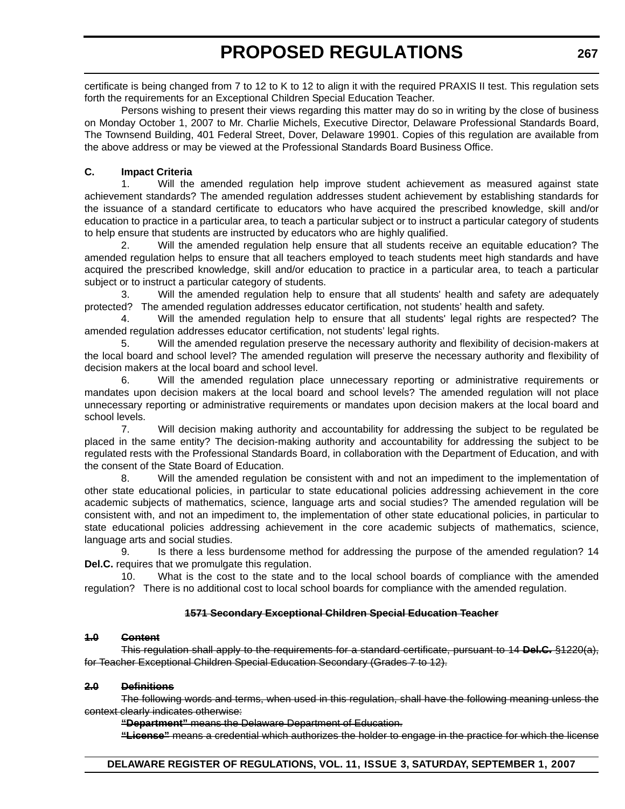certificate is being changed from 7 to 12 to K to 12 to align it with the required PRAXIS II test. This regulation sets forth the requirements for an Exceptional Children Special Education Teacher.

Persons wishing to present their views regarding this matter may do so in writing by the close of business on Monday October 1, 2007 to Mr. Charlie Michels, Executive Director, Delaware Professional Standards Board, The Townsend Building, 401 Federal Street, Dover, Delaware 19901. Copies of this regulation are available from the above address or may be viewed at the Professional Standards Board Business Office.

#### **C. Impact Criteria**

1. Will the amended regulation help improve student achievement as measured against state achievement standards? The amended regulation addresses student achievement by establishing standards for the issuance of a standard certificate to educators who have acquired the prescribed knowledge, skill and/or education to practice in a particular area, to teach a particular subject or to instruct a particular category of students to help ensure that students are instructed by educators who are highly qualified.

2. Will the amended regulation help ensure that all students receive an equitable education? The amended regulation helps to ensure that all teachers employed to teach students meet high standards and have acquired the prescribed knowledge, skill and/or education to practice in a particular area, to teach a particular subject or to instruct a particular category of students.

3. Will the amended regulation help to ensure that all students' health and safety are adequately protected? The amended regulation addresses educator certification, not students' health and safety.

4. Will the amended regulation help to ensure that all students' legal rights are respected? The amended regulation addresses educator certification, not students' legal rights.

5. Will the amended regulation preserve the necessary authority and flexibility of decision-makers at the local board and school level? The amended regulation will preserve the necessary authority and flexibility of decision makers at the local board and school level.

6. Will the amended regulation place unnecessary reporting or administrative requirements or mandates upon decision makers at the local board and school levels? The amended regulation will not place unnecessary reporting or administrative requirements or mandates upon decision makers at the local board and school levels.

7. Will decision making authority and accountability for addressing the subject to be regulated be placed in the same entity? The decision-making authority and accountability for addressing the subject to be regulated rests with the Professional Standards Board, in collaboration with the Department of Education, and with the consent of the State Board of Education.

8. Will the amended regulation be consistent with and not an impediment to the implementation of other state educational policies, in particular to state educational policies addressing achievement in the core academic subjects of mathematics, science, language arts and social studies? The amended regulation will be consistent with, and not an impediment to, the implementation of other state educational policies, in particular to state educational policies addressing achievement in the core academic subjects of mathematics, science, language arts and social studies.

9. Is there a less burdensome method for addressing the purpose of the amended regulation? 14 **Del.C.** requires that we promulgate this regulation.

10. What is the cost to the state and to the local school boards of compliance with the amended regulation? There is no additional cost to local school boards for compliance with the amended regulation.

#### **1571 Secondary Exceptional Children Special Education Teacher**

#### **1.0 Content**

This regulation shall apply to the requirements for a standard certificate, pursuant to 14 **Del.C.** §1220(a), for Teacher Exceptional Children Special Education Secondary (Grades 7 to 12).

#### **2.0 Definitions**

The following words and terms, when used in this regulation, shall have the following meaning unless the context clearly indicates otherwise:

**"Department"** means the Delaware Department of Education.

**"License"** means a credential which authorizes the holder to engage in the practice for which the license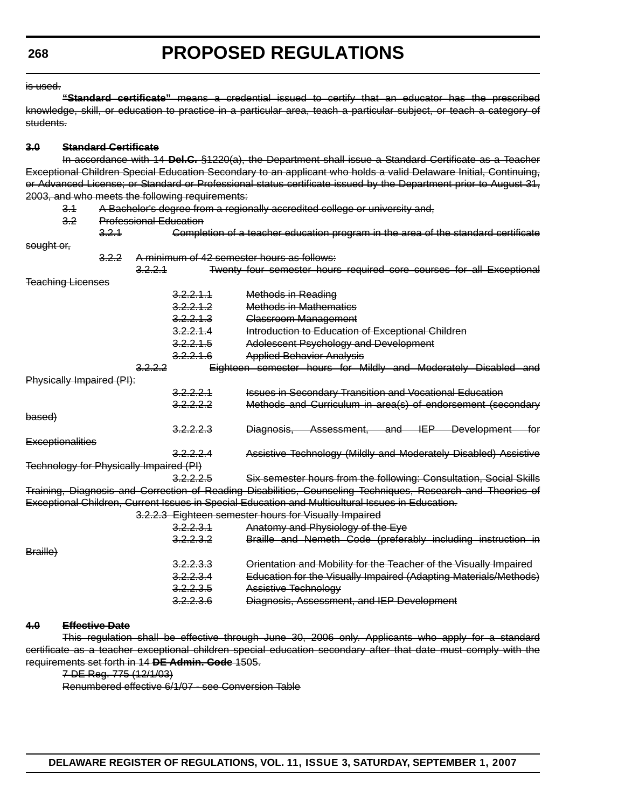is used.

**"Standard certificate"** means a credential issued to certify that an educator has the prescribed knowledge, skill, or education to practice in a particular area, teach a particular subject, or teach a category of students.

#### **3.0 Standard Certificate**

In accordance with 14 **Del.C.** §1220(a), the Department shall issue a Standard Certificate as a Teacher Exceptional Children Special Education Secondary to an applicant who holds a valid Delaware Initial, Continuing, or Advanced License; or Standard or Professional status certificate issued by the Department prior to August 31, 2003, and who meets the following requirements:

- 3.1 A Bachelor's degree from a regionally accredited college or university and,
- 3.2 Professional Education
- 3.2.1 Completion of a teacher education program in the area of the standard certificate sought or, 3.2.2 A minimum of 42 semester hours as follows: 3.2.2.1 Twenty four semester hours required core courses for all Exceptional Teaching Licenses
- 3.2.2.1.1 Methods in Reading 3.2.2.1.2 Methods in Mathematics 3.2.2.1.3 Classroom Management 3.2.2.1.4 Introduction to Education of Exceptional Children 3.2.2.1.5 Adolescent Psychology and Development 3.2.2.1.6 Applied Behavior Analysis 3.2.2.2 Eighteen semester hours for Mildly and Moderately Disabled and Physically Impaired (PI): 3.2.2.2.1 **Issues in Secondary Transition and Vocational Education** 3.2.2.2.2 Methods and Curriculum in area(s) of endorsement (secondary based) 3.2.2.2.3 Diagnosis, Assessment, and IEP Development for **Exceptionalities** 3.2.2.2.4 Assistive Technology (Mildly and Moderately Disabled) Assistive Technology for Physically Impaired (PI) 3.2.2.2.5 Six semester hours from the following: Consultation, Social Skills Training, Diagnosis and Correction of Reading Disabilities, Counseling Techniques, Research and Theories of Exceptional Children, Current Issues in Special Education and Multicultural Issues in Education. 3.2.2.3 Eighteen semester hours for Visually Impaired 3.2.2.3.1 Anatomy and Physiology of the Eye 3.2.2.3.2 Braille and Nemeth Code (preferably including instruction in Braille)

|                     | --------             | <u>the computation of the computation of the computation of the computation of the computation of the computation of the computation of the computation of the computation of the computation of the computation of the computat</u> |
|---------------------|----------------------|--------------------------------------------------------------------------------------------------------------------------------------------------------------------------------------------------------------------------------------|
| <del>3raille)</del> |                      |                                                                                                                                                                                                                                      |
|                     | <del>3.2.2.3.3</del> | Orientation and Mobility for the Teacher of the Visually Impaired                                                                                                                                                                    |
|                     | 3.2.2.3.4            | Education for the Vieually Impaired (Adapting Materials/Methods)<br><del>Education for the visually impaired (Adapting Matchals/Methods)</del>                                                                                       |
|                     | <del>3.2.2.3.5</del> | Assistive Technology                                                                                                                                                                                                                 |
|                     | <del>3.2.2.3.6</del> | Diagnosis, Assessment, and IEP Development                                                                                                                                                                                           |
|                     |                      |                                                                                                                                                                                                                                      |

#### **4.0 Effective Date**

This regulation shall be effective through June 30, 2006 only. Applicants who apply for a standard certificate as a teacher exceptional children special education secondary after that date must comply with the requirements set forth in 14 **DE Admin. Code** 1505.

```
7 DE Reg. 775 (12/1/03)
```
Renumbered effective 6/1/07 - see Conversion Table

**DELAWARE REGISTER OF REGULATIONS, VOL. 11, ISSUE 3, SATURDAY, SEPTEMBER 1, 2007**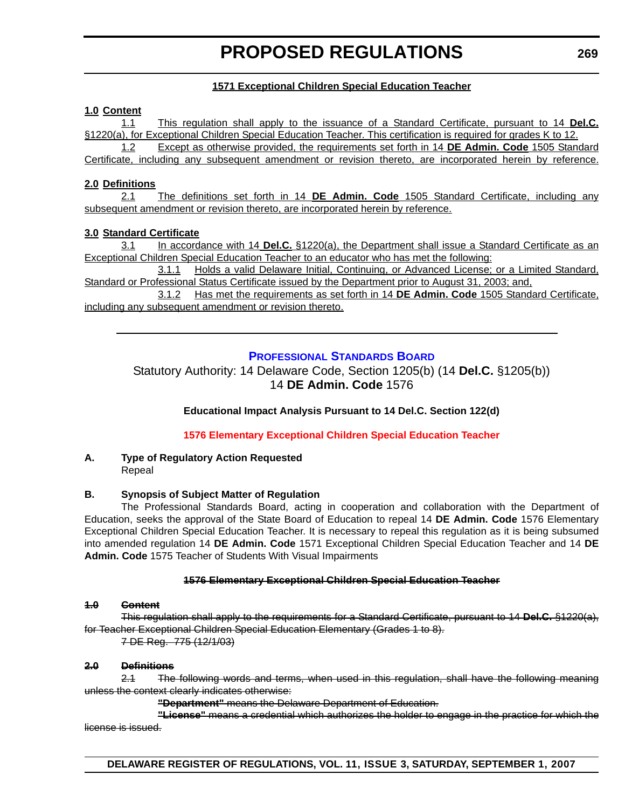#### **1571 Exceptional Children Special Education Teacher**

#### <span id="page-28-0"></span>**1.0 Content**

1.1 This regulation shall apply to the issuance of a Standard Certificate, pursuant to 14 **Del.C.** §1220(a), for Exceptional Children Special Education Teacher. This certification is required for grades K to 12. 1.2 Except as otherwise provided, the requirements set forth in 14 **DE Admin. Code** 1505 Standard Certificate, including any subsequent amendment or revision thereto, are incorporated herein by reference.

#### **2.0 Definitions**

2.1 The definitions set forth in 14 **DE Admin. Code** 1505 Standard Certificate, including any subsequent amendment or revision thereto, are incorporated herein by reference.

#### **3.0 Standard Certificate**

3.1 In accordance with 14 **Del.C.** §1220(a), the Department shall issue a Standard Certificate as an Exceptional Children Special Education Teacher to an educator who has met the following:

3.1.1 Holds a valid Delaware Initial, Continuing, or Advanced License; or a Limited Standard, Standard or Professional Status Certificate issued by the Department prior to August 31, 2003; and,

3.1.2 Has met the requirements as set forth in 14 **DE Admin. Code** 1505 Standard Certificate, including any subsequent amendment or revision thereto.

#### **PROFESSIONAL STANDARDS BOARD**

Statutory Authority: 14 Delaware Code, Section 1205(b) (14 **Del.C.** §1205(b)) 14 **DE Admin. Code** 1576

#### **Educational Impact Analysis Pursuant to 14 Del.C. Section 122(d)**

**[1576 Elementary Exceptional Children Special Education Teacher](#page-3-0)**

#### **A. Type of Regulatory Action Requested** Repeal

#### **B. Synopsis of Subject Matter of Regulation**

The Professional Standards Board, acting in cooperation and collaboration with the Department of Education, seeks the approval of the State Board of Education to repeal 14 **DE Admin. Code** 1576 Elementary Exceptional Children Special Education Teacher. It is necessary to repeal this regulation as it is being subsumed into amended regulation 14 **DE Admin. Code** 1571 Exceptional Children Special Education Teacher and 14 **DE Admin. Code** 1575 Teacher of Students With Visual Impairments

#### **1576 Elementary Exceptional Children Special Education Teacher**

#### **1.0 Content**

This regulation shall apply to the requirements for a Standard Certificate, pursuant to 14 **Del.C.** §1220(a), for Teacher Exceptional Children Special Education Elementary (Grades 1 to 8).

7 DE Reg. 775 (12/1/03)

#### **2.0 Definitions**

2.1 The following words and terms, when used in this regulation, shall have the following meaning unless the context clearly indicates otherwise:

**"Department"** means the Delaware Department of Education.

**"License"** means a credential which authorizes the holder to engage in the practice for which the license is issued.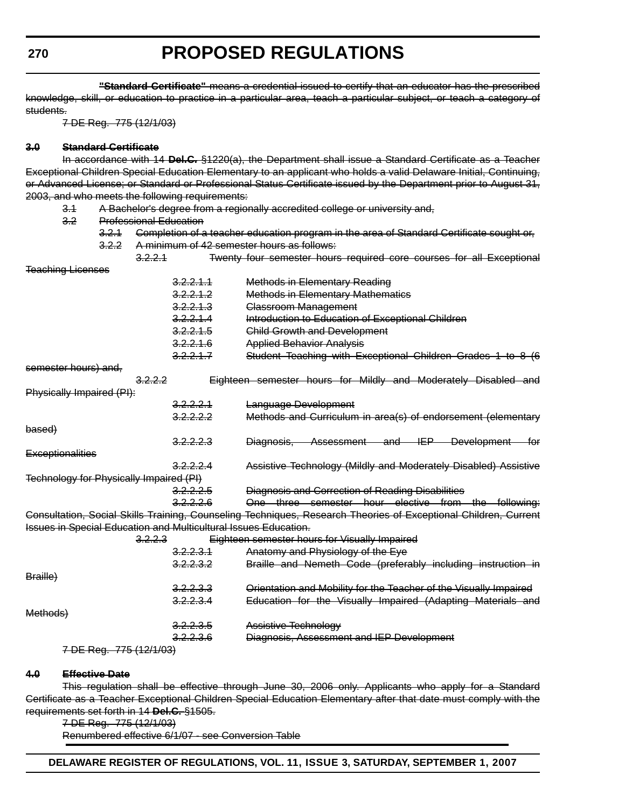**"Standard Certificate"** means a credential issued to certify that an educator has the prescribed knowledge, skill, or education to practice in a particular area, teach a particular subject, or teach a category of students.

7 DE Reg. 775 (12/1/03)

#### **3.0 Standard Certificate**

In accordance with 14 **Del.C.** §1220(a), the Department shall issue a Standard Certificate as a Teacher Exceptional Children Special Education Elementary to an applicant who holds a valid Delaware Initial, Continuing, or Advanced License; or Standard or Professional Status Certificate issued by the Department prior to August 31, 2003, and who meets the following requirements:

- 3.1 A Bachelor's degree from a regionally accredited college or university and,
- 3.2 Professional Education

| 3.2.1 |                                                                                                | Completion of a teacher education program in the area of Standard Certificate sought or,                                                                                                                                         |
|-------|------------------------------------------------------------------------------------------------|----------------------------------------------------------------------------------------------------------------------------------------------------------------------------------------------------------------------------------|
| 3.2.2 |                                                                                                | A minimum of 42 semester hours as follows:                                                                                                                                                                                       |
|       | 3,2,2,1                                                                                        | Twenty four semester hours required core courses for all Exceptional                                                                                                                                                             |
|       |                                                                                                |                                                                                                                                                                                                                                  |
|       | 3.2.2.1.1                                                                                      | <b>Methods in Elementary Reading</b>                                                                                                                                                                                             |
|       | 3.2.2.1.2                                                                                      | <b>Methods in Elementary Mathematics</b>                                                                                                                                                                                         |
|       | 3.2.2.1.3                                                                                      | Classroom Management                                                                                                                                                                                                             |
|       | 3.2.2.1.4                                                                                      | Introduction to Education of Exceptional Children                                                                                                                                                                                |
|       | 3.2.2.1.5                                                                                      | <b>Child Growth and Development</b>                                                                                                                                                                                              |
|       | 3.2.2.1.6                                                                                      | <b>Applied Behavior Analysis</b>                                                                                                                                                                                                 |
|       | 3.2.2.1.7                                                                                      | Student Teaching with Exceptional Children Grades 1 to 8 (6                                                                                                                                                                      |
|       |                                                                                                |                                                                                                                                                                                                                                  |
|       | 3.2.2.2                                                                                        | Eighteen semester hours for Mildly and Moderately Disabled and                                                                                                                                                                   |
|       |                                                                                                |                                                                                                                                                                                                                                  |
|       | <del>3.2.2.2.1</del>                                                                           | Language Development                                                                                                                                                                                                             |
|       | 3.2.2.2.2                                                                                      | Methods and Curriculum in area(s) of endorsement (elementary                                                                                                                                                                     |
|       |                                                                                                |                                                                                                                                                                                                                                  |
|       | <del>3.2.2.2.3</del>                                                                           | Diagnosis, Assessment and IEP Development for                                                                                                                                                                                    |
|       |                                                                                                |                                                                                                                                                                                                                                  |
|       | 3.2.2.2.4                                                                                      | Assistive Technology (Mildly and Moderately Disabled) Assistive                                                                                                                                                                  |
|       |                                                                                                |                                                                                                                                                                                                                                  |
|       | 3.2.2.2.5                                                                                      | Diagnosis and Correction of Reading Disabilities                                                                                                                                                                                 |
|       | 3.2.2.2.6                                                                                      | One three semester hour elective from the following:                                                                                                                                                                             |
|       |                                                                                                | Consultation, Social Skills Training, Counseling Techniques, Research Theories of Exceptional Children, Current                                                                                                                  |
|       |                                                                                                |                                                                                                                                                                                                                                  |
|       | 3.2.2.3                                                                                        | Eighteen semester hours for Visually Impaired                                                                                                                                                                                    |
|       | <del>3.2.2.3.1</del>                                                                           | Anatomy and Physiology of the Eye                                                                                                                                                                                                |
|       | 3.2.2.3.2                                                                                      | Braille and Nemeth Code (preferably including instruction in                                                                                                                                                                     |
|       |                                                                                                |                                                                                                                                                                                                                                  |
|       | 3.2.2.3.3                                                                                      | Orientation and Mobility for the Teacher of the Visually Impaired                                                                                                                                                                |
|       | 3.2.2.3.4                                                                                      | Education for the Visually Impaired (Adapting Materials and                                                                                                                                                                      |
|       |                                                                                                |                                                                                                                                                                                                                                  |
|       | 3.2.2.3.5                                                                                      | Assistive Technology                                                                                                                                                                                                             |
|       | <del>3.2.2.3.6</del>                                                                           | Diagnosis, Assessment and IEP Development                                                                                                                                                                                        |
|       |                                                                                                |                                                                                                                                                                                                                                  |
|       |                                                                                                |                                                                                                                                                                                                                                  |
|       | ึ.∠<br><b>Teaching Licenses</b><br>semester hours) and,<br><b>Exceptionalities</b><br>Methods) | <del>Professional Equcation</del><br>Physically Impaired (PI):<br>Technology for Physically Impaired (PI)<br><b>Issues in Special Education and Multicultural Issues Education.</b><br>7 DE Reg. 775 (12/1/03)<br>Effective Date |

This regulation shall be effective through June 30, 2006 only. Applicants who apply for a Standard Certificate as a Teacher Exceptional Children Special Education Elementary after that date must comply with the requirements set forth in 14 **Del.C.** §1505.

7 DE Reg. 775 (12/1/03)

Renumbered effective 6/1/07 - see Conversion Table

**DELAWARE REGISTER OF REGULATIONS, VOL. 11, ISSUE 3, SATURDAY, SEPTEMBER 1, 2007**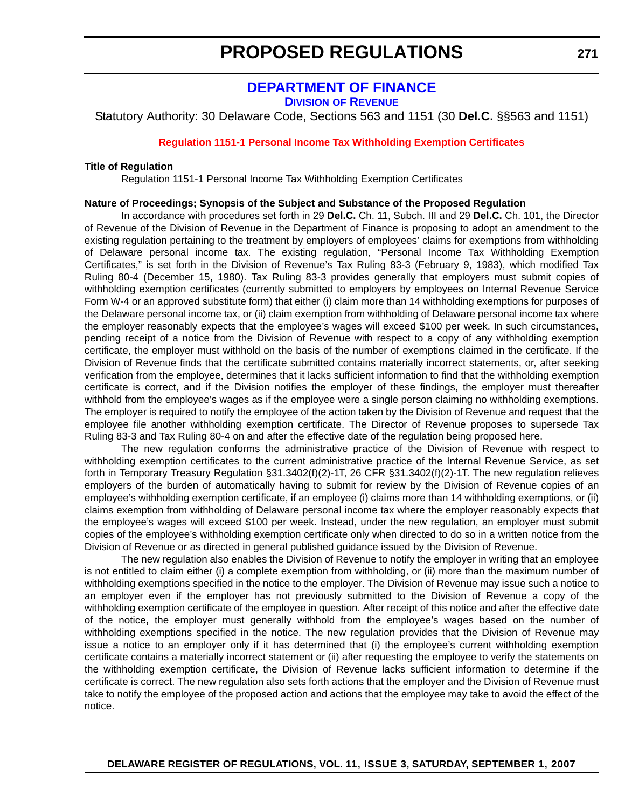### **DEPARTMENT OF FINANCE**

**DIVISION OF REVENUE**

<span id="page-30-0"></span>Statutory Authority: 30 Delaware Code, Sections 563 and 1151 (30 **Del.C.** §§563 and 1151)

#### **[Regulation 1151-1 Personal Income Tax Withholding Exemption Certificates](#page-3-0)**

#### **Title of Regulation**

Regulation 1151-1 Personal Income Tax Withholding Exemption Certificates

#### **Nature of Proceedings; Synopsis of the Subject and Substance of the Proposed Regulation**

In accordance with procedures set forth in 29 **Del.C.** Ch. 11, Subch. III and 29 **Del.C.** Ch. 101, the Director of Revenue of the Division of Revenue in the Department of Finance is proposing to adopt an amendment to the existing regulation pertaining to the treatment by employers of employees' claims for exemptions from withholding of Delaware personal income tax. The existing regulation, "Personal Income Tax Withholding Exemption Certificates," is set forth in the Division of Revenue's Tax Ruling 83-3 (February 9, 1983), which modified Tax Ruling 80-4 (December 15, 1980). Tax Ruling 83-3 provides generally that employers must submit copies of withholding exemption certificates (currently submitted to employers by employees on Internal Revenue Service Form W-4 or an approved substitute form) that either (i) claim more than 14 withholding exemptions for purposes of the Delaware personal income tax, or (ii) claim exemption from withholding of Delaware personal income tax where the employer reasonably expects that the employee's wages will exceed \$100 per week. In such circumstances, pending receipt of a notice from the Division of Revenue with respect to a copy of any withholding exemption certificate, the employer must withhold on the basis of the number of exemptions claimed in the certificate. If the Division of Revenue finds that the certificate submitted contains materially incorrect statements, or, after seeking verification from the employee, determines that it lacks sufficient information to find that the withholding exemption certificate is correct, and if the Division notifies the employer of these findings, the employer must thereafter withhold from the employee's wages as if the employee were a single person claiming no withholding exemptions. The employer is required to notify the employee of the action taken by the Division of Revenue and request that the employee file another withholding exemption certificate. The Director of Revenue proposes to supersede Tax Ruling 83-3 and Tax Ruling 80-4 on and after the effective date of the regulation being proposed here.

The new regulation conforms the administrative practice of the Division of Revenue with respect to withholding exemption certificates to the current administrative practice of the Internal Revenue Service, as set forth in Temporary Treasury Regulation §31.3402(f)(2)-1T, 26 CFR §31.3402(f)(2)-1T. The new regulation relieves employers of the burden of automatically having to submit for review by the Division of Revenue copies of an employee's withholding exemption certificate, if an employee (i) claims more than 14 withholding exemptions, or (ii) claims exemption from withholding of Delaware personal income tax where the employer reasonably expects that the employee's wages will exceed \$100 per week. Instead, under the new regulation, an employer must submit copies of the employee's withholding exemption certificate only when directed to do so in a written notice from the Division of Revenue or as directed in general published guidance issued by the Division of Revenue.

The new regulation also enables the Division of Revenue to notify the employer in writing that an employee is not entitled to claim either (i) a complete exemption from withholding, or (ii) more than the maximum number of withholding exemptions specified in the notice to the employer. The Division of Revenue may issue such a notice to an employer even if the employer has not previously submitted to the Division of Revenue a copy of the withholding exemption certificate of the employee in question. After receipt of this notice and after the effective date of the notice, the employer must generally withhold from the employee's wages based on the number of withholding exemptions specified in the notice. The new regulation provides that the Division of Revenue may issue a notice to an employer only if it has determined that (i) the employee's current withholding exemption certificate contains a materially incorrect statement or (ii) after requesting the employee to verify the statements on the withholding exemption certificate, the Division of Revenue lacks sufficient information to determine if the certificate is correct. The new regulation also sets forth actions that the employer and the Division of Revenue must take to notify the employee of the proposed action and actions that the employee may take to avoid the effect of the notice.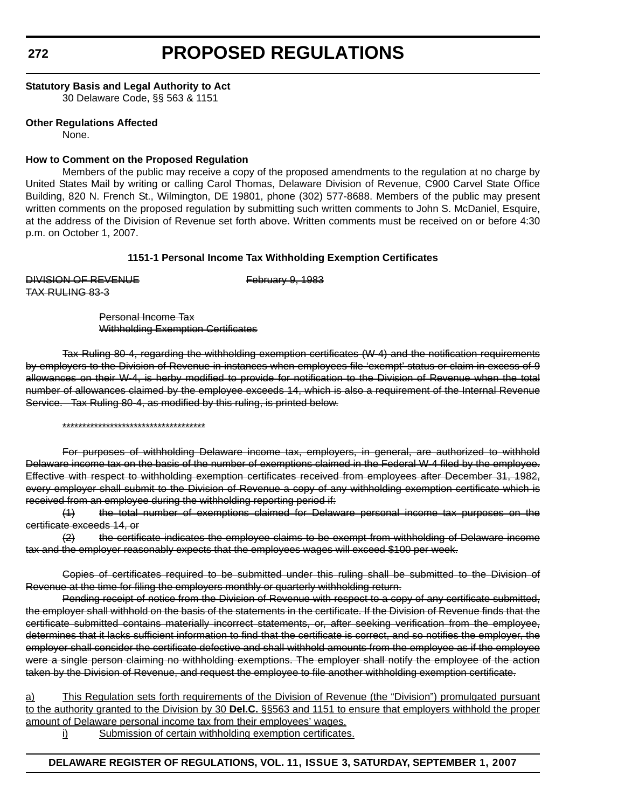#### **Statutory Basis and Legal Authority to Act**

30 Delaware Code, §§ 563 & 1151

#### **Other Regulations Affected**

None.

#### **How to Comment on the Proposed Regulation**

Members of the public may receive a copy of the proposed amendments to the regulation at no charge by United States Mail by writing or calling Carol Thomas, Delaware Division of Revenue, C900 Carvel State Office Building, 820 N. French St., Wilmington, DE 19801, phone (302) 577-8688. Members of the public may present written comments on the proposed regulation by submitting such written comments to John S. McDaniel, Esquire, at the address of the Division of Revenue set forth above. Written comments must be received on or before 4:30 p.m. on October 1, 2007.

#### **1151-1 Personal Income Tax Withholding Exemption Certificates**

DIVISION OF REVENUE February 9, 1983 TAX RULING 83-3

Personal Income Tax Withholding Exemption Certificates

Tax Ruling 80-4, regarding the withholding exemption certificates (W-4) and the notification requirements by employers to the Division of Revenue in instances when employees file 'exempt' status or claim in excess of 9 allowances on their W-4, is herby modified to provide for notification to the Division of Revenue when the total number of allowances claimed by the employee exceeds 14, which is also a requirement of the Internal Revenue Service. Tax Ruling 80-4, as modified by this ruling, is printed below.

#### \*\*\*\*\*\*\*\*\*\*\*\*\*\*\*\*\*\*\*\*\*\*\*\*\*\*\*\*\*\*\*\*\*\*\*\*

For purposes of withholding Delaware income tax, employers, in general, are authorized to withhold Delaware income tax on the basis of the number of exemptions claimed in the Federal W-4 filed by the employee. Effective with respect to withholding exemption certificates received from employees after December 31, 1982, every employer shall submit to the Division of Revenue a copy of any withholding exemption certificate which is received from an employee during the withholding reporting period if:

(1) the total number of exemptions claimed for Delaware personal income tax purposes on the certificate exceeds 14, or

(2) the certificate indicates the employee claims to be exempt from withholding of Delaware income tax and the employer reasonably expects that the employees wages will exceed \$100 per week.

Copies of certificates required to be submitted under this ruling shall be submitted to the Division of Revenue at the time for filing the employers monthly or quarterly withholding return.

Pending receipt of notice from the Division of Revenue with respect to a copy of any certificate submitted, the employer shall withhold on the basis of the statements in the certificate. If the Division of Revenue finds that the certificate submitted contains materially incorrect statements, or, after seeking verification from the employee, determines that it lacks sufficient information to find that the certificate is correct, and so notifies the employer, the employer shall consider the certificate defective and shall withhold amounts from the employee as if the employee were a single person claiming no withholding exemptions. The employer shall notify the employee of the action taken by the Division of Revenue, and request the employee to file another withholding exemption certificate.

a) This Regulation sets forth requirements of the Division of Revenue (the "Division") promulgated pursuant to the authority granted to the Division by 30 **Del.C.** §§563 and 1151 to ensure that employers withhold the proper amount of Delaware personal income tax from their employees' wages.

i) Submission of certain withholding exemption certificates.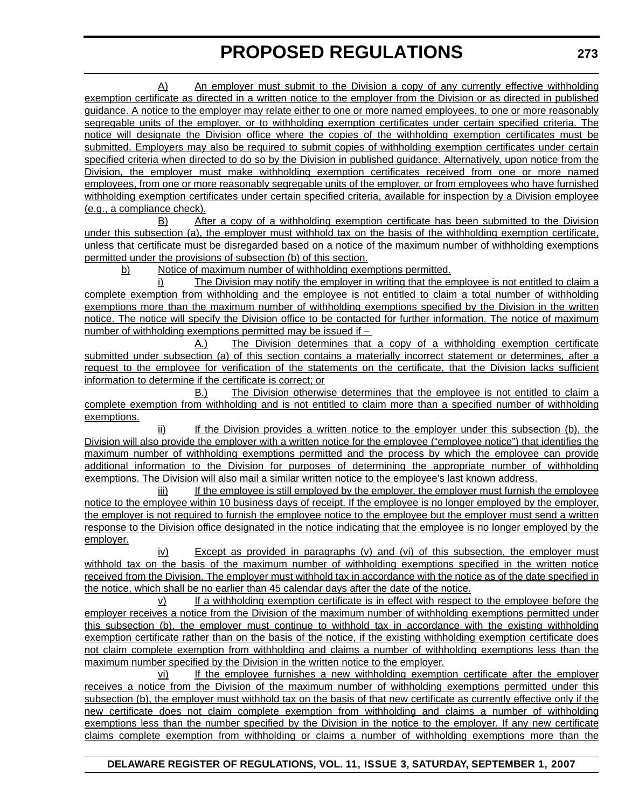A) An employer must submit to the Division a copy of any currently effective withholding exemption certificate as directed in a written notice to the employer from the Division or as directed in published guidance. A notice to the employer may relate either to one or more named employees, to one or more reasonably segregable units of the employer, or to withholding exemption certificates under certain specified criteria. The notice will designate the Division office where the copies of the withholding exemption certificates must be submitted. Employers may also be required to submit copies of withholding exemption certificates under certain specified criteria when directed to do so by the Division in published guidance. Alternatively, upon notice from the Division, the employer must make withholding exemption certificates received from one or more named employees, from one or more reasonably segregable units of the employer, or from employees who have furnished withholding exemption certificates under certain specified criteria, available for inspection by a Division employee (e.g., a compliance check).

B) After a copy of a withholding exemption certificate has been submitted to the Division under this subsection (a), the employer must withhold tax on the basis of the withholding exemption certificate, unless that certificate must be disregarded based on a notice of the maximum number of withholding exemptions permitted under the provisions of subsection (b) of this section.

b) Notice of maximum number of withholding exemptions permitted.

i) The Division may notify the employer in writing that the employee is not entitled to claim a complete exemption from withholding and the employee is not entitled to claim a total number of withholding exemptions more than the maximum number of withholding exemptions specified by the Division in the written notice. The notice will specify the Division office to be contacted for further information. The notice of maximum number of withholding exemptions permitted may be issued if –

A.) The Division determines that a copy of a withholding exemption certificate submitted under subsection (a) of this section contains a materially incorrect statement or determines, after a request to the employee for verification of the statements on the certificate, that the Division lacks sufficient information to determine if the certificate is correct; or

B.) The Division otherwise determines that the employee is not entitled to claim a complete exemption from withholding and is not entitled to claim more than a specified number of withholding exemptions.

ii) If the Division provides a written notice to the employer under this subsection (b), the Division will also provide the employer with a written notice for the employee ("employee notice") that identifies the maximum number of withholding exemptions permitted and the process by which the employee can provide additional information to the Division for purposes of determining the appropriate number of withholding exemptions. The Division will also mail a similar written notice to the employee's last known address.

iii) If the employee is still employed by the employer, the employer must furnish the employee notice to the employee within 10 business days of receipt. If the employee is no longer employed by the employer, the employer is not required to furnish the employee notice to the employee but the employer must send a written response to the Division office designated in the notice indicating that the employee is no longer employed by the employer.

iv) Except as provided in paragraphs (v) and (vi) of this subsection, the employer must withhold tax on the basis of the maximum number of withholding exemptions specified in the written notice received from the Division. The employer must withhold tax in accordance with the notice as of the date specified in the notice, which shall be no earlier than 45 calendar days after the date of the notice.

v) If a withholding exemption certificate is in effect with respect to the employee before the employer receives a notice from the Division of the maximum number of withholding exemptions permitted under this subsection (b), the employer must continue to withhold tax in accordance with the existing withholding exemption certificate rather than on the basis of the notice, if the existing withholding exemption certificate does not claim complete exemption from withholding and claims a number of withholding exemptions less than the maximum number specified by the Division in the written notice to the employer.

vi) If the employee furnishes a new withholding exemption certificate after the employer receives a notice from the Division of the maximum number of withholding exemptions permitted under this subsection (b), the employer must withhold tax on the basis of that new certificate as currently effective only if the new certificate does not claim complete exemption from withholding and claims a number of withholding exemptions less than the number specified by the Division in the notice to the employer. If any new certificate claims complete exemption from withholding or claims a number of withholding exemptions more than the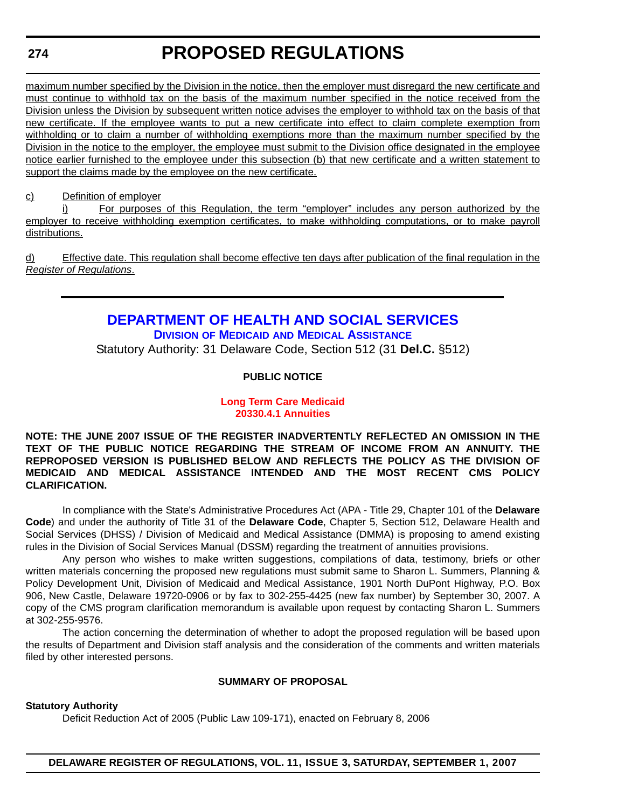#### <span id="page-33-0"></span>**274**

# **PROPOSED REGULATIONS**

maximum number specified by the Division in the notice, then the employer must disregard the new certificate and must continue to withhold tax on the basis of the maximum number specified in the notice received from the Division unless the Division by subsequent written notice advises the employer to withhold tax on the basis of that new certificate. If the employee wants to put a new certificate into effect to claim complete exemption from withholding or to claim a number of withholding exemptions more than the maximum number specified by the Division in the notice to the employer, the employee must submit to the Division office designated in the employee notice earlier furnished to the employee under this subsection (b) that new certificate and a written statement to support the claims made by the employee on the new certificate.

#### c) Definition of employer

i) For purposes of this Regulation, the term "employer" includes any person authorized by the employer to receive withholding exemption certificates, to make withholding computations, or to make payroll distributions.

d) Effective date. This regulation shall become effective ten days after publication of the final regulation in the *Register of Regulations*.

### **DEPARTMENT OF HEALTH AND SOCIAL SERVICES DIVISION OF MEDICAID AND MEDICAL ASSISTANCE**

Statutory Authority: 31 Delaware Code, Section 512 (31 **Del.C.** §512)

#### **PUBLIC NOTICE**

#### **[Long Term Care Medicaid](#page-3-0) 20330.4.1 Annuities**

**NOTE: THE JUNE 2007 ISSUE OF THE REGISTER INADVERTENTLY REFLECTED AN OMISSION IN THE TEXT OF THE PUBLIC NOTICE REGARDING THE STREAM OF INCOME FROM AN ANNUITY. THE REPROPOSED VERSION IS PUBLISHED BELOW AND REFLECTS THE POLICY AS THE DIVISION OF MEDICAID AND MEDICAL ASSISTANCE INTENDED AND THE MOST RECENT CMS POLICY CLARIFICATION.**

In compliance with the State's Administrative Procedures Act (APA - Title 29, Chapter 101 of the **Delaware Code**) and under the authority of Title 31 of the **Delaware Code**, Chapter 5, Section 512, Delaware Health and Social Services (DHSS) / Division of Medicaid and Medical Assistance (DMMA) is proposing to amend existing rules in the Division of Social Services Manual (DSSM) regarding the treatment of annuities provisions.

Any person who wishes to make written suggestions, compilations of data, testimony, briefs or other written materials concerning the proposed new regulations must submit same to Sharon L. Summers, Planning & Policy Development Unit, Division of Medicaid and Medical Assistance, 1901 North DuPont Highway, P.O. Box 906, New Castle, Delaware 19720-0906 or by fax to 302-255-4425 (new fax number) by September 30, 2007. A copy of the CMS program clarification memorandum is available upon request by contacting Sharon L. Summers at 302-255-9576.

The action concerning the determination of whether to adopt the proposed regulation will be based upon the results of Department and Division staff analysis and the consideration of the comments and written materials filed by other interested persons.

#### **SUMMARY OF PROPOSAL**

#### **Statutory Authority**

Deficit Reduction Act of 2005 (Public Law 109-171), enacted on February 8, 2006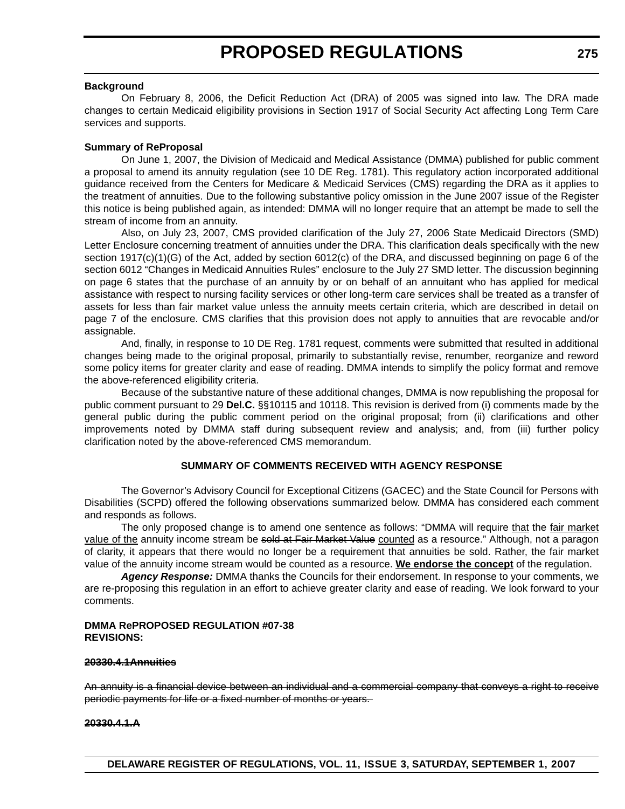#### **Background**

On February 8, 2006, the Deficit Reduction Act (DRA) of 2005 was signed into law. The DRA made changes to certain Medicaid eligibility provisions in Section 1917 of Social Security Act affecting Long Term Care services and supports.

#### **Summary of ReProposal**

On June 1, 2007, the Division of Medicaid and Medical Assistance (DMMA) published for public comment a proposal to amend its annuity regulation (see 10 DE Reg. 1781). This regulatory action incorporated additional guidance received from the Centers for Medicare & Medicaid Services (CMS) regarding the DRA as it applies to the treatment of annuities. Due to the following substantive policy omission in the June 2007 issue of the Register this notice is being published again, as intended: DMMA will no longer require that an attempt be made to sell the stream of income from an annuity.

Also, on July 23, 2007, CMS provided clarification of the July 27, 2006 State Medicaid Directors (SMD) Letter Enclosure concerning treatment of annuities under the DRA. This clarification deals specifically with the new section 1917(c)(1)(G) of the Act, added by section 6012(c) of the DRA, and discussed beginning on page 6 of the section 6012 "Changes in Medicaid Annuities Rules" enclosure to the July 27 SMD letter. The discussion beginning on page 6 states that the purchase of an annuity by or on behalf of an annuitant who has applied for medical assistance with respect to nursing facility services or other long-term care services shall be treated as a transfer of assets for less than fair market value unless the annuity meets certain criteria, which are described in detail on page 7 of the enclosure. CMS clarifies that this provision does not apply to annuities that are revocable and/or assignable.

And, finally, in response to 10 DE Reg. 1781 request, comments were submitted that resulted in additional changes being made to the original proposal, primarily to substantially revise, renumber, reorganize and reword some policy items for greater clarity and ease of reading. DMMA intends to simplify the policy format and remove the above-referenced eligibility criteria.

Because of the substantive nature of these additional changes, DMMA is now republishing the proposal for public comment pursuant to 29 **Del.C.** §§10115 and 10118. This revision is derived from (i) comments made by the general public during the public comment period on the original proposal; from (ii) clarifications and other improvements noted by DMMA staff during subsequent review and analysis; and, from (iii) further policy clarification noted by the above-referenced CMS memorandum.

#### **SUMMARY OF COMMENTS RECEIVED WITH AGENCY RESPONSE**

The Governor's Advisory Council for Exceptional Citizens (GACEC) and the State Council for Persons with Disabilities (SCPD) offered the following observations summarized below. DMMA has considered each comment and responds as follows.

The only proposed change is to amend one sentence as follows: "DMMA will require that the fair market value of the annuity income stream be sold at Fair Market Value counted as a resource." Although, not a paragon of clarity, it appears that there would no longer be a requirement that annuities be sold. Rather, the fair market value of the annuity income stream would be counted as a resource. **We endorse the concept** of the regulation.

*Agency Response:* DMMA thanks the Councils for their endorsement. In response to your comments, we are re-proposing this regulation in an effort to achieve greater clarity and ease of reading. We look forward to your comments.

#### **DMMA RePROPOSED REGULATION #07-38 REVISIONS:**

#### **20330.4.1Annuities**

An annuity is a financial device between an individual and a commercial company that conveys a right to receive periodic payments for life or a fixed number of months or years.

#### **20330.4.1.A**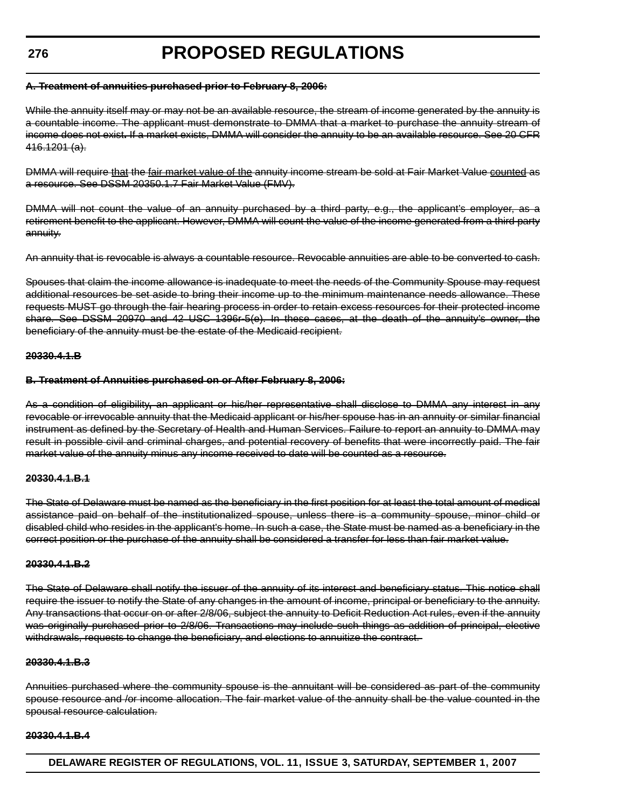#### **276**

# **PROPOSED REGULATIONS**

#### **A. Treatment of annuities purchased prior to February 8, 2006:**

While the annuity itself may or may not be an available resource, the stream of income generated by the annuity is a countable income. The applicant must demonstrate to DMMA that a market to purchase the annuity stream of income does not exist**.** If a market exists, DMMA will consider the annuity to be an available resource. See 20 CFR 416.1201 (a).

DMMA will require that the fair market value of the annuity income stream be sold at Fair Market Value counted as a resource. See DSSM 20350.1.7 Fair Market Value (FMV).

DMMA will not count the value of an annuity purchased by a third party, e.g., the applicant's employer, as a retirement benefit to the applicant. However, DMMA will count the value of the income generated from a third party annuity.

An annuity that is revocable is always a countable resource. Revocable annuities are able to be converted to cash.

Spouses that claim the income allowance is inadequate to meet the needs of the Community Spouse may request additional resources be set aside to bring their income up to the minimum maintenance needs allowance. These requests MUST go through the fair hearing process in order to retain excess resources for their protected income share. See DSSM 20970 and 42 USC 1396r-5(e). In these cases, at the death of the annuity's owner, the beneficiary of the annuity must be the estate of the Medicaid recipient.

#### **20330.4.1.B**

#### **B. Treatment of Annuities purchased on or After February 8, 2006:**

As a condition of eligibility**,** an applicant or his/her representative shall disclose to DMMA any interest in any revocable or irrevocable annuity that the Medicaid applicant or his/her spouse has in an annuity or similar financial instrument as defined by the Secretary of Health and Human Services. Failure to report an annuity to DMMA may result in possible civil and criminal charges, and potential recovery of benefits that were incorrectly paid. The fair market value of the annuity minus any income received to date will be counted as a resource.

#### **20330.4.1.B.1**

The State of Delaware must be named as the beneficiary in the first position for at least the total amount of medical assistance paid on behalf of the institutionalized spouse, unless there is a community spouse, minor child or disabled child who resides in the applicant's home. In such a case, the State must be named as a beneficiary in the correct position or the purchase of the annuity shall be considered a transfer for less than fair market value.

#### **20330.4.1.B.2**

The State of Delaware shall notify the issuer of the annuity of its interest and beneficiary status. This notice shall require the issuer to notify the State of any changes in the amount of income, principal or beneficiary to the annuity. Any transactions that occur on or after 2/8/06, subject the annuity to Deficit Reduction Act rules, even if the annuity was originally purchased prior to 2/8/06. Transactions may include such things as addition of principal, elective withdrawals, requests to change the beneficiary, and elections to annuitize the contract.

#### **20330.4.1.B.3**

Annuities purchased where the community spouse is the annuitant will be considered as part of the community spouse resource and /or income allocation. The fair market value of the annuity shall be the value counted in the spousal resource calculation.

#### **20330.4.1.B.4**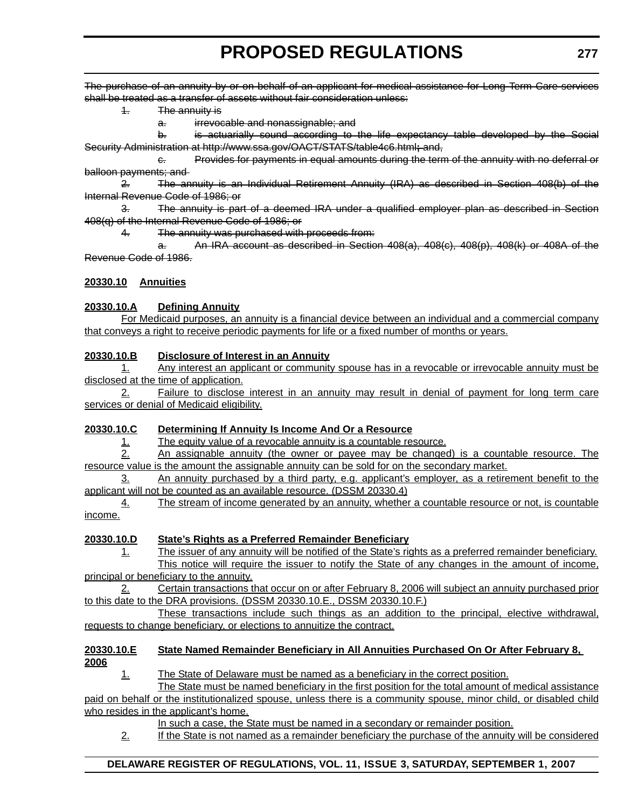The purchase of an annuity by or on behalf of an applicant for medical assistance for Long Term Care services shall be treated as a transfer of assets without fair consideration unless:

1. The annuity is

a. irrevocable and nonassignable; and

b. is actuarially sound according to the life expectancy table developed by the Social Security Administration at http://www.ssa.gov/OACT/STATS/table4c6.html**;** and,

c. Provides for payments in equal amounts during the term of the annuity with no deferral or balloon payments; and

2. The annuity is an Individual Retirement Annuity (IRA) as described in Section 408(b) of the Internal Revenue Code of 1986; or

3. The annuity is part of a deemed IRA under a qualified employer plan as described in Section 408(q) of the Internal Revenue Code of 1986; or

4. The annuity was purchased with proceeds from:

An IRA account as described in Section  $408(a)$ ,  $408(c)$ ,  $408(b)$ ,  $408(k)$  or  $408A$  of the Revenue Code of 1986.

### **20330.10 Annuities**

### **20330.10.A Defining Annuity**

For Medicaid purposes, an annuity is a financial device between an individual and a commercial company that conveys a right to receive periodic payments for life or a fixed number of months or years.

### **20330.10.B Disclosure of Interest in an Annuity**

1. Any interest an applicant or community spouse has in a revocable or irrevocable annuity must be disclosed at the time of application.

2. Failure to disclose interest in an annuity may result in denial of payment for long term care services or denial of Medicaid eligibility.

### **20330.10.C Determining If Annuity Is Income And Or a Resource**

1. The equity value of a revocable annuity is a countable resource.

2. An assignable annuity (the owner or payee may be changed) is a countable resource. The resource value is the amount the assignable annuity can be sold for on the secondary market.

3. An annuity purchased by a third party, e.g. applicant's employer, as a retirement benefit to the applicant will not be counted as an available resource. (DSSM 20330.4)

4. The stream of income generated by an annuity, whether a countable resource or not, is countable income.

# **20330.10.D State's Rights as a Preferred Remainder Beneficiary**

1. The issuer of any annuity will be notified of the State's rights as a preferred remainder beneficiary. This notice will require the issuer to notify the State of any changes in the amount of income,

principal or beneficiary to the annuity.

2. Certain transactions that occur on or after February 8, 2006 will subject an annuity purchased prior to this date to the DRA provisions. (DSSM 20330.10.E., DSSM 20330.10.F.)

These transactions include such things as an addition to the principal, elective withdrawal, requests to change beneficiary, or elections to annuitize the contract.

### **20330.10.E State Named Remainder Beneficiary in All Annuities Purchased On Or After February 8, 2006**

1. The State of Delaware must be named as a beneficiary in the correct position.

The State must be named beneficiary in the first position for the total amount of medical assistance paid on behalf or the institutionalized spouse, unless there is a community spouse, minor child, or disabled child who resides in the applicant's home.

In such a case, the State must be named in a secondary or remainder position.

2. If the State is not named as a remainder beneficiary the purchase of the annuity will be considered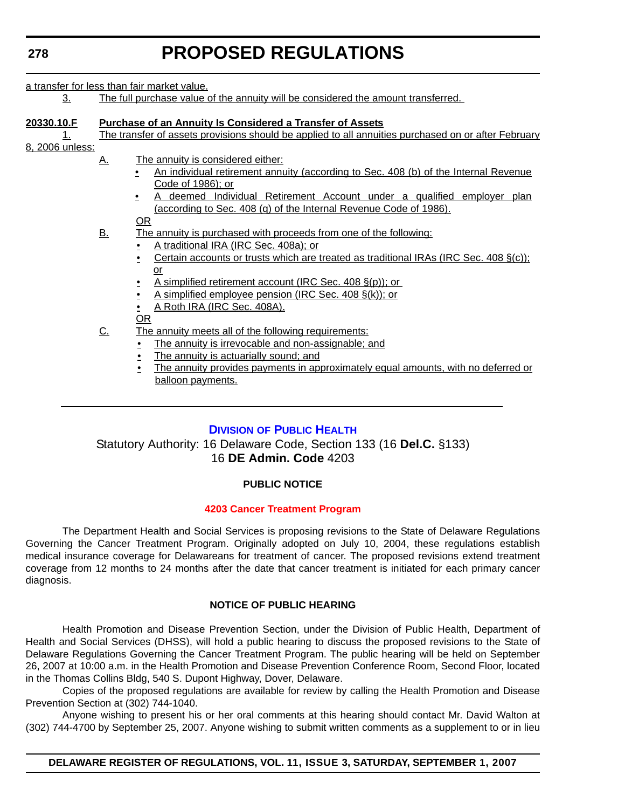a transfer for less than fair market value.

3. The full purchase value of the annuity will be considered the amount transferred.

| 20330.10.F<br>1.<br>8, 2006 unless: | <b>Purchase of an Annuity Is Considered a Transfer of Assets</b><br>The transfer of assets provisions should be applied to all annuities purchased on or after February |                                                                                                                                                                                                                                                                                                                                                                                                 |  |  |  |
|-------------------------------------|-------------------------------------------------------------------------------------------------------------------------------------------------------------------------|-------------------------------------------------------------------------------------------------------------------------------------------------------------------------------------------------------------------------------------------------------------------------------------------------------------------------------------------------------------------------------------------------|--|--|--|
|                                     | <u>A.</u>                                                                                                                                                               | The annuity is considered either:<br>An individual retirement annuity (according to Sec. 408 (b) of the Internal Revenue<br>Code of 1986); or<br>deemed Individual Retirement Account under a qualified employer plan<br>(according to Sec. 408 (q) of the Internal Revenue Code of 1986).<br><u>OR</u>                                                                                         |  |  |  |
|                                     | <u>B.</u>                                                                                                                                                               | The annuity is purchased with proceeds from one of the following:<br>A traditional IRA (IRC Sec. 408a); or<br>Certain accounts or trusts which are treated as traditional IRAs (IRC Sec. $408 \xi(c)$ );<br>or<br>A simplified retirement account (IRC Sec. 408 §(p)); or<br>A simplified employee pension (IRC Sec. 408 $\S(k)$ ); or<br>$\bullet$<br>A Roth IRA (IRC Sec. 408A).<br><u>OR</u> |  |  |  |
|                                     | <u>C.</u>                                                                                                                                                               | The annuity meets all of the following requirements:<br>The annuity is irrevocable and non-assignable; and<br>The annuity is actuarially sound; and<br><u>The annuity provides payments in approximately equal amounts, with no deferred or</u><br>balloon payments.                                                                                                                            |  |  |  |

### **DIVISION OF PUBLIC HEALTH**

Statutory Authority: 16 Delaware Code, Section 133 (16 **Del.C.** §133) 16 **DE Admin. Code** 4203

### **PUBLIC NOTICE**

### **[4203 Cancer Treatment Program](#page-3-0)**

The Department Health and Social Services is proposing revisions to the State of Delaware Regulations Governing the Cancer Treatment Program. Originally adopted on July 10, 2004, these regulations establish medical insurance coverage for Delawareans for treatment of cancer. The proposed revisions extend treatment coverage from 12 months to 24 months after the date that cancer treatment is initiated for each primary cancer diagnosis.

### **NOTICE OF PUBLIC HEARING**

Health Promotion and Disease Prevention Section, under the Division of Public Health, Department of Health and Social Services (DHSS), will hold a public hearing to discuss the proposed revisions to the State of Delaware Regulations Governing the Cancer Treatment Program. The public hearing will be held on September 26, 2007 at 10:00 a.m. in the Health Promotion and Disease Prevention Conference Room, Second Floor, located in the Thomas Collins Bldg, 540 S. Dupont Highway, Dover, Delaware.

Copies of the proposed regulations are available for review by calling the Health Promotion and Disease Prevention Section at (302) 744-1040.

Anyone wishing to present his or her oral comments at this hearing should contact Mr. David Walton at (302) 744-4700 by September 25, 2007. Anyone wishing to submit written comments as a supplement to or in lieu

**DELAWARE REGISTER OF REGULATIONS, VOL. 11, ISSUE 3, SATURDAY, SEPTEMBER 1, 2007**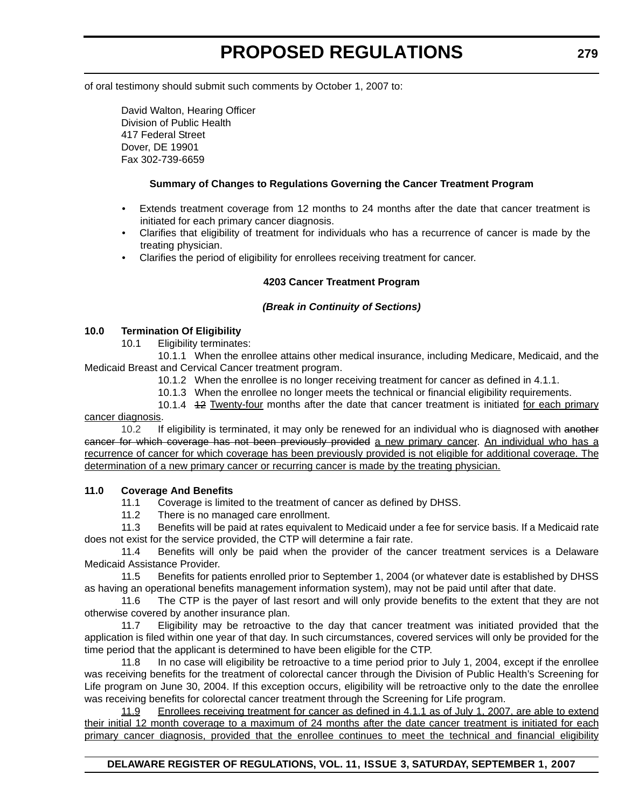of oral testimony should submit such comments by October 1, 2007 to:

David Walton, Hearing Officer Division of Public Health 417 Federal Street Dover, DE 19901 Fax 302-739-6659

### **Summary of Changes to Regulations Governing the Cancer Treatment Program**

- Extends treatment coverage from 12 months to 24 months after the date that cancer treatment is initiated for each primary cancer diagnosis.
- Clarifies that eligibility of treatment for individuals who has a recurrence of cancer is made by the treating physician.
- Clarifies the period of eligibility for enrollees receiving treatment for cancer.

### **4203 Cancer Treatment Program**

### *(Break in Continuity of Sections)*

### **10.0 Termination Of Eligibility**

10.1 Eligibility terminates:

10.1.1 When the enrollee attains other medical insurance, including Medicare, Medicaid, and the Medicaid Breast and Cervical Cancer treatment program.

10.1.2 When the enrollee is no longer receiving treatment for cancer as defined in 4.1.1.

10.1.3 When the enrollee no longer meets the technical or financial eligibility requirements.

10.1.4 12 Twenty-four months after the date that cancer treatment is initiated for each primary cancer diagnosis.

10.2 If eligibility is terminated, it may only be renewed for an individual who is diagnosed with another cancer for which coverage has not been previously provided a new primary cancer. An individual who has a recurrence of cancer for which coverage has been previously provided is not eligible for additional coverage. The determination of a new primary cancer or recurring cancer is made by the treating physician.

### **11.0 Coverage And Benefits**

11.1 Coverage is limited to the treatment of cancer as defined by DHSS.

11.2 There is no managed care enrollment.

11.3 Benefits will be paid at rates equivalent to Medicaid under a fee for service basis. If a Medicaid rate does not exist for the service provided, the CTP will determine a fair rate.

11.4 Benefits will only be paid when the provider of the cancer treatment services is a Delaware Medicaid Assistance Provider.

11.5 Benefits for patients enrolled prior to September 1, 2004 (or whatever date is established by DHSS as having an operational benefits management information system), may not be paid until after that date.

11.6 The CTP is the payer of last resort and will only provide benefits to the extent that they are not otherwise covered by another insurance plan.

11.7 Eligibility may be retroactive to the day that cancer treatment was initiated provided that the application is filed within one year of that day. In such circumstances, covered services will only be provided for the time period that the applicant is determined to have been eligible for the CTP.

11.8 In no case will eligibility be retroactive to a time period prior to July 1, 2004, except if the enrollee was receiving benefits for the treatment of colorectal cancer through the Division of Public Health's Screening for Life program on June 30, 2004. If this exception occurs, eligibility will be retroactive only to the date the enrollee was receiving benefits for colorectal cancer treatment through the Screening for Life program.

11.9 Enrollees receiving treatment for cancer as defined in 4.1.1 as of July 1, 2007, are able to extend their initial 12 month coverage to a maximum of 24 months after the date cancer treatment is initiated for each primary cancer diagnosis, provided that the enrollee continues to meet the technical and financial eligibility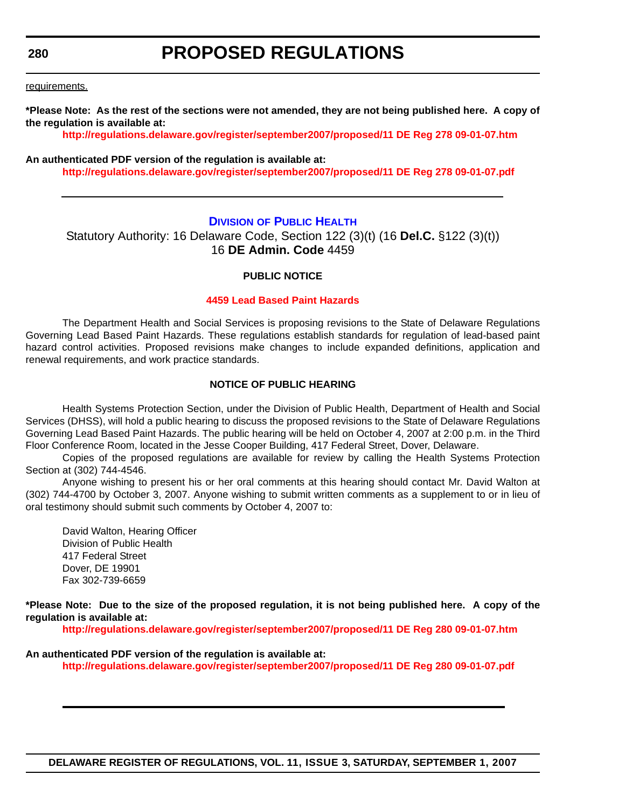# **PROPOSED REGULATIONS**

requirements.

**\*Please Note: As the rest of the sections were not amended, they are not being published here. A copy of the regulation is available at:**

**<http://regulations.delaware.gov/register/september2007/proposed/11 DE Reg 278 09-01-07.htm>**

#### **An authenticated PDF version of the regulation is available at: <http://regulations.delaware.gov/register/september2007/proposed/11 DE Reg 278 09-01-07.pdf>**

### **DIVISION OF PUBLIC HEALTH**

Statutory Authority: 16 Delaware Code, Section 122 (3)(t) (16 **Del.C.** §122 (3)(t)) 16 **DE Admin. Code** 4459

### **PUBLIC NOTICE**

#### **[4459 Lead Based Paint Hazards](#page-3-0)**

The Department Health and Social Services is proposing revisions to the State of Delaware Regulations Governing Lead Based Paint Hazards. These regulations establish standards for regulation of lead-based paint hazard control activities. Proposed revisions make changes to include expanded definitions, application and renewal requirements, and work practice standards.

### **NOTICE OF PUBLIC HEARING**

Health Systems Protection Section, under the Division of Public Health, Department of Health and Social Services (DHSS), will hold a public hearing to discuss the proposed revisions to the State of Delaware Regulations Governing Lead Based Paint Hazards. The public hearing will be held on October 4, 2007 at 2:00 p.m. in the Third Floor Conference Room, located in the Jesse Cooper Building, 417 Federal Street, Dover, Delaware.

Copies of the proposed regulations are available for review by calling the Health Systems Protection Section at (302) 744-4546.

Anyone wishing to present his or her oral comments at this hearing should contact Mr. David Walton at (302) 744-4700 by October 3, 2007. Anyone wishing to submit written comments as a supplement to or in lieu of oral testimony should submit such comments by October 4, 2007 to:

David Walton, Hearing Officer Division of Public Health 417 Federal Street Dover, DE 19901 Fax 302-739-6659

**\*Pleas[e Note: Due to the size of the proposed regulation, it is not being published here. A copy of](http://regulations.delaware.gov/register/september2007/proposed/11 DE Reg 280 09-01-07.htm) the regulation is available at:**

**[http://regulations.delaware.gov/register/september2007/proposed/11 DE Reg 280 09-01-07.htm](http://regulations.delaware.gov/register/september2007/proposed/11 DE Reg 280 09-01-07.pdf)**

#### **An authenticated PDF version of the regulation is available at:**

**http://regulations.delaware.gov/register/september2007/proposed/11 DE Reg 280 09-01-07.pdf**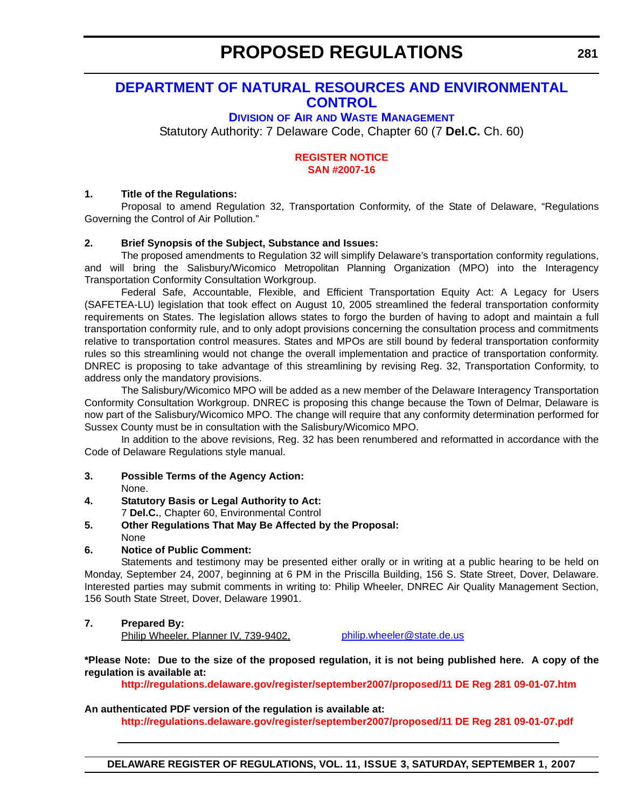# **DEPARTMENT OF NATURAL RESOURCES AND ENVIRONMENTAL CONTROL**

# **DIVISION OF AIR AND WASTE MANAGEMENT**

Statutory Authority: 7 Delaware Code, Chapter 60 (7 **Del.C.** Ch. 60)

### **[REGISTER NOTICE](#page-3-0) SAN #2007-16**

### **1. Title of the Regulations:**

Proposal to amend Regulation 32, Transportation Conformity, of the State of Delaware, "Regulations Governing the Control of Air Pollution."

### **2. Brief Synopsis of the Subject, Substance and Issues:**

The proposed amendments to Regulation 32 will simplify Delaware's transportation conformity regulations, and will bring the Salisbury/Wicomico Metropolitan Planning Organization (MPO) into the Interagency Transportation Conformity Consultation Workgroup.

Federal Safe, Accountable, Flexible, and Efficient Transportation Equity Act: A Legacy for Users (SAFETEA-LU) legislation that took effect on August 10, 2005 streamlined the federal transportation conformity requirements on States. The legislation allows states to forgo the burden of having to adopt and maintain a full transportation conformity rule, and to only adopt provisions concerning the consultation process and commitments relative to transportation control measures. States and MPOs are still bound by federal transportation conformity rules so this streamlining would not change the overall implementation and practice of transportation conformity. DNREC is proposing to take advantage of this streamlining by revising Reg. 32, Transportation Conformity, to address only the mandatory provisions.

The Salisbury/Wicomico MPO will be added as a new member of the Delaware Interagency Transportation Conformity Consultation Workgroup. DNREC is proposing this change because the Town of Delmar, Delaware is now part of the Salisbury/Wicomico MPO. The change will require that any conformity determination performed for Sussex County must be in consultation with the Salisbury/Wicomico MPO.

In addition to the above revisions, Reg. 32 has been renumbered and reformatted in accordance with the Code of Delaware Regulations style manual.

- **3. Possible Terms of the Agency Action:** None.
- **4. Statutory Basis or Legal Authority to Act:**

7 **Del.C.**, Chapter 60, Environmental Control

**5. Other Regulations That May Be Affected by the Proposal:** None

# **6. Notice of Public Comment:**

Statements and testimony may be presented either orally or in writing at a public hearing to be held on Monday, September 24, 2007, beginning at 6 PM in the Priscilla Building, 156 S. State Street, Dover, Delaware. Interested parties may submit comments in writing to: Philip Wheeler, DNREC Air Quality Management Section, 156 South State Street, Dover, Delaware 19901.

# **7. Prepared By:**

Philip Wheeler, Planner IV, 739-9402, philip.wheeler@state.de.us

### **\*Please Note: Due to the size of the proposed regulation, it is not being published here. A copy of the regulation is available at:**

**<http://regulations.delaware.gov/register/september2007/proposed/11 DE Reg 281 09-01-07.htm>**

# **An authenticated PDF version of the regulation is available at:**

**<http://regulations.delaware.gov/register/september2007/proposed/11 DE Reg 281 09-01-07.pdf>**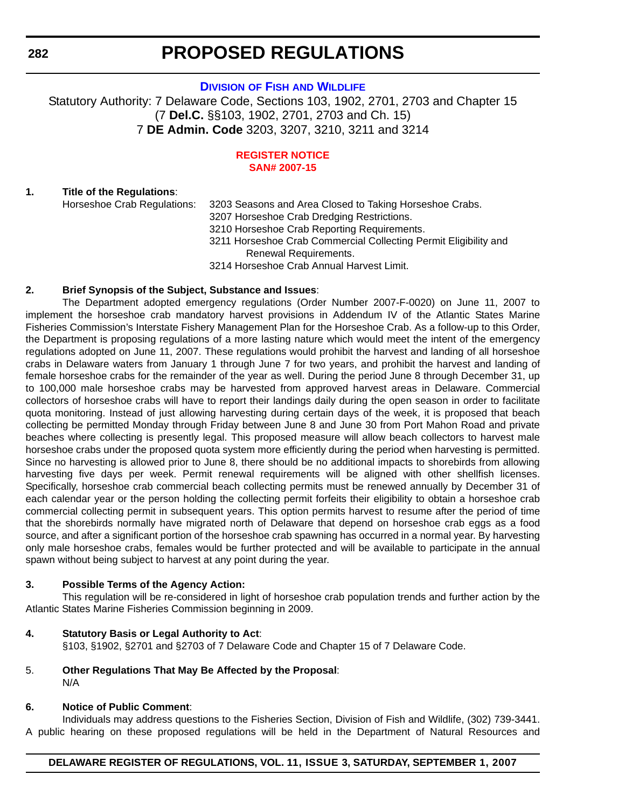### **DIVISION OF FISH AND WILDLIFE**

Statutory Authority: 7 Delaware Code, Sections 103, 1902, 2701, 2703 and Chapter 15 (7 **Del.C.** §§103, 1902, 2701, 2703 and Ch. 15) 7 **DE Admin. Code** 3203, 3207, 3210, 3211 and 3214

#### **[REGISTER NOTICE](#page-3-0) SAN# 2007-15**

### **1. Title of the Regulations**:

Horseshoe Crab Regulations: 3203 Seasons and Area Closed to Taking Horseshoe Crabs. 3207 Horseshoe Crab Dredging Restrictions. 3210 Horseshoe Crab Reporting Requirements. 3211 Horseshoe Crab Commercial Collecting Permit Eligibility and Renewal Requirements. 3214 Horseshoe Crab Annual Harvest Limit.

### **2. Brief Synopsis of the Subject, Substance and Issues**:

The Department adopted emergency regulations (Order Number 2007-F-0020) on June 11, 2007 to implement the horseshoe crab mandatory harvest provisions in Addendum IV of the Atlantic States Marine Fisheries Commission's Interstate Fishery Management Plan for the Horseshoe Crab. As a follow-up to this Order, the Department is proposing regulations of a more lasting nature which would meet the intent of the emergency regulations adopted on June 11, 2007. These regulations would prohibit the harvest and landing of all horseshoe crabs in Delaware waters from January 1 through June 7 for two years, and prohibit the harvest and landing of female horseshoe crabs for the remainder of the year as well. During the period June 8 through December 31, up to 100,000 male horseshoe crabs may be harvested from approved harvest areas in Delaware. Commercial collectors of horseshoe crabs will have to report their landings daily during the open season in order to facilitate quota monitoring. Instead of just allowing harvesting during certain days of the week, it is proposed that beach collecting be permitted Monday through Friday between June 8 and June 30 from Port Mahon Road and private beaches where collecting is presently legal. This proposed measure will allow beach collectors to harvest male horseshoe crabs under the proposed quota system more efficiently during the period when harvesting is permitted. Since no harvesting is allowed prior to June 8, there should be no additional impacts to shorebirds from allowing harvesting five days per week. Permit renewal requirements will be aligned with other shellfish licenses. Specifically, horseshoe crab commercial beach collecting permits must be renewed annually by December 31 of each calendar year or the person holding the collecting permit forfeits their eligibility to obtain a horseshoe crab commercial collecting permit in subsequent years. This option permits harvest to resume after the period of time that the shorebirds normally have migrated north of Delaware that depend on horseshoe crab eggs as a food source, and after a significant portion of the horseshoe crab spawning has occurred in a normal year. By harvesting only male horseshoe crabs, females would be further protected and will be available to participate in the annual spawn without being subject to harvest at any point during the year.

### **3. Possible Terms of the Agency Action:**

This regulation will be re-considered in light of horseshoe crab population trends and further action by the Atlantic States Marine Fisheries Commission beginning in 2009.

### **4. Statutory Basis or Legal Authority to Act**:

§103, §1902, §2701 and §2703 of 7 Delaware Code and Chapter 15 of 7 Delaware Code.

5. **Other Regulations That May Be Affected by the Proposal**: N/A

### **6. Notice of Public Comment**:

Individuals may address questions to the Fisheries Section, Division of Fish and Wildlife, (302) 739-3441. A public hearing on these proposed regulations will be held in the Department of Natural Resources and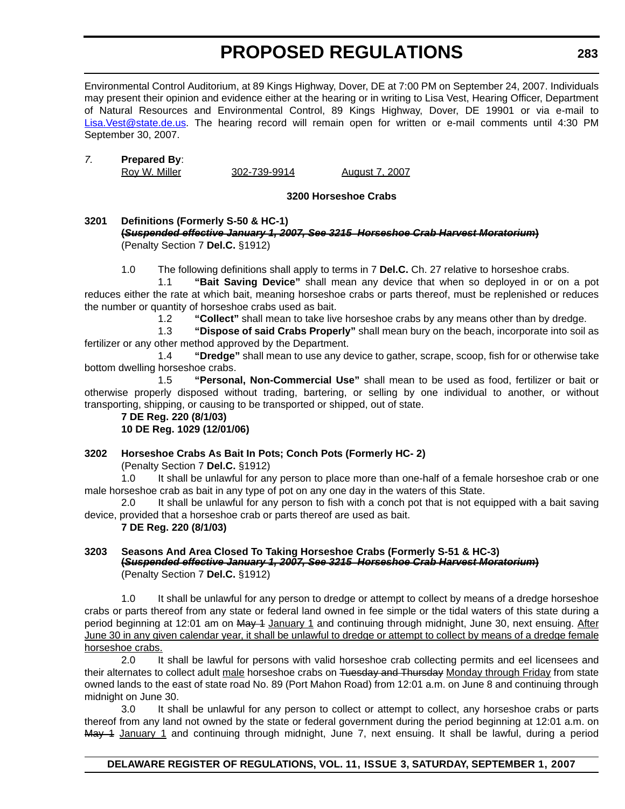Environmental Control Auditorium, at 89 Kings Highway, Dover, DE at 7:00 PM on September 24, 2007. Individuals may present their opinion and evidence either at the hearing or in writing to Lisa Vest, Hearing Officer, Department of Natural Resources and Environmental Control, 89 Kings Highway, Dover, DE 19901 or via e-mail to Lisa.Vest@state.de.us. The hearing record will remain open for written or e-mail comments until 4:30 PM September 30, 2007.

### *7.* **Prepared By**:

Roy W. Miller 302-739-9914 August 7, 2007

### **3200 Horseshoe Crabs**

### **3201 Definitions (Formerly S-50 & HC-1) (***Suspended effective January 1, 2007, See 3215 Horseshoe Crab Harvest Moratorium***)** (Penalty Section 7 **Del.C.** §1912)

1.0 The following definitions shall apply to terms in 7 **Del.C.** Ch. 27 relative to horseshoe crabs.

1.1 **"Bait Saving Device"** shall mean any device that when so deployed in or on a pot reduces either the rate at which bait, meaning horseshoe crabs or parts thereof, must be replenished or reduces the number or quantity of horseshoe crabs used as bait.

1.2 **"Collect"** shall mean to take live horseshoe crabs by any means other than by dredge.

1.3 **"Dispose of said Crabs Properly"** shall mean bury on the beach, incorporate into soil as fertilizer or any other method approved by the Department.

1.4 **"Dredge"** shall mean to use any device to gather, scrape, scoop, fish for or otherwise take bottom dwelling horseshoe crabs.

1.5 **"Personal, Non-Commercial Use"** shall mean to be used as food, fertilizer or bait or otherwise properly disposed without trading, bartering, or selling by one individual to another, or without transporting, shipping, or causing to be transported or shipped, out of state.

**7 DE Reg. 220 (8/1/03) 10 DE Reg. 1029 (12/01/06)**

# **3202 Horseshoe Crabs As Bait In Pots; Conch Pots (Formerly HC- 2)**

(Penalty Section 7 **Del.C.** §1912)

1.0 It shall be unlawful for any person to place more than one-half of a female horseshoe crab or one male horseshoe crab as bait in any type of pot on any one day in the waters of this State.

2.0 It shall be unlawful for any person to fish with a conch pot that is not equipped with a bait saving device, provided that a horseshoe crab or parts thereof are used as bait.

### **7 DE Reg. 220 (8/1/03)**

### **3203 Seasons And Area Closed To Taking Horseshoe Crabs (Formerly S-51 & HC-3) (***Suspended effective January 1, 2007, See 3215 Horseshoe Crab Harvest Moratorium***)** (Penalty Section 7 **Del.C.** §1912)

1.0 It shall be unlawful for any person to dredge or attempt to collect by means of a dredge horseshoe crabs or parts thereof from any state or federal land owned in fee simple or the tidal waters of this state during a period beginning at 12:01 am on May 1 January 1 and continuing through midnight, June 30, next ensuing. After June 30 in any given calendar year, it shall be unlawful to dredge or attempt to collect by means of a dredge female horseshoe crabs.

2.0 It shall be lawful for persons with valid horseshoe crab collecting permits and eel licensees and their alternates to collect adult male horseshoe crabs on Tuesday and Thursday Monday through Friday from state owned lands to the east of state road No. 89 (Port Mahon Road) from 12:01 a.m. on June 8 and continuing through midnight on June 30.

3.0 It shall be unlawful for any person to collect or attempt to collect, any horseshoe crabs or parts thereof from any land not owned by the state or federal government during the period beginning at 12:01 a.m. on May 1 January 1 and continuing through midnight, June 7, next ensuing. It shall be lawful, during a period

# **DELAWARE REGISTER OF REGULATIONS, VOL. 11, ISSUE 3, SATURDAY, SEPTEMBER 1, 2007**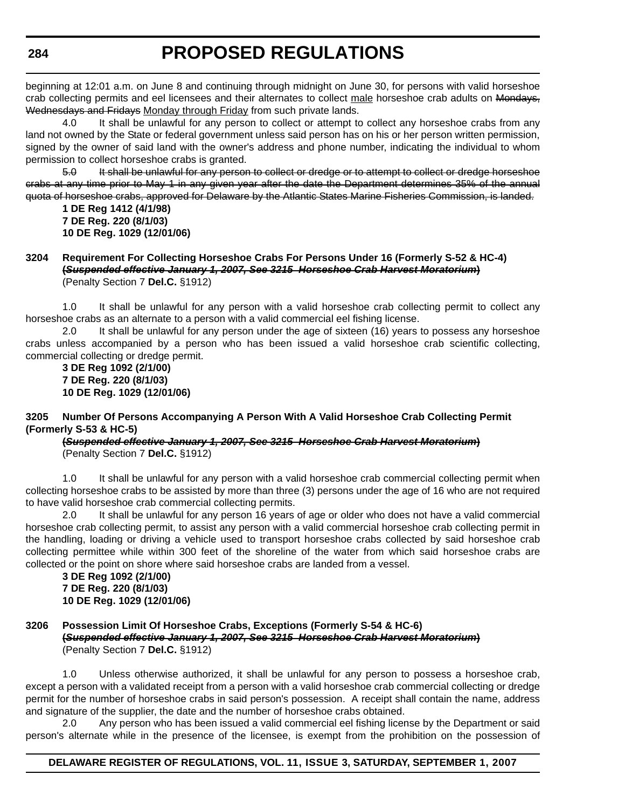beginning at 12:01 a.m. on June 8 and continuing through midnight on June 30, for persons with valid horseshoe crab collecting permits and eel licensees and their alternates to collect male horseshoe crab adults on Mondays, Wednesdays and Fridays Monday through Friday from such private lands.

4.0 It shall be unlawful for any person to collect or attempt to collect any horseshoe crabs from any land not owned by the State or federal government unless said person has on his or her person written permission, signed by the owner of said land with the owner's address and phone number, indicating the individual to whom permission to collect horseshoe crabs is granted.

5.0 It shall be unlawful for any person to collect or dredge or to attempt to collect or dredge horseshoe crabs at any time prior to May 1 in any given year after the date the Department determines 35% of the annual quota of horseshoe crabs, approved for Delaware by the Atlantic States Marine Fisheries Commission, is landed.

**1 DE Reg 1412 (4/1/98) 7 DE Reg. 220 (8/1/03) 10 DE Reg. 1029 (12/01/06)**

### **3204 Requirement For Collecting Horseshoe Crabs For Persons Under 16 (Formerly S-52 & HC-4) (***Suspended effective January 1, 2007, See 3215 Horseshoe Crab Harvest Moratorium***)** (Penalty Section 7 **Del.C.** §1912)

1.0 It shall be unlawful for any person with a valid horseshoe crab collecting permit to collect any horseshoe crabs as an alternate to a person with a valid commercial eel fishing license.

2.0 It shall be unlawful for any person under the age of sixteen (16) years to possess any horseshoe crabs unless accompanied by a person who has been issued a valid horseshoe crab scientific collecting, commercial collecting or dredge permit.

**3 DE Reg 1092 (2/1/00) 7 DE Reg. 220 (8/1/03) 10 DE Reg. 1029 (12/01/06)**

### **3205 Number Of Persons Accompanying A Person With A Valid Horseshoe Crab Collecting Permit (Formerly S-53 & HC-5)**

**(***Suspended effective January 1, 2007, See 3215 Horseshoe Crab Harvest Moratorium***)** (Penalty Section 7 **Del.C.** §1912)

1.0 It shall be unlawful for any person with a valid horseshoe crab commercial collecting permit when collecting horseshoe crabs to be assisted by more than three (3) persons under the age of 16 who are not required to have valid horseshoe crab commercial collecting permits.

2.0 It shall be unlawful for any person 16 years of age or older who does not have a valid commercial horseshoe crab collecting permit, to assist any person with a valid commercial horseshoe crab collecting permit in the handling, loading or driving a vehicle used to transport horseshoe crabs collected by said horseshoe crab collecting permittee while within 300 feet of the shoreline of the water from which said horseshoe crabs are collected or the point on shore where said horseshoe crabs are landed from a vessel.

**3 DE Reg 1092 (2/1/00) 7 DE Reg. 220 (8/1/03) 10 DE Reg. 1029 (12/01/06)**

### **3206 Possession Limit Of Horseshoe Crabs, Exceptions (Formerly S-54 & HC-6) (***Suspended effective January 1, 2007, See 3215 Horseshoe Crab Harvest Moratorium***)** (Penalty Section 7 **Del.C.** §1912)

1.0 Unless otherwise authorized, it shall be unlawful for any person to possess a horseshoe crab, except a person with a validated receipt from a person with a valid horseshoe crab commercial collecting or dredge permit for the number of horseshoe crabs in said person's possession. A receipt shall contain the name, address and signature of the supplier, the date and the number of horseshoe crabs obtained.

2.0 Any person who has been issued a valid commercial eel fishing license by the Department or said person's alternate while in the presence of the licensee, is exempt from the prohibition on the possession of

### **DELAWARE REGISTER OF REGULATIONS, VOL. 11, ISSUE 3, SATURDAY, SEPTEMBER 1, 2007**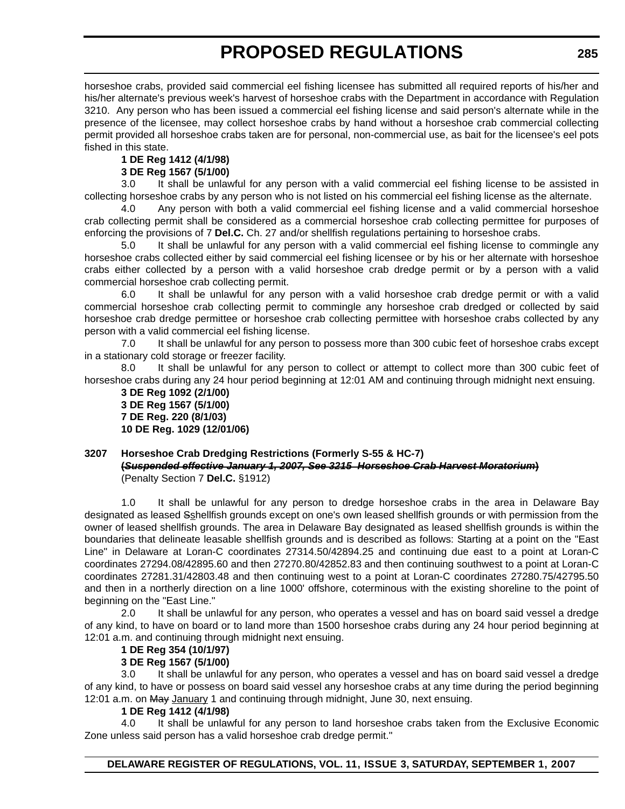horseshoe crabs, provided said commercial eel fishing licensee has submitted all required reports of his/her and his/her alternate's previous week's harvest of horseshoe crabs with the Department in accordance with Regulation 3210. Any person who has been issued a commercial eel fishing license and said person's alternate while in the presence of the licensee, may collect horseshoe crabs by hand without a horseshoe crab commercial collecting permit provided all horseshoe crabs taken are for personal, non-commercial use, as bait for the licensee's eel pots fished in this state.

### **1 DE Reg 1412 (4/1/98)**

### **3 DE Reg 1567 (5/1/00)**

3.0 It shall be unlawful for any person with a valid commercial eel fishing license to be assisted in collecting horseshoe crabs by any person who is not listed on his commercial eel fishing license as the alternate.

4.0 Any person with both a valid commercial eel fishing license and a valid commercial horseshoe crab collecting permit shall be considered as a commercial horseshoe crab collecting permittee for purposes of enforcing the provisions of 7 **Del.C.** Ch. 27 and/or shellfish regulations pertaining to horseshoe crabs.

5.0 It shall be unlawful for any person with a valid commercial eel fishing license to commingle any horseshoe crabs collected either by said commercial eel fishing licensee or by his or her alternate with horseshoe crabs either collected by a person with a valid horseshoe crab dredge permit or by a person with a valid commercial horseshoe crab collecting permit.

6.0 It shall be unlawful for any person with a valid horseshoe crab dredge permit or with a valid commercial horseshoe crab collecting permit to commingle any horseshoe crab dredged or collected by said horseshoe crab dredge permittee or horseshoe crab collecting permittee with horseshoe crabs collected by any person with a valid commercial eel fishing license.

7.0 It shall be unlawful for any person to possess more than 300 cubic feet of horseshoe crabs except in a stationary cold storage or freezer facility.

8.0 It shall be unlawful for any person to collect or attempt to collect more than 300 cubic feet of horseshoe crabs during any 24 hour period beginning at 12:01 AM and continuing through midnight next ensuing.

**3 DE Reg 1092 (2/1/00) 3 DE Reg 1567 (5/1/00) 7 DE Reg. 220 (8/1/03) 10 DE Reg. 1029 (12/01/06)**

#### **3207 Horseshoe Crab Dredging Restrictions (Formerly S-55 & HC-7) (***Suspended effective January 1, 2007, See 3215 Horseshoe Crab Harvest Moratorium***)** (Penalty Section 7 **Del.C.** §1912)

1.0 It shall be unlawful for any person to dredge horseshoe crabs in the area in Delaware Bay designated as leased Sshellfish grounds except on one's own leased shellfish grounds or with permission from the owner of leased shellfish grounds. The area in Delaware Bay designated as leased shellfish grounds is within the boundaries that delineate leasable shellfish grounds and is described as follows: Starting at a point on the "East Line" in Delaware at Loran-C coordinates 27314.50/42894.25 and continuing due east to a point at Loran-C coordinates 27294.08/42895.60 and then 27270.80/42852.83 and then continuing southwest to a point at Loran-C coordinates 27281.31/42803.48 and then continuing west to a point at Loran-C coordinates 27280.75/42795.50 and then in a northerly direction on a line 1000' offshore, coterminous with the existing shoreline to the point of beginning on the "East Line."

2.0 It shall be unlawful for any person, who operates a vessel and has on board said vessel a dredge of any kind, to have on board or to land more than 1500 horseshoe crabs during any 24 hour period beginning at 12:01 a.m. and continuing through midnight next ensuing.

# **1 DE Reg 354 (10/1/97)**

# **3 DE Reg 1567 (5/1/00)**

3.0 It shall be unlawful for any person, who operates a vessel and has on board said vessel a dredge of any kind, to have or possess on board said vessel any horseshoe crabs at any time during the period beginning 12:01 a.m. on May January 1 and continuing through midnight, June 30, next ensuing.

### **1 DE Reg 1412 (4/1/98)**

4.0 It shall be unlawful for any person to land horseshoe crabs taken from the Exclusive Economic Zone unless said person has a valid horseshoe crab dredge permit."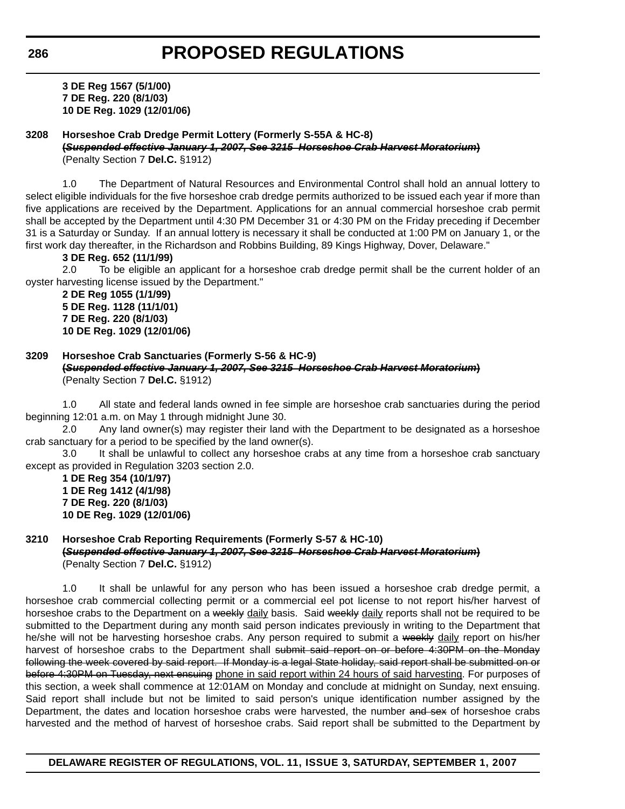**3 DE Reg 1567 (5/1/00) 7 DE Reg. 220 (8/1/03) 10 DE Reg. 1029 (12/01/06)**

### **3208 Horseshoe Crab Dredge Permit Lottery (Formerly S-55A & HC-8)**

**(***Suspended effective January 1, 2007, See 3215 Horseshoe Crab Harvest Moratorium***)** (Penalty Section 7 **Del.C.** §1912)

1.0 The Department of Natural Resources and Environmental Control shall hold an annual lottery to select eligible individuals for the five horseshoe crab dredge permits authorized to be issued each year if more than five applications are received by the Department. Applications for an annual commercial horseshoe crab permit shall be accepted by the Department until 4:30 PM December 31 or 4:30 PM on the Friday preceding if December 31 is a Saturday or Sunday. If an annual lottery is necessary it shall be conducted at 1:00 PM on January 1, or the first work day thereafter, in the Richardson and Robbins Building, 89 Kings Highway, Dover, Delaware."

### **3 DE Reg. 652 (11/1/99)**

2.0 To be eligible an applicant for a horseshoe crab dredge permit shall be the current holder of an oyster harvesting license issued by the Department."

**2 DE Reg 1055 (1/1/99) 5 DE Reg. 1128 (11/1/01) 7 DE Reg. 220 (8/1/03) 10 DE Reg. 1029 (12/01/06)**

#### **3209 Horseshoe Crab Sanctuaries (Formerly S-56 & HC-9) (***Suspended effective January 1, 2007, See 3215 Horseshoe Crab Harvest Moratorium***)** (Penalty Section 7 **Del.C.** §1912)

1.0 All state and federal lands owned in fee simple are horseshoe crab sanctuaries during the period beginning 12:01 a.m. on May 1 through midnight June 30.

2.0 Any land owner(s) may register their land with the Department to be designated as a horseshoe crab sanctuary for a period to be specified by the land owner(s).

3.0 It shall be unlawful to collect any horseshoe crabs at any time from a horseshoe crab sanctuary except as provided in Regulation 3203 section 2.0.

**1 DE Reg 354 (10/1/97) 1 DE Reg 1412 (4/1/98) 7 DE Reg. 220 (8/1/03) 10 DE Reg. 1029 (12/01/06)**

### **3210 Horseshoe Crab Reporting Requirements (Formerly S-57 & HC-10)**

**(***Suspended effective January 1, 2007, See 3215 Horseshoe Crab Harvest Moratorium***)** (Penalty Section 7 **Del.C.** §1912)

1.0 It shall be unlawful for any person who has been issued a horseshoe crab dredge permit, a horseshoe crab commercial collecting permit or a commercial eel pot license to not report his/her harvest of horseshoe crabs to the Department on a weekly daily basis. Said weekly daily reports shall not be required to be submitted to the Department during any month said person indicates previously in writing to the Department that he/she will not be harvesting horseshoe crabs. Any person required to submit a weekly daily report on his/her harvest of horseshoe crabs to the Department shall submit said report on or before 4:30PM on the Monday following the week covered by said report. If Monday is a legal State holiday, said report shall be submitted on or before 4:30PM on Tuesday, next ensuing phone in said report within 24 hours of said harvesting. For purposes of this section, a week shall commence at 12:01AM on Monday and conclude at midnight on Sunday, next ensuing. Said report shall include but not be limited to said person's unique identification number assigned by the Department, the dates and location horseshoe crabs were harvested, the number and sex of horseshoe crabs harvested and the method of harvest of horseshoe crabs. Said report shall be submitted to the Department by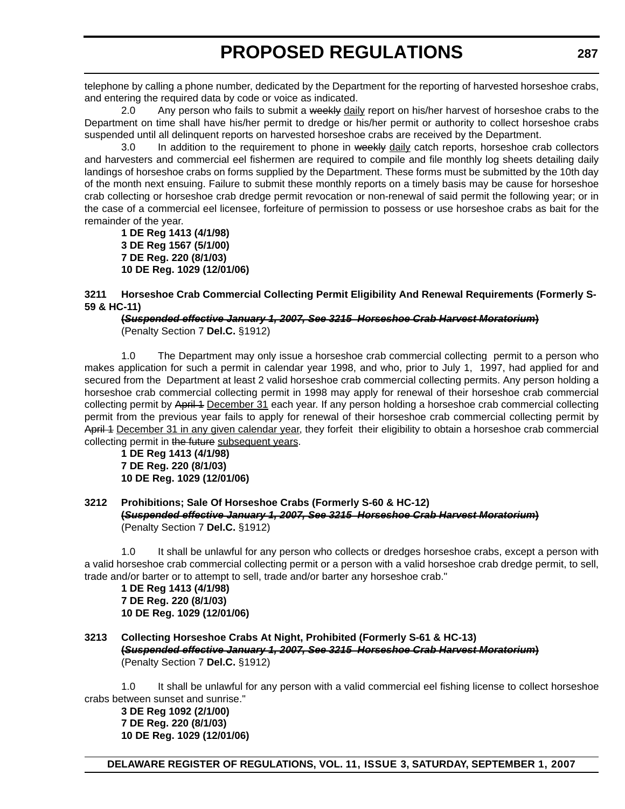telephone by calling a phone number, dedicated by the Department for the reporting of harvested horseshoe crabs, and entering the required data by code or voice as indicated.

2.0 Any person who fails to submit a weekly daily report on his/her harvest of horseshoe crabs to the Department on time shall have his/her permit to dredge or his/her permit or authority to collect horseshoe crabs suspended until all delinquent reports on harvested horseshoe crabs are received by the Department.

3.0 In addition to the requirement to phone in weekly daily catch reports, horseshoe crab collectors and harvesters and commercial eel fishermen are required to compile and file monthly log sheets detailing daily landings of horseshoe crabs on forms supplied by the Department. These forms must be submitted by the 10th day of the month next ensuing. Failure to submit these monthly reports on a timely basis may be cause for horseshoe crab collecting or horseshoe crab dredge permit revocation or non-renewal of said permit the following year; or in the case of a commercial eel licensee, forfeiture of permission to possess or use horseshoe crabs as bait for the remainder of the year.

**1 DE Reg 1413 (4/1/98) 3 DE Reg 1567 (5/1/00) 7 DE Reg. 220 (8/1/03) 10 DE Reg. 1029 (12/01/06)**

**3211 Horseshoe Crab Commercial Collecting Permit Eligibility And Renewal Requirements (Formerly S-59 & HC-11)**

#### **(***Suspended effective January 1, 2007, See 3215 Horseshoe Crab Harvest Moratorium***)** (Penalty Section 7 **Del.C.** §1912)

1.0 The Department may only issue a horseshoe crab commercial collecting permit to a person who makes application for such a permit in calendar year 1998, and who, prior to July 1, 1997, had applied for and secured from the Department at least 2 valid horseshoe crab commercial collecting permits. Any person holding a horseshoe crab commercial collecting permit in 1998 may apply for renewal of their horseshoe crab commercial collecting permit by April 4 December 31 each year. If any person holding a horseshoe crab commercial collecting permit from the previous year fails to apply for renewal of their horseshoe crab commercial collecting permit by April 4 December 31 in any given calendar year, they forfeit their eligibility to obtain a horseshoe crab commercial collecting permit in the future subsequent years.

**1 DE Reg 1413 (4/1/98) 7 DE Reg. 220 (8/1/03) 10 DE Reg. 1029 (12/01/06)**

### **3212 Prohibitions; Sale Of Horseshoe Crabs (Formerly S-60 & HC-12) (***Suspended effective January 1, 2007, See 3215 Horseshoe Crab Harvest Moratorium***)** (Penalty Section 7 **Del.C.** §1912)

1.0 It shall be unlawful for any person who collects or dredges horseshoe crabs, except a person with a valid horseshoe crab commercial collecting permit or a person with a valid horseshoe crab dredge permit, to sell, trade and/or barter or to attempt to sell, trade and/or barter any horseshoe crab."

**1 DE Reg 1413 (4/1/98) 7 DE Reg. 220 (8/1/03) 10 DE Reg. 1029 (12/01/06)**

**3213 Collecting Horseshoe Crabs At Night, Prohibited (Formerly S-61 & HC-13) (***Suspended effective January 1, 2007, See 3215 Horseshoe Crab Harvest Moratorium***)** (Penalty Section 7 **Del.C.** §1912)

1.0 It shall be unlawful for any person with a valid commercial eel fishing license to collect horseshoe crabs between sunset and sunrise."

**3 DE Reg 1092 (2/1/00) 7 DE Reg. 220 (8/1/03) 10 DE Reg. 1029 (12/01/06)**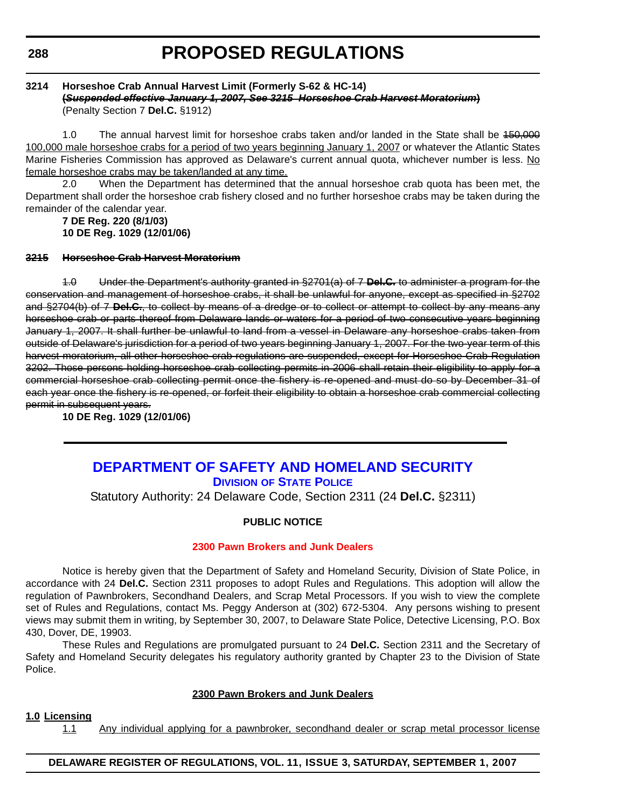### **3214 Horseshoe Crab Annual Harvest Limit (Formerly S-62 & HC-14) (***Suspended effective January 1, 2007, See 3215 Horseshoe Crab Harvest Moratorium***)** (Penalty Section 7 **Del.C.** §1912)

1.0 The annual harvest limit for horseshoe crabs taken and/or landed in the State shall be 150,000 100,000 male horseshoe crabs for a period of two years beginning January 1, 2007 or whatever the Atlantic States Marine Fisheries Commission has approved as Delaware's current annual quota, whichever number is less. No female horseshoe crabs may be taken/landed at any time.

2.0 When the Department has determined that the annual horseshoe crab quota has been met, the Department shall order the horseshoe crab fishery closed and no further horseshoe crabs may be taken during the remainder of the calendar year.

**7 DE Reg. 220 (8/1/03) 10 DE Reg. 1029 (12/01/06)**

# **3215 Horseshoe Crab Harvest Moratorium**

1.0 Under the Department's authority granted in §2701(a) of 7 **Del.C.** to administer a program for the conservation and management of horseshoe crabs, it shall be unlawful for anyone, except as specified in §2702 and §2704(b) of 7 **Del.C.**, to collect by means of a dredge or to collect or attempt to collect by any means any horseshoe crab or parts thereof from Delaware lands or waters for a period of two consecutive years beginning January 1, 2007. It shall further be unlawful to land from a vessel in Delaware any horseshoe crabs taken from outside of Delaware's jurisdiction for a period of two years beginning January 1, 2007. For the two-year term of this harvest moratorium, all other horseshoe crab regulations are suspended, except for Horseshoe Crab Regulation 3202. Those persons holding horseshoe crab collecting permits in 2006 shall retain their eligibility to apply for a commercial horseshoe crab collecting permit once the fishery is re-opened and must do so by December 31 of each year once the fishery is re-opened, or forfeit their eligibility to obtain a horseshoe crab commercial collecting permit in subsequent years.

**10 DE Reg. 1029 (12/01/06)**

# **DEPARTMENT OF SAFETY AND HOMELAND SECURITY DIVISION OF STATE POLICE**

Statutory Authority: 24 Delaware Code, Section 2311 (24 **Del.C.** §2311)

### **PUBLIC NOTICE**

### **[2300 Pawn Brokers and Junk Dealers](#page-3-0)**

Notice is hereby given that the Department of Safety and Homeland Security, Division of State Police, in accordance with 24 **Del.C.** Section 2311 proposes to adopt Rules and Regulations. This adoption will allow the regulation of Pawnbrokers, Secondhand Dealers, and Scrap Metal Processors. If you wish to view the complete set of Rules and Regulations, contact Ms. Peggy Anderson at (302) 672-5304. Any persons wishing to present views may submit them in writing, by September 30, 2007, to Delaware State Police, Detective Licensing, P.O. Box 430, Dover, DE, 19903.

These Rules and Regulations are promulgated pursuant to 24 **Del.C.** Section 2311 and the Secretary of Safety and Homeland Security delegates his regulatory authority granted by Chapter 23 to the Division of State Police.

### **2300 Pawn Brokers and Junk Dealers**

### **1.0 Licensing**

1.1 Any individual applying for a pawnbroker, secondhand dealer or scrap metal processor license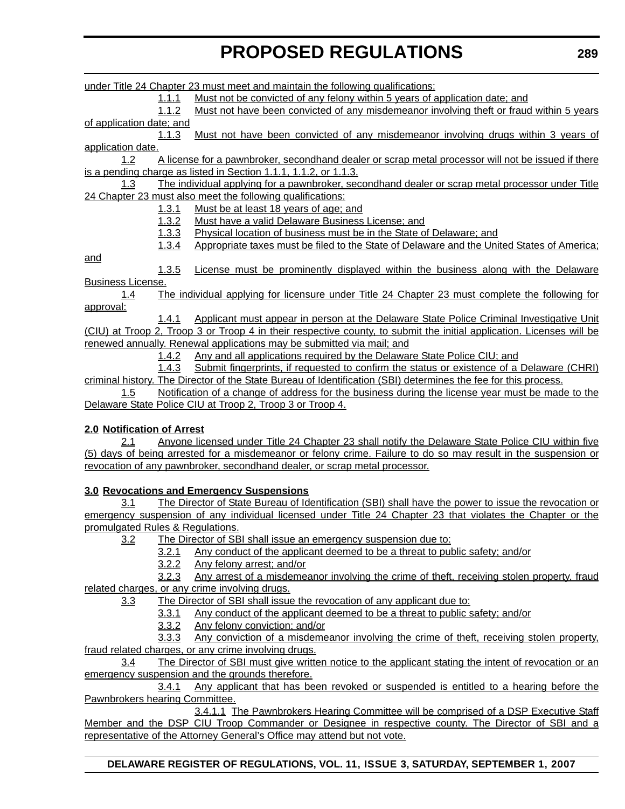under Title 24 Chapter 23 must meet and maintain the following qualifications: 1.1.1 Must not be convicted of any felony within 5 years of application date; and 1.1.2 Must not have been convicted of any misdemeanor involving theft or fraud within 5 years of application date; and 1.1.3 Must not have been convicted of any misdemeanor involving drugs within 3 years of application date. 1.2 A license for a pawnbroker, secondhand dealer or scrap metal processor will not be issued if there is a pending charge as listed in Section 1.1.1, 1.1.2, or 1.1.3. 1.3 The individual applying for a pawnbroker, secondhand dealer or scrap metal processor under Title 24 Chapter 23 must also meet the following qualifications: 1.3.1 Must be at least 18 years of age; and 1.3.2 Must have a valid Delaware Business License; and 1.3.3 Physical location of business must be in the State of Delaware; and 1.3.4 Appropriate taxes must be filed to the State of Delaware and the United States of America; and 1.3.5 License must be prominently displayed within the business along with the Delaware Business License. 1.4 The individual applying for licensure under Title 24 Chapter 23 must complete the following for approval: 1.4.1 Applicant must appear in person at the Delaware State Police Criminal Investigative Unit (CIU) at Troop 2, Troop 3 or Troop 4 in their respective county, to submit the initial application. Licenses will be renewed annually. Renewal applications may be submitted via mail; and 1.4.2 Any and all applications required by the Delaware State Police CIU; and 1.4.3 Submit fingerprints, if requested to confirm the status or existence of a Delaware (CHRI) criminal history. The Director of the State Bureau of Identification (SBI) determines the fee for this process. 1.5 Notification of a change of address for the business during the license year must be made to the Delaware State Police CIU at Troop 2, Troop 3 or Troop 4. **2.0 Notification of Arrest** 2.1 Anyone licensed under Title 24 Chapter 23 shall notify the Delaware State Police CIU within five (5) days of being arrested for a misdemeanor or felony crime. Failure to do so may result in the suspension or revocation of any pawnbroker, secondhand dealer, or scrap metal processor. **3.0 Revocations and Emergency Suspensions** 3.1 The Director of State Bureau of Identification (SBI) shall have the power to issue the revocation or emergency suspension of any individual licensed under Title 24 Chapter 23 that violates the Chapter or the promulgated Rules & Regulations. 3.2 The Director of SBI shall issue an emergency suspension due to: 3.2.1 Any conduct of the applicant deemed to be a threat to public safety; and/or 3.2.2 Any felony arrest; and/or

3.2.3 Any arrest of a misdemeanor involving the crime of theft, receiving stolen property, fraud related charges, or any crime involving drugs.

3.3 The Director of SBI shall issue the revocation of any applicant due to:

3.3.1 Any conduct of the applicant deemed to be a threat to public safety; and/or

3.3.2 Any felony conviction; and/or

3.3.3 Any conviction of a misdemeanor involving the crime of theft, receiving stolen property, fraud related charges, or any crime involving drugs.

3.4 The Director of SBI must give written notice to the applicant stating the intent of revocation or an emergency suspension and the grounds therefore.

3.4.1 Any applicant that has been revoked or suspended is entitled to a hearing before the Pawnbrokers hearing Committee.

3.4.1.1 The Pawnbrokers Hearing Committee will be comprised of a DSP Executive Staff Member and the DSP CIU Troop Commander or Designee in respective county. The Director of SBI and a representative of the Attorney General's Office may attend but not vote.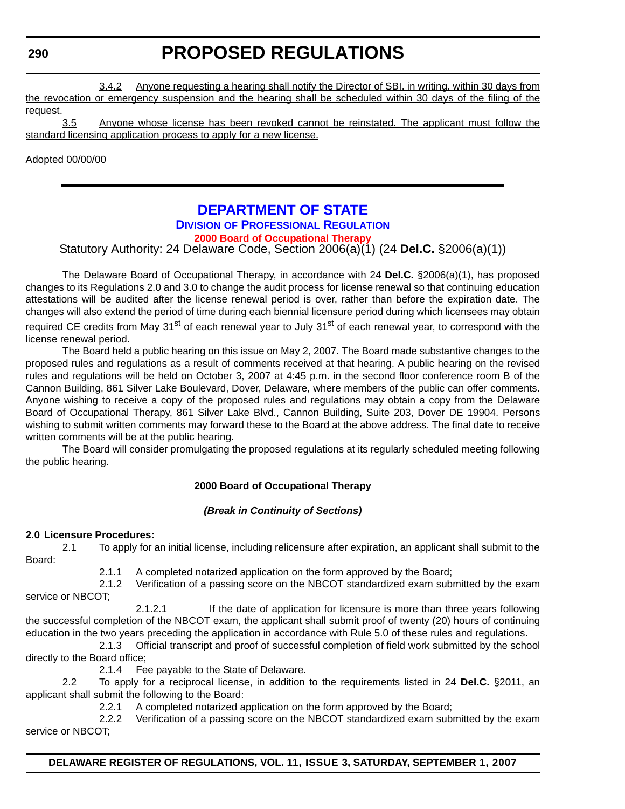# **PROPOSED REGULATIONS**

3.4.2 Anyone requesting a hearing shall notify the Director of SBI, in writing, within 30 days from the revocation or emergency suspension and the hearing shall be scheduled within 30 days of the filing of the request.

3.5 Anyone whose license has been revoked cannot be reinstated. The applicant must follow the standard licensing application process to apply for a new license.

Adopted 00/00/00

# **DEPARTMENT OF STATE**

# **DIVISION OF PROFESSIONAL REGULATION**

### **[2000 Board of Occupational Therapy](#page-3-0)**

Statutory Authority: 24 Delaware Code, Section 2006(a)(1) (24 **Del.C.** §2006(a)(1))

The Delaware Board of Occupational Therapy, in accordance with 24 **Del.C.** §2006(a)(1), has proposed changes to its Regulations 2.0 and 3.0 to change the audit process for license renewal so that continuing education attestations will be audited after the license renewal period is over, rather than before the expiration date. The changes will also extend the period of time during each biennial licensure period during which licensees may obtain required CE credits from May 31<sup>st</sup> of each renewal year to July 31<sup>st</sup> of each renewal year, to correspond with the license renewal period.

The Board held a public hearing on this issue on May 2, 2007. The Board made substantive changes to the proposed rules and regulations as a result of comments received at that hearing. A public hearing on the revised rules and regulations will be held on October 3, 2007 at 4:45 p.m. in the second floor conference room B of the Cannon Building, 861 Silver Lake Boulevard, Dover, Delaware, where members of the public can offer comments. Anyone wishing to receive a copy of the proposed rules and regulations may obtain a copy from the Delaware Board of Occupational Therapy, 861 Silver Lake Blvd., Cannon Building, Suite 203, Dover DE 19904. Persons wishing to submit written comments may forward these to the Board at the above address. The final date to receive written comments will be at the public hearing.

The Board will consider promulgating the proposed regulations at its regularly scheduled meeting following the public hearing.

# **2000 Board of Occupational Therapy**

# *(Break in Continuity of Sections)*

### **2.0 Licensure Procedures:**

2.1 To apply for an initial license, including relicensure after expiration, an applicant shall submit to the Board:

2.1.1 A completed notarized application on the form approved by the Board;

2.1.2 Verification of a passing score on the NBCOT standardized exam submitted by the exam service or NBCOT;

2.1.2.1 If the date of application for licensure is more than three years following the successful completion of the NBCOT exam, the applicant shall submit proof of twenty (20) hours of continuing education in the two years preceding the application in accordance with Rule 5.0 of these rules and regulations.

2.1.3 Official transcript and proof of successful completion of field work submitted by the school directly to the Board office;

2.1.4 Fee payable to the State of Delaware.

2.2 To apply for a reciprocal license, in addition to the requirements listed in 24 **Del.C.** §2011, an applicant shall submit the following to the Board:

2.2.1 A completed notarized application on the form approved by the Board;

2.2.2 Verification of a passing score on the NBCOT standardized exam submitted by the exam service or NBCOT;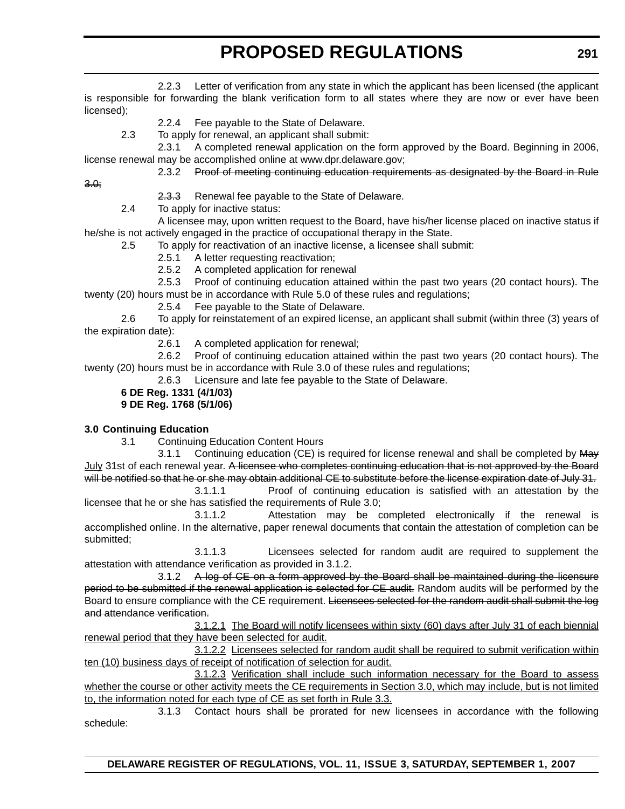2.2.3 Letter of verification from any state in which the applicant has been licensed (the applicant is responsible for forwarding the blank verification form to all states where they are now or ever have been licensed);

- 2.2.4 Fee payable to the State of Delaware.
- 2.3 To apply for renewal, an applicant shall submit:

2.3.1 A completed renewal application on the form approved by the Board. Beginning in 2006, license renewal may be accomplished online at www.dpr.delaware.gov;

2.3.2 Proof of meeting continuing education requirements as designated by the Board in Rule

3.0;

- 2.3.3 Renewal fee payable to the State of Delaware.
- 2.4 To apply for inactive status:

A licensee may, upon written request to the Board, have his/her license placed on inactive status if he/she is not actively engaged in the practice of occupational therapy in the State.

2.5 To apply for reactivation of an inactive license, a licensee shall submit:

- 2.5.1 A letter requesting reactivation;
- 2.5.2 A completed application for renewal

2.5.3 Proof of continuing education attained within the past two years (20 contact hours). The twenty (20) hours must be in accordance with Rule 5.0 of these rules and regulations;

2.5.4 Fee payable to the State of Delaware.

2.6 To apply for reinstatement of an expired license, an applicant shall submit (within three (3) years of the expiration date):

2.6.1 A completed application for renewal;

2.6.2 Proof of continuing education attained within the past two years (20 contact hours). The twenty (20) hours must be in accordance with Rule 3.0 of these rules and regulations;

2.6.3 Licensure and late fee payable to the State of Delaware.

**6 DE Reg. 1331 (4/1/03)**

**9 DE Reg. 1768 (5/1/06)**

# **3.0 Continuing Education**

3.1 Continuing Education Content Hours

3.1.1 Continuing education (CE) is required for license renewal and shall be completed by May July 31st of each renewal year. A licensee who completes continuing education that is not approved by the Board will be notified so that he or she may obtain additional CE to substitute before the license expiration date of July 31.

3.1.1.1 Proof of continuing education is satisfied with an attestation by the licensee that he or she has satisfied the requirements of Rule 3.0;

3.1.1.2 Attestation may be completed electronically if the renewal is accomplished online. In the alternative, paper renewal documents that contain the attestation of completion can be submitted;

3.1.1.3 Licensees selected for random audit are required to supplement the attestation with attendance verification as provided in 3.1.2.

3.1.2 A log of CE on a form approved by the Board shall be maintained during the licensure period to be submitted if the renewal application is selected for CE audit. Random audits will be performed by the Board to ensure compliance with the CE requirement. Licensees selected for the random audit shall submit the log and attendance verification.

3.1.2.1 The Board will notify licensees within sixty (60) days after July 31 of each biennial renewal period that they have been selected for audit.

3.1.2.2 Licensees selected for random audit shall be required to submit verification within ten (10) business days of receipt of notification of selection for audit.

3.1.2.3 Verification shall include such information necessary for the Board to assess whether the course or other activity meets the CE requirements in Section 3.0, which may include, but is not limited to, the information noted for each type of CE as set forth in Rule 3.3.

3.1.3 Contact hours shall be prorated for new licensees in accordance with the following schedule: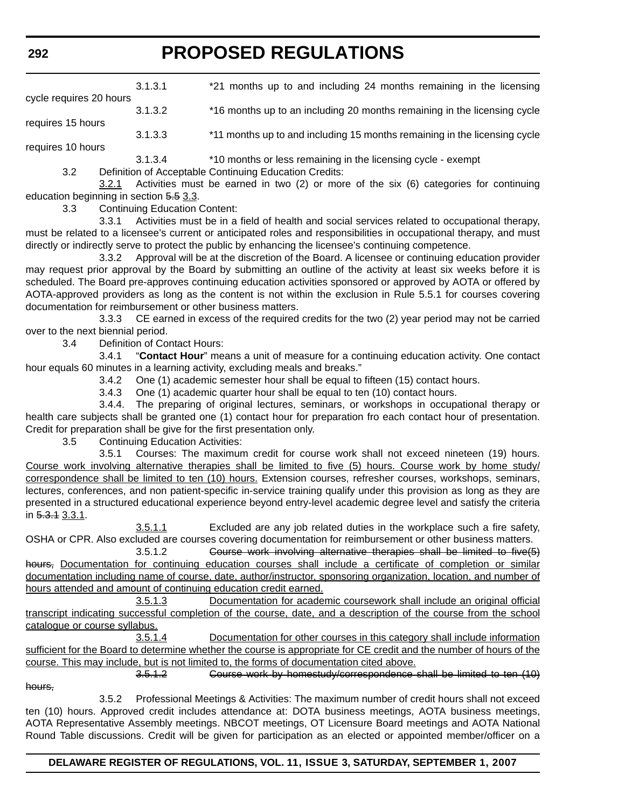|                         | 3.1.3.1 | *21 months up to and including 24 months remaining in the licensing       |
|-------------------------|---------|---------------------------------------------------------------------------|
| cycle requires 20 hours | 3.1.3.2 | *16 months up to an including 20 months remaining in the licensing cycle  |
| requires 15 hours       | 3.1.3.3 | *11 months up to and including 15 months remaining in the licensing cycle |
| requires 10 hours       | 3.1.3.4 | *10 months or less remaining in the licensing cycle - exempt              |

3.2 Definition of Acceptable Continuing Education Credits:

3.2.1 Activities must be earned in two (2) or more of the six (6) categories for continuing education beginning in section 5.5 3.3.

3.3 Continuing Education Content:

3.3.1 Activities must be in a field of health and social services related to occupational therapy, must be related to a licensee's current or anticipated roles and responsibilities in occupational therapy, and must directly or indirectly serve to protect the public by enhancing the licensee's continuing competence.

3.3.2 Approval will be at the discretion of the Board. A licensee or continuing education provider may request prior approval by the Board by submitting an outline of the activity at least six weeks before it is scheduled. The Board pre-approves continuing education activities sponsored or approved by AOTA or offered by AOTA-approved providers as long as the content is not within the exclusion in Rule 5.5.1 for courses covering documentation for reimbursement or other business matters.

3.3.3 CE earned in excess of the required credits for the two (2) year period may not be carried over to the next biennial period.

3.4 Definition of Contact Hours:

3.4.1 "**Contact Hour**" means a unit of measure for a continuing education activity. One contact hour equals 60 minutes in a learning activity, excluding meals and breaks."

3.4.2 One (1) academic semester hour shall be equal to fifteen (15) contact hours.

3.4.3 One (1) academic quarter hour shall be equal to ten (10) contact hours.

3.4.4. The preparing of original lectures, seminars, or workshops in occupational therapy or health care subjects shall be granted one (1) contact hour for preparation fro each contact hour of presentation. Credit for preparation shall be give for the first presentation only.

3.5 Continuing Education Activities:

3.5.1 Courses: The maximum credit for course work shall not exceed nineteen (19) hours. Course work involving alternative therapies shall be limited to five (5) hours. Course work by home study/ correspondence shall be limited to ten (10) hours. Extension courses, refresher courses, workshops, seminars, lectures, conferences, and non patient-specific in-service training qualify under this provision as long as they are presented in a structured educational experience beyond entry-level academic degree level and satisfy the criteria in  $5.3.13.3.1$ .

3.5.1.1 Excluded are any job related duties in the workplace such a fire safety, OSHA or CPR. Also excluded are courses covering documentation for reimbursement or other business matters.

3.5.1.2 Course work involving alternative therapies shall be limited to five(5) hours, Documentation for continuing education courses shall include a certificate of completion or similar documentation including name of course, date, author/instructor, sponsoring organization, location, and number of hours attended and amount of continuing education credit earned.

3.5.1.3 Documentation for academic coursework shall include an original official transcript indicating successful completion of the course, date, and a description of the course from the school catalogue or course syllabus.

3.5.1.4 Documentation for other courses in this category shall include information sufficient for the Board to determine whether the course is appropriate for CE credit and the number of hours of the course. This may include, but is not limited to, the forms of documentation cited above.

3.5.1.2 Course work by homestudy/correspondence shall be limited to ten (10) hours,

3.5.2 Professional Meetings & Activities: The maximum number of credit hours shall not exceed ten (10) hours. Approved credit includes attendance at: DOTA business meetings, AOTA business meetings, AOTA Representative Assembly meetings. NBCOT meetings, OT Licensure Board meetings and AOTA National Round Table discussions. Credit will be given for participation as an elected or appointed member/officer on a

# **DELAWARE REGISTER OF REGULATIONS, VOL. 11, ISSUE 3, SATURDAY, SEPTEMBER 1, 2007**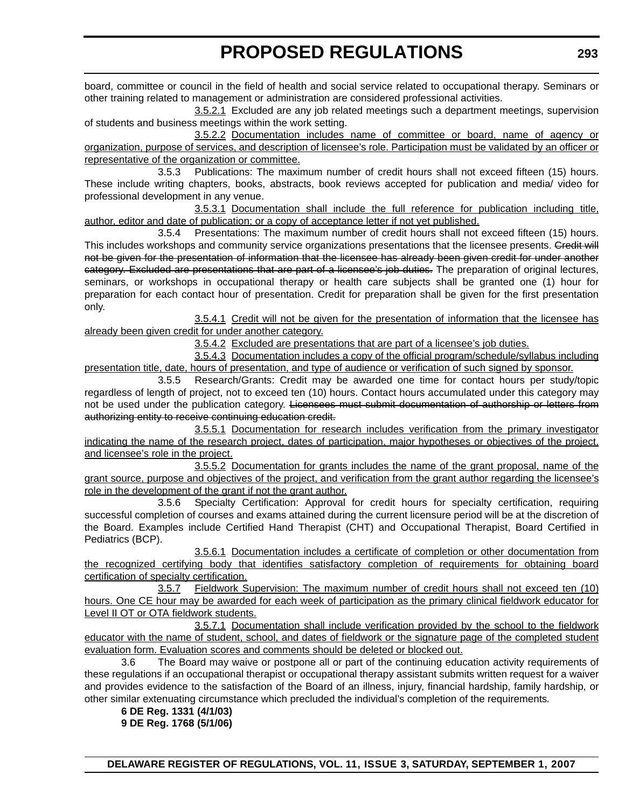board, committee or council in the field of health and social service related to occupational therapy. Seminars or other training related to management or administration are considered professional activities.

3.5.2.1 Excluded are any job related meetings such a department meetings, supervision of students and business meetings within the work setting.

3.5.2.2 Documentation includes name of committee or board, name of agency or organization, purpose of services, and description of licensee's role. Participation must be validated by an officer or representative of the organization or committee.

3.5.3 Publications: The maximum number of credit hours shall not exceed fifteen (15) hours. These include writing chapters, books, abstracts, book reviews accepted for publication and media/ video for professional development in any venue.

3.5.3.1 Documentation shall include the full reference for publication including title, author, editor and date of publication; or a copy of acceptance letter if not yet published.

3.5.4 Presentations: The maximum number of credit hours shall not exceed fifteen (15) hours. This includes workshops and community service organizations presentations that the licensee presents. Credit will not be given for the presentation of information that the licensee has already been given credit for under another category. Excluded are presentations that are part of a licensee's job duties. The preparation of original lectures, seminars, or workshops in occupational therapy or health care subjects shall be granted one (1) hour for preparation for each contact hour of presentation. Credit for preparation shall be given for the first presentation only.

3.5.4.1 Credit will not be given for the presentation of information that the licensee has already been given credit for under another category.

3.5.4.2 Excluded are presentations that are part of a licensee's job duties.

3.5.4.3 Documentation includes a copy of the official program/schedule/syllabus including presentation title, date, hours of presentation, and type of audience or verification of such signed by sponsor.

3.5.5 Research/Grants: Credit may be awarded one time for contact hours per study/topic regardless of length of project, not to exceed ten (10) hours. Contact hours accumulated under this category may not be used under the publication category. Licensees must submit documentation of authorship or letters from authorizing entity to receive continuing education credit.

3.5.5.1 Documentation for research includes verification from the primary investigator indicating the name of the research project, dates of participation, major hypotheses or objectives of the project, and licensee's role in the project.

3.5.5.2 Documentation for grants includes the name of the grant proposal, name of the grant source, purpose and objectives of the project, and verification from the grant author regarding the licensee's role in the development of the grant if not the grant author.

3.5.6 Specialty Certification: Approval for credit hours for specialty certification, requiring successful completion of courses and exams attained during the current licensure period will be at the discretion of the Board. Examples include Certified Hand Therapist (CHT) and Occupational Therapist, Board Certified in Pediatrics (BCP).

3.5.6.1 Documentation includes a certificate of completion or other documentation from the recognized certifying body that identifies satisfactory completion of requirements for obtaining board certification of specialty certification.

3.5.7 Fieldwork Supervision: The maximum number of credit hours shall not exceed ten (10) hours. One CE hour may be awarded for each week of participation as the primary clinical fieldwork educator for Level II OT or OTA fieldwork students.

3.5.7.1 Documentation shall include verification provided by the school to the fieldwork educator with the name of student, school, and dates of fieldwork or the signature page of the completed student evaluation form. Evaluation scores and comments should be deleted or blocked out.

3.6 The Board may waive or postpone all or part of the continuing education activity requirements of these regulations if an occupational therapist or occupational therapy assistant submits written request for a waiver and provides evidence to the satisfaction of the Board of an illness, injury, financial hardship, family hardship, or other similar extenuating circumstance which precluded the individual's completion of the requirements*.* 

**6 DE Reg. 1331 (4/1/03) 9 DE Reg. 1768 (5/1/06)**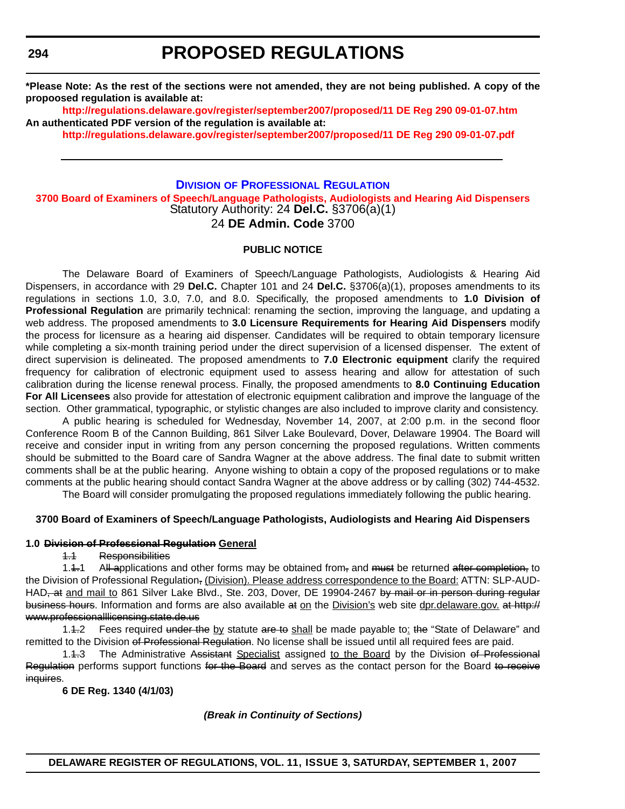**\*Please Note: As the rest of the sections were not amended, they are not being published. A copy of the propoosed regulation is available at:**

**<http://regulations.delaware.gov/register/september2007/proposed/11 DE Reg 290 09-01-07.htm> An authenticated PDF version of the regulation is available at:**

**<http://regulations.delaware.gov/register/september2007/proposed/11 DE Reg 290 09-01-07.pdf>**

### **DIVISION OF PROFESSIONAL REGULATION [3700 Board of Examiners of Speech/Language Pathologists, Audiologists and Hearing Aid Dispensers](#page-3-0)** Statutory Authority: 24 **Del.C.** §3706(a)(1) 24 **DE Admin. Code** 3700

### **PUBLIC NOTICE**

The Delaware Board of Examiners of Speech/Language Pathologists, Audiologists & Hearing Aid Dispensers, in accordance with 29 **Del.C.** Chapter 101 and 24 **Del.C.** §3706(a)(1), proposes amendments to its regulations in sections 1.0, 3.0, 7.0, and 8.0. Specifically, the proposed amendments to **1.0 Division of Professional Regulation** are primarily technical: renaming the section, improving the language, and updating a web address. The proposed amendments to **3.0 Licensure Requirements for Hearing Aid Dispensers** modify the process for licensure as a hearing aid dispenser. Candidates will be required to obtain temporary licensure while completing a six-month training period under the direct supervision of a licensed dispenser. The extent of direct supervision is delineated. The proposed amendments to **7.0 Electronic equipment** clarify the required frequency for calibration of electronic equipment used to assess hearing and allow for attestation of such calibration during the license renewal process. Finally, the proposed amendments to **8.0 Continuing Education For All Licensees** also provide for attestation of electronic equipment calibration and improve the language of the section. Other grammatical, typographic, or stylistic changes are also included to improve clarity and consistency.

A public hearing is scheduled for Wednesday, November 14, 2007, at 2:00 p.m. in the second floor Conference Room B of the Cannon Building, 861 Silver Lake Boulevard, Dover, Delaware 19904. The Board will receive and consider input in writing from any person concerning the proposed regulations. Written comments should be submitted to the Board care of Sandra Wagner at the above address. The final date to submit written comments shall be at the public hearing. Anyone wishing to obtain a copy of the proposed regulations or to make comments at the public hearing should contact Sandra Wagner at the above address or by calling (302) 744-4532.

The Board will consider promulgating the proposed regulations immediately following the public hearing.

### **3700 Board of Examiners of Speech/Language Pathologists, Audiologists and Hearing Aid Dispensers**

### **1.0 Division of Professional Regulation General**

### 1.1 Responsibilities

1.4.1 All applications and other forms may be obtained from, and must be returned after completion, to the Division of Professional Regulation, (Division). Please address correspondence to the Board: ATTN: SLP-AUD-HAD, at and mail to 861 Silver Lake Blvd., Ste. 203, Dover, DE 19904-2467 by mail or in person during regular business hours. Information and forms are also available at on the Division's web site dpr.delaware.gov. at http:// www.professionalllicensing.state.de.us

1.4.2 Fees required under the by statute are to shall be made payable to: the "State of Delaware" and remitted to the Division of Professional Regulation. No license shall be issued until all required fees are paid.

1.4.3 The Administrative Assistant Specialist assigned to the Board by the Division of Professional Regulation performs support functions for the Board and serves as the contact person for the Board to receive inquires.

**6 DE Reg. 1340 (4/1/03)**

*(Break in Continuity of Sections)*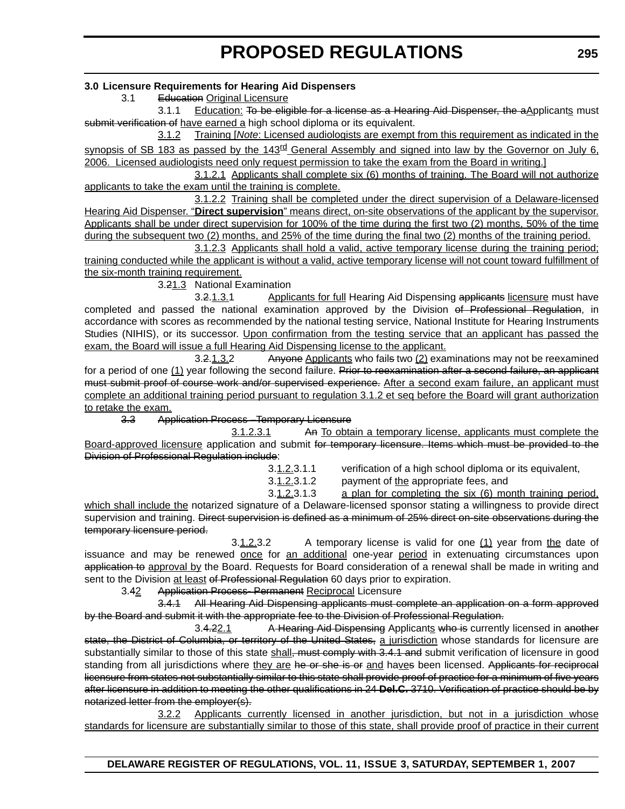### **3.0 Licensure Requirements for Hearing Aid Dispensers**

3.1 Education Original Licensure

3.1.1 Education: To be eligible for a license as a Hearing Aid Dispenser, the aApplicants must submit verification of have earned a high school diploma or its equivalent.

3.1.2 Training [*Note*: Licensed audiologists are exempt from this requirement as indicated in the synopsis of SB 183 as passed by the 143<sup>rd</sup> General Assembly and signed into law by the Governor on July 6, 2006. Licensed audiologists need only request permission to take the exam from the Board in writing.]

3.1.2.1 Applicants shall complete six (6) months of training. The Board will not authorize applicants to take the exam until the training is complete.

3.1.2.2 Training shall be completed under the direct supervision of a Delaware-licensed Hearing Aid Dispenser. "**Direct supervision**" means direct, on-site observations of the applicant by the supervisor. Applicants shall be under direct supervision for 100% of the time during the first two (2) months, 50% of the time during the subsequent two (2) months, and 25% of the time during the final two (2) months of the training period.

3.1.2.3 Applicants shall hold a valid, active temporary license during the training period; training conducted while the applicant is without a valid, active temporary license will not count toward fulfillment of the six-month training requirement.

3.21.3 National Examination

3.2.1.3.1 Applicants for full Hearing Aid Dispensing applicants licensure must have completed and passed the national examination approved by the Division of Professional Regulation, in accordance with scores as recommended by the national testing service, National Institute for Hearing Instruments Studies (NIHIS), or its successor. Upon confirmation from the testing service that an applicant has passed the exam, the Board will issue a full Hearing Aid Dispensing license to the applicant.

3.2.1.3.2 Anyone Applicants who fails two (2) examinations may not be reexamined for a period of one (1) year following the second failure. Prior to reexamination after a second failure, an applicant must submit proof of course work and/or supervised experience. After a second exam failure, an applicant must complete an additional training period pursuant to regulation 3.1.2 et seq before the Board will grant authorization to retake the exam.

3.3 Application Process –Temporary Licensure

3.1.2.3.1 An To obtain a temporary license, applicants must complete the Board-approved licensure application and submit for temporary licensure. Items which must be provided to the Division of Professional Regulation include:

3.1.2.3.1.1 verification of a high school diploma or its equivalent,

3.1.2.3.1.2 payment of the appropriate fees, and

3.1.2.3.1.3 a plan for completing the six (6) month training period, which shall include the notarized signature of a Delaware-licensed sponsor stating a willingness to provide direct supervision and training. <del>Direct supervision is defined as a minimum of 25% direct on-site observations during the</del> temporary licensure period.

3.1.2.3.2 A temporary license is valid for one (1) year from the date of issuance and may be renewed once for an additional one-year period in extenuating circumstances upon application to approval by the Board. Requests for Board consideration of a renewal shall be made in writing and sent to the Division at least of Professional Regulation 60 days prior to expiration.

3.42 Application Process- Permanent Reciprocal Licensure

3.4.1 All Hearing Aid Dispensing applicants must complete an application on a form approved by the Board and submit it with the appropriate fee to the Division of Professional Regulation.

3.4.22.1 A Hearing Aid Dispensing Applicants who is currently licensed in another state, the District of Columbia, or territory of the United States, a jurisdiction whose standards for licensure are substantially similar to those of this state shall, must comply with 3.4.1 and submit verification of licensure in good standing from all jurisdictions where they are he or she is or and haves been licensed. Applicants for reciprocal licensure from states not substantially similar to this state shall provide proof of practice for a minimum of five years after licensure in addition to meeting the other qualifications in 24 **Del.C.** 3710. Verification of practice should be by notarized letter from the employer(s).

3.2.2 Applicants currently licensed in another jurisdiction, but not in a jurisdiction whose standards for licensure are substantially similar to those of this state, shall provide proof of practice in their current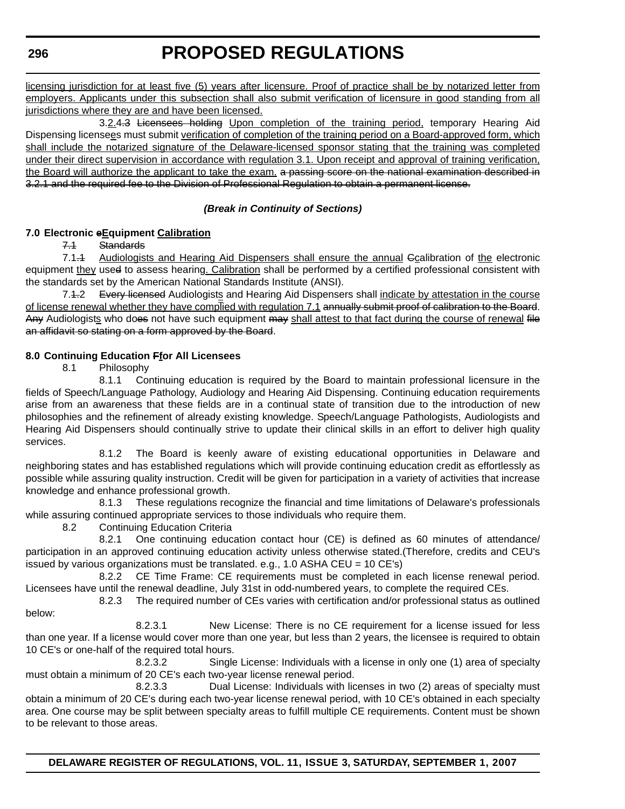# **PROPOSED REGULATIONS**

licensing jurisdiction for at least five (5) years after licensure. Proof of practice shall be by notarized letter from employers. Applicants under this subsection shall also submit verification of licensure in good standing from all jurisdictions where they are and have been licensed.

3.2.4.3 Licensees holding Upon completion of the training period, temporary Hearing Aid Dispensing licensees must submit verification of completion of the training period on a Board-approved form, which shall include the notarized signature of the Delaware-licensed sponsor stating that the training was completed under their direct supervision in accordance with regulation 3.1. Upon receipt and approval of training verification, the Board will authorize the applicant to take the exam. a passing score on the national examination described in 3.2.1 and the required fee to the Division of Professional Regulation to obtain a permanent license.

### *(Break in Continuity of Sections)*

### **7.0 Electronic eEquipment Calibration**

7.1 Standards

7.1.4 Audiologists and Hearing Aid Dispensers shall ensure the annual Gcalibration of the electronic equipment they used to assess hearing. Calibration shall be performed by a certified professional consistent with the standards set by the American National Standards Institute (ANSI).

7.4.2 Every licensed Audiologists and Hearing Aid Dispensers shall indicate by attestation in the course of license renewal whether they have complied with regulation 7.1 annually submit proof of calibration to the Board. Any Audiologists who does not have such equipment may shall attest to that fact during the course of renewal file an affidavit so stating on a form approved by the Board.

# **8.0 Continuing Education Ffor All Licensees**

8.1 Philosophy

8.1.1 Continuing education is required by the Board to maintain professional licensure in the fields of Speech/Language Pathology, Audiology and Hearing Aid Dispensing. Continuing education requirements arise from an awareness that these fields are in a continual state of transition due to the introduction of new philosophies and the refinement of already existing knowledge. Speech/Language Pathologists, Audiologists and Hearing Aid Dispensers should continually strive to update their clinical skills in an effort to deliver high quality services.

8.1.2 The Board is keenly aware of existing educational opportunities in Delaware and neighboring states and has established regulations which will provide continuing education credit as effortlessly as possible while assuring quality instruction. Credit will be given for participation in a variety of activities that increase knowledge and enhance professional growth.

8.1.3 These regulations recognize the financial and time limitations of Delaware's professionals while assuring continued appropriate services to those individuals who require them.

8.2 Continuing Education Criteria

8.2.1 One continuing education contact hour (CE) is defined as 60 minutes of attendance/ participation in an approved continuing education activity unless otherwise stated.(Therefore, credits and CEU's issued by various organizations must be translated. e.g., 1.0 ASHA CEU =  $10$  CE's)

8.2.2 CE Time Frame: CE requirements must be completed in each license renewal period. Licensees have until the renewal deadline, July 31st in odd-numbered years, to complete the required CEs.

8.2.3 The required number of CEs varies with certification and/or professional status as outlined below:

8.2.3.1 New License: There is no CE requirement for a license issued for less than one year. If a license would cover more than one year, but less than 2 years, the licensee is required to obtain 10 CE's or one-half of the required total hours.

8.2.3.2 Single License: Individuals with a license in only one (1) area of specialty must obtain a minimum of 20 CE's each two-year license renewal period.

8.2.3.3 Dual License: Individuals with licenses in two (2) areas of specialty must obtain a minimum of 20 CE's during each two-year license renewal period, with 10 CE's obtained in each specialty area. One course may be split between specialty areas to fulfill multiple CE requirements. Content must be shown to be relevant to those areas.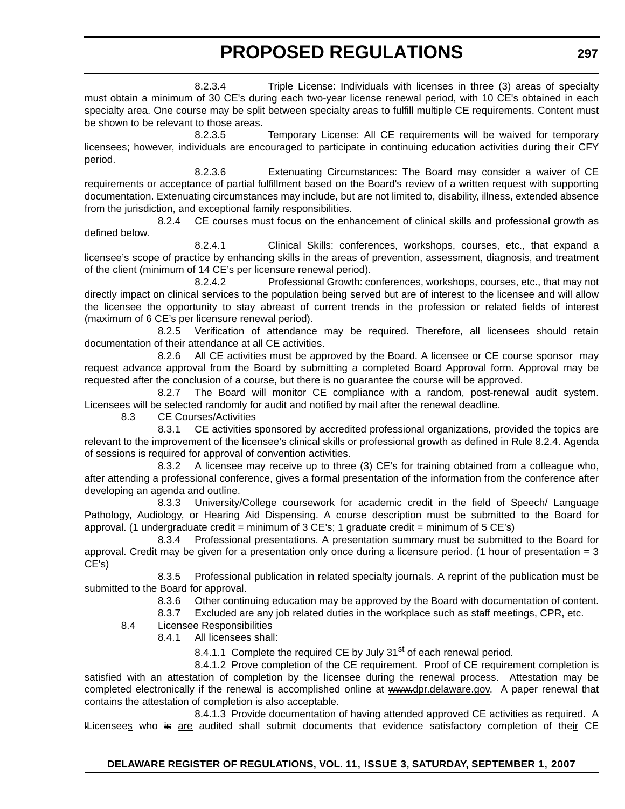8.2.3.4 Triple License: Individuals with licenses in three (3) areas of specialty must obtain a minimum of 30 CE's during each two-year license renewal period, with 10 CE's obtained in each specialty area. One course may be split between specialty areas to fulfill multiple CE requirements. Content must be shown to be relevant to those areas.

8.2.3.5 Temporary License: All CE requirements will be waived for temporary licensees; however, individuals are encouraged to participate in continuing education activities during their CFY period.

8.2.3.6 Extenuating Circumstances: The Board may consider a waiver of CE requirements or acceptance of partial fulfillment based on the Board's review of a written request with supporting documentation. Extenuating circumstances may include, but are not limited to, disability, illness, extended absence from the jurisdiction, and exceptional family responsibilities.

8.2.4 CE courses must focus on the enhancement of clinical skills and professional growth as defined below.

8.2.4.1 Clinical Skills: conferences, workshops, courses, etc., that expand a licensee's scope of practice by enhancing skills in the areas of prevention, assessment, diagnosis, and treatment of the client (minimum of 14 CE's per licensure renewal period).

8.2.4.2 Professional Growth: conferences, workshops, courses, etc., that may not directly impact on clinical services to the population being served but are of interest to the licensee and will allow the licensee the opportunity to stay abreast of current trends in the profession or related fields of interest (maximum of 6 CE's per licensure renewal period).

8.2.5 Verification of attendance may be required. Therefore, all licensees should retain documentation of their attendance at all CE activities.

8.2.6 All CE activities must be approved by the Board. A licensee or CE course sponsor may request advance approval from the Board by submitting a completed Board Approval form. Approval may be requested after the conclusion of a course, but there is no guarantee the course will be approved.

8.2.7 The Board will monitor CE compliance with a random, post-renewal audit system. Licensees will be selected randomly for audit and notified by mail after the renewal deadline.

8.3 CE Courses/Activities

8.3.1 CE activities sponsored by accredited professional organizations, provided the topics are relevant to the improvement of the licensee's clinical skills or professional growth as defined in Rule 8.2.4. Agenda of sessions is required for approval of convention activities.

8.3.2 A licensee may receive up to three (3) CE's for training obtained from a colleague who, after attending a professional conference, gives a formal presentation of the information from the conference after developing an agenda and outline.

8.3.3 University/College coursework for academic credit in the field of Speech/ Language Pathology, Audiology, or Hearing Aid Dispensing. A course description must be submitted to the Board for approval. (1 undergraduate credit = minimum of 3 CE's; 1 graduate credit = minimum of 5 CE's)

8.3.4 Professional presentations. A presentation summary must be submitted to the Board for approval. Credit may be given for a presentation only once during a licensure period. (1 hour of presentation  $= 3$ CE's)

8.3.5 Professional publication in related specialty journals. A reprint of the publication must be submitted to the Board for approval.

8.3.6 Other continuing education may be approved by the Board with documentation of content.

8.3.7 Excluded are any job related duties in the workplace such as staff meetings, CPR, etc.

- 8.4 Licensee Responsibilities
	- 8.4.1 All licensees shall:

8.4.1.1 Complete the required CE by July  $31<sup>st</sup>$  of each renewal period.

8.4.1.2 Prove completion of the CE requirement. Proof of CE requirement completion is satisfied with an attestation of completion by the licensee during the renewal process. Attestation may be completed electronically if the renewal is accomplished online at www.dpr.delaware.gov. A paper renewal that contains the attestation of completion is also acceptable.

8.4.1.3 Provide documentation of having attended approved CE activities as required. A lLicensees who is are audited shall submit documents that evidence satisfactory completion of their CE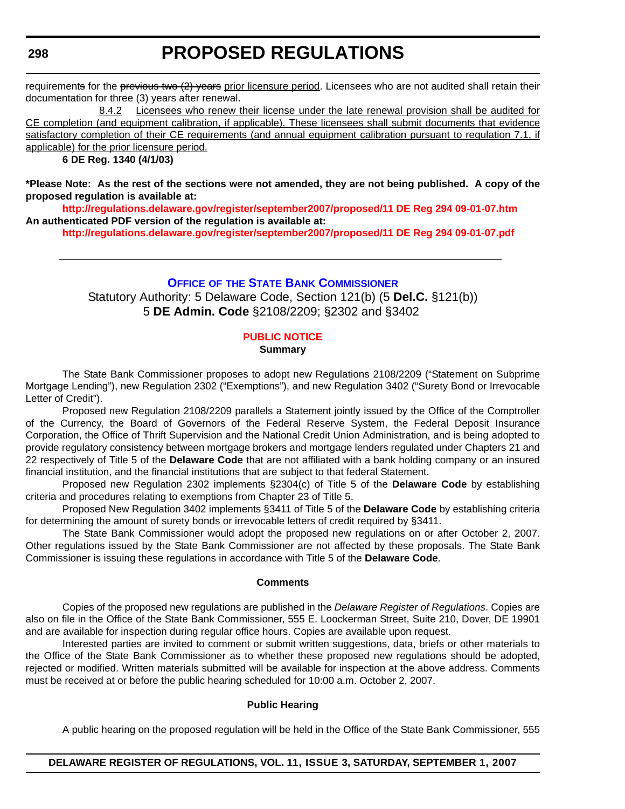# **PROPOSED REGULATIONS**

requirements for the previous two (2) years prior licensure period. Licensees who are not audited shall retain their documentation for three (3) years after renewal.

8.4.2 Licensees who renew their license under the late renewal provision shall be audited for CE completion (and equipment calibration, if applicable). These licensees shall submit documents that evidence satisfactory completion of their CE requirements (and annual equipment calibration pursuant to regulation 7.1, if applicable) for the prior licensure period.

### **6 DE Reg. 1340 (4/1/03)**

**\*Please Note: As the rest of the sections were not amended, they are not being published. A copy of the proposed regulation is available at:**

**<http://regulations.delaware.gov/register/september2007/proposed/11 DE Reg 294 09-01-07.htm> An authenticated PDF version of the regulation is available at:**

**<http://regulations.delaware.gov/register/september2007/proposed/11 DE Reg 294 09-01-07.pdf>**

### **OFFICE OF THE STATE BANK COMMISSIONER**

Statutory Authority: 5 Delaware Code, Section 121(b) (5 **Del.C.** §121(b)) 5 **DE Admin. Code** §2108/2209; §2302 and §3402

# **[PUBLIC NOTICE](#page-3-0)**

# **Summary**

The State Bank Commissioner proposes to adopt new Regulations 2108/2209 ("Statement on Subprime Mortgage Lending"), new Regulation 2302 ("Exemptions"), and new Regulation 3402 ("Surety Bond or Irrevocable Letter of Credit").

Proposed new Regulation 2108/2209 parallels a Statement jointly issued by the Office of the Comptroller of the Currency, the Board of Governors of the Federal Reserve System, the Federal Deposit Insurance Corporation, the Office of Thrift Supervision and the National Credit Union Administration, and is being adopted to provide regulatory consistency between mortgage brokers and mortgage lenders regulated under Chapters 21 and 22 respectively of Title 5 of the **Delaware Code** that are not affiliated with a bank holding company or an insured financial institution, and the financial institutions that are subject to that federal Statement.

Proposed new Regulation 2302 implements §2304(c) of Title 5 of the **Delaware Code** by establishing criteria and procedures relating to exemptions from Chapter 23 of Title 5.

Proposed New Regulation 3402 implements §3411 of Title 5 of the **Delaware Code** by establishing criteria for determining the amount of surety bonds or irrevocable letters of credit required by §3411.

The State Bank Commissioner would adopt the proposed new regulations on or after October 2, 2007. Other regulations issued by the State Bank Commissioner are not affected by these proposals. The State Bank Commissioner is issuing these regulations in accordance with Title 5 of the **Delaware Code**.

#### **Comments**

Copies of the proposed new regulations are published in the *Delaware Register of Regulations*. Copies are also on file in the Office of the State Bank Commissioner, 555 E. Loockerman Street, Suite 210, Dover, DE 19901 and are available for inspection during regular office hours. Copies are available upon request.

Interested parties are invited to comment or submit written suggestions, data, briefs or other materials to the Office of the State Bank Commissioner as to whether these proposed new regulations should be adopted, rejected or modified. Written materials submitted will be available for inspection at the above address. Comments must be received at or before the public hearing scheduled for 10:00 a.m. October 2, 2007.

### **Public Hearing**

A public hearing on the proposed regulation will be held in the Office of the State Bank Commissioner, 555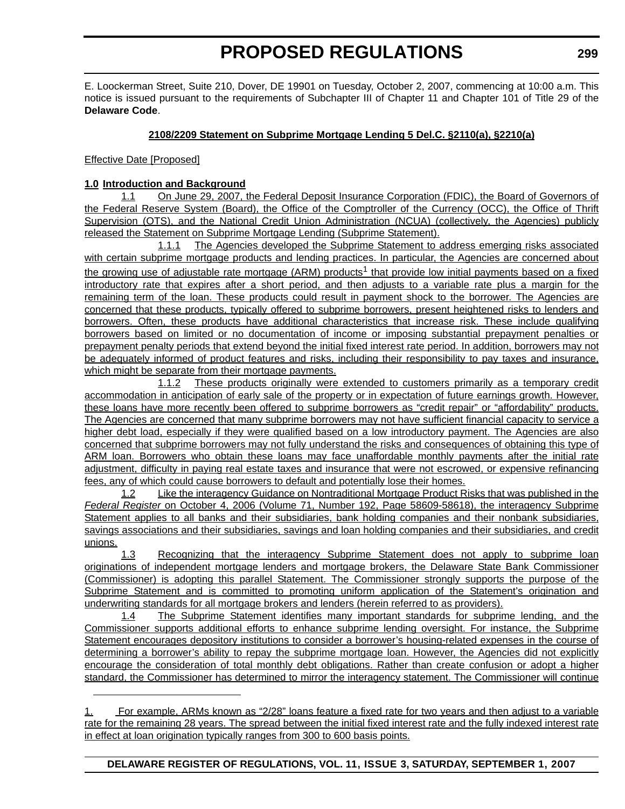E. Loockerman Street, Suite 210, Dover, DE 19901 on Tuesday, October 2, 2007, commencing at 10:00 a.m. This notice is issued pursuant to the requirements of Subchapter III of Chapter 11 and Chapter 101 of Title 29 of the **Delaware Code**.

### **2108/2209 Statement on Subprime Mortgage Lending 5 Del.C. §2110(a), §2210(a)**

Effective Date [Proposed]

### **1.0 Introduction and Background**

1.1 On June 29, 2007, the Federal Deposit Insurance Corporation (FDIC), the Board of Governors of the Federal Reserve System (Board), the Office of the Comptroller of the Currency (OCC), the Office of Thrift Supervision (OTS), and the National Credit Union Administration (NCUA) (collectively, the Agencies) publicly released the Statement on Subprime Mortgage Lending (Subprime Statement).

1.1.1 The Agencies developed the Subprime Statement to address emerging risks associated with certain subprime mortgage products and lending practices. In particular, the Agencies are concerned about the growing use of adjustable rate mortgage (ARM) products<sup>1</sup> that provide low initial payments based on a fixed introductory rate that expires after a short period, and then adjusts to a variable rate plus a margin for the remaining term of the loan. These products could result in payment shock to the borrower. The Agencies are concerned that these products, typically offered to subprime borrowers, present heightened risks to lenders and borrowers. Often, these products have additional characteristics that increase risk. These include qualifying borrowers based on limited or no documentation of income or imposing substantial prepayment penalties or prepayment penalty periods that extend beyond the initial fixed interest rate period. In addition, borrowers may not be adequately informed of product features and risks, including their responsibility to pay taxes and insurance, which might be separate from their mortgage payments.

1.1.2 These products originally were extended to customers primarily as a temporary credit accommodation in anticipation of early sale of the property or in expectation of future earnings growth. However, these loans have more recently been offered to subprime borrowers as "credit repair" or "affordability" products. The Agencies are concerned that many subprime borrowers may not have sufficient financial capacity to service a higher debt load, especially if they were qualified based on a low introductory payment. The Agencies are also concerned that subprime borrowers may not fully understand the risks and consequences of obtaining this type of ARM loan. Borrowers who obtain these loans may face unaffordable monthly payments after the initial rate adjustment, difficulty in paying real estate taxes and insurance that were not escrowed, or expensive refinancing fees, any of which could cause borrowers to default and potentially lose their homes.

1.2 Like the interagency Guidance on Nontraditional Mortgage Product Risks that was published in the *Federal Register* on October 4, 2006 (Volume 71, Number 192, Page 58609-58618), the interagency Subprime Statement applies to all banks and their subsidiaries, bank holding companies and their nonbank subsidiaries, savings associations and their subsidiaries, savings and loan holding companies and their subsidiaries, and credit unions.

1.3 Recognizing that the interagency Subprime Statement does not apply to subprime loan originations of independent mortgage lenders and mortgage brokers, the Delaware State Bank Commissioner (Commissioner) is adopting this parallel Statement. The Commissioner strongly support*s* the purpose of the Subprime Statement and is committed to promoting uniform application of the Statement's origination and underwriting standards for all mortgage brokers and lenders (herein referred to as providers).

1.4 The Subprime Statement identifies many important standards for subprime lending, and the Commissioner supports additional efforts to enhance subprime lending oversight. For instance, the Subprime Statement encourages depository institutions to consider a borrower's housing-related expenses in the course of determining a borrower's ability to repay the subprime mortgage loan. However, the Agencies did not explicitly encourage the consideration of total monthly debt obligations. Rather than create confusion or adopt a higher standard, the Commissioner has determined to mirror the interagency statement. The Commissioner will continue

<sup>1.</sup> For example, ARMs known as "2/28" loans feature a fixed rate for two years and then adjust to a variable rate for the remaining 28 years. The spread between the initial fixed interest rate and the fully indexed interest rate in effect at loan origination typically ranges from 300 to 600 basis points.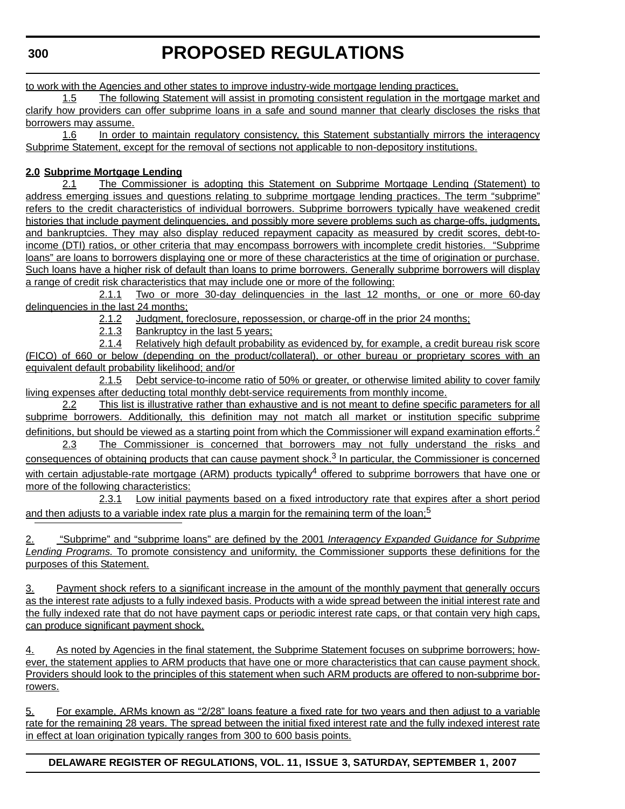**PROPOSED REGULATIONS**

to work with the Agencies and other states to improve industry-wide mortgage lending practices.

1.5 The following Statement will assist in promoting consistent regulation in the mortgage market and clarify how providers can offer subprime loans in a safe and sound manner that clearly discloses the risks that borrowers may assume.

1.6 In order to maintain regulatory consistency, this Statement substantially mirrors the interagency Subprime Statement, except for the removal of sections not applicable to non-depository institutions.

# **2.0 Subprime Mortgage Lending**

2.1 The Commissioner is adopting this Statement on Subprime Mortgage Lending (Statement) to address emerging issues and questions relating to subprime mortgage lending practices. The term "subprime" refers to the credit characteristics of individual borrowers. Subprime borrowers typically have weakened credit histories that include payment delinquencies, and possibly more severe problems such as charge-offs, judgments, and bankruptcies. They may also display reduced repayment capacity as measured by credit scores, debt-toincome (DTI) ratios, or other criteria that may encompass borrowers with incomplete credit histories. "Subprime loans" are loans to borrowers displaying one or more of these characteristics at the time of origination or purchase. Such loans have a higher risk of default than loans to prime borrowers. Generally subprime borrowers will display a range of credit risk characteristics that may include one or more of the following:

2.1.1 Two or more 30-day delinquencies in the last 12 months, or one or more 60-day delinquencies in the last 24 months;

2.1.2 Judgment, foreclosure, repossession, or charge-off in the prior 24 months;

2.1.3 Bankruptcy in the last 5 years;

2.1.4 Relatively high default probability as evidenced by, for example, a credit bureau risk score (FICO) of 660 or below (depending on the product/collateral), or other bureau or proprietary scores with an equivalent default probability likelihood; and/or

2.1.5 Debt service-to-income ratio of 50% or greater, or otherwise limited ability to cover family living expenses after deducting total monthly debt-service requirements from monthly income.

2.2 This list is illustrative rather than exhaustive and is not meant to define specific parameters for all subprime borrowers. Additionally, this definition may not match all market or institution specific subprime definitions, but should be viewed as a starting point from which the Commissioner will expand examination efforts.<sup>2</sup>

2.3 The Commissioner is concerned that borrowers may not fully understand the risks and consequences of obtaining products that can cause payment shock. $3$  In particular, the Commissioner is concerned with certain adjustable-rate mortgage (ARM) products typically<sup>4</sup> offered to subprime borrowers that have one or more of the following characteristics:

2.3.1 Low initial payments based on a fixed introductory rate that expires after a short period and then adjusts to a variable index rate plus a margin for the remaining term of the loan;<sup>5</sup>

2. "Subprime" and "subprime loans" are defined by the 2001 *Interagency Expanded Guidance for Subprime Lending Programs.* To promote consistency and uniformity, the Commissioner supports these definitions for the purposes of this Statement.

3. Payment shock refers to a significant increase in the amount of the monthly payment that generally occurs as the interest rate adjusts to a fully indexed basis. Products with a wide spread between the initial interest rate and the fully indexed rate that do not have payment caps or periodic interest rate caps, or that contain very high caps, can produce significant payment shock.

4. As noted by Agencies in the final statement, the Subprime Statement focuses on subprime borrowers; however, the statement applies to ARM products that have one or more characteristics that can cause payment shock. Providers should look to the principles of this statement when such ARM products are offered to non-subprime borrowers.

5. For example, ARMs known as "2/28" loans feature a fixed rate for two years and then adjust to a variable rate for the remaining 28 years. The spread between the initial fixed interest rate and the fully indexed interest rate in effect at loan origination typically ranges from 300 to 600 basis points.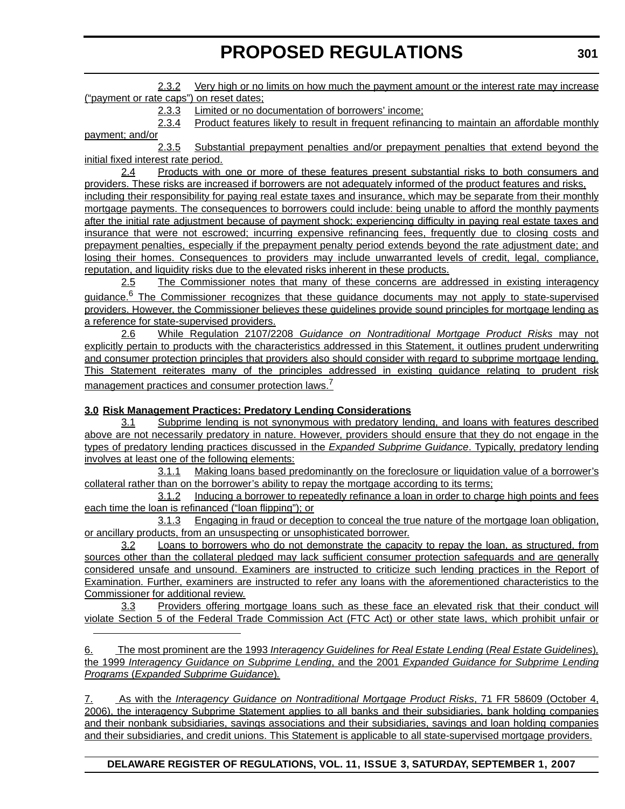2.3.2 Very high or no limits on how much the payment amount or the interest rate may increase ("payment or rate caps") on reset dates;

2.3.3 Limited or no documentation of borrowers' income;

2.3.4 Product features likely to result in frequent refinancing to maintain an affordable monthly payment; and/or

2.3.5 Substantial prepayment penalties and/or prepayment penalties that extend beyond the initial fixed interest rate period.

2.4 Products with one or more of these features present substantial risks to both consumers and providers. These risks are increased if borrowers are not adequately informed of the product features and risks, including their responsibility for paying real estate taxes and insurance, which may be separate from their monthly mortgage payments. The consequences to borrowers could include: being unable to afford the monthly payments after the initial rate adjustment because of payment shock; experiencing difficulty in paying real estate taxes and insurance that were not escrowed; incurring expensive refinancing fees, frequently due to closing costs and prepayment penalties, especially if the prepayment penalty period extends beyond the rate adjustment date; and losing their homes. Consequences to providers may include unwarranted levels of credit, legal, compliance, reputation, and liquidity risks due to the elevated risks inherent in these products.

2.5 The Commissioner notes that many of these concerns are addressed in existing interagency quidance.<sup>6</sup> The Commissioner recognizes that these guidance documents may not apply to state-supervised providers. However, the Commissioner believe*s* these guidelines provide sound principles for mortgage lending as a reference for state-supervised providers.

2.6 While Regulation 2107/2208 *Guidance on Nontraditional Mortgage Product Risks* may not explicitly pertain to products with the characteristics addressed in this Statement, it outlines prudent underwriting and consumer protection principles that providers also should consider with regard to subprime mortgage lending. This Statement reiterates many of the principles addressed in existing guidance relating to prudent risk management practices and consumer protection laws.<sup>7</sup>

# **3.0 Risk Management Practices: Predatory Lending Considerations**

3.1 Subprime lending is not synonymous with predatory lending, and loans with features described above are not necessarily predatory in nature. However, providers should ensure that they do not engage in the types of predatory lending practices discussed in the *Expanded Subprime Guidance*. Typically, predatory lending involves at least one of the following elements:

3.1.1 Making loans based predominantly on the foreclosure or liquidation value of a borrower's collateral rather than on the borrower's ability to repay the mortgage according to its terms;

3.1.2 Inducing a borrower to repeatedly refinance a loan in order to charge high points and fees each time the loan is refinanced ("loan flipping"); or

3.1.3 Engaging in fraud or deception to conceal the true nature of the mortgage loan obligation, or ancillary products, from an unsuspecting or unsophisticated borrower.

3.2 Loans to borrowers who do not demonstrate the capacity to repay the loan, as structured, from sources other than the collateral pledged may lack sufficient consumer protection safeguards and are generally considered unsafe and unsound. Examiners are instructed to criticize such lending practices in the Report of Examination. Further, examiners are instructed to refer any loans with the aforementioned characteristics to the Commissioner for additional review.

3.3 Providers offering mortgage loans such as these face an elevated risk that their conduct will violate Section 5 of the Federal Trade Commission Act (FTC Act) or other state laws, which prohibit unfair or

6. The most prominent are the 1993 *Interagency Guidelines for Real Estate Lending* (*Real Estate Guidelines*)*,* the 1999 *Interagency Guidance on Subprime Lending*, and the 2001 *Expanded Guidance for Subprime Lending Programs* (*Expanded Subprime Guidance*)*.*

7. As with the *Interagency Guidance on Nontraditional Mortgage Product Risks*, 71 FR 58609 (October 4, 2006), the interagency Subprime Statement applies to all banks and their subsidiaries, bank holding companies and their nonbank subsidiaries, savings associations and their subsidiaries, savings and loan holding companies and their subsidiaries, and credit unions. This Statement is applicable to all state-supervised mortgage providers.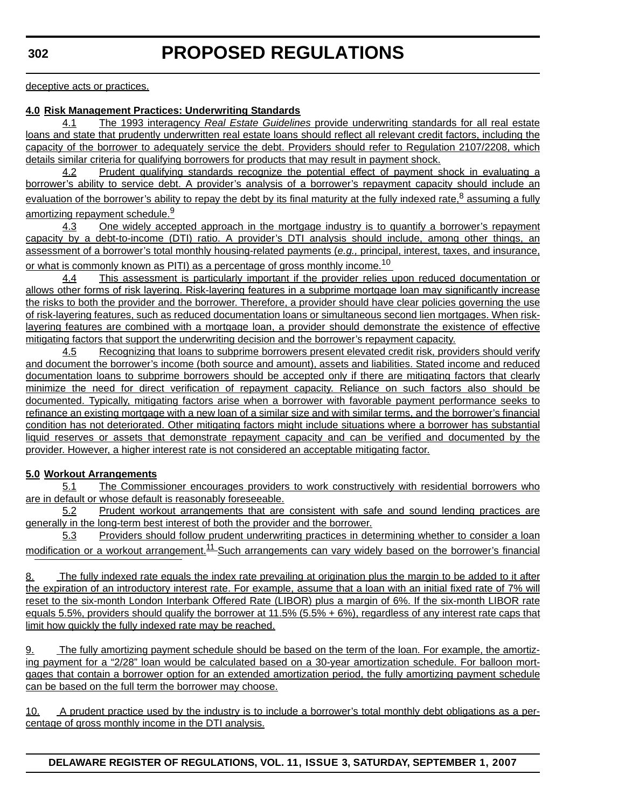deceptive acts or practices.

### **4.0 Risk Management Practices: Underwriting Standards**

4.1 The 1993 interagency *Real Estate Guidelines* provide underwriting standards for all real estate loans and state that prudently underwritten real estate loans should reflect all relevant credit factors, including the capacity of the borrower to adequately service the debt. Providers should refer to Regulation 2107/2208, which details similar criteria for qualifying borrowers for products that may result in payment shock.

4.2 Prudent qualifying standards recognize the potential effect of payment shock in evaluating a borrower's ability to service debt. A provider's analysis of a borrower's repayment capacity should include an evaluation of the borrower's ability to repay the debt by its final maturity at the fully indexed rate,  $8$  assuming a fully amortizing repayment schedule.<sup>9</sup>

4.3 One widely accepted approach in the mortgage industry is to quantify a borrower's repayment capacity by a debt-to-income (DTI) ratio. A provider's DTI analysis should include, among other things, an assessment of a borrower's total monthly housing-related payments (*e.g.,* principal, interest, taxes, and insurance, or what is commonly known as PITI) as a percentage of gross monthly income.<sup>10</sup>

4.4 This assessment is particularly important if the provider relies upon reduced documentation or allows other forms of risk layering. Risk-layering features in a subprime mortgage loan may significantly increase the risks to both the provider and the borrower. Therefore, a provider should have clear policies governing the use of risk-layering features, such as reduced documentation loans or simultaneous second lien mortgages. When risklayering features are combined with a mortgage loan, a provider should demonstrate the existence of effective mitigating factors that support the underwriting decision and the borrower's repayment capacity.

4.5 Recognizing that loans to subprime borrowers present elevated credit risk, providers should verify and document the borrower's income (both source and amount), assets and liabilities. Stated income and reduced documentation loans to subprime borrowers should be accepted only if there are mitigating factors that clearly minimize the need for direct verification of repayment capacity. Reliance on such factors also should be documented. Typically, mitigating factors arise when a borrower with favorable payment performance seeks to refinance an existing mortgage with a new loan of a similar size and with similar terms, and the borrower's financial condition has not deteriorated. Other mitigating factors might include situations where a borrower has substantial liquid reserves or assets that demonstrate repayment capacity and can be verified and documented by the provider. However, a higher interest rate is not considered an acceptable mitigating factor.

# **5.0 Workout Arrangements**

5.1 The Commissioner encourages providers to work constructively with residential borrowers who are in default or whose default is reasonably foreseeable.

5.2 Prudent workout arrangements that are consistent with safe and sound lending practices are generally in the long-term best interest of both the provider and the borrower.

5.3 Providers should follow prudent underwriting practices in determining whether to consider a loan modification or a workout arrangement.<sup>11</sup> Such arrangements can vary widely based on the borrower's financial

8. The fully indexed rate equals the index rate prevailing at origination plus the margin to be added to it after the expiration of an introductory interest rate. For example, assume that a loan with an initial fixed rate of 7% will reset to the six-month London Interbank Offered Rate (LIBOR) plus a margin of 6%. If the six-month LIBOR rate equals 5.5%, providers should qualify the borrower at 11.5% (5.5% + 6%), regardless of any interest rate caps that limit how quickly the fully indexed rate may be reached.

9. The fully amortizing payment schedule should be based on the term of the loan. For example, the amortizing payment for a "2/28" loan would be calculated based on a 30-year amortization schedule. For balloon mortgages that contain a borrower option for an extended amortization period, the fully amortizing payment schedule can be based on the full term the borrower may choose.

10. A prudent practice used by the industry is to include a borrower's total monthly debt obligations as a percentage of gross monthly income in the DTI analysis.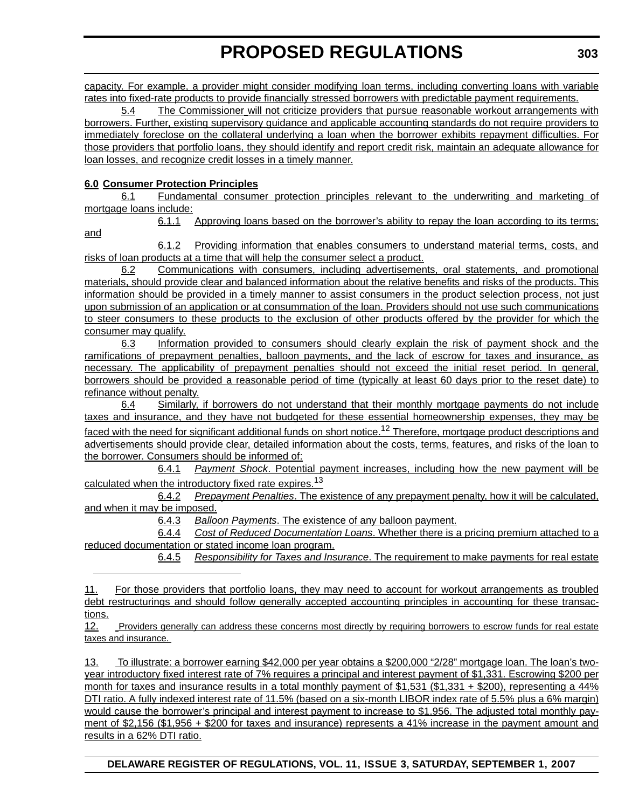capacity. For example, a provider might consider modifying loan terms, including converting loans with variable rates into fixed-rate products to provide financially stressed borrowers with predictable payment requirements.

5.4 The Commissioner will not criticize providers that pursue reasonable workout arrangements with borrowers. Further, existing supervisory guidance and applicable accounting standards do not require providers to immediately foreclose on the collateral underlying a loan when the borrower exhibits repayment difficulties. For those providers that portfolio loans, they should identify and report credit risk, maintain an adequate allowance for loan losses, and recognize credit losses in a timely manner.

# **6.0 Consumer Protection Principles**

6.1 Fundamental consumer protection principles relevant to the underwriting and marketing of mortgage loans include:

and

6.1.1 Approving loans based on the borrower's ability to repay the loan according to its terms;

6.1.2 Providing information that enables consumers to understand material terms, costs, and risks of loan products at a time that will help the consumer select a product.

6.2 Communications with consumers, including advertisements, oral statements, and promotional materials, should provide clear and balanced information about the relative benefits and risks of the products. This information should be provided in a timely manner to assist consumers in the product selection process, not just upon submission of an application or at consummation of the loan. Providers should not use such communications to steer consumers to these products to the exclusion of other products offered by the provider for which the consumer may qualify.

6.3 Information provided to consumers should clearly explain the risk of payment shock and the ramifications of prepayment penalties, balloon payments, and the lack of escrow for taxes and insurance, as necessary. The applicability of prepayment penalties should not exceed the initial reset period. In general, borrowers should be provided a reasonable period of time (typically at least 60 days prior to the reset date) to refinance without penalty.

6.4 Similarly, if borrowers do not understand that their monthly mortgage payments do not include taxes and insurance, and they have not budgeted for these essential homeownership expenses, they may be faced with the need for significant additional funds on short notice.<sup>12</sup> Therefore, mortgage product descriptions and advertisements should provide clear, detailed information about the costs, terms, features, and risks of the loan to the borrower. Consumers should be informed of:

6.4.1 *Payment Shock*. Potential payment increases, including how the new payment will be calculated when the introductory fixed rate expires.<sup>13</sup>

6.4.2 *Prepayment Penalties*. The existence of any prepayment penalty, how it will be calculated, and when it may be imposed.

6.4.3 *Balloon Payments*. The existence of any balloon payment.

6.4.4 *Cost of Reduced Documentation Loans*. Whether there is a pricing premium attached to a reduced documentation or stated income loan program.

6.4.5 *Responsibility for Taxes and Insurance*. The requirement to make payments for real estate

11. For those providers that portfolio loans, they may need to account for workout arrangements as troubled debt restructurings and should follow generally accepted accounting principles in accounting for these transactions.

12. Providers generally can address these concerns most directly by requiring borrowers to escrow funds for real estate taxes and insurance.

13. To illustrate: a borrower earning \$42,000 per year obtains a \$200,000 "2/28" mortgage loan. The loan's twoyear introductory fixed interest rate of 7% requires a principal and interest payment of \$1,331. Escrowing \$200 per month for taxes and insurance results in a total monthly payment of \$1,531 (\$1,331 + \$200), representing a 44% DTI ratio. A fully indexed interest rate of 11.5% (based on a six-month LIBOR index rate of 5.5% plus a 6% margin) would cause the borrower's principal and interest payment to increase to \$1,956. The adjusted total monthly payment of \$2,156 (\$1,956 + \$200 for taxes and insurance) represents a 41% increase in the payment amount and results in a 62% DTI ratio.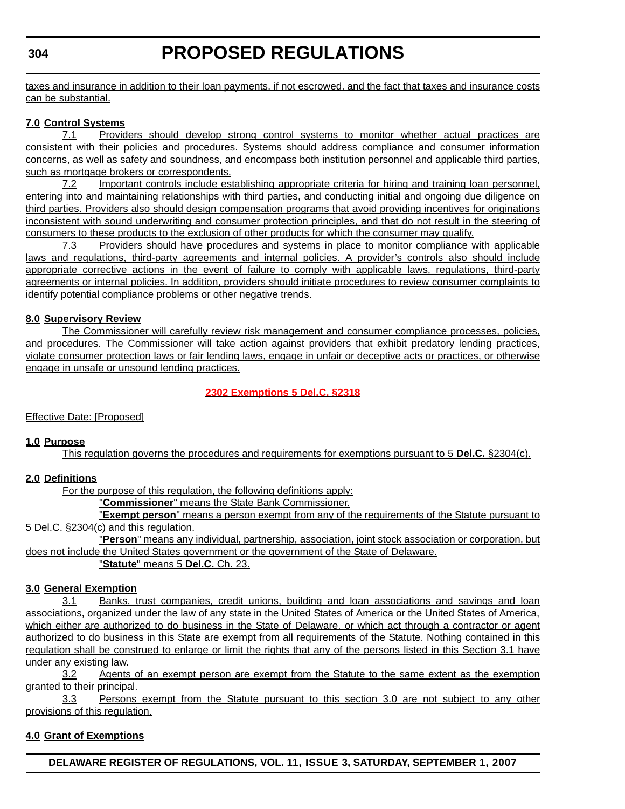# **PROPOSED REGULATIONS**

taxes and insurance in addition to their loan payments, if not escrowed, and the fact that taxes and insurance costs can be substantial.

### **7.0 Control Systems**

7.1 Providers should develop strong control systems to monitor whether actual practices are consistent with their policies and procedures. Systems should address compliance and consumer information concerns, as well as safety and soundness, and encompass both institution personnel and applicable third parties, such as mortgage brokers or correspondents.

7.2 Important controls include establishing appropriate criteria for hiring and training loan personnel, entering into and maintaining relationships with third parties, and conducting initial and ongoing due diligence on third parties. Providers also should design compensation programs that avoid providing incentives for originations inconsistent with sound underwriting and consumer protection principles, and that do not result in the steering of consumers to these products to the exclusion of other products for which the consumer may qualify.

7.3 Providers should have procedures and systems in place to monitor compliance with applicable laws and regulations, third-party agreements and internal policies. A provider's controls also should include appropriate corrective actions in the event of failure to comply with applicable laws, regulations, third-party agreements or internal policies. In addition, providers should initiate procedures to review consumer complaints to identify potential compliance problems or other negative trends.

### **8.0 Supervisory Review**

The Commissioner will carefully review risk management and consumer compliance processes, policies, and procedures. The Commissioner will take action against providers that exhibit predatory lending practices, violate consumer protection laws or fair lending laws, engage in unfair or deceptive acts or practices, or otherwise engage in unsafe or unsound lending practices.

# **[2302 Exemptions 5 Del.C. §2318](#page-3-0)**

Effective Date: [Proposed]

### **1.0 Purpose**

This regulation governs the procedures and requirements for exemptions pursuant to 5 **Del.C.** §2304(c).

# **2.0 Definitions**

For the purpose of this regulation, the following definitions apply:

"**Commissioner**" means the State Bank Commissioner.

"**Exempt person**" means a person exempt from any of the requirements of the Statute pursuant to 5 Del.C. §2304(c) and this regulation.

"**Person**" means any individual, partnership, association, joint stock association or corporation, but does not include the United States government or the government of the State of Delaware.

"**Statute**" means 5 **Del.C.** Ch. 23.

### **3.0 General Exemption**

3.1 Banks, trust companies, credit unions, building and loan associations and savings and loan associations, organized under the law of any state in the United States of America or the United States of America, which either are authorized to do business in the State of Delaware, or which act through a contractor or agent authorized to do business in this State are exempt from all requirements of the Statute. Nothing contained in this regulation shall be construed to enlarge or limit the rights that any of the persons listed in this Section 3.1 have under any existing law.

3.2 Agents of an exempt person are exempt from the Statute to the same extent as the exemption granted to their principal.

3.3 Persons exempt from the Statute pursuant to this section 3.0 are not subject to any other provisions of this regulation.

### **4.0 Grant of Exemptions**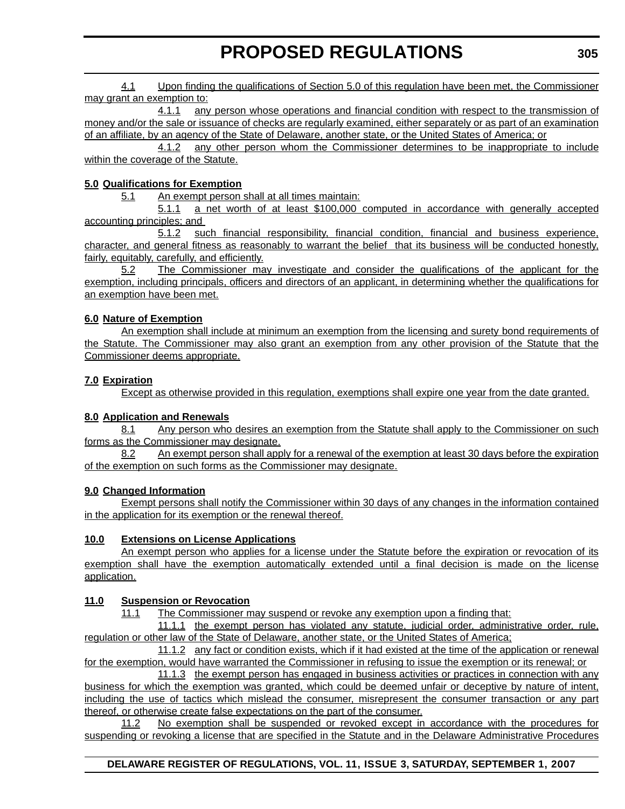4.1 Upon finding the qualifications of Section 5.0 of this regulation have been met, the Commissioner may grant an exemption to:

4.1.1 any person whose operations and financial condition with respect to the transmission of money and/or the sale or issuance of checks are regularly examined, either separately or as part of an examination of an affiliate, by an agency of the State of Delaware, another state, or the United States of America; or

4.1.2 any other person whom the Commissioner determines to be inappropriate to include within the coverage of the Statute.

### **5.0 Qualifications for Exemption**

5.1 An exempt person shall at all times maintain:

5.1.1 a net worth of at least \$100,000 computed in accordance with generally accepted accounting principles; and

5.1.2 such financial responsibility, financial condition, financial and business experience, character, and general fitness as reasonably to warrant the belief that its business will be conducted honestly, fairly, equitably, carefully, and efficiently.

5.2 The Commissioner may investigate and consider the qualifications of the applicant for the exemption, including principals, officers and directors of an applicant, in determining whether the qualifications for an exemption have been met.

### **6.0 Nature of Exemption**

An exemption shall include at minimum an exemption from the licensing and surety bond requirements of the Statute. The Commissioner may also grant an exemption from any other provision of the Statute that the Commissioner deems appropriate.

### **7.0 Expiration**

Except as otherwise provided in this regulation, exemptions shall expire one year from the date granted.

### **8.0 Application and Renewals**

8.1 Any person who desires an exemption from the Statute shall apply to the Commissioner on such forms as the Commissioner may designate.

8.2 An exempt person shall apply for a renewal of the exemption at least 30 days before the expiration of the exemption on such forms as the Commissioner may designate.

### **9.0 Changed Information**

Exempt persons shall notify the Commissioner within 30 days of any changes in the information contained in the application for its exemption or the renewal thereof.

# **10.0 Extensions on License Applications**

An exempt person who applies for a license under the Statute before the expiration or revocation of its exemption shall have the exemption automatically extended until a final decision is made on the license application.

### **11.0 Suspension or Revocation**

11.1 The Commissioner may suspend or revoke any exemption upon a finding that:

11.1.1 the exempt person has violated any statute, judicial order, administrative order, rule, regulation or other law of the State of Delaware, another state, or the United States of America;

11.1.2 any fact or condition exists, which if it had existed at the time of the application or renewal for the exemption, would have warranted the Commissioner in refusing to issue the exemption or its renewal; or

11.1.3 the exempt person has engaged in business activities or practices in connection with any business for which the exemption was granted, which could be deemed unfair or deceptive by nature of intent, including the use of tactics which mislead the consumer, misrepresent the consumer transaction or any part thereof, or otherwise create false expectations on the part of the consumer.

11.2 No exemption shall be suspended or revoked except in accordance with the procedures for suspending or revoking a license that are specified in the Statute and in the Delaware Administrative Procedures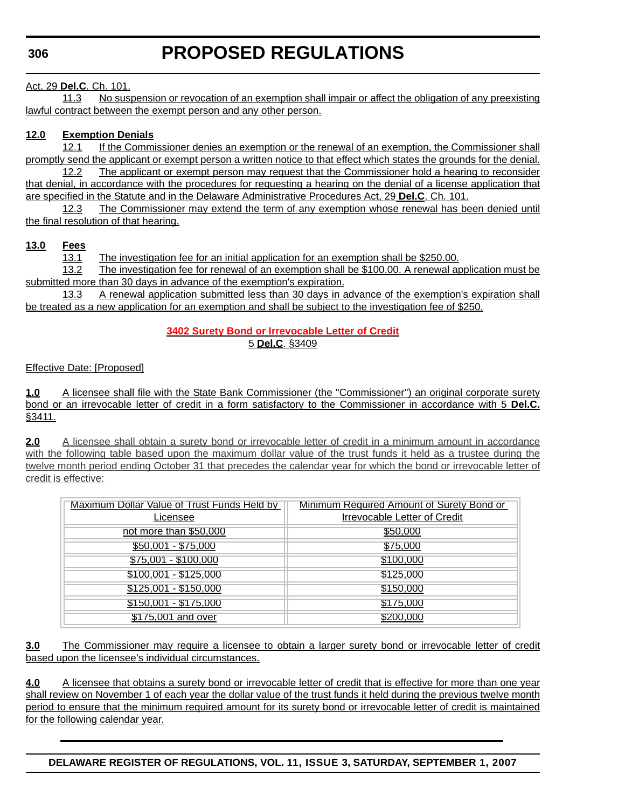### Act, 29 **Del.C**. Ch. 101.

11.3 No suspension or revocation of an exemption shall impair or affect the obligation of any preexisting lawful contract between the exempt person and any other person.

### **12.0 Exemption Denials**

12.1 If the Commissioner denies an exemption or the renewal of an exemption, the Commissioner shall promptly send the applicant or exempt person a written notice to that effect which states the grounds for the denial.

12.2 The applicant or exempt person may request that the Commissioner hold a hearing to reconsider that denial, in accordance with the procedures for requesting a hearing on the denial of a license application that are specified in the Statute and in the Delaware Administrative Procedures Act, 29 **Del.C**. Ch. 101.

12.3 The Commissioner may extend the term of any exemption whose renewal has been denied until the final resolution of that hearing.

### **13.0 Fees**

13.1 The investigation fee for an initial application for an exemption shall be \$250.00.

13.2 The investigation fee for renewal of an exemption shall be \$100.00. A renewal application must be submitted more than 30 days in advance of the exemption's expiration.

13.3 A renewal application submitted less than 30 days in advance of the exemption's expiration shall be treated as a new application for an exemption and shall be subject to the investigation fee of \$250.

### **[3402 Surety Bond or Irrevocable Letter of Credit](#page-3-0)** 5 **Del.C**. §3409

Effective Date: [Proposed]

**1.0** A licensee shall file with the State Bank Commissioner (the "Commissioner") an original corporate surety bond or an irrevocable letter of credit in a form satisfactory to the Commissioner in accordance with 5 **Del.C.** §3411.

**2.0** A licensee shall obtain a surety bond or irrevocable letter of credit in a minimum amount in accordance with the following table based upon the maximum dollar value of the trust funds it held as a trustee during the twelve month period ending October 31 that precedes the calendar year for which the bond or irrevocable letter of credit is effective:

| Maximum Dollar Value of Trust Funds Held by | Minimum Required Amount of Surety Bond or |
|---------------------------------------------|-------------------------------------------|
| Licensee                                    | <b>Irrevocable Letter of Credit</b>       |
| not more than \$50,000                      | \$50,000                                  |
| \$50,001 - \$75,000                         | \$75,000                                  |
| $$75,001 - $100,000$                        | \$100,000                                 |
| $$100,001 - $125,000$                       | \$125,000                                 |
| \$125,001 - \$150,000                       | \$150,000                                 |
| \$150,001 - \$175,000                       | \$175,000                                 |
| \$175,001 and over                          | \$200,000                                 |

**3.0** The Commissioner may require a licensee to obtain a larger surety bond or irrevocable letter of credit based upon the licensee's individual circumstances.

**4.0** A licensee that obtains a surety bond or irrevocable letter of credit that is effective for more than one year shall review on November 1 of each year the dollar value of the trust funds it held during the previous twelve month period to ensure that the minimum required amount for its surety bond or irrevocable letter of credit is maintained for the following calendar year.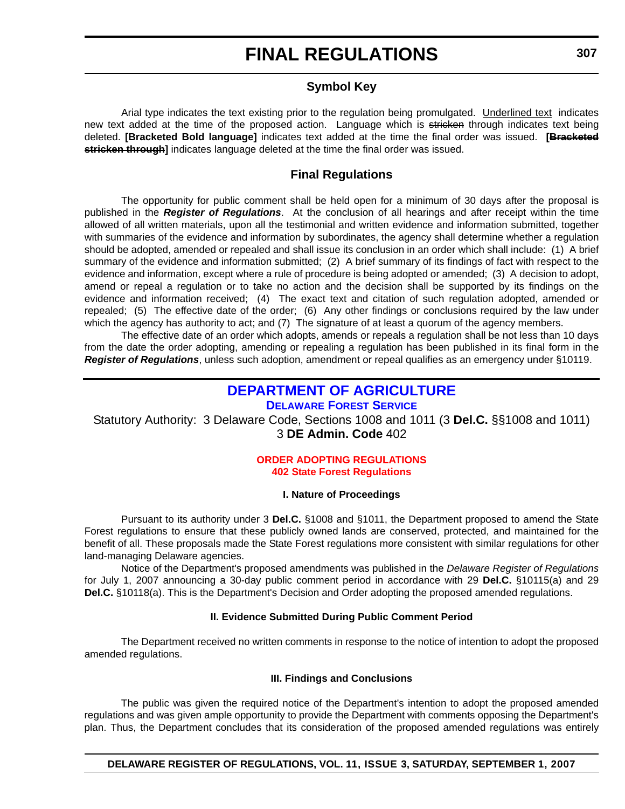# **FINAL REGULATIONS**

# **Symbol Key**

Arial type indicates the text existing prior to the regulation being promulgated. Underlined text indicates new text added at the time of the proposed action. Language which is stricken through indicates text being deleted. **[Bracketed Bold language]** indicates text added at the time the final order was issued. **[Bracketed stricken through]** indicates language deleted at the time the final order was issued.

# **Final Regulations**

The opportunity for public comment shall be held open for a minimum of 30 days after the proposal is published in the *Register of Regulations*. At the conclusion of all hearings and after receipt within the time allowed of all written materials, upon all the testimonial and written evidence and information submitted, together with summaries of the evidence and information by subordinates, the agency shall determine whether a regulation should be adopted, amended or repealed and shall issue its conclusion in an order which shall include: (1) A brief summary of the evidence and information submitted; (2) A brief summary of its findings of fact with respect to the evidence and information, except where a rule of procedure is being adopted or amended; (3) A decision to adopt, amend or repeal a regulation or to take no action and the decision shall be supported by its findings on the evidence and information received; (4) The exact text and citation of such regulation adopted, amended or repealed; (5) The effective date of the order; (6) Any other findings or conclusions required by the law under which the agency has authority to act; and (7) The signature of at least a quorum of the agency members.

The effective date of an order which adopts, amends or repeals a regulation shall be not less than 10 days from the date the order adopting, amending or repealing a regulation has been published in its final form in the *Register of Regulations*, unless such adoption, amendment or repeal qualifies as an emergency under §10119.

# **DEPARTMENT OF AGRICULTURE**

**DELAWARE FOREST SERVICE**

Statutory Authority: 3 Delaware Code, Sections 1008 and 1011 (3 **Del.C.** §§1008 and 1011) 3 **DE Admin. Code** 402

### **[ORDER ADOPTING REGULATIONS](#page-3-0) 402 State Forest Regulations**

### **I. Nature of Proceedings**

Pursuant to its authority under 3 **Del.C.** §1008 and §1011, the Department proposed to amend the State Forest regulations to ensure that these publicly owned lands are conserved, protected, and maintained for the benefit of all. These proposals made the State Forest regulations more consistent with similar regulations for other land-managing Delaware agencies.

Notice of the Department's proposed amendments was published in the *Delaware Register of Regulations* for July 1, 2007 announcing a 30-day public comment period in accordance with 29 **Del.C.** §10115(a) and 29 **Del.C.** §10118(a). This is the Department's Decision and Order adopting the proposed amended regulations.

### **II. Evidence Submitted During Public Comment Period**

The Department received no written comments in response to the notice of intention to adopt the proposed amended regulations.

### **III. Findings and Conclusions**

The public was given the required notice of the Department's intention to adopt the proposed amended regulations and was given ample opportunity to provide the Department with comments opposing the Department's plan. Thus, the Department concludes that its consideration of the proposed amended regulations was entirely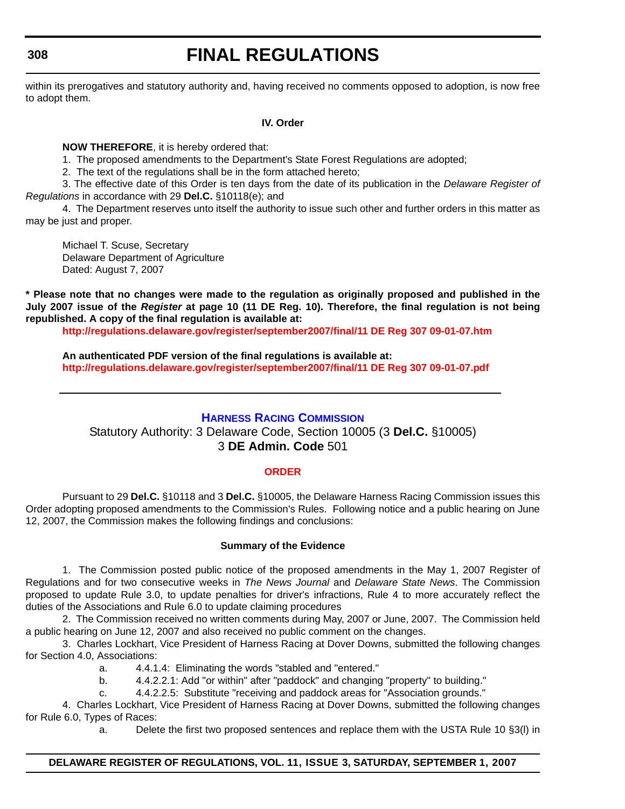# **FINAL REGULATIONS**

within its prerogatives and statutory authority and, having received no comments opposed to adoption, is now free to adopt them.

### **IV. Order**

**NOW THEREFORE**, it is hereby ordered that:

1. The proposed amendments to the Department's State Forest Regulations are adopted;

2. The text of the regulations shall be in the form attached hereto;

3. The effective date of this Order is ten days from the date of its publication in the *Delaware Register of Regulations* in accordance with 29 **Del.C.** §10118(e); and

4. The Department reserves unto itself the authority to issue such other and further orders in this matter as may be just and proper.

Michael T. Scuse, Secretary Delaware Department of Agriculture Dated: August 7, 2007

**\* Please note that no changes were made to the regulation as originally proposed and published in the July 2007 issue of the** *Register* **at page 10 (11 DE Reg. 10). Therefore, the final regulation is not being republished. A copy of the final regulation is available at:**

**<http://regulations.delaware.gov/register/september2007/final/11 DE Reg 307 09-01-07.htm>**

**An authenticated PDF version of the final regulations is available at: <http://regulations.delaware.gov/register/september2007/final/11 DE Reg 307 09-01-07.pdf>**

# **HARNESS RACING COMMISSION**

Statutory Authority: 3 Delaware Code, Section 10005 (3 **Del.C.** §10005) 3 **DE Admin. Code** 501

# **[ORDER](#page-3-0)**

Pursuant to 29 **Del.C.** §10118 and 3 **Del.C.** §10005, the Delaware Harness Racing Commission issues this Order adopting proposed amendments to the Commission's Rules. Following notice and a public hearing on June 12, 2007, the Commission makes the following findings and conclusions:

### **Summary of the Evidence**

1. The Commission posted public notice of the proposed amendments in the May 1, 2007 Register of Regulations and for two consecutive weeks in *The News Journal* and *Delaware State News*. The Commission proposed to update Rule 3.0, to update penalties for driver's infractions, Rule 4 to more accurately reflect the duties of the Associations and Rule 6.0 to update claiming procedures

2. The Commission received no written comments during May, 2007 or June, 2007. The Commission held a public hearing on June 12, 2007 and also received no public comment on the changes.

3. Charles Lockhart, Vice President of Harness Racing at Dover Downs, submitted the following changes for Section 4.0, Associations:

- a. 4.4.1.4: Eliminating the words "stabled and "entered."
- b. 4.4.2.2.1: Add "or within" after "paddock" and changing "property" to building."
- c. 4.4.2.2.5: Substitute "receiving and paddock areas for "Association grounds."

4. Charles Lockhart, Vice President of Harness Racing at Dover Downs, submitted the following changes for Rule 6.0, Types of Races:

a. Delete the first two proposed sentences and replace them with the USTA Rule 10 §3(l) in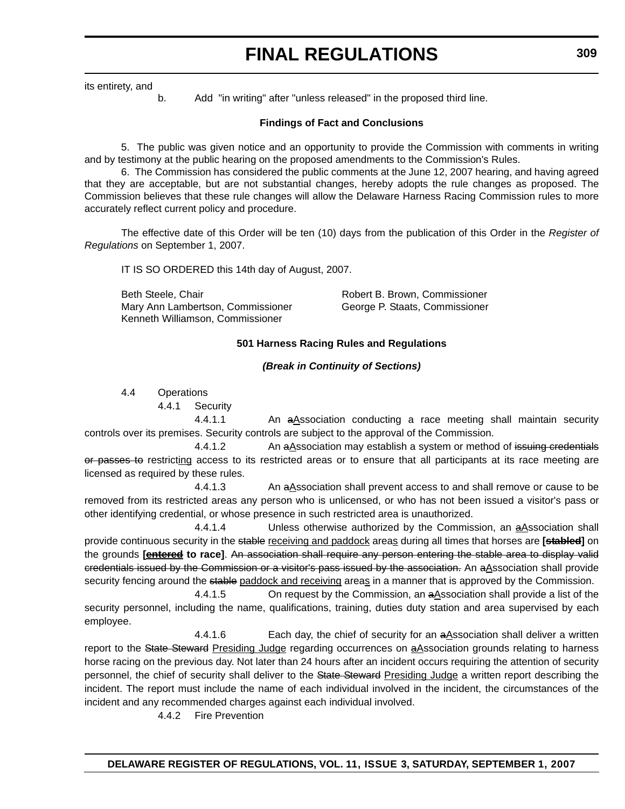# **FINAL REGULATIONS**

its entirety, and

b. Add "in writing" after "unless released" in the proposed third line.

### **Findings of Fact and Conclusions**

5. The public was given notice and an opportunity to provide the Commission with comments in writing and by testimony at the public hearing on the proposed amendments to the Commission's Rules.

6. The Commission has considered the public comments at the June 12, 2007 hearing, and having agreed that they are acceptable, but are not substantial changes, hereby adopts the rule changes as proposed. The Commission believes that these rule changes will allow the Delaware Harness Racing Commission rules to more accurately reflect current policy and procedure.

The effective date of this Order will be ten (10) days from the publication of this Order in the *Register of Regulations* on September 1, 2007.

IT IS SO ORDERED this 14th day of August, 2007.

Beth Steele, Chair **Robert B. Brown, Commissioner** Mary Ann Lambertson, Commissioner George P. Staats, Commissioner Kenneth Williamson, Commissioner

### **501 Harness Racing Rules and Regulations**

### *(Break in Continuity of Sections)*

4.4 Operations

4.4.1 Security

4.4.1.1 An aAssociation conducting a race meeting shall maintain security controls over its premises. Security controls are subject to the approval of the Commission.

4.4.1.2 An a Association may establish a system or method of issuing credentials or passes to restricting access to its restricted areas or to ensure that all participants at its race meeting are licensed as required by these rules.

4.4.1.3 An aAssociation shall prevent access to and shall remove or cause to be removed from its restricted areas any person who is unlicensed, or who has not been issued a visitor's pass or other identifying credential, or whose presence in such restricted area is unauthorized.

4.4.1.4 Unless otherwise authorized by the Commission, an aAssociation shall provide continuous security in the stable receiving and paddock areas during all times that horses are **[stabled]** on the grounds **[entered to race]**. An association shall require any person entering the stable area to display valid eredentials issued by the Commission or a visitor's pass issued by the association. An aAssociation shall provide security fencing around the stable paddock and receiving areas in a manner that is approved by the Commission.

4.4.1.5 On request by the Commission, an aAssociation shall provide a list of the security personnel, including the name, qualifications, training, duties duty station and area supervised by each employee.

4.4.1.6 Each day, the chief of security for an aAssociation shall deliver a written report to the State Steward Presiding Judge regarding occurrences on aAssociation grounds relating to harness horse racing on the previous day. Not later than 24 hours after an incident occurs requiring the attention of security personnel, the chief of security shall deliver to the State Steward Presiding Judge a written report describing the incident. The report must include the name of each individual involved in the incident, the circumstances of the incident and any recommended charges against each individual involved.

4.4.2 Fire Prevention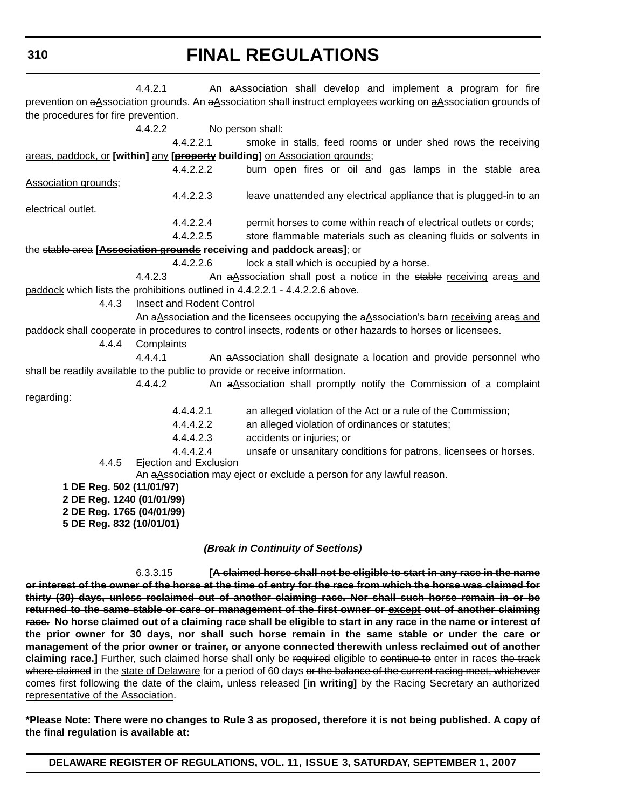# **FINAL REGULATIONS**

|                                                       | 4.4.2.1                       | An aAssociation shall develop and implement a program for fire                                                  |  |  |  |  |
|-------------------------------------------------------|-------------------------------|-----------------------------------------------------------------------------------------------------------------|--|--|--|--|
|                                                       |                               | prevention on aAssociation grounds. An aAssociation shall instruct employees working on aAssociation grounds of |  |  |  |  |
| the procedures for fire prevention.                   |                               |                                                                                                                 |  |  |  |  |
|                                                       | 4.4.2.2                       | No person shall:                                                                                                |  |  |  |  |
|                                                       | 4.4.2.2.1                     | smoke in stalls, feed rooms or under shed rows the receiving                                                    |  |  |  |  |
|                                                       |                               | areas, paddock, or [within] any [ <b>property</b> building] on Association grounds;                             |  |  |  |  |
|                                                       | 4.4.2.2.2                     | burn open fires or oil and gas lamps in the stable area                                                         |  |  |  |  |
| Association grounds;                                  |                               |                                                                                                                 |  |  |  |  |
|                                                       | 4.4.2.2.3                     | leave unattended any electrical appliance that is plugged-in to an                                              |  |  |  |  |
| electrical outlet.                                    |                               |                                                                                                                 |  |  |  |  |
|                                                       | 4.4.2.2.4                     | permit horses to come within reach of electrical outlets or cords;                                              |  |  |  |  |
|                                                       | 4.4.2.2.5                     | store flammable materials such as cleaning fluids or solvents in                                                |  |  |  |  |
|                                                       |                               | the stable area [Association grounds receiving and paddock areas]; or                                           |  |  |  |  |
|                                                       | 4.4.2.2.6                     | lock a stall which is occupied by a horse.                                                                      |  |  |  |  |
|                                                       | 4.4.2.3                       | An aAssociation shall post a notice in the stable receiving areas and                                           |  |  |  |  |
|                                                       |                               | paddock which lists the prohibitions outlined in 4.4.2.2.1 - 4.4.2.2.6 above.                                   |  |  |  |  |
| 4.4.3                                                 | Insect and Rodent Control     |                                                                                                                 |  |  |  |  |
|                                                       |                               | An aAssociation and the licensees occupying the aAssociation's barn receiving areas and                         |  |  |  |  |
|                                                       |                               | paddock shall cooperate in procedures to control insects, rodents or other hazards to horses or licensees.      |  |  |  |  |
| 4.4.4                                                 | Complaints                    |                                                                                                                 |  |  |  |  |
|                                                       | 4.4.4.1                       | An aAssociation shall designate a location and provide personnel who                                            |  |  |  |  |
|                                                       |                               | shall be readily available to the public to provide or receive information.                                     |  |  |  |  |
|                                                       | 4.4.4.2                       | An aAssociation shall promptly notify the Commission of a complaint                                             |  |  |  |  |
| regarding:                                            |                               |                                                                                                                 |  |  |  |  |
|                                                       | 4.4.4.2.1                     | an alleged violation of the Act or a rule of the Commission;                                                    |  |  |  |  |
|                                                       | 4.4.4.2.2                     | an alleged violation of ordinances or statutes;                                                                 |  |  |  |  |
|                                                       | 4.4.4.2.3                     | accidents or injuries; or                                                                                       |  |  |  |  |
|                                                       | 4.4.4.2.4                     | unsafe or unsanitary conditions for patrons, licensees or horses.                                               |  |  |  |  |
| 4.4.5                                                 | <b>Ejection and Exclusion</b> |                                                                                                                 |  |  |  |  |
|                                                       |                               | An aAssociation may eject or exclude a person for any lawful reason.                                            |  |  |  |  |
| 1 DE Reg. 502 (11/01/97)<br>2 DE Reg. 1240 (01/01/99) |                               |                                                                                                                 |  |  |  |  |
| 2 DE Reg. 1765 (04/01/99)                             |                               |                                                                                                                 |  |  |  |  |
| 5 DE Reg. 832 (10/01/01)                              |                               |                                                                                                                 |  |  |  |  |
|                                                       |                               |                                                                                                                 |  |  |  |  |
| (Break in Continuity of Sections)                     |                               |                                                                                                                 |  |  |  |  |

6.3.3.15 **[A claimed horse shall not be eligible to start in any race in the name or interest of the owner of the horse at the time of entry for the race from which the horse was claimed for thirty (30) days, unless reclaimed out of another claiming race. Nor shall such horse remain in or be returned to the same stable or care or management of the first owner or except out of another claiming race. No horse claimed out of a claiming race shall be eligible to start in any race in the name or interest of the prior owner for 30 days, nor shall such horse remain in the same stable or under the care or management of the prior owner or trainer, or anyone connected therewith unless reclaimed out of another** claiming race.] Further, such claimed horse shall only be required eligible to continue to enter in races the track where claimed in the state of Delaware for a period of 60 days or the balance of the current racing meet, whichever comes first following the date of the claim, unless released **[in writing]** by the Racing Secretary an authorized representative of the Association.

**\*Please Note: There were no changes to Rule 3 as proposed, therefore it is not being published. A copy of the final regulation is available at:**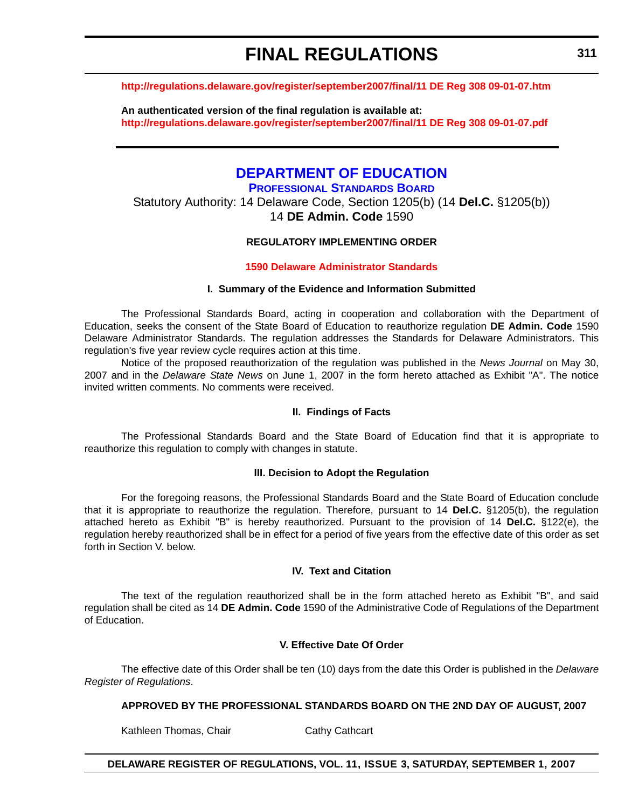# **FINAL REGULATIONS**

### **<http://regulations.delaware.gov/register/september2007/final/11 DE Reg 308 09-01-07.htm>**

**An authenticated version of the final regulation is available at: <http://regulations.delaware.gov/register/september2007/final/11 DE Reg 308 09-01-07.pdf>**

# **DEPARTMENT OF EDUCATION**

**PROFESSIONAL STANDARDS BOARD** Statutory Authority: 14 Delaware Code, Section 1205(b) (14 **Del.C.** §1205(b)) 14 **DE Admin. Code** 1590

### **REGULATORY IMPLEMENTING ORDER**

### **[1590 Delaware Administrator Standards](#page-4-0)**

### **I. Summary of the Evidence and Information Submitted**

The Professional Standards Board, acting in cooperation and collaboration with the Department of Education, seeks the consent of the State Board of Education to reauthorize regulation **DE Admin. Code** 1590 Delaware Administrator Standards. The regulation addresses the Standards for Delaware Administrators. This regulation's five year review cycle requires action at this time.

Notice of the proposed reauthorization of the regulation was published in the *News Journal* on May 30, 2007 and in the *Delaware State News* on June 1, 2007 in the form hereto attached as Exhibit "A". The notice invited written comments. No comments were received.

### **II. Findings of Facts**

The Professional Standards Board and the State Board of Education find that it is appropriate to reauthorize this regulation to comply with changes in statute.

### **III. Decision to Adopt the Regulation**

For the foregoing reasons, the Professional Standards Board and the State Board of Education conclude that it is appropriate to reauthorize the regulation. Therefore, pursuant to 14 **Del.C.** §1205(b), the regulation attached hereto as Exhibit "B" is hereby reauthorized. Pursuant to the provision of 14 **Del.C.** §122(e), the regulation hereby reauthorized shall be in effect for a period of five years from the effective date of this order as set forth in Section V. below.

### **IV. Text and Citation**

The text of the regulation reauthorized shall be in the form attached hereto as Exhibit "B", and said regulation shall be cited as 14 **DE Admin. Code** 1590 of the Administrative Code of Regulations of the Department of Education.

### **V. Effective Date Of Order**

The effective date of this Order shall be ten (10) days from the date this Order is published in the *Delaware Register of Regulations*.

### **APPROVED BY THE PROFESSIONAL STANDARDS BOARD ON THE 2ND DAY OF AUGUST, 2007**

Kathleen Thomas, Chair Cathy Cathcart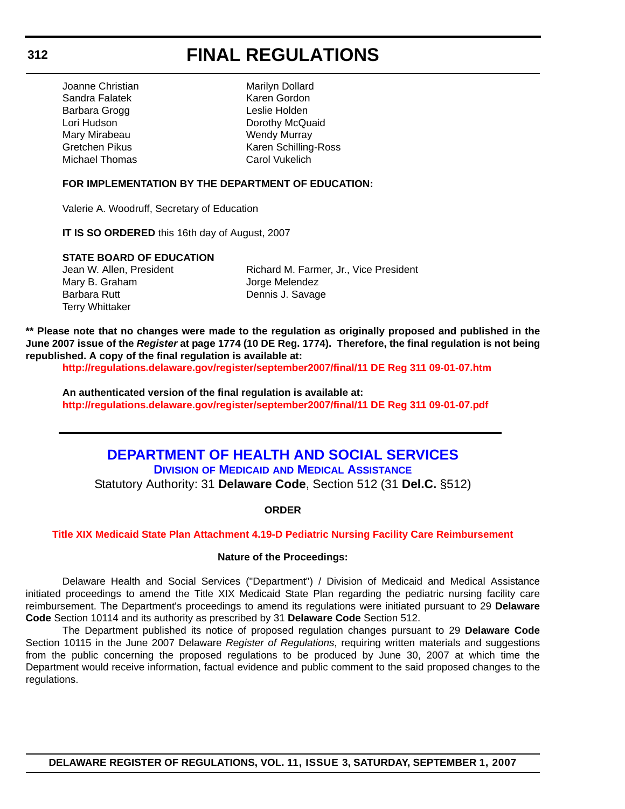# **FINAL REGULATIONS**

Joanne Christian Marilyn Dollard Sandra Falatek Karen Gordon Barbara Grogg **Leslie Holden** Mary Mirabeau **Wendy Murray** Michael Thomas Carol Vukelich

Lori Hudson **Dorothy McQuaid** Gretchen Pikus Karen Schilling-Ross

### **FOR IMPLEMENTATION BY THE DEPARTMENT OF EDUCATION:**

Valerie A. Woodruff, Secretary of Education

**IT IS SO ORDERED** this 16th day of August, 2007

#### **STATE BOARD OF EDUCATION**

Mary B. Graham Jorge Melendez Barbara Rutt **Dennis J. Savage** Terry Whittaker

Jean W. Allen, President **Richard M. Farmer, Jr., Vice President** 

**\*\* Please note that no changes were made to the regulation as originally proposed and published in the June 2007 issue of the** *Register* **at page 1774 (10 DE Reg. 1774). Therefore, the final regulation is not being republished. A copy of the final regulation is available at:**

**<http://regulations.delaware.gov/register/september2007/final/11 DE Reg 311 09-01-07.htm>**

**An authenticated version of the final regulation is available at: <http://regulations.delaware.gov/register/september2007/final/11 DE Reg 311 09-01-07.pdf>**

# **DEPARTMENT OF HEALTH AND SOCIAL SERVICES**

**DIVISION OF MEDICAID AND MEDICAL ASSISTANCE** Statutory Authority: 31 **Delaware Code**, Section 512 (31 **Del.C.** §512)

**ORDER**

### **[Title XIX Medicaid State Plan Attachment 4.19-D Pediatric Nursing Facility Care Reimbursement](#page-4-0)**

### **Nature of the Proceedings:**

Delaware Health and Social Services ("Department") / Division of Medicaid and Medical Assistance initiated proceedings to amend the Title XIX Medicaid State Plan regarding the pediatric nursing facility care reimbursement. The Department's proceedings to amend its regulations were initiated pursuant to 29 **Delaware Code** Section 10114 and its authority as prescribed by 31 **Delaware Code** Section 512.

The Department published its notice of proposed regulation changes pursuant to 29 **Delaware Code** Section 10115 in the June 2007 Delaware *Register of Regulations*, requiring written materials and suggestions from the public concerning the proposed regulations to be produced by June 30, 2007 at which time the Department would receive information, factual evidence and public comment to the said proposed changes to the regulations.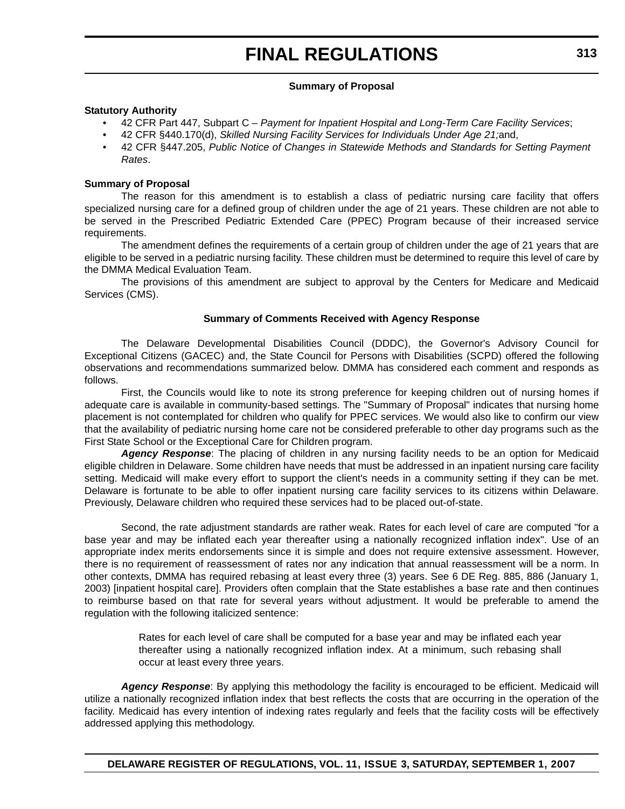## **Summary of Proposal**

### **Statutory Authority**

- 42 CFR Part 447, Subpart C *Payment for Inpatient Hospital and Long-Term Care Facility Services*;
- 42 CFR §440.170(d), *Skilled Nursing Facility Services for Individuals Under Age 21;*and,
- 42 CFR §447.205, *Public Notice of Changes in Statewide Methods and Standards for Setting Payment Rates*.

## **Summary of Proposal**

The reason for this amendment is to establish a class of pediatric nursing care facility that offers specialized nursing care for a defined group of children under the age of 21 years. These children are not able to be served in the Prescribed Pediatric Extended Care (PPEC) Program because of their increased service requirements.

The amendment defines the requirements of a certain group of children under the age of 21 years that are eligible to be served in a pediatric nursing facility. These children must be determined to require this level of care by the DMMA Medical Evaluation Team.

The provisions of this amendment are subject to approval by the Centers for Medicare and Medicaid Services (CMS).

## **Summary of Comments Received with Agency Response**

The Delaware Developmental Disabilities Council (DDDC), the Governor's Advisory Council for Exceptional Citizens (GACEC) and, the State Council for Persons with Disabilities (SCPD) offered the following observations and recommendations summarized below. DMMA has considered each comment and responds as follows.

First, the Councils would like to note its strong preference for keeping children out of nursing homes if adequate care is available in community-based settings. The "Summary of Proposal" indicates that nursing home placement is not contemplated for children who qualify for PPEC services. We would also like to confirm our view that the availability of pediatric nursing home care not be considered preferable to other day programs such as the First State School or the Exceptional Care for Children program.

*Agency Response*: The placing of children in any nursing facility needs to be an option for Medicaid eligible children in Delaware. Some children have needs that must be addressed in an inpatient nursing care facility setting. Medicaid will make every effort to support the client's needs in a community setting if they can be met. Delaware is fortunate to be able to offer inpatient nursing care facility services to its citizens within Delaware. Previously, Delaware children who required these services had to be placed out-of-state.

Second, the rate adjustment standards are rather weak. Rates for each level of care are computed "for a base year and may be inflated each year thereafter using a nationally recognized inflation index". Use of an appropriate index merits endorsements since it is simple and does not require extensive assessment. However, there is no requirement of reassessment of rates nor any indication that annual reassessment will be a norm. In other contexts, DMMA has required rebasing at least every three (3) years. See 6 DE Reg. 885, 886 (January 1, 2003) [inpatient hospital care]. Providers often complain that the State establishes a base rate and then continues to reimburse based on that rate for several years without adjustment. It would be preferable to amend the regulation with the following italicized sentence:

> Rates for each level of care shall be computed for a base year and may be inflated each year thereafter using a nationally recognized inflation index. At a minimum, such rebasing shall occur at least every three years.

*Agency Response*: By applying this methodology the facility is encouraged to be efficient. Medicaid will utilize a nationally recognized inflation index that best reflects the costs that are occurring in the operation of the facility. Medicaid has every intention of indexing rates regularly and feels that the facility costs will be effectively addressed applying this methodology.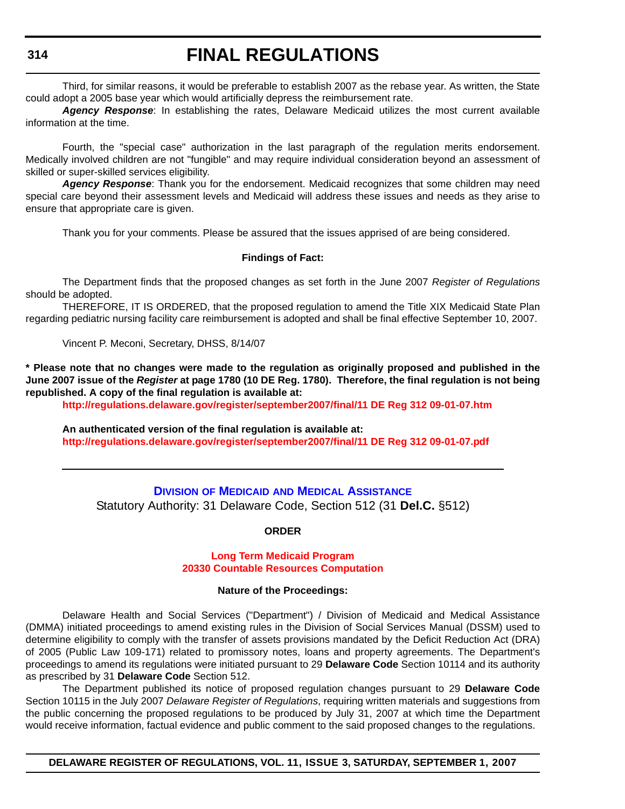Third, for similar reasons, it would be preferable to establish 2007 as the rebase year. As written, the State could adopt a 2005 base year which would artificially depress the reimbursement rate.

*Agency Response*: In establishing the rates, Delaware Medicaid utilizes the most current available information at the time.

Fourth, the "special case" authorization in the last paragraph of the regulation merits endorsement. Medically involved children are not "fungible" and may require individual consideration beyond an assessment of skilled or super-skilled services eligibility.

*Agency Response*: Thank you for the endorsement. Medicaid recognizes that some children may need special care beyond their assessment levels and Medicaid will address these issues and needs as they arise to ensure that appropriate care is given.

Thank you for your comments. Please be assured that the issues apprised of are being considered.

#### **Findings of Fact:**

The Department finds that the proposed changes as set forth in the June 2007 *Register of Regulations* should be adopted.

THEREFORE, IT IS ORDERED, that the proposed regulation to amend the Title XIX Medicaid State Plan regarding pediatric nursing facility care reimbursement is adopted and shall be final effective September 10, 2007.

Vincent P. Meconi, Secretary, DHSS, 8/14/07

**\* Please note that no changes were made to the regulation as originally proposed and published in the June 2007 issue of the** *Register* **at page 1780 (10 DE Reg. 1780). Therefore, the final regulation is not being republished. A copy of the final regulation is available at:**

**<http://regulations.delaware.gov/register/september2007/final/11 DE Reg 312 09-01-07.htm>**

**An authenticated version of the final regulation is available at: <http://regulations.delaware.gov/register/september2007/final/11 DE Reg 312 09-01-07.pdf>**

# **DIVISION OF MEDICAID AND MEDICAL ASSISTANCE** Statutory Authority: 31 Delaware Code, Section 512 (31 **Del.C.** §512)

#### **ORDER**

#### **Long Term Medicaid Program [20330 Countable Resources Computation](#page-4-0)**

#### **Nature of the Proceedings:**

Delaware Health and Social Services ("Department") / Division of Medicaid and Medical Assistance (DMMA) initiated proceedings to amend existing rules in the Division of Social Services Manual (DSSM) used to determine eligibility to comply with the transfer of assets provisions mandated by the Deficit Reduction Act (DRA) of 2005 (Public Law 109-171) related to promissory notes, loans and property agreements. The Department's proceedings to amend its regulations were initiated pursuant to 29 **Delaware Code** Section 10114 and its authority as prescribed by 31 **Delaware Code** Section 512.

The Department published its notice of proposed regulation changes pursuant to 29 **Delaware Code** Section 10115 in the July 2007 *Delaware Register of Regulations*, requiring written materials and suggestions from the public concerning the proposed regulations to be produced by July 31, 2007 at which time the Department would receive information, factual evidence and public comment to the said proposed changes to the regulations.

**DELAWARE REGISTER OF REGULATIONS, VOL. 11, ISSUE 3, SATURDAY, SEPTEMBER 1, 2007**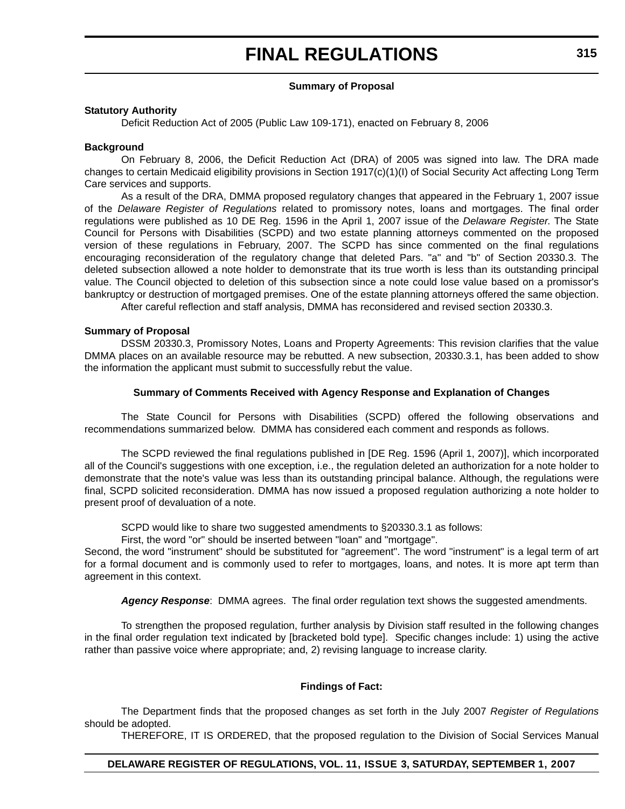#### **Summary of Proposal**

#### **Statutory Authority**

Deficit Reduction Act of 2005 (Public Law 109-171), enacted on February 8, 2006

#### **Background**

On February 8, 2006, the Deficit Reduction Act (DRA) of 2005 was signed into law. The DRA made changes to certain Medicaid eligibility provisions in Section 1917(c)(1)(I) of Social Security Act affecting Long Term Care services and supports.

As a result of the DRA, DMMA proposed regulatory changes that appeared in the February 1, 2007 issue of the *Delaware Register of Regulations* related to promissory notes, loans and mortgages. The final order regulations were published as 10 DE Reg. 1596 in the April 1, 2007 issue of the *Delaware Register*. The State Council for Persons with Disabilities (SCPD) and two estate planning attorneys commented on the proposed version of these regulations in February, 2007. The SCPD has since commented on the final regulations encouraging reconsideration of the regulatory change that deleted Pars. "a" and "b" of Section 20330.3. The deleted subsection allowed a note holder to demonstrate that its true worth is less than its outstanding principal value. The Council objected to deletion of this subsection since a note could lose value based on a promissor's bankruptcy or destruction of mortgaged premises. One of the estate planning attorneys offered the same objection.

After careful reflection and staff analysis, DMMA has reconsidered and revised section 20330.3.

#### **Summary of Proposal**

DSSM 20330.3, Promissory Notes, Loans and Property Agreements: This revision clarifies that the value DMMA places on an available resource may be rebutted. A new subsection, 20330.3.1, has been added to show the information the applicant must submit to successfully rebut the value.

#### **Summary of Comments Received with Agency Response and Explanation of Changes**

The State Council for Persons with Disabilities (SCPD) offered the following observations and recommendations summarized below. DMMA has considered each comment and responds as follows.

The SCPD reviewed the final regulations published in [DE Reg. 1596 (April 1, 2007)], which incorporated all of the Council's suggestions with one exception, i.e., the regulation deleted an authorization for a note holder to demonstrate that the note's value was less than its outstanding principal balance. Although, the regulations were final, SCPD solicited reconsideration. DMMA has now issued a proposed regulation authorizing a note holder to present proof of devaluation of a note.

SCPD would like to share two suggested amendments to §20330.3.1 as follows:

First, the word "or" should be inserted between "loan" and "mortgage".

Second, the word "instrument" should be substituted for "agreement". The word "instrument" is a legal term of art for a formal document and is commonly used to refer to mortgages, loans, and notes. It is more apt term than agreement in this context.

*Agency Response*: DMMA agrees. The final order regulation text shows the suggested amendments.

To strengthen the proposed regulation, further analysis by Division staff resulted in the following changes in the final order regulation text indicated by [bracketed bold type]. Specific changes include: 1) using the active rather than passive voice where appropriate; and, 2) revising language to increase clarity.

#### **Findings of Fact:**

The Department finds that the proposed changes as set forth in the July 2007 *Register of Regulations* should be adopted.

THEREFORE, IT IS ORDERED, that the proposed regulation to the Division of Social Services Manual

## **DELAWARE REGISTER OF REGULATIONS, VOL. 11, ISSUE 3, SATURDAY, SEPTEMBER 1, 2007**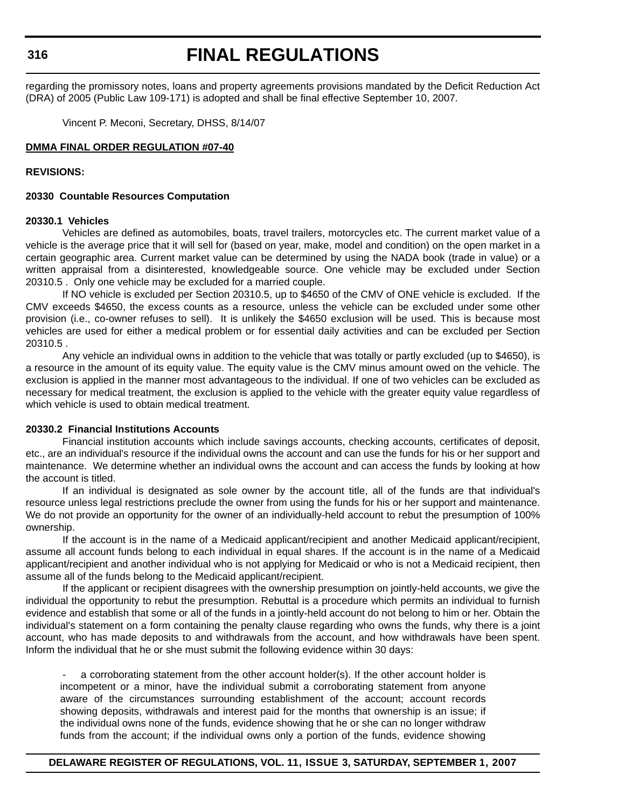# **FINAL REGULATIONS**

regarding the promissory notes, loans and property agreements provisions mandated by the Deficit Reduction Act (DRA) of 2005 (Public Law 109-171) is adopted and shall be final effective September 10, 2007.

Vincent P. Meconi, Secretary, DHSS, 8/14/07

### **DMMA FINAL ORDER REGULATION #07-40**

### **REVISIONS:**

### **20330 Countable Resources Computation**

#### **20330.1 Vehicles**

Vehicles are defined as automobiles, boats, travel trailers, motorcycles etc. The current market value of a vehicle is the average price that it will sell for (based on year, make, model and condition) on the open market in a certain geographic area. Current market value can be determined by using the NADA book (trade in value) or a written appraisal from a disinterested, knowledgeable source. One vehicle may be excluded under Section 20310.5 . Only one vehicle may be excluded for a married couple.

If NO vehicle is excluded per Section 20310.5, up to \$4650 of the CMV of ONE vehicle is excluded. If the CMV exceeds \$4650, the excess counts as a resource, unless the vehicle can be excluded under some other provision (i.e., co-owner refuses to sell). It is unlikely the \$4650 exclusion will be used. This is because most vehicles are used for either a medical problem or for essential daily activities and can be excluded per Section 20310.5 .

Any vehicle an individual owns in addition to the vehicle that was totally or partly excluded (up to \$4650), is a resource in the amount of its equity value. The equity value is the CMV minus amount owed on the vehicle. The exclusion is applied in the manner most advantageous to the individual. If one of two vehicles can be excluded as necessary for medical treatment, the exclusion is applied to the vehicle with the greater equity value regardless of which vehicle is used to obtain medical treatment.

#### **20330.2 Financial Institutions Accounts**

Financial institution accounts which include savings accounts, checking accounts, certificates of deposit, etc., are an individual's resource if the individual owns the account and can use the funds for his or her support and maintenance. We determine whether an individual owns the account and can access the funds by looking at how the account is titled.

If an individual is designated as sole owner by the account title, all of the funds are that individual's resource unless legal restrictions preclude the owner from using the funds for his or her support and maintenance. We do not provide an opportunity for the owner of an individually-held account to rebut the presumption of 100% ownership.

If the account is in the name of a Medicaid applicant/recipient and another Medicaid applicant/recipient, assume all account funds belong to each individual in equal shares. If the account is in the name of a Medicaid applicant/recipient and another individual who is not applying for Medicaid or who is not a Medicaid recipient, then assume all of the funds belong to the Medicaid applicant/recipient.

If the applicant or recipient disagrees with the ownership presumption on jointly-held accounts, we give the individual the opportunity to rebut the presumption. Rebuttal is a procedure which permits an individual to furnish evidence and establish that some or all of the funds in a jointly-held account do not belong to him or her. Obtain the individual's statement on a form containing the penalty clause regarding who owns the funds, why there is a joint account, who has made deposits to and withdrawals from the account, and how withdrawals have been spent. Inform the individual that he or she must submit the following evidence within 30 days:

a corroborating statement from the other account holder(s). If the other account holder is incompetent or a minor, have the individual submit a corroborating statement from anyone aware of the circumstances surrounding establishment of the account; account records showing deposits, withdrawals and interest paid for the months that ownership is an issue; if the individual owns none of the funds, evidence showing that he or she can no longer withdraw funds from the account; if the individual owns only a portion of the funds, evidence showing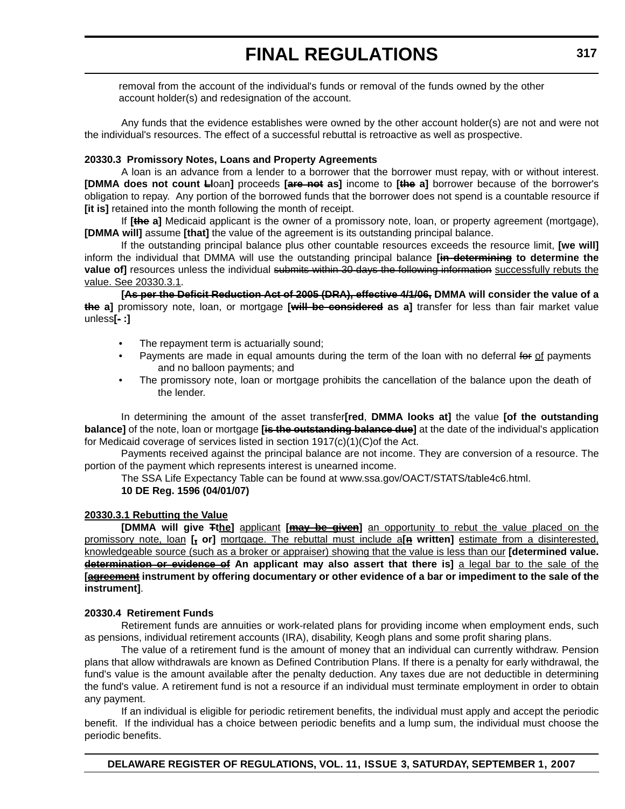removal from the account of the individual's funds or removal of the funds owned by the other account holder(s) and redesignation of the account.

Any funds that the evidence establishes were owned by the other account holder(s) are not and were not the individual's resources. The effect of a successful rebuttal is retroactive as well as prospective.

## **20330.3 Promissory Notes, Loans and Property Agreements**

A loan is an advance from a lender to a borrower that the borrower must repay, with or without interest. **[DMMA does not count Ll**oan**]** proceeds **[are not as]** income to **[the a]** borrower because of the borrower's obligation to repay. Any portion of the borrowed funds that the borrower does not spend is a countable resource if **[it is]** retained into the month following the month of receipt.

If **[the a]** Medicaid applicant is the owner of a promissory note, loan, or property agreement (mortgage), **[DMMA will]** assume **[that]** the value of the agreement is its outstanding principal balance.

If the outstanding principal balance plus other countable resources exceeds the resource limit, **[we will]** inform the individual that DMMA will use the outstanding principal balance **[in determining to determine the value of]** resources unless the individual submits within 30 days the following information successfully rebuts the value. See 20330.3.1.

**[As per the Deficit Reduction Act of 2005 (DRA), effective 4/1/06, DMMA will consider the value of a the a]** promissory note, loan, or mortgage **[will be considered as a]** transfer for less than fair market value unless**[**- **:]**

- The repayment term is actuarially sound;
- Payments are made in equal amounts during the term of the loan with no deferral for of payments and no balloon payments; and
- The promissory note, loan or mortgage prohibits the cancellation of the balance upon the death of the lender.

In determining the amount of the asset transfer**[red**, **DMMA looks at]** the value **[of the outstanding balance]** of the note, loan or mortgage **[is the outstanding balance due]** at the date of the individual's application for Medicaid coverage of services listed in section 1917(c)(1)(C)of the Act.

Payments received against the principal balance are not income. They are conversion of a resource. The portion of the payment which represents interest is unearned income.

The SSA Life Expectancy Table can be found at www.ssa.gov/OACT/STATS/table4c6.html.

# **10 DE Reg. 1596 (04/01/07)**

# **20330.3.1 Rebutting the Value**

**[DMMA will give Tthe]** applicant **[may be given]** an opportunity to rebut the value placed on the promissory note, loan **[, or]** mortgage. The rebuttal must include a**[n written]** estimate from a disinterested, knowledgeable source (such as a broker or appraiser) showing that the value is less than our **[determined value. determination or evidence of An applicant may also assert that there is]** a legal bar to the sale of the **[agreement instrument by offering documentary or other evidence of a bar or impediment to the sale of the instrument]**.

# **20330.4 Retirement Funds**

Retirement funds are annuities or work-related plans for providing income when employment ends, such as pensions, individual retirement accounts (IRA), disability, Keogh plans and some profit sharing plans.

The value of a retirement fund is the amount of money that an individual can currently withdraw. Pension plans that allow withdrawals are known as Defined Contribution Plans. If there is a penalty for early withdrawal, the fund's value is the amount available after the penalty deduction. Any taxes due are not deductible in determining the fund's value. A retirement fund is not a resource if an individual must terminate employment in order to obtain any payment.

If an individual is eligible for periodic retirement benefits, the individual must apply and accept the periodic benefit. If the individual has a choice between periodic benefits and a lump sum, the individual must choose the periodic benefits.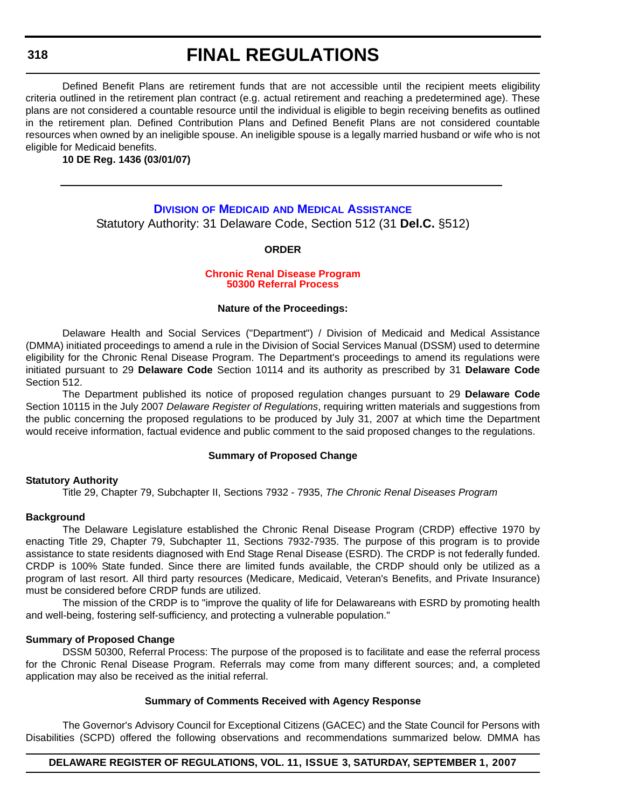# **FINAL REGULATIONS**

Defined Benefit Plans are retirement funds that are not accessible until the recipient meets eligibility criteria outlined in the retirement plan contract (e.g. actual retirement and reaching a predetermined age). These plans are not considered a countable resource until the individual is eligible to begin receiving benefits as outlined in the retirement plan. Defined Contribution Plans and Defined Benefit Plans are not considered countable resources when owned by an ineligible spouse. An ineligible spouse is a legally married husband or wife who is not eligible for Medicaid benefits.

**10 DE Reg. 1436 (03/01/07)**

# **DIVISION OF MEDICAID AND MEDICAL ASSISTANCE** Statutory Authority: 31 Delaware Code, Section 512 (31 **Del.C.** §512)

## **ORDER**

#### **[Chronic Renal Disease Program](#page-4-0) 50300 Referral Process**

#### **Nature of the Proceedings:**

Delaware Health and Social Services ("Department") / Division of Medicaid and Medical Assistance (DMMA) initiated proceedings to amend a rule in the Division of Social Services Manual (DSSM) used to determine eligibility for the Chronic Renal Disease Program. The Department's proceedings to amend its regulations were initiated pursuant to 29 **Delaware Code** Section 10114 and its authority as prescribed by 31 **Delaware Code** Section 512.

The Department published its notice of proposed regulation changes pursuant to 29 **Delaware Code** Section 10115 in the July 2007 *Delaware Register of Regulations*, requiring written materials and suggestions from the public concerning the proposed regulations to be produced by July 31, 2007 at which time the Department would receive information, factual evidence and public comment to the said proposed changes to the regulations.

#### **Summary of Proposed Change**

# **Statutory Authority**

Title 29, Chapter 79, Subchapter II, Sections 7932 - 7935, *The Chronic Renal Diseases Program*

# **Background**

The Delaware Legislature established the Chronic Renal Disease Program (CRDP) effective 1970 by enacting Title 29, Chapter 79, Subchapter 11, Sections 7932-7935. The purpose of this program is to provide assistance to state residents diagnosed with End Stage Renal Disease (ESRD). The CRDP is not federally funded. CRDP is 100% State funded. Since there are limited funds available, the CRDP should only be utilized as a program of last resort. All third party resources (Medicare, Medicaid, Veteran's Benefits, and Private Insurance) must be considered before CRDP funds are utilized.

The mission of the CRDP is to "improve the quality of life for Delawareans with ESRD by promoting health and well-being, fostering self-sufficiency, and protecting a vulnerable population."

### **Summary of Proposed Change**

DSSM 50300, Referral Process: The purpose of the proposed is to facilitate and ease the referral process for the Chronic Renal Disease Program. Referrals may come from many different sources; and, a completed application may also be received as the initial referral.

#### **Summary of Comments Received with Agency Response**

The Governor's Advisory Council for Exceptional Citizens (GACEC) and the State Council for Persons with Disabilities (SCPD) offered the following observations and recommendations summarized below. DMMA has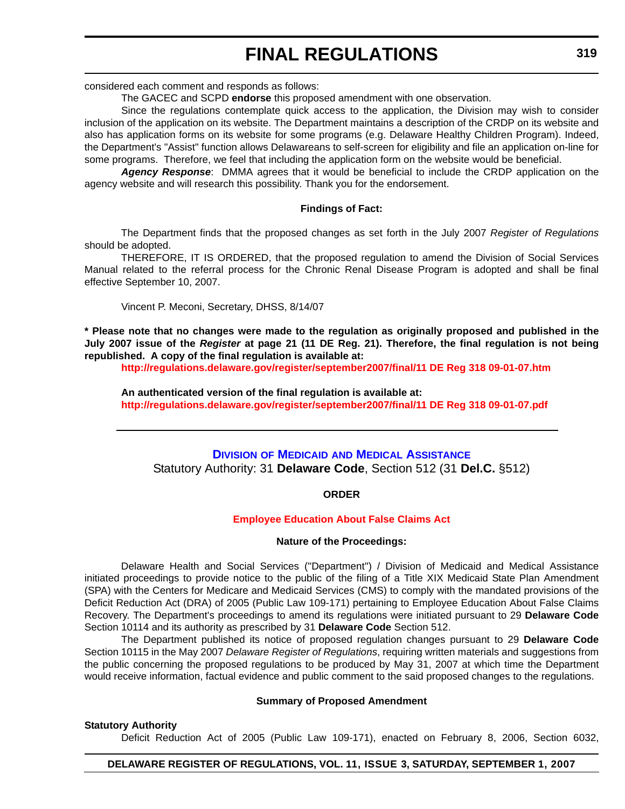considered each comment and responds as follows:

The GACEC and SCPD **endorse** this proposed amendment with one observation.

Since the regulations contemplate quick access to the application, the Division may wish to consider inclusion of the application on its website. The Department maintains a description of the CRDP on its website and also has application forms on its website for some programs (e.g. Delaware Healthy Children Program). Indeed, the Department's "Assist" function allows Delawareans to self-screen for eligibility and file an application on-line for some programs. Therefore, we feel that including the application form on the website would be beneficial.

*Agency Response*: DMMA agrees that it would be beneficial to include the CRDP application on the agency website and will research this possibility. Thank you for the endorsement.

#### **Findings of Fact:**

The Department finds that the proposed changes as set forth in the July 2007 *Register of Regulations* should be adopted.

THEREFORE, IT IS ORDERED, that the proposed regulation to amend the Division of Social Services Manual related to the referral process for the Chronic Renal Disease Program is adopted and shall be final effective September 10, 2007.

Vincent P. Meconi, Secretary, DHSS, 8/14/07

**\* Please note that no changes were made to the regulation as originally proposed and published in the July 2007 issue of the** *Register* **at page 21 (11 DE Reg. 21). Therefore, the final regulation is not being republished. A copy of the final regulation is available at:**

**<http://regulations.delaware.gov/register/september2007/final/11 DE Reg 318 09-01-07.htm>**

**An authenticated version of the final regulation is available at: <http://regulations.delaware.gov/register/september2007/final/11 DE Reg 318 09-01-07.pdf>**

# **DIVISION OF MEDICAID AND MEDICAL ASSISTANCE** Statutory Authority: 31 **Delaware Code**, Section 512 (31 **Del.C.** §512)

**ORDER**

#### **[Employee Education About False Claims Act](#page-4-0)**

#### **Nature of the Proceedings:**

Delaware Health and Social Services ("Department") / Division of Medicaid and Medical Assistance initiated proceedings to provide notice to the public of the filing of a Title XIX Medicaid State Plan Amendment (SPA) with the Centers for Medicare and Medicaid Services (CMS) to comply with the mandated provisions of the Deficit Reduction Act (DRA) of 2005 (Public Law 109-171) pertaining to Employee Education About False Claims Recovery. The Department's proceedings to amend its regulations were initiated pursuant to 29 **Delaware Code** Section 10114 and its authority as prescribed by 31 **Delaware Code** Section 512.

The Department published its notice of proposed regulation changes pursuant to 29 **Delaware Code** Section 10115 in the May 2007 *Delaware Register of Regulations*, requiring written materials and suggestions from the public concerning the proposed regulations to be produced by May 31, 2007 at which time the Department would receive information, factual evidence and public comment to the said proposed changes to the regulations.

### **Summary of Proposed Amendment**

**Statutory Authority**

Deficit Reduction Act of 2005 (Public Law 109-171), enacted on February 8, 2006, Section 6032,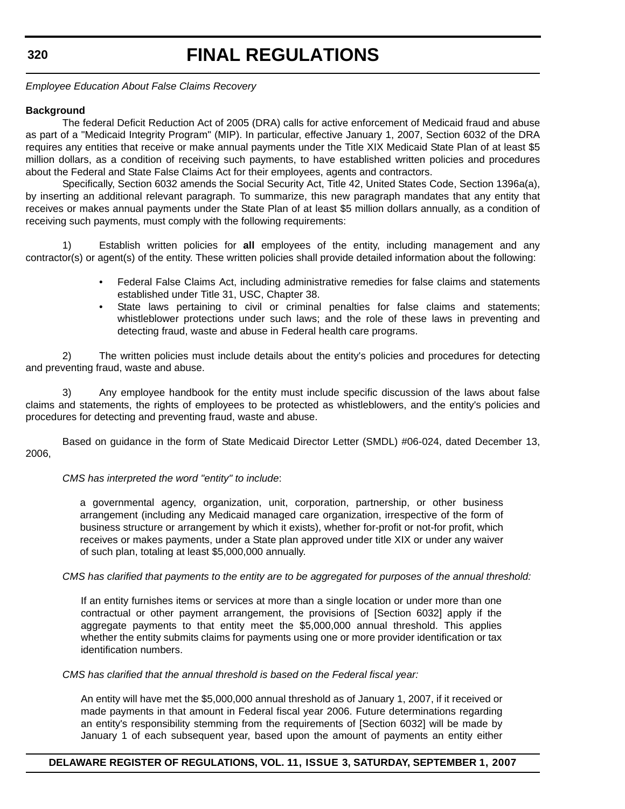# **FINAL REGULATIONS**

*Employee Education About False Claims Recovery*

## **Background**

The federal Deficit Reduction Act of 2005 (DRA) calls for active enforcement of Medicaid fraud and abuse as part of a "Medicaid Integrity Program" (MIP). In particular, effective January 1, 2007, Section 6032 of the DRA requires any entities that receive or make annual payments under the Title XIX Medicaid State Plan of at least \$5 million dollars, as a condition of receiving such payments, to have established written policies and procedures about the Federal and State False Claims Act for their employees, agents and contractors.

Specifically, Section 6032 amends the Social Security Act, Title 42, United States Code, Section 1396a(a), by inserting an additional relevant paragraph. To summarize, this new paragraph mandates that any entity that receives or makes annual payments under the State Plan of at least \$5 million dollars annually, as a condition of receiving such payments, must comply with the following requirements:

1) Establish written policies for **all** employees of the entity, including management and any contractor(s) or agent(s) of the entity. These written policies shall provide detailed information about the following:

- Federal False Claims Act, including administrative remedies for false claims and statements established under Title 31, USC, Chapter 38.
- State laws pertaining to civil or criminal penalties for false claims and statements; whistleblower protections under such laws; and the role of these laws in preventing and detecting fraud, waste and abuse in Federal health care programs.

2) The written policies must include details about the entity's policies and procedures for detecting and preventing fraud, waste and abuse.

3) Any employee handbook for the entity must include specific discussion of the laws about false claims and statements, the rights of employees to be protected as whistleblowers, and the entity's policies and procedures for detecting and preventing fraud, waste and abuse.

Based on guidance in the form of State Medicaid Director Letter (SMDL) #06-024, dated December 13, 2006,

#### *CMS has interpreted the word "entity" to include*:

a governmental agency, organization, unit, corporation, partnership, or other business arrangement (including any Medicaid managed care organization, irrespective of the form of business structure or arrangement by which it exists), whether for-profit or not-for profit, which receives or makes payments, under a State plan approved under title XIX or under any waiver of such plan, totaling at least \$5,000,000 annually.

#### *CMS has clarified that payments to the entity are to be aggregated for purposes of the annual threshold:*

If an entity furnishes items or services at more than a single location or under more than one contractual or other payment arrangement, the provisions of [Section 6032] apply if the aggregate payments to that entity meet the \$5,000,000 annual threshold. This applies whether the entity submits claims for payments using one or more provider identification or tax identification numbers.

*CMS has clarified that the annual threshold is based on the Federal fiscal year:*

An entity will have met the \$5,000,000 annual threshold as of January 1, 2007, if it received or made payments in that amount in Federal fiscal year 2006. Future determinations regarding an entity's responsibility stemming from the requirements of [Section 6032] will be made by January 1 of each subsequent year, based upon the amount of payments an entity either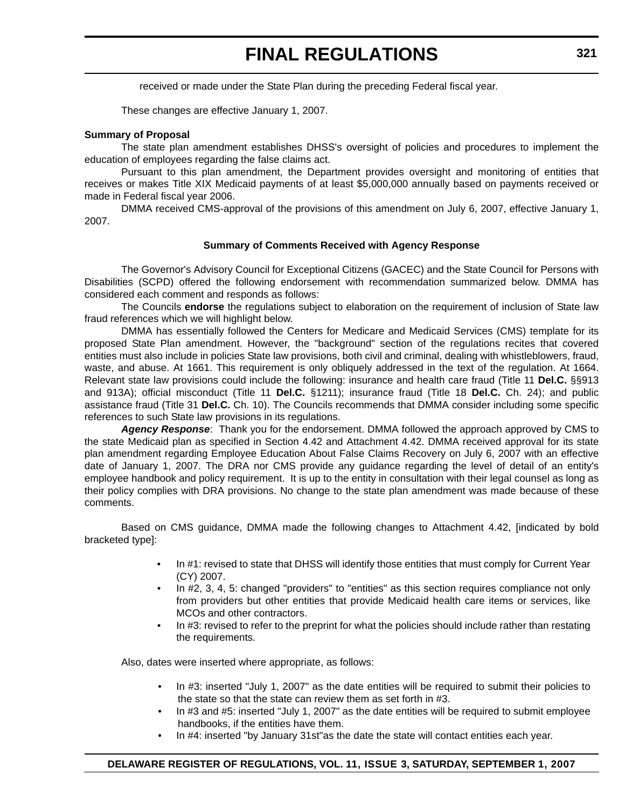received or made under the State Plan during the preceding Federal fiscal year.

These changes are effective January 1, 2007.

#### **Summary of Proposal**

The state plan amendment establishes DHSS's oversight of policies and procedures to implement the education of employees regarding the false claims act.

Pursuant to this plan amendment, the Department provides oversight and monitoring of entities that receives or makes Title XIX Medicaid payments of at least \$5,000,000 annually based on payments received or made in Federal fiscal year 2006.

DMMA received CMS-approval of the provisions of this amendment on July 6, 2007, effective January 1, 2007.

#### **Summary of Comments Received with Agency Response**

The Governor's Advisory Council for Exceptional Citizens (GACEC) and the State Council for Persons with Disabilities (SCPD) offered the following endorsement with recommendation summarized below. DMMA has considered each comment and responds as follows:

The Councils **endorse** the regulations subject to elaboration on the requirement of inclusion of State law fraud references which we will highlight below.

DMMA has essentially followed the Centers for Medicare and Medicaid Services (CMS) template for its proposed State Plan amendment. However, the "background" section of the regulations recites that covered entities must also include in policies State law provisions, both civil and criminal, dealing with whistleblowers, fraud, waste, and abuse. At 1661. This requirement is only obliquely addressed in the text of the regulation. At 1664. Relevant state law provisions could include the following: insurance and health care fraud (Title 11 **Del.C.** §§913 and 913A); official misconduct (Title 11 **Del.C.** §1211); insurance fraud (Title 18 **Del.C.** Ch. 24); and public assistance fraud (Title 31 **Del.C.** Ch. 10). The Councils recommends that DMMA consider including some specific references to such State law provisions in its regulations.

*Agency Response*: Thank you for the endorsement. DMMA followed the approach approved by CMS to the state Medicaid plan as specified in Section 4.42 and Attachment 4.42. DMMA received approval for its state plan amendment regarding Employee Education About False Claims Recovery on July 6, 2007 with an effective date of January 1, 2007. The DRA nor CMS provide any guidance regarding the level of detail of an entity's employee handbook and policy requirement. It is up to the entity in consultation with their legal counsel as long as their policy complies with DRA provisions. No change to the state plan amendment was made because of these comments.

Based on CMS guidance, DMMA made the following changes to Attachment 4.42, [indicated by bold bracketed type]:

- In #1: revised to state that DHSS will identify those entities that must comply for Current Year (CY) 2007.
- In #2, 3, 4, 5: changed "providers" to "entities" as this section requires compliance not only from providers but other entities that provide Medicaid health care items or services, like MCOs and other contractors.
- In #3: revised to refer to the preprint for what the policies should include rather than restating the requirements.

Also, dates were inserted where appropriate, as follows:

- In #3: inserted "July 1, 2007" as the date entities will be required to submit their policies to the state so that the state can review them as set forth in #3.
- In #3 and #5: inserted "July 1, 2007" as the date entities will be required to submit employee handbooks, if the entities have them.
- In #4: inserted "by January 31st"as the date the state will contact entities each year.

## **DELAWARE REGISTER OF REGULATIONS, VOL. 11, ISSUE 3, SATURDAY, SEPTEMBER 1, 2007**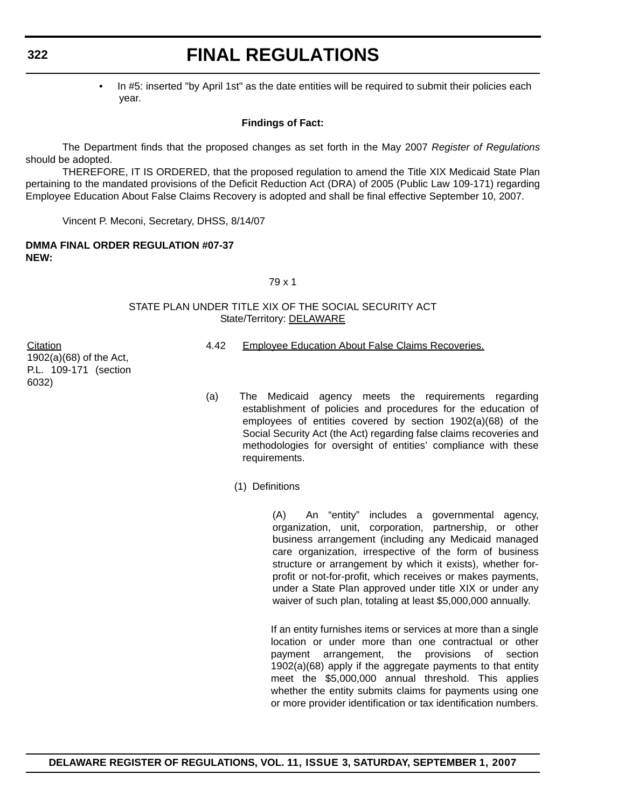# **FINAL REGULATIONS**

• In #5: inserted "by April 1st" as the date entities will be required to submit their policies each year.

# **Findings of Fact:**

The Department finds that the proposed changes as set forth in the May 2007 *Register of Regulations* should be adopted.

THEREFORE, IT IS ORDERED, that the proposed regulation to amend the Title XIX Medicaid State Plan pertaining to the mandated provisions of the Deficit Reduction Act (DRA) of 2005 (Public Law 109-171) regarding Employee Education About False Claims Recovery is adopted and shall be final effective September 10, 2007.

Vincent P. Meconi, Secretary, DHSS, 8/14/07

**DMMA FINAL ORDER REGULATION #07-37 NEW:**

#### 79 x 1

### STATE PLAN UNDER TITLE XIX OF THE SOCIAL SECURITY ACT State/Territory: DELAWARE

**Citation** 1902(a)(68) of the Act, P.L. 109-171 (section 6032)

- 4.42 Employee Education About False Claims Recoveries.
- (a) The Medicaid agency meets the requirements regarding establishment of policies and procedures for the education of employees of entities covered by section 1902(a)(68) of the Social Security Act (the Act) regarding false claims recoveries and methodologies for oversight of entities' compliance with these requirements.
	- (1) Definitions

(A) An "entity" includes a governmental agency, organization, unit, corporation, partnership, or other business arrangement (including any Medicaid managed care organization, irrespective of the form of business structure or arrangement by which it exists), whether forprofit or not-for-profit, which receives or makes payments, under a State Plan approved under title XIX or under any waiver of such plan, totaling at least \$5,000,000 annually.

If an entity furnishes items or services at more than a single location or under more than one contractual or other payment arrangement, the provisions of section 1902(a)(68) apply if the aggregate payments to that entity meet the \$5,000,000 annual threshold. This applies whether the entity submits claims for payments using one or more provider identification or tax identification numbers.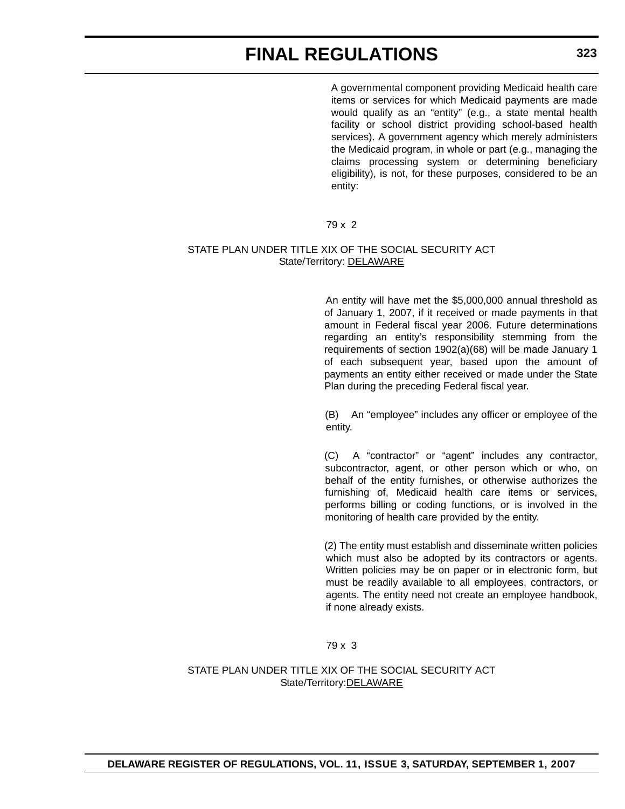A governmental component providing Medicaid health care items or services for which Medicaid payments are made would qualify as an "entity" (e.g., a state mental health facility or school district providing school-based health services). A government agency which merely administers the Medicaid program, in whole or part (e.g., managing the claims processing system or determining beneficiary eligibility), is not, for these purposes, considered to be an entity:

# 79 x 2

## STATE PLAN UNDER TITLE XIX OF THE SOCIAL SECURITY ACT State/Territory: DELAWARE

An entity will have met the \$5,000,000 annual threshold as of January 1, 2007, if it received or made payments in that amount in Federal fiscal year 2006. Future determinations regarding an entity's responsibility stemming from the requirements of section 1902(a)(68) will be made January 1 of each subsequent year, based upon the amount of payments an entity either received or made under the State Plan during the preceding Federal fiscal year.

(B) An "employee" includes any officer or employee of the entity.

(C) A "contractor" or "agent" includes any contractor, subcontractor, agent, or other person which or who, on behalf of the entity furnishes, or otherwise authorizes the furnishing of, Medicaid health care items or services, performs billing or coding functions, or is involved in the monitoring of health care provided by the entity.

(2) The entity must establish and disseminate written policies which must also be adopted by its contractors or agents. Written policies may be on paper or in electronic form, but must be readily available to all employees, contractors, or agents. The entity need not create an employee handbook, if none already exists.

79 x 3

STATE PLAN UNDER TITLE XIX OF THE SOCIAL SECURITY ACT State/Territory:DELAWARE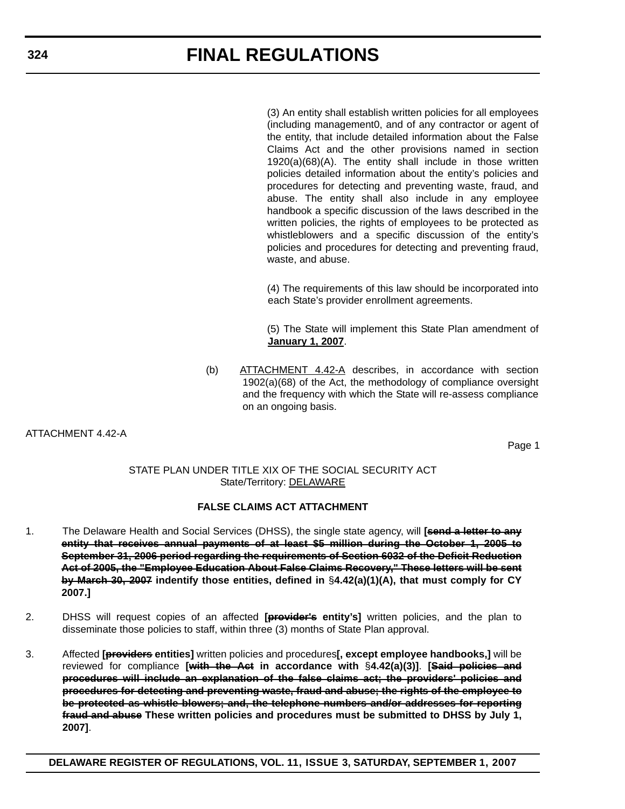(3) An entity shall establish written policies for all employees (including management0, and of any contractor or agent of the entity, that include detailed information about the False Claims Act and the other provisions named in section 1920(a)(68)(A). The entity shall include in those written policies detailed information about the entity's policies and procedures for detecting and preventing waste, fraud, and abuse. The entity shall also include in any employee handbook a specific discussion of the laws described in the written policies, the rights of employees to be protected as whistleblowers and a specific discussion of the entity's policies and procedures for detecting and preventing fraud, waste, and abuse.

(4) The requirements of this law should be incorporated into each State's provider enrollment agreements.

(5) The State will implement this State Plan amendment of **January 1, 2007**.

(b) ATTACHMENT 4.42-A describes, in accordance with section 1902(a)(68) of the Act, the methodology of compliance oversight and the frequency with which the State will re-assess compliance on an ongoing basis.

ATTACHMENT 4.42-A

Page 1

# STATE PLAN UNDER TITLE XIX OF THE SOCIAL SECURITY ACT State/Territory: DELAWARE

# **FALSE CLAIMS ACT ATTACHMENT**

- 1. The Delaware Health and Social Services (DHSS), the single state agency, will **[send a letter to any entity that receives annual payments of at least \$5 million during the October 1, 2005 to September 31, 2006 period regarding the requirements of Section 6032 of the Deficit Reduction Act of 2005, the "Employee Education About False Claims Recovery," These letters will be sent by March 30, 2007 indentify those entities, defined in** §**4.42(a)(1)(A), that must comply for CY 2007.]**
- 2. DHSS will request copies of an affected **[provider's entity's]** written policies, and the plan to disseminate those policies to staff, within three (3) months of State Plan approval.
- 3. Affected **[providers entities]** written policies and procedures**[, except employee handbooks,]** will be reviewed for compliance **[with the Act in accordance with** §**4.42(a)(3)]**. **[Said policies and procedures will include an explanation of the false claims act; the providers' policies and procedures for detecting and preventing waste, fraud and abuse; the rights of the employee to be protected as whistle blowers; and, the telephone numbers and/or addresses for reporting fraud and abuse These written policies and procedures must be submitted to DHSS by July 1, 2007]**.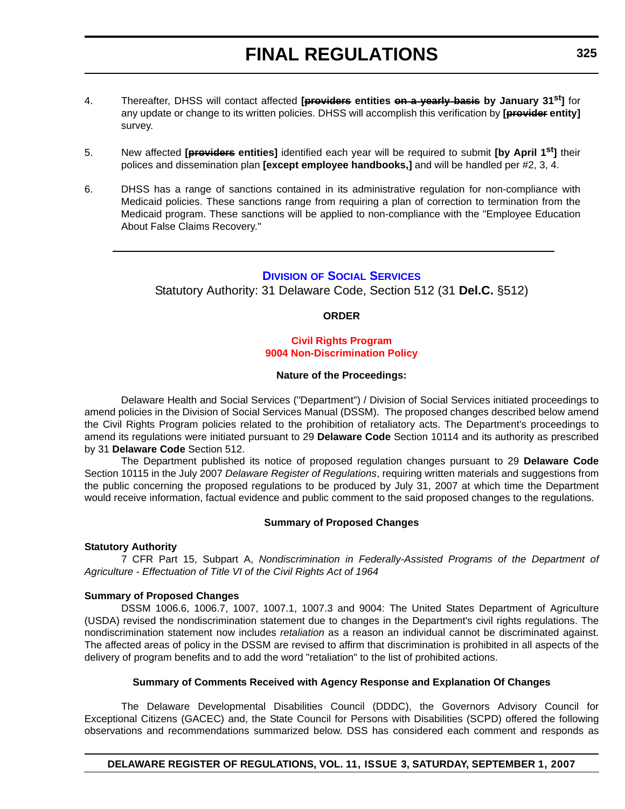- 4. Thereafter, DHSS will contact affected **[providers entities on a yearly basis by January 31st]** for any update or change to its written policies. DHSS will accomplish this verification by **[provider entity]** survey.
- 5. New affected **[providers entities]** identified each year will be required to submit **[by April 1st]** their polices and dissemination plan **[except employee handbooks,]** and will be handled per #2, 3, 4.
- 6. DHSS has a range of sanctions contained in its administrative regulation for non-compliance with Medicaid policies. These sanctions range from requiring a plan of correction to termination from the Medicaid program. These sanctions will be applied to non-compliance with the "Employee Education About False Claims Recovery."

# **DIVISION OF SOCIAL SERVICES**

Statutory Authority: 31 Delaware Code, Section 512 (31 **Del.C.** §512)

### **ORDER**

## **Civil Rights Program [9004 Non-Discrimination Policy](#page-4-0)**

#### **Nature of the Proceedings:**

Delaware Health and Social Services ("Department") / Division of Social Services initiated proceedings to amend policies in the Division of Social Services Manual (DSSM). The proposed changes described below amend the Civil Rights Program policies related to the prohibition of retaliatory acts. The Department's proceedings to amend its regulations were initiated pursuant to 29 **Delaware Code** Section 10114 and its authority as prescribed by 31 **Delaware Code** Section 512.

The Department published its notice of proposed regulation changes pursuant to 29 **Delaware Code** Section 10115 in the July 2007 *Delaware Register of Regulations*, requiring written materials and suggestions from the public concerning the proposed regulations to be produced by July 31, 2007 at which time the Department would receive information, factual evidence and public comment to the said proposed changes to the regulations.

#### **Summary of Proposed Changes**

#### **Statutory Authority**

7 CFR Part 15, Subpart A, *Nondiscrimination in Federally-Assisted Programs of the Department of Agriculture - Effectuation of Title VI of the Civil Rights Act of 1964*

#### **Summary of Proposed Changes**

DSSM 1006.6, 1006.7, 1007, 1007.1, 1007.3 and 9004: The United States Department of Agriculture (USDA) revised the nondiscrimination statement due to changes in the Department's civil rights regulations. The nondiscrimination statement now includes *retaliation* as a reason an individual cannot be discriminated against. The affected areas of policy in the DSSM are revised to affirm that discrimination is prohibited in all aspects of the delivery of program benefits and to add the word "retaliation" to the list of prohibited actions.

### **Summary of Comments Received with Agency Response and Explanation Of Changes**

The Delaware Developmental Disabilities Council (DDDC), the Governors Advisory Council for Exceptional Citizens (GACEC) and, the State Council for Persons with Disabilities (SCPD) offered the following observations and recommendations summarized below. DSS has considered each comment and responds as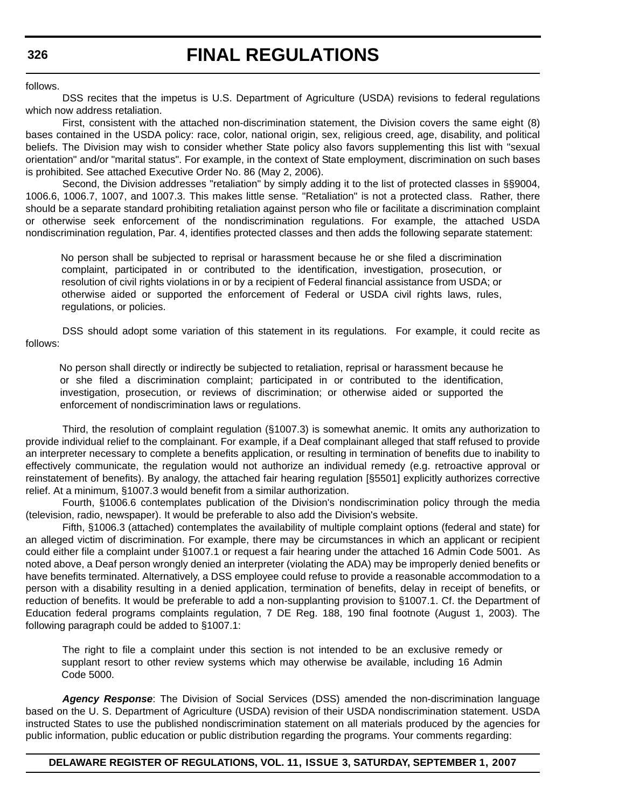follows.

DSS recites that the impetus is U.S. Department of Agriculture (USDA) revisions to federal regulations which now address retaliation.

First, consistent with the attached non-discrimination statement, the Division covers the same eight (8) bases contained in the USDA policy: race, color, national origin, sex, religious creed, age, disability, and political beliefs. The Division may wish to consider whether State policy also favors supplementing this list with "sexual orientation" and/or "marital status". For example, in the context of State employment, discrimination on such bases is prohibited. See attached Executive Order No. 86 (May 2, 2006).

Second, the Division addresses "retaliation" by simply adding it to the list of protected classes in §§9004, 1006.6, 1006.7, 1007, and 1007.3. This makes little sense. "Retaliation" is not a protected class. Rather, there should be a separate standard prohibiting retaliation against person who file or facilitate a discrimination complaint or otherwise seek enforcement of the nondiscrimination regulations. For example, the attached USDA nondiscrimination regulation, Par. 4, identifies protected classes and then adds the following separate statement:

No person shall be subjected to reprisal or harassment because he or she filed a discrimination complaint, participated in or contributed to the identification, investigation, prosecution, or resolution of civil rights violations in or by a recipient of Federal financial assistance from USDA; or otherwise aided or supported the enforcement of Federal or USDA civil rights laws, rules, regulations, or policies.

DSS should adopt some variation of this statement in its regulations. For example, it could recite as follows:

No person shall directly or indirectly be subjected to retaliation, reprisal or harassment because he or she filed a discrimination complaint; participated in or contributed to the identification, investigation, prosecution, or reviews of discrimination; or otherwise aided or supported the enforcement of nondiscrimination laws or regulations.

Third, the resolution of complaint regulation (§1007.3) is somewhat anemic. It omits any authorization to provide individual relief to the complainant. For example, if a Deaf complainant alleged that staff refused to provide an interpreter necessary to complete a benefits application, or resulting in termination of benefits due to inability to effectively communicate, the regulation would not authorize an individual remedy (e.g. retroactive approval or reinstatement of benefits). By analogy, the attached fair hearing regulation [§5501] explicitly authorizes corrective relief. At a minimum, §1007.3 would benefit from a similar authorization.

Fourth, §1006.6 contemplates publication of the Division's nondiscrimination policy through the media (television, radio, newspaper). It would be preferable to also add the Division's website.

Fifth, §1006.3 (attached) contemplates the availability of multiple complaint options (federal and state) for an alleged victim of discrimination. For example, there may be circumstances in which an applicant or recipient could either file a complaint under §1007.1 or request a fair hearing under the attached 16 Admin Code 5001. As noted above, a Deaf person wrongly denied an interpreter (violating the ADA) may be improperly denied benefits or have benefits terminated. Alternatively, a DSS employee could refuse to provide a reasonable accommodation to a person with a disability resulting in a denied application, termination of benefits, delay in receipt of benefits, or reduction of benefits. It would be preferable to add a non-supplanting provision to §1007.1. Cf. the Department of Education federal programs complaints regulation, 7 DE Reg. 188, 190 final footnote (August 1, 2003). The following paragraph could be added to §1007.1:

The right to file a complaint under this section is not intended to be an exclusive remedy or supplant resort to other review systems which may otherwise be available, including 16 Admin Code 5000.

*Agency Response*: The Division of Social Services (DSS) amended the non-discrimination language based on the U. S. Department of Agriculture (USDA) revision of their USDA nondiscrimination statement. USDA instructed States to use the published nondiscrimination statement on all materials produced by the agencies for public information, public education or public distribution regarding the programs. Your comments regarding:

#### **DELAWARE REGISTER OF REGULATIONS, VOL. 11, ISSUE 3, SATURDAY, SEPTEMBER 1, 2007**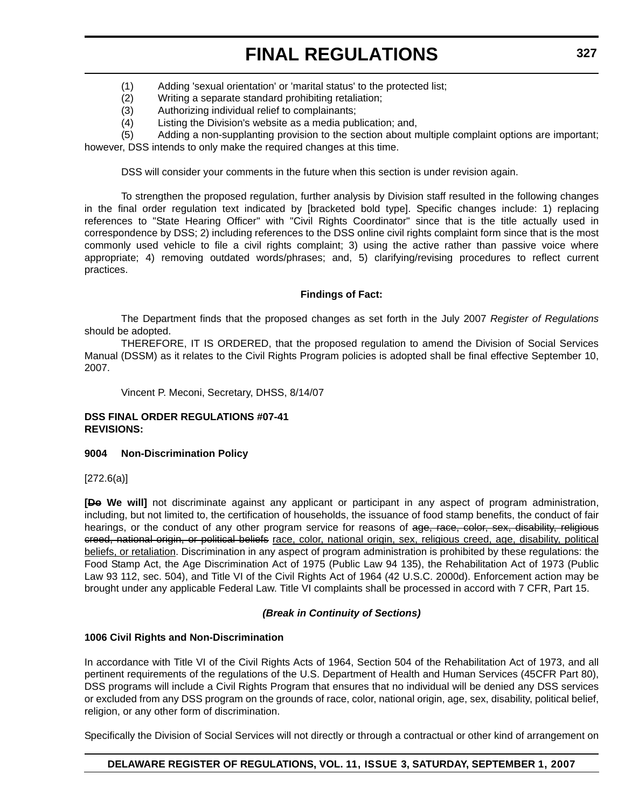- (1) Adding 'sexual orientation' or 'marital status' to the protected list;
- (2) Writing a separate standard prohibiting retaliation;
- (3) Authorizing individual relief to complainants;
- (4) Listing the Division's website as a media publication; and,

(5) Adding a non-supplanting provision to the section about multiple complaint options are important; however, DSS intends to only make the required changes at this time.

DSS will consider your comments in the future when this section is under revision again.

To strengthen the proposed regulation, further analysis by Division staff resulted in the following changes in the final order regulation text indicated by [bracketed bold type]. Specific changes include: 1) replacing references to "State Hearing Officer" with "Civil Rights Coordinator" since that is the title actually used in correspondence by DSS; 2) including references to the DSS online civil rights complaint form since that is the most commonly used vehicle to file a civil rights complaint; 3) using the active rather than passive voice where appropriate; 4) removing outdated words/phrases; and, 5) clarifying/revising procedures to reflect current practices.

## **Findings of Fact:**

The Department finds that the proposed changes as set forth in the July 2007 *Register of Regulations* should be adopted.

THEREFORE, IT IS ORDERED, that the proposed regulation to amend the Division of Social Services Manual (DSSM) as it relates to the Civil Rights Program policies is adopted shall be final effective September 10, 2007.

Vincent P. Meconi, Secretary, DHSS, 8/14/07

## **DSS FINAL ORDER REGULATIONS #07-41 REVISIONS:**

#### **9004 Non-Discrimination Policy**

[272.6(a)]

**[Do We will]** not discriminate against any applicant or participant in any aspect of program administration, including, but not limited to, the certification of households, the issuance of food stamp benefits, the conduct of fair hearings, or the conduct of any other program service for reasons of age, race, color, sex, disability, religious creed, national origin, or political beliefs race, color, national origin, sex, religious creed, age, disability, political beliefs, or retaliation. Discrimination in any aspect of program administration is prohibited by these regulations: the Food Stamp Act, the Age Discrimination Act of 1975 (Public Law 94 135), the Rehabilitation Act of 1973 (Public Law 93 112, sec. 504), and Title VI of the Civil Rights Act of 1964 (42 U.S.C. 2000d). Enforcement action may be brought under any applicable Federal Law. Title VI complaints shall be processed in accord with 7 CFR, Part 15.

# *(Break in Continuity of Sections)*

# **1006 Civil Rights and Non-Discrimination**

In accordance with Title VI of the Civil Rights Acts of 1964, Section 504 of the Rehabilitation Act of 1973, and all pertinent requirements of the regulations of the U.S. Department of Health and Human Services (45CFR Part 80), DSS programs will include a Civil Rights Program that ensures that no individual will be denied any DSS services or excluded from any DSS program on the grounds of race, color, national origin, age, sex, disability, political belief, religion, or any other form of discrimination.

Specifically the Division of Social Services will not directly or through a contractual or other kind of arrangement on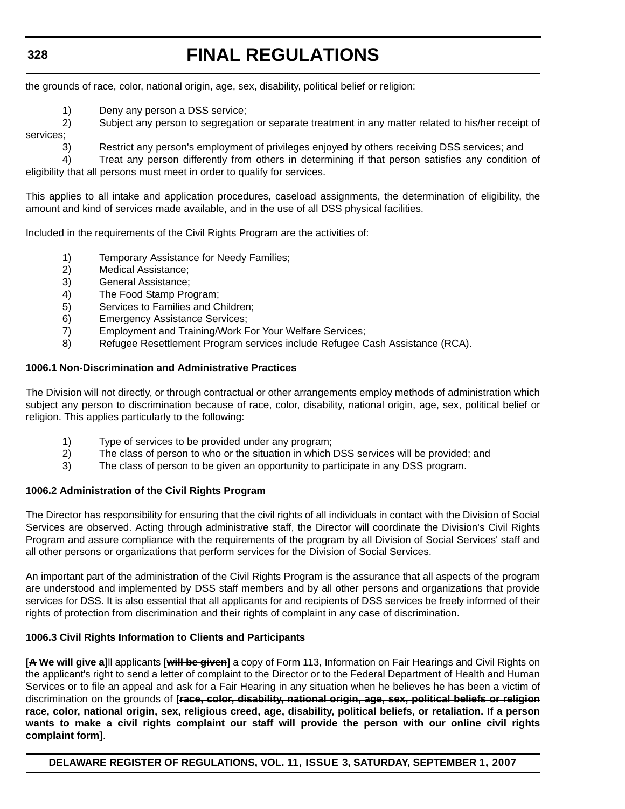the grounds of race, color, national origin, age, sex, disability, political belief or religion:

1) Deny any person a DSS service;

2) Subject any person to segregation or separate treatment in any matter related to his/her receipt of

services;

3) Restrict any person's employment of privileges enjoyed by others receiving DSS services; and

4) Treat any person differently from others in determining if that person satisfies any condition of eligibility that all persons must meet in order to qualify for services.

This applies to all intake and application procedures, caseload assignments, the determination of eligibility, the amount and kind of services made available, and in the use of all DSS physical facilities.

Included in the requirements of the Civil Rights Program are the activities of:

- 1) Temporary Assistance for Needy Families;
- 2) Medical Assistance;
- 3) General Assistance;
- 4) The Food Stamp Program;
- 5) Services to Families and Children;
- 6) Emergency Assistance Services;
- 7) Employment and Training/Work For Your Welfare Services;
- 8) Refugee Resettlement Program services include Refugee Cash Assistance (RCA).

## **1006.1 Non-Discrimination and Administrative Practices**

The Division will not directly, or through contractual or other arrangements employ methods of administration which subject any person to discrimination because of race, color, disability, national origin, age, sex, political belief or religion. This applies particularly to the following:

- 1) Type of services to be provided under any program;
- 2) The class of person to who or the situation in which DSS services will be provided; and
- 3) The class of person to be given an opportunity to participate in any DSS program.

#### **1006.2 Administration of the Civil Rights Program**

The Director has responsibility for ensuring that the civil rights of all individuals in contact with the Division of Social Services are observed. Acting through administrative staff, the Director will coordinate the Division's Civil Rights Program and assure compliance with the requirements of the program by all Division of Social Services' staff and all other persons or organizations that perform services for the Division of Social Services.

An important part of the administration of the Civil Rights Program is the assurance that all aspects of the program are understood and implemented by DSS staff members and by all other persons and organizations that provide services for DSS. It is also essential that all applicants for and recipients of DSS services be freely informed of their rights of protection from discrimination and their rights of complaint in any case of discrimination.

# **1006.3 Civil Rights Information to Clients and Participants**

**[A We will give a]**ll applicants **[will be given]** a copy of Form 113, Information on Fair Hearings and Civil Rights on the applicant's right to send a letter of complaint to the Director or to the Federal Department of Health and Human Services or to file an appeal and ask for a Fair Hearing in any situation when he believes he has been a victim of discrimination on the grounds of **[race, color, disability, national origin, age, sex, political beliefs or religion race, color, national origin, sex, religious creed, age, disability, political beliefs, or retaliation. If a person wants to make a civil rights complaint our staff will provide the person with our online civil rights complaint form]**.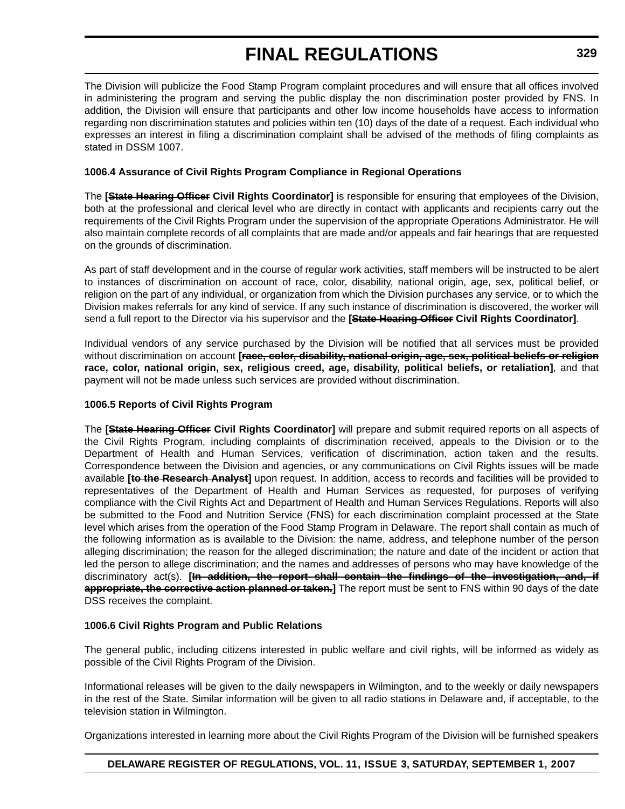The Division will publicize the Food Stamp Program complaint procedures and will ensure that all offices involved in administering the program and serving the public display the non discrimination poster provided by FNS. In addition, the Division will ensure that participants and other low income households have access to information regarding non discrimination statutes and policies within ten (10) days of the date of a request. Each individual who expresses an interest in filing a discrimination complaint shall be advised of the methods of filing complaints as stated in DSSM 1007.

# **1006.4 Assurance of Civil Rights Program Compliance in Regional Operations**

The **[State Hearing Officer Civil Rights Coordinator]** is responsible for ensuring that employees of the Division, both at the professional and clerical level who are directly in contact with applicants and recipients carry out the requirements of the Civil Rights Program under the supervision of the appropriate Operations Administrator. He will also maintain complete records of all complaints that are made and/or appeals and fair hearings that are requested on the grounds of discrimination.

As part of staff development and in the course of regular work activities, staff members will be instructed to be alert to instances of discrimination on account of race, color, disability, national origin, age, sex, political belief, or religion on the part of any individual, or organization from which the Division purchases any service, or to which the Division makes referrals for any kind of service. If any such instance of discrimination is discovered, the worker will send a full report to the Director via his supervisor and the **[State Hearing Officer Civil Rights Coordinator]**.

Individual vendors of any service purchased by the Division will be notified that all services must be provided without discrimination on account **[race, color, disability, national origin, age, sex, political beliefs or religion race, color, national origin, sex, religious creed, age, disability, political beliefs, or retaliation]**, and that payment will not be made unless such services are provided without discrimination.

# **1006.5 Reports of Civil Rights Program**

The **[State Hearing Officer Civil Rights Coordinator]** will prepare and submit required reports on all aspects of the Civil Rights Program, including complaints of discrimination received, appeals to the Division or to the Department of Health and Human Services, verification of discrimination, action taken and the results. Correspondence between the Division and agencies, or any communications on Civil Rights issues will be made available **[to the Research Analyst]** upon request. In addition, access to records and facilities will be provided to representatives of the Department of Health and Human Services as requested, for purposes of verifying compliance with the Civil Rights Act and Department of Health and Human Services Regulations. Reports will also be submitted to the Food and Nutrition Service (FNS) for each discrimination complaint processed at the State level which arises from the operation of the Food Stamp Program in Delaware. The report shall contain as much of the following information as is available to the Division: the name, address, and telephone number of the person alleging discrimination; the reason for the alleged discrimination; the nature and date of the incident or action that led the person to allege discrimination; and the names and addresses of persons who may have knowledge of the discriminatory act(s). **[In addition, the report shall contain the findings of the investigation, and, if appropriate, the corrective action planned or taken.]** The report must be sent to FNS within 90 days of the date DSS receives the complaint.

# **1006.6 Civil Rights Program and Public Relations**

The general public, including citizens interested in public welfare and civil rights, will be informed as widely as possible of the Civil Rights Program of the Division.

Informational releases will be given to the daily newspapers in Wilmington, and to the weekly or daily newspapers in the rest of the State. Similar information will be given to all radio stations in Delaware and, if acceptable, to the television station in Wilmington.

Organizations interested in learning more about the Civil Rights Program of the Division will be furnished speakers

# **DELAWARE REGISTER OF REGULATIONS, VOL. 11, ISSUE 3, SATURDAY, SEPTEMBER 1, 2007**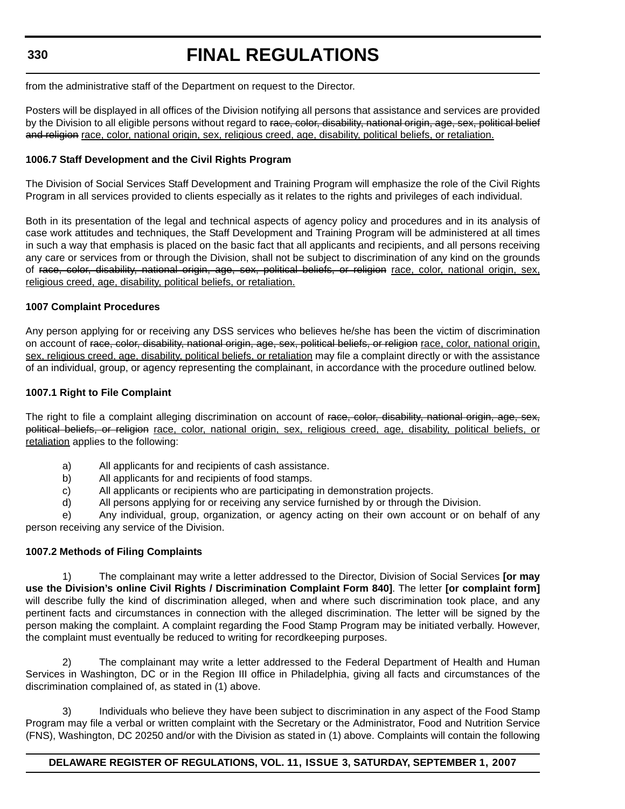# **FINAL REGULATIONS**

from the administrative staff of the Department on request to the Director.

Posters will be displayed in all offices of the Division notifying all persons that assistance and services are provided by the Division to all eligible persons without regard to race, color, disability, national origin, age, sex, political belief and religion race, color, national origin, sex, religious creed, age, disability, political beliefs, or retaliation.

# **1006.7 Staff Development and the Civil Rights Program**

The Division of Social Services Staff Development and Training Program will emphasize the role of the Civil Rights Program in all services provided to clients especially as it relates to the rights and privileges of each individual.

Both in its presentation of the legal and technical aspects of agency policy and procedures and in its analysis of case work attitudes and techniques, the Staff Development and Training Program will be administered at all times in such a way that emphasis is placed on the basic fact that all applicants and recipients, and all persons receiving any care or services from or through the Division, shall not be subject to discrimination of any kind on the grounds of race, color, disability, national origin, age, sex, political beliefs, or religion race, color, national origin, sex, religious creed, age, disability, political beliefs, or retaliation.

# **1007 Complaint Procedures**

Any person applying for or receiving any DSS services who believes he/she has been the victim of discrimination on account of race, color, disability, national origin, age, sex, political beliefs, or religion race, color, national origin, sex, religious creed, age, disability, political beliefs, or retaliation may file a complaint directly or with the assistance of an individual, group, or agency representing the complainant, in accordance with the procedure outlined below.

# **1007.1 Right to File Complaint**

The right to file a complaint alleging discrimination on account of race, color, disability, national origin, age, sex, political beliefs, or religion race, color, national origin, sex, religious creed, age, disability, political beliefs, or retaliation applies to the following:

- a) All applicants for and recipients of cash assistance.
- b) All applicants for and recipients of food stamps.
- c) All applicants or recipients who are participating in demonstration projects.
- d) All persons applying for or receiving any service furnished by or through the Division.

e) Any individual, group, organization, or agency acting on their own account or on behalf of any person receiving any service of the Division.

# **1007.2 Methods of Filing Complaints**

1) The complainant may write a letter addressed to the Director, Division of Social Services **[or may use the Division's online Civil Rights / Discrimination Complaint Form 840]**. The letter **[or complaint form]** will describe fully the kind of discrimination alleged, when and where such discrimination took place, and any pertinent facts and circumstances in connection with the alleged discrimination. The letter will be signed by the person making the complaint. A complaint regarding the Food Stamp Program may be initiated verbally. However, the complaint must eventually be reduced to writing for recordkeeping purposes.

The complainant may write a letter addressed to the Federal Department of Health and Human Services in Washington, DC or in the Region III office in Philadelphia, giving all facts and circumstances of the discrimination complained of, as stated in (1) above.

3) Individuals who believe they have been subject to discrimination in any aspect of the Food Stamp Program may file a verbal or written complaint with the Secretary or the Administrator, Food and Nutrition Service (FNS), Washington, DC 20250 and/or with the Division as stated in (1) above. Complaints will contain the following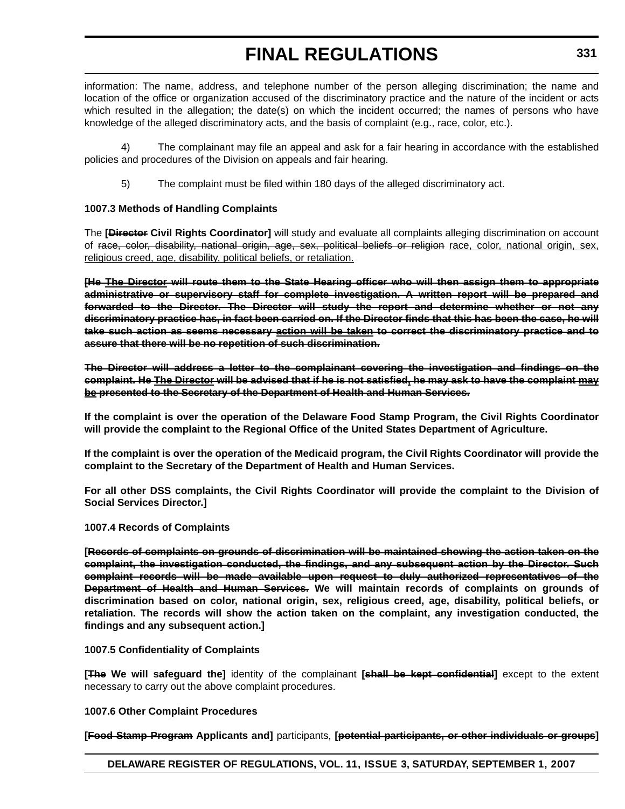information: The name, address, and telephone number of the person alleging discrimination; the name and location of the office or organization accused of the discriminatory practice and the nature of the incident or acts which resulted in the allegation; the date(s) on which the incident occurred; the names of persons who have knowledge of the alleged discriminatory acts, and the basis of complaint (e.g., race, color, etc.).

The complainant may file an appeal and ask for a fair hearing in accordance with the established policies and procedures of the Division on appeals and fair hearing.

5) The complaint must be filed within 180 days of the alleged discriminatory act.

# **1007.3 Methods of Handling Complaints**

The **[Director Civil Rights Coordinator]** will study and evaluate all complaints alleging discrimination on account of race, color, disability, national origin, age, sex, political beliefs or religion race, color, national origin, sex, religious creed, age, disability, political beliefs, or retaliation.

**[He The Director will route them to the State Hearing officer who will then assign them to appropriate administrative or supervisory staff for complete investigation. A written report will be prepared and forwarded to the Director. The Director will study the report and determine whether or not any discriminatory practice has, in fact been carried on. If the Director finds that this has been the case, he will take such action as seems necessary action will be taken to correct the discriminatory practice and to assure that there will be no repetition of such discrimination.**

**The Director will address a letter to the complainant covering the investigation and findings on the complaint. He The Director will be advised that if he is not satisfied, he may ask to have the complaint may be presented to the Secretary of the Department of Health and Human Services.**

**If the complaint is over the operation of the Delaware Food Stamp Program, the Civil Rights Coordinator will provide the complaint to the Regional Office of the United States Department of Agriculture.**

**If the complaint is over the operation of the Medicaid program, the Civil Rights Coordinator will provide the complaint to the Secretary of the Department of Health and Human Services.**

**For all other DSS complaints, the Civil Rights Coordinator will provide the complaint to the Division of Social Services Director.]**

# **1007.4 Records of Complaints**

**[Records of complaints on grounds of discrimination will be maintained showing the action taken on the complaint, the investigation conducted, the findings, and any subsequent action by the Director. Such complaint records will be made available upon request to duly authorized representatives of the Department of Health and Human Services. We will maintain records of complaints on grounds of discrimination based on color, national origin, sex, religious creed, age, disability, political beliefs, or retaliation. The records will show the action taken on the complaint, any investigation conducted, the findings and any subsequent action.]**

# **1007.5 Confidentiality of Complaints**

**[The We will safeguard the]** identity of the complainant **[shall be kept confidential]** except to the extent necessary to carry out the above complaint procedures.

# **1007.6 Other Complaint Procedures**

**[Food Stamp Program Applicants and]** participants, **[potential participants, or other individuals or groups]**

# **DELAWARE REGISTER OF REGULATIONS, VOL. 11, ISSUE 3, SATURDAY, SEPTEMBER 1, 2007**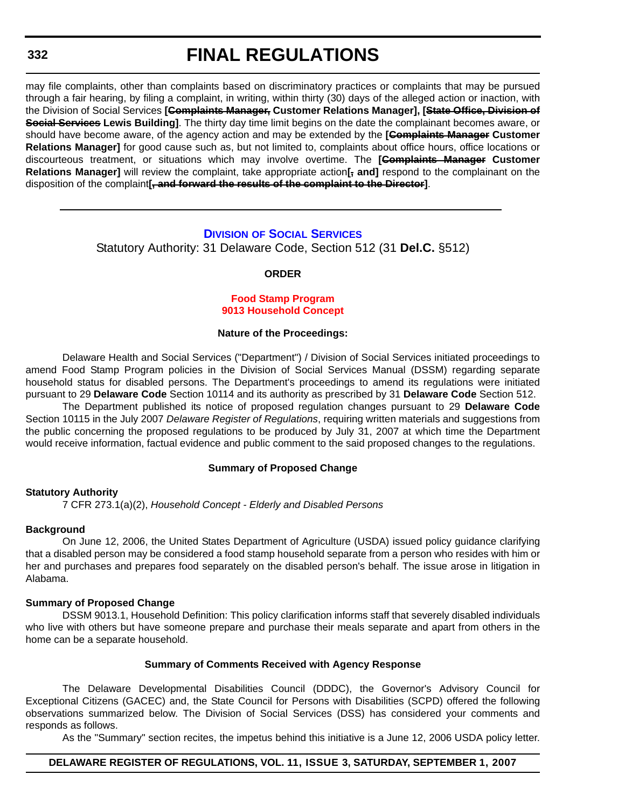# **FINAL REGULATIONS**

may file complaints, other than complaints based on discriminatory practices or complaints that may be pursued through a fair hearing, by filing a complaint, in writing, within thirty (30) days of the alleged action or inaction, with the Division of Social Services **[Complaints Manager, Customer Relations Manager], [State Office, Division of Social Services Lewis Building]**. The thirty day time limit begins on the date the complainant becomes aware, or should have become aware, of the agency action and may be extended by the **[Complaints Manager Customer Relations Manager]** for good cause such as, but not limited to, complaints about office hours, office locations or discourteous treatment, or situations which may involve overtime. The **[Complaints Manager Customer Relations Manager]** will review the complaint, take appropriate action**[, and]** respond to the complainant on the disposition of the complaint**[, and forward the results of the complaint to the Director]**.

# **DIVISION OF SOCIAL SERVICES**

Statutory Authority: 31 Delaware Code, Section 512 (31 **Del.C.** §512)

#### **ORDER**

#### **Food Stamp Program [9013 Household Concept](#page-4-0)**

#### **Nature of the Proceedings:**

Delaware Health and Social Services ("Department") / Division of Social Services initiated proceedings to amend Food Stamp Program policies in the Division of Social Services Manual (DSSM) regarding separate household status for disabled persons. The Department's proceedings to amend its regulations were initiated pursuant to 29 **Delaware Code** Section 10114 and its authority as prescribed by 31 **Delaware Code** Section 512.

The Department published its notice of proposed regulation changes pursuant to 29 **Delaware Code** Section 10115 in the July 2007 *Delaware Register of Regulations*, requiring written materials and suggestions from the public concerning the proposed regulations to be produced by July 31, 2007 at which time the Department would receive information, factual evidence and public comment to the said proposed changes to the regulations.

#### **Summary of Proposed Change**

#### **Statutory Authority**

7 CFR 273.1(a)(2), *Household Concept - Elderly and Disabled Persons*

### **Background**

On June 12, 2006, the United States Department of Agriculture (USDA) issued policy guidance clarifying that a disabled person may be considered a food stamp household separate from a person who resides with him or her and purchases and prepares food separately on the disabled person's behalf. The issue arose in litigation in Alabama.

#### **Summary of Proposed Change**

DSSM 9013.1, Household Definition: This policy clarification informs staff that severely disabled individuals who live with others but have someone prepare and purchase their meals separate and apart from others in the home can be a separate household.

#### **Summary of Comments Received with Agency Response**

The Delaware Developmental Disabilities Council (DDDC), the Governor's Advisory Council for Exceptional Citizens (GACEC) and, the State Council for Persons with Disabilities (SCPD) offered the following observations summarized below. The Division of Social Services (DSS) has considered your comments and responds as follows.

As the "Summary" section recites, the impetus behind this initiative is a June 12, 2006 USDA policy letter.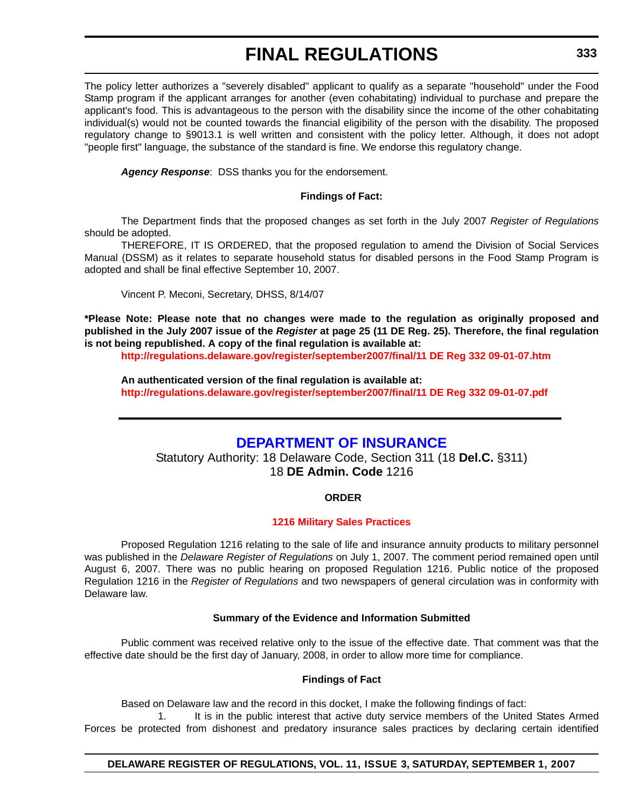The policy letter authorizes a "severely disabled" applicant to qualify as a separate "household" under the Food Stamp program if the applicant arranges for another (even cohabitating) individual to purchase and prepare the applicant's food. This is advantageous to the person with the disability since the income of the other cohabitating individual(s) would not be counted towards the financial eligibility of the person with the disability. The proposed regulatory change to §9013.1 is well written and consistent with the policy letter. Although, it does not adopt "people first" language, the substance of the standard is fine. We endorse this regulatory change.

*Agency Response*: DSS thanks you for the endorsement.

## **Findings of Fact:**

The Department finds that the proposed changes as set forth in the July 2007 *Register of Regulations* should be adopted.

THEREFORE, IT IS ORDERED, that the proposed regulation to amend the Division of Social Services Manual (DSSM) as it relates to separate household status for disabled persons in the Food Stamp Program is adopted and shall be final effective September 10, 2007.

Vincent P. Meconi, Secretary, DHSS, 8/14/07

**\*Please Note: Please note that no changes were made to the regulation as originally proposed and published in the July 2007 issue of the** *Register* **at page 25 (11 DE Reg. 25). Therefore, the final regulation is not being republished. A copy of the final regulation is available at:**

**<http://regulations.delaware.gov/register/september2007/final/11 DE Reg 332 09-01-07.htm>**

**An authenticated version of the final regulation is available at: <http://regulations.delaware.gov/register/september2007/final/11 DE Reg 332 09-01-07.pdf>**

# **DEPARTMENT OF INSURANCE**

Statutory Authority: 18 Delaware Code, Section 311 (18 **Del.C.** §311) 18 **DE Admin. Code** 1216

# **ORDER**

# **[1216 Military Sales Practices](#page-4-0)**

Proposed Regulation 1216 relating to the sale of life and insurance annuity products to military personnel was published in the *Delaware Register of Regulations* on July 1, 2007. The comment period remained open until August 6, 2007. There was no public hearing on proposed Regulation 1216. Public notice of the proposed Regulation 1216 in the *Register of Regulations* and two newspapers of general circulation was in conformity with Delaware law.

# **Summary of the Evidence and Information Submitted**

Public comment was received relative only to the issue of the effective date. That comment was that the effective date should be the first day of January, 2008, in order to allow more time for compliance.

#### **Findings of Fact**

Based on Delaware law and the record in this docket, I make the following findings of fact:

1. It is in the public interest that active duty service members of the United States Armed Forces be protected from dishonest and predatory insurance sales practices by declaring certain identified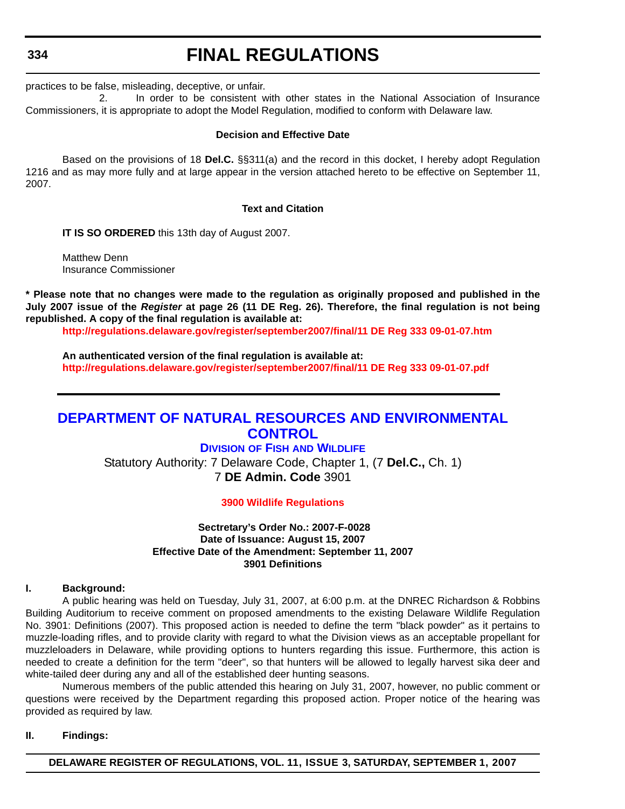# **FINAL REGULATIONS**

practices to be false, misleading, deceptive, or unfair.

2. In order to be consistent with other states in the National Association of Insurance Commissioners, it is appropriate to adopt the Model Regulation, modified to conform with Delaware law.

## **Decision and Effective Date**

Based on the provisions of 18 **Del.C.** §§311(a) and the record in this docket, I hereby adopt Regulation 1216 and as may more fully and at large appear in the version attached hereto to be effective on September 11, 2007.

## **Text and Citation**

**IT IS SO ORDERED** this 13th day of August 2007.

Matthew Denn Insurance Commissioner

**\* Please note that no changes were made to the regulation as originally proposed and published in the July 2007 issue of the** *Register* **at page 26 (11 DE Reg. 26). Therefore, the final regulation is not being republished. A copy of the final regulation is available at:**

**<http://regulations.delaware.gov/register/september2007/final/11 DE Reg 333 09-01-07.htm>**

**An authenticated version of the final regulation is available at: <http://regulations.delaware.gov/register/september2007/final/11 DE Reg 333 09-01-07.pdf>**

# **DEPARTMENT OF NATURAL RESOURCES AND ENVIRONMENTAL CONTROL**

# **DIVISION OF FISH AND WILDLIFE**

Statutory Authority: 7 Delaware Code, Chapter 1, (7 **Del.C.,** Ch. 1) 7 **DE Admin. Code** 3901

# **[3900 Wildlife Regulations](#page-4-0)**

## **Sectretary's Order No.: 2007-F-0028 Date of Issuance: August 15, 2007 Effective Date of the Amendment: September 11, 2007 3901 Definitions**

### **I. Background:**

A public hearing was held on Tuesday, July 31, 2007, at 6:00 p.m. at the DNREC Richardson & Robbins Building Auditorium to receive comment on proposed amendments to the existing Delaware Wildlife Regulation No. 3901: Definitions (2007). This proposed action is needed to define the term "black powder" as it pertains to muzzle-loading rifles, and to provide clarity with regard to what the Division views as an acceptable propellant for muzzleloaders in Delaware, while providing options to hunters regarding this issue. Furthermore, this action is needed to create a definition for the term "deer", so that hunters will be allowed to legally harvest sika deer and white-tailed deer during any and all of the established deer hunting seasons.

Numerous members of the public attended this hearing on July 31, 2007, however, no public comment or questions were received by the Department regarding this proposed action. Proper notice of the hearing was provided as required by law.

# **II. Findings:**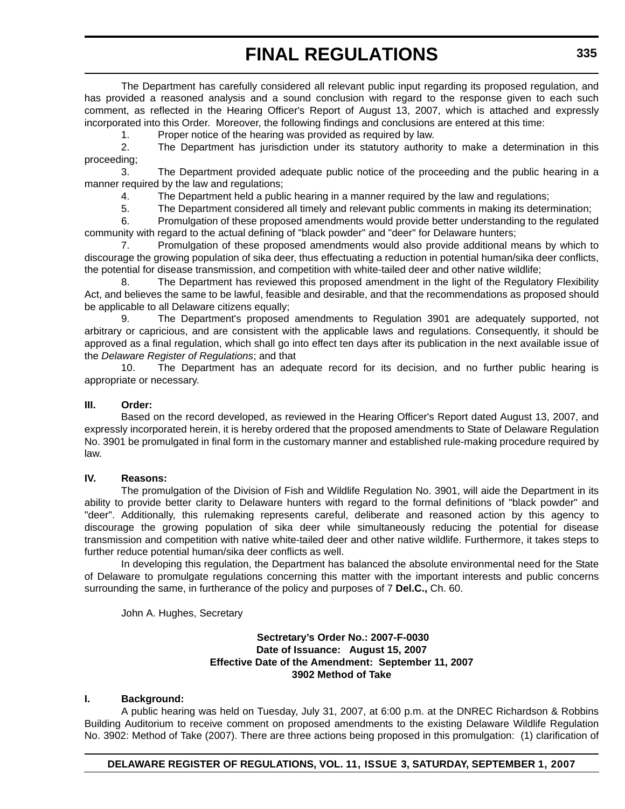The Department has carefully considered all relevant public input regarding its proposed regulation, and has provided a reasoned analysis and a sound conclusion with regard to the response given to each such comment, as reflected in the Hearing Officer's Report of August 13, 2007, which is attached and expressly incorporated into this Order. Moreover, the following findings and conclusions are entered at this time:

1. Proper notice of the hearing was provided as required by law.

2. The Department has jurisdiction under its statutory authority to make a determination in this proceeding;

3. The Department provided adequate public notice of the proceeding and the public hearing in a manner required by the law and regulations;

4. The Department held a public hearing in a manner required by the law and regulations;

5. The Department considered all timely and relevant public comments in making its determination;

6. Promulgation of these proposed amendments would provide better understanding to the regulated community with regard to the actual defining of "black powder" and "deer" for Delaware hunters;

7. Promulgation of these proposed amendments would also provide additional means by which to discourage the growing population of sika deer, thus effectuating a reduction in potential human/sika deer conflicts, the potential for disease transmission, and competition with white-tailed deer and other native wildlife;

8. The Department has reviewed this proposed amendment in the light of the Regulatory Flexibility Act, and believes the same to be lawful, feasible and desirable, and that the recommendations as proposed should be applicable to all Delaware citizens equally;

9. The Department's proposed amendments to Regulation 3901 are adequately supported, not arbitrary or capricious, and are consistent with the applicable laws and regulations. Consequently, it should be approved as a final regulation, which shall go into effect ten days after its publication in the next available issue of the *Delaware Register of Regulations*; and that

10. The Department has an adequate record for its decision, and no further public hearing is appropriate or necessary.

### **III. Order:**

Based on the record developed, as reviewed in the Hearing Officer's Report dated August 13, 2007, and expressly incorporated herein, it is hereby ordered that the proposed amendments to State of Delaware Regulation No. 3901 be promulgated in final form in the customary manner and established rule-making procedure required by law.

### **IV. Reasons:**

The promulgation of the Division of Fish and Wildlife Regulation No. 3901, will aide the Department in its ability to provide better clarity to Delaware hunters with regard to the formal definitions of "black powder" and "deer". Additionally, this rulemaking represents careful, deliberate and reasoned action by this agency to discourage the growing population of sika deer while simultaneously reducing the potential for disease transmission and competition with native white-tailed deer and other native wildlife. Furthermore, it takes steps to further reduce potential human/sika deer conflicts as well.

In developing this regulation, the Department has balanced the absolute environmental need for the State of Delaware to promulgate regulations concerning this matter with the important interests and public concerns surrounding the same, in furtherance of the policy and purposes of 7 **Del.C.,** Ch. 60.

John A. Hughes, Secretary

### **Sectretary's Order No.: 2007-F-0030 Date of Issuance: August 15, 2007 Effective Date of the Amendment: September 11, 2007 3902 Method of Take**

# **I. Background:**

A public hearing was held on Tuesday, July 31, 2007, at 6:00 p.m. at the DNREC Richardson & Robbins Building Auditorium to receive comment on proposed amendments to the existing Delaware Wildlife Regulation No. 3902: Method of Take (2007). There are three actions being proposed in this promulgation: (1) clarification of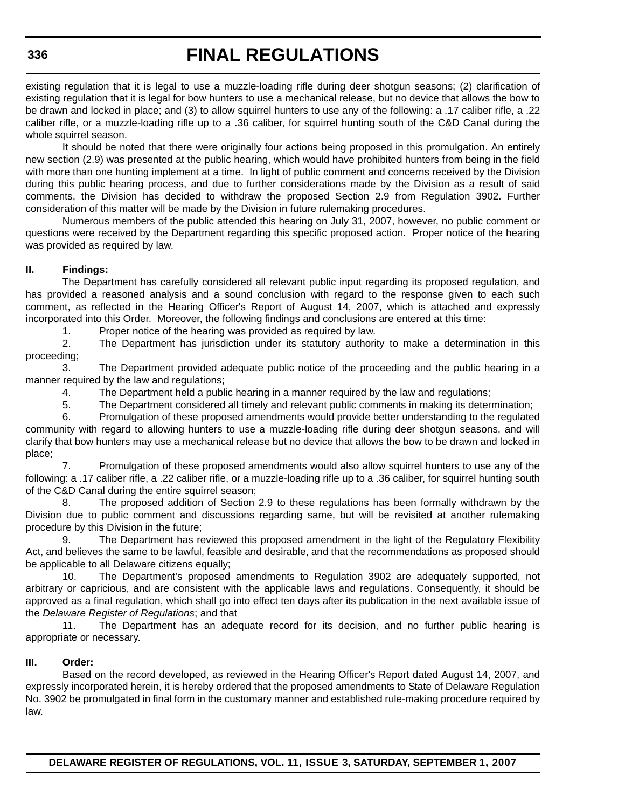existing regulation that it is legal to use a muzzle-loading rifle during deer shotgun seasons; (2) clarification of existing regulation that it is legal for bow hunters to use a mechanical release, but no device that allows the bow to be drawn and locked in place; and (3) to allow squirrel hunters to use any of the following: a .17 caliber rifle, a .22 caliber rifle, or a muzzle-loading rifle up to a .36 caliber, for squirrel hunting south of the C&D Canal during the whole squirrel season.

It should be noted that there were originally four actions being proposed in this promulgation. An entirely new section (2.9) was presented at the public hearing, which would have prohibited hunters from being in the field with more than one hunting implement at a time. In light of public comment and concerns received by the Division during this public hearing process, and due to further considerations made by the Division as a result of said comments, the Division has decided to withdraw the proposed Section 2.9 from Regulation 3902. Further consideration of this matter will be made by the Division in future rulemaking procedures.

Numerous members of the public attended this hearing on July 31, 2007, however, no public comment or questions were received by the Department regarding this specific proposed action. Proper notice of the hearing was provided as required by law.

## **II. Findings:**

The Department has carefully considered all relevant public input regarding its proposed regulation, and has provided a reasoned analysis and a sound conclusion with regard to the response given to each such comment, as reflected in the Hearing Officer's Report of August 14, 2007, which is attached and expressly incorporated into this Order. Moreover, the following findings and conclusions are entered at this time:

1. Proper notice of the hearing was provided as required by law.

2. The Department has jurisdiction under its statutory authority to make a determination in this proceeding;

3. The Department provided adequate public notice of the proceeding and the public hearing in a manner required by the law and regulations;

4. The Department held a public hearing in a manner required by the law and regulations;

5. The Department considered all timely and relevant public comments in making its determination;

6. Promulgation of these proposed amendments would provide better understanding to the regulated community with regard to allowing hunters to use a muzzle-loading rifle during deer shotgun seasons, and will clarify that bow hunters may use a mechanical release but no device that allows the bow to be drawn and locked in place;

7. Promulgation of these proposed amendments would also allow squirrel hunters to use any of the following: a .17 caliber rifle, a .22 caliber rifle, or a muzzle-loading rifle up to a .36 caliber, for squirrel hunting south of the C&D Canal during the entire squirrel season:

8. The proposed addition of Section 2.9 to these regulations has been formally withdrawn by the Division due to public comment and discussions regarding same, but will be revisited at another rulemaking procedure by this Division in the future;

9. The Department has reviewed this proposed amendment in the light of the Regulatory Flexibility Act, and believes the same to be lawful, feasible and desirable, and that the recommendations as proposed should be applicable to all Delaware citizens equally;

10. The Department's proposed amendments to Regulation 3902 are adequately supported, not arbitrary or capricious, and are consistent with the applicable laws and regulations. Consequently, it should be approved as a final regulation, which shall go into effect ten days after its publication in the next available issue of the *Delaware Register of Regulations*; and that

11. The Department has an adequate record for its decision, and no further public hearing is appropriate or necessary.

## **III. Order:**

Based on the record developed, as reviewed in the Hearing Officer's Report dated August 14, 2007, and expressly incorporated herein, it is hereby ordered that the proposed amendments to State of Delaware Regulation No. 3902 be promulgated in final form in the customary manner and established rule-making procedure required by law.

**DELAWARE REGISTER OF REGULATIONS, VOL. 11, ISSUE 3, SATURDAY, SEPTEMBER 1, 2007**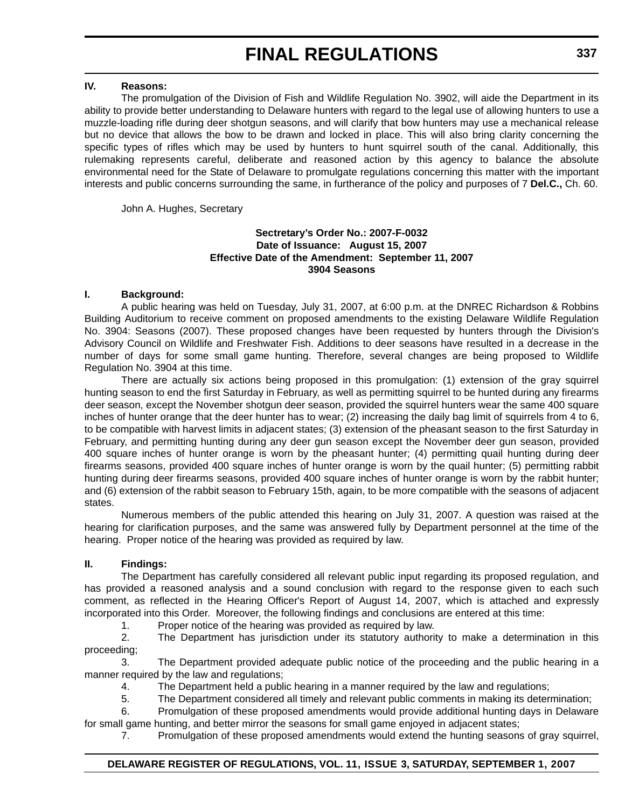## **IV. Reasons:**

The promulgation of the Division of Fish and Wildlife Regulation No. 3902, will aide the Department in its ability to provide better understanding to Delaware hunters with regard to the legal use of allowing hunters to use a muzzle-loading rifle during deer shotgun seasons, and will clarify that bow hunters may use a mechanical release but no device that allows the bow to be drawn and locked in place. This will also bring clarity concerning the specific types of rifles which may be used by hunters to hunt squirrel south of the canal. Additionally, this rulemaking represents careful, deliberate and reasoned action by this agency to balance the absolute environmental need for the State of Delaware to promulgate regulations concerning this matter with the important interests and public concerns surrounding the same, in furtherance of the policy and purposes of 7 **Del.C.,** Ch. 60.

John A. Hughes, Secretary

### **Sectretary's Order No.: 2007-F-0032 Date of Issuance: August 15, 2007 Effective Date of the Amendment: September 11, 2007 3904 Seasons**

### **I. Background:**

A public hearing was held on Tuesday, July 31, 2007, at 6:00 p.m. at the DNREC Richardson & Robbins Building Auditorium to receive comment on proposed amendments to the existing Delaware Wildlife Regulation No. 3904: Seasons (2007). These proposed changes have been requested by hunters through the Division's Advisory Council on Wildlife and Freshwater Fish. Additions to deer seasons have resulted in a decrease in the number of days for some small game hunting. Therefore, several changes are being proposed to Wildlife Regulation No. 3904 at this time.

There are actually six actions being proposed in this promulgation: (1) extension of the gray squirrel hunting season to end the first Saturday in February, as well as permitting squirrel to be hunted during any firearms deer season, except the November shotgun deer season, provided the squirrel hunters wear the same 400 square inches of hunter orange that the deer hunter has to wear; (2) increasing the daily bag limit of squirrels from 4 to 6, to be compatible with harvest limits in adjacent states; (3) extension of the pheasant season to the first Saturday in February, and permitting hunting during any deer gun season except the November deer gun season, provided 400 square inches of hunter orange is worn by the pheasant hunter; (4) permitting quail hunting during deer firearms seasons, provided 400 square inches of hunter orange is worn by the quail hunter; (5) permitting rabbit hunting during deer firearms seasons, provided 400 square inches of hunter orange is worn by the rabbit hunter; and (6) extension of the rabbit season to February 15th, again, to be more compatible with the seasons of adjacent states.

Numerous members of the public attended this hearing on July 31, 2007. A question was raised at the hearing for clarification purposes, and the same was answered fully by Department personnel at the time of the hearing. Proper notice of the hearing was provided as required by law.

#### **II. Findings:**

The Department has carefully considered all relevant public input regarding its proposed regulation, and has provided a reasoned analysis and a sound conclusion with regard to the response given to each such comment, as reflected in the Hearing Officer's Report of August 14, 2007, which is attached and expressly incorporated into this Order. Moreover, the following findings and conclusions are entered at this time:

1. Proper notice of the hearing was provided as required by law.

2. The Department has jurisdiction under its statutory authority to make a determination in this proceeding;

3. The Department provided adequate public notice of the proceeding and the public hearing in a manner required by the law and regulations;

4. The Department held a public hearing in a manner required by the law and regulations;

5. The Department considered all timely and relevant public comments in making its determination;

6. Promulgation of these proposed amendments would provide additional hunting days in Delaware for small game hunting, and better mirror the seasons for small game enjoyed in adjacent states;

7. Promulgation of these proposed amendments would extend the hunting seasons of gray squirrel,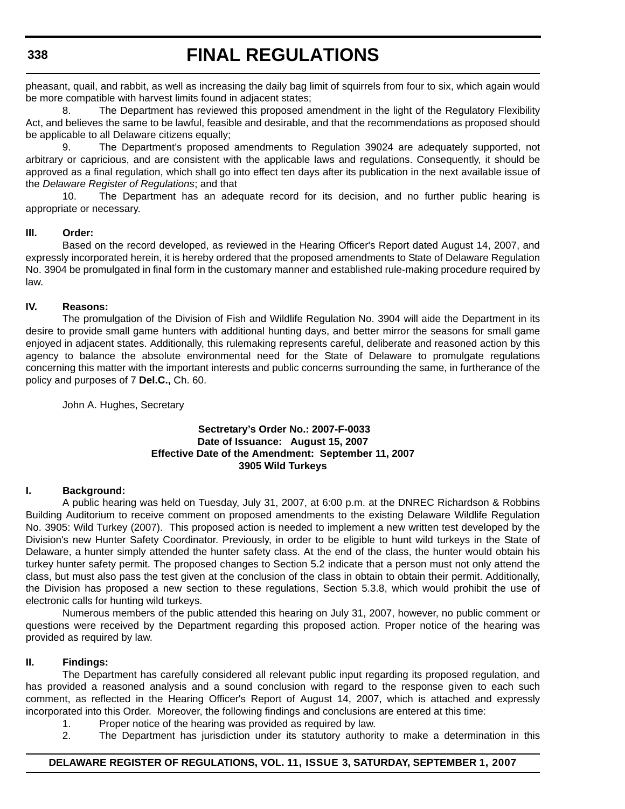pheasant, quail, and rabbit, as well as increasing the daily bag limit of squirrels from four to six, which again would be more compatible with harvest limits found in adjacent states;

8. The Department has reviewed this proposed amendment in the light of the Regulatory Flexibility Act, and believes the same to be lawful, feasible and desirable, and that the recommendations as proposed should be applicable to all Delaware citizens equally;

9. The Department's proposed amendments to Regulation 39024 are adequately supported, not arbitrary or capricious, and are consistent with the applicable laws and regulations. Consequently, it should be approved as a final regulation, which shall go into effect ten days after its publication in the next available issue of the *Delaware Register of Regulations*; and that

10. The Department has an adequate record for its decision, and no further public hearing is appropriate or necessary.

# **III. Order:**

Based on the record developed, as reviewed in the Hearing Officer's Report dated August 14, 2007, and expressly incorporated herein, it is hereby ordered that the proposed amendments to State of Delaware Regulation No. 3904 be promulgated in final form in the customary manner and established rule-making procedure required by law.

# **IV. Reasons:**

The promulgation of the Division of Fish and Wildlife Regulation No. 3904 will aide the Department in its desire to provide small game hunters with additional hunting days, and better mirror the seasons for small game enjoyed in adjacent states. Additionally, this rulemaking represents careful, deliberate and reasoned action by this agency to balance the absolute environmental need for the State of Delaware to promulgate regulations concerning this matter with the important interests and public concerns surrounding the same, in furtherance of the policy and purposes of 7 **Del.C.,** Ch. 60.

John A. Hughes, Secretary

## **Sectretary's Order No.: 2007-F-0033 Date of Issuance: August 15, 2007 Effective Date of the Amendment: September 11, 2007 3905 Wild Turkeys**

# **I. Background:**

A public hearing was held on Tuesday, July 31, 2007, at 6:00 p.m. at the DNREC Richardson & Robbins Building Auditorium to receive comment on proposed amendments to the existing Delaware Wildlife Regulation No. 3905: Wild Turkey (2007). This proposed action is needed to implement a new written test developed by the Division's new Hunter Safety Coordinator. Previously, in order to be eligible to hunt wild turkeys in the State of Delaware, a hunter simply attended the hunter safety class. At the end of the class, the hunter would obtain his turkey hunter safety permit. The proposed changes to Section 5.2 indicate that a person must not only attend the class, but must also pass the test given at the conclusion of the class in obtain to obtain their permit. Additionally, the Division has proposed a new section to these regulations, Section 5.3.8, which would prohibit the use of electronic calls for hunting wild turkeys.

Numerous members of the public attended this hearing on July 31, 2007, however, no public comment or questions were received by the Department regarding this proposed action. Proper notice of the hearing was provided as required by law.

# **II. Findings:**

The Department has carefully considered all relevant public input regarding its proposed regulation, and has provided a reasoned analysis and a sound conclusion with regard to the response given to each such comment, as reflected in the Hearing Officer's Report of August 14, 2007, which is attached and expressly incorporated into this Order. Moreover, the following findings and conclusions are entered at this time:

- 1. Proper notice of the hearing was provided as required by law.
- 2. The Department has jurisdiction under its statutory authority to make a determination in this

# **DELAWARE REGISTER OF REGULATIONS, VOL. 11, ISSUE 3, SATURDAY, SEPTEMBER 1, 2007**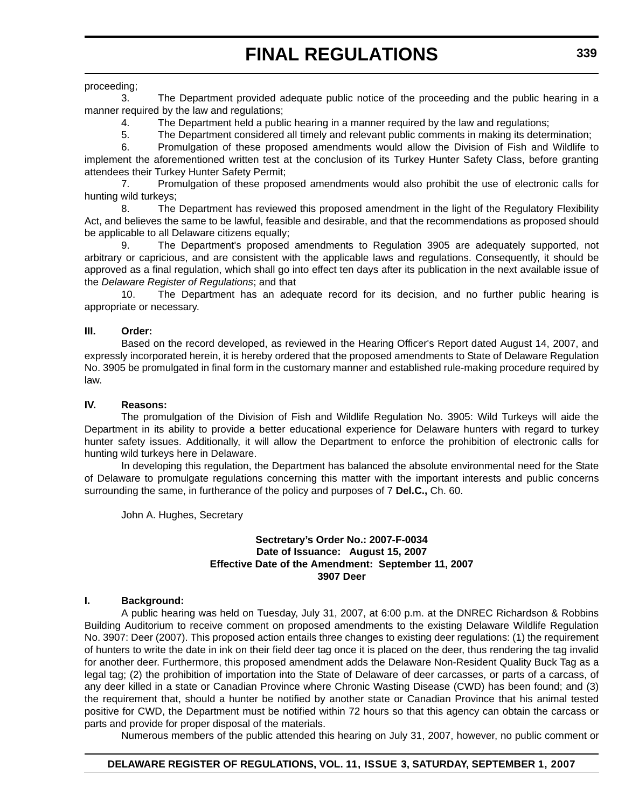# proceeding;

3. The Department provided adequate public notice of the proceeding and the public hearing in a manner required by the law and regulations:

4. The Department held a public hearing in a manner required by the law and regulations;

5. The Department considered all timely and relevant public comments in making its determination;

6. Promulgation of these proposed amendments would allow the Division of Fish and Wildlife to implement the aforementioned written test at the conclusion of its Turkey Hunter Safety Class, before granting attendees their Turkey Hunter Safety Permit;

7. Promulgation of these proposed amendments would also prohibit the use of electronic calls for hunting wild turkeys;

8. The Department has reviewed this proposed amendment in the light of the Regulatory Flexibility Act, and believes the same to be lawful, feasible and desirable, and that the recommendations as proposed should be applicable to all Delaware citizens equally;

9. The Department's proposed amendments to Regulation 3905 are adequately supported, not arbitrary or capricious, and are consistent with the applicable laws and regulations. Consequently, it should be approved as a final regulation, which shall go into effect ten days after its publication in the next available issue of the *Delaware Register of Regulations*; and that

10. The Department has an adequate record for its decision, and no further public hearing is appropriate or necessary.

# **III. Order:**

Based on the record developed, as reviewed in the Hearing Officer's Report dated August 14, 2007, and expressly incorporated herein, it is hereby ordered that the proposed amendments to State of Delaware Regulation No. 3905 be promulgated in final form in the customary manner and established rule-making procedure required by law.

## **IV. Reasons:**

The promulgation of the Division of Fish and Wildlife Regulation No. 3905: Wild Turkeys will aide the Department in its ability to provide a better educational experience for Delaware hunters with regard to turkey hunter safety issues. Additionally, it will allow the Department to enforce the prohibition of electronic calls for hunting wild turkeys here in Delaware.

In developing this regulation, the Department has balanced the absolute environmental need for the State of Delaware to promulgate regulations concerning this matter with the important interests and public concerns surrounding the same, in furtherance of the policy and purposes of 7 **Del.C.,** Ch. 60.

John A. Hughes, Secretary

## **Sectretary's Order No.: 2007-F-0034 Date of Issuance: August 15, 2007 Effective Date of the Amendment: September 11, 2007 3907 Deer**

#### **I. Background:**

A public hearing was held on Tuesday, July 31, 2007, at 6:00 p.m. at the DNREC Richardson & Robbins Building Auditorium to receive comment on proposed amendments to the existing Delaware Wildlife Regulation No. 3907: Deer (2007). This proposed action entails three changes to existing deer regulations: (1) the requirement of hunters to write the date in ink on their field deer tag once it is placed on the deer, thus rendering the tag invalid for another deer. Furthermore, this proposed amendment adds the Delaware Non-Resident Quality Buck Tag as a legal tag; (2) the prohibition of importation into the State of Delaware of deer carcasses, or parts of a carcass, of any deer killed in a state or Canadian Province where Chronic Wasting Disease (CWD) has been found; and (3) the requirement that, should a hunter be notified by another state or Canadian Province that his animal tested positive for CWD, the Department must be notified within 72 hours so that this agency can obtain the carcass or parts and provide for proper disposal of the materials.

Numerous members of the public attended this hearing on July 31, 2007, however, no public comment or

# **DELAWARE REGISTER OF REGULATIONS, VOL. 11, ISSUE 3, SATURDAY, SEPTEMBER 1, 2007**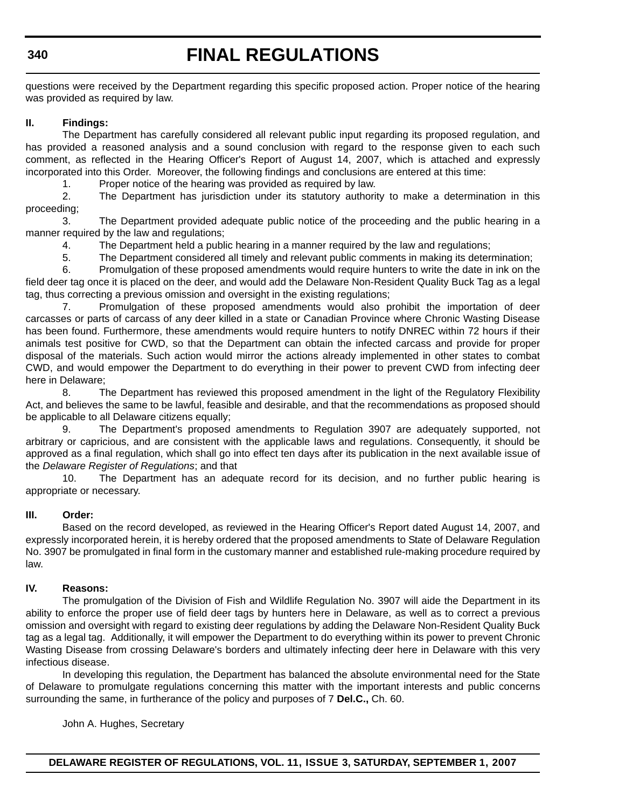# **FINAL REGULATIONS**

questions were received by the Department regarding this specific proposed action. Proper notice of the hearing was provided as required by law.

# **II. Findings:**

The Department has carefully considered all relevant public input regarding its proposed regulation, and has provided a reasoned analysis and a sound conclusion with regard to the response given to each such comment, as reflected in the Hearing Officer's Report of August 14, 2007, which is attached and expressly incorporated into this Order. Moreover, the following findings and conclusions are entered at this time:

1. Proper notice of the hearing was provided as required by law.

2. The Department has jurisdiction under its statutory authority to make a determination in this proceeding;

3. The Department provided adequate public notice of the proceeding and the public hearing in a manner required by the law and regulations;

4. The Department held a public hearing in a manner required by the law and regulations;

5. The Department considered all timely and relevant public comments in making its determination;

6. Promulgation of these proposed amendments would require hunters to write the date in ink on the field deer tag once it is placed on the deer, and would add the Delaware Non-Resident Quality Buck Tag as a legal tag, thus correcting a previous omission and oversight in the existing regulations;

7. Promulgation of these proposed amendments would also prohibit the importation of deer carcasses or parts of carcass of any deer killed in a state or Canadian Province where Chronic Wasting Disease has been found. Furthermore, these amendments would require hunters to notify DNREC within 72 hours if their animals test positive for CWD, so that the Department can obtain the infected carcass and provide for proper disposal of the materials. Such action would mirror the actions already implemented in other states to combat CWD, and would empower the Department to do everything in their power to prevent CWD from infecting deer here in Delaware;

8. The Department has reviewed this proposed amendment in the light of the Regulatory Flexibility Act, and believes the same to be lawful, feasible and desirable, and that the recommendations as proposed should be applicable to all Delaware citizens equally;

9. The Department's proposed amendments to Regulation 3907 are adequately supported, not arbitrary or capricious, and are consistent with the applicable laws and regulations. Consequently, it should be approved as a final regulation, which shall go into effect ten days after its publication in the next available issue of the *Delaware Register of Regulations*; and that

10. The Department has an adequate record for its decision, and no further public hearing is appropriate or necessary.

# **III. Order:**

Based on the record developed, as reviewed in the Hearing Officer's Report dated August 14, 2007, and expressly incorporated herein, it is hereby ordered that the proposed amendments to State of Delaware Regulation No. 3907 be promulgated in final form in the customary manner and established rule-making procedure required by law.

# **IV. Reasons:**

The promulgation of the Division of Fish and Wildlife Regulation No. 3907 will aide the Department in its ability to enforce the proper use of field deer tags by hunters here in Delaware, as well as to correct a previous omission and oversight with regard to existing deer regulations by adding the Delaware Non-Resident Quality Buck tag as a legal tag. Additionally, it will empower the Department to do everything within its power to prevent Chronic Wasting Disease from crossing Delaware's borders and ultimately infecting deer here in Delaware with this very infectious disease.

In developing this regulation, the Department has balanced the absolute environmental need for the State of Delaware to promulgate regulations concerning this matter with the important interests and public concerns surrounding the same, in furtherance of the policy and purposes of 7 **Del.C.,** Ch. 60.

John A. Hughes, Secretary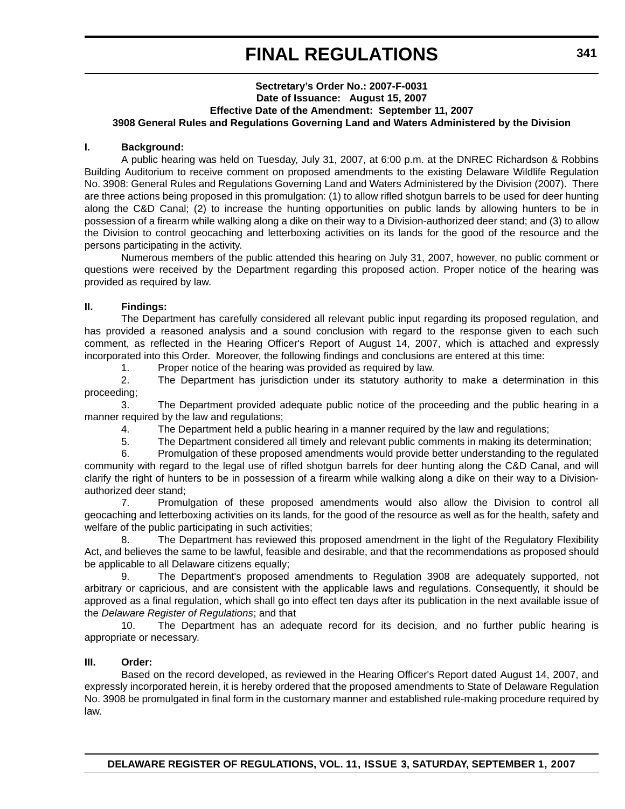### **Sectretary's Order No.: 2007-F-0031 Date of Issuance: August 15, 2007 Effective Date of the Amendment: September 11, 2007 3908 General Rules and Regulations Governing Land and Waters Administered by the Division**

### **I. Background:**

A public hearing was held on Tuesday, July 31, 2007, at 6:00 p.m. at the DNREC Richardson & Robbins Building Auditorium to receive comment on proposed amendments to the existing Delaware Wildlife Regulation No. 3908: General Rules and Regulations Governing Land and Waters Administered by the Division (2007). There are three actions being proposed in this promulgation: (1) to allow rifled shotgun barrels to be used for deer hunting along the C&D Canal; (2) to increase the hunting opportunities on public lands by allowing hunters to be in possession of a firearm while walking along a dike on their way to a Division-authorized deer stand; and (3) to allow the Division to control geocaching and letterboxing activities on its lands for the good of the resource and the persons participating in the activity.

Numerous members of the public attended this hearing on July 31, 2007, however, no public comment or questions were received by the Department regarding this proposed action. Proper notice of the hearing was provided as required by law.

## **II. Findings:**

The Department has carefully considered all relevant public input regarding its proposed regulation, and has provided a reasoned analysis and a sound conclusion with regard to the response given to each such comment, as reflected in the Hearing Officer's Report of August 14, 2007, which is attached and expressly incorporated into this Order. Moreover, the following findings and conclusions are entered at this time:

1. Proper notice of the hearing was provided as required by law.

2. The Department has jurisdiction under its statutory authority to make a determination in this proceeding;

3. The Department provided adequate public notice of the proceeding and the public hearing in a manner required by the law and regulations;

4. The Department held a public hearing in a manner required by the law and regulations;

5. The Department considered all timely and relevant public comments in making its determination;

6. Promulgation of these proposed amendments would provide better understanding to the regulated community with regard to the legal use of rifled shotgun barrels for deer hunting along the C&D Canal, and will clarify the right of hunters to be in possession of a firearm while walking along a dike on their way to a Divisionauthorized deer stand;

7. Promulgation of these proposed amendments would also allow the Division to control all geocaching and letterboxing activities on its lands, for the good of the resource as well as for the health, safety and welfare of the public participating in such activities;

8. The Department has reviewed this proposed amendment in the light of the Regulatory Flexibility Act, and believes the same to be lawful, feasible and desirable, and that the recommendations as proposed should be applicable to all Delaware citizens equally;

9. The Department's proposed amendments to Regulation 3908 are adequately supported, not arbitrary or capricious, and are consistent with the applicable laws and regulations. Consequently, it should be approved as a final regulation, which shall go into effect ten days after its publication in the next available issue of the *Delaware Register of Regulations*; and that

10. The Department has an adequate record for its decision, and no further public hearing is appropriate or necessary.

# **III. Order:**

Based on the record developed, as reviewed in the Hearing Officer's Report dated August 14, 2007, and expressly incorporated herein, it is hereby ordered that the proposed amendments to State of Delaware Regulation No. 3908 be promulgated in final form in the customary manner and established rule-making procedure required by law.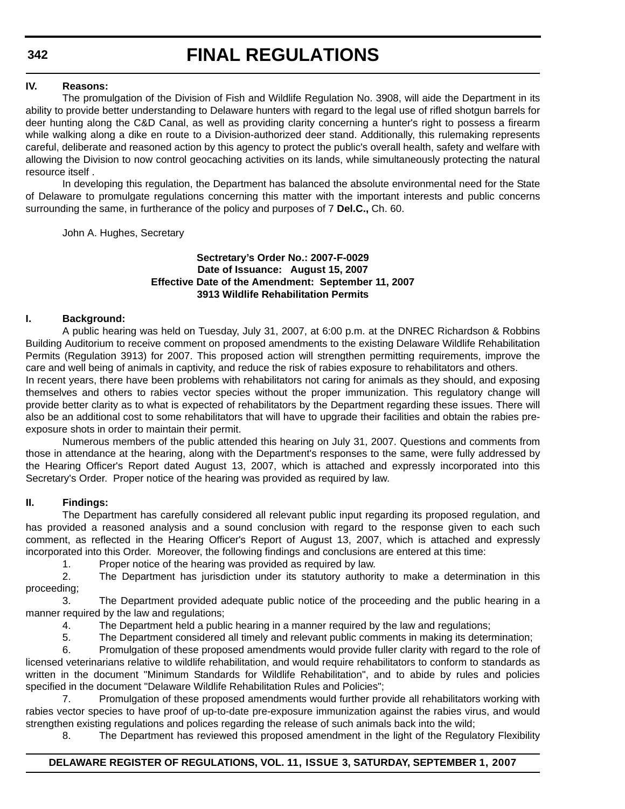## **IV. Reasons:**

The promulgation of the Division of Fish and Wildlife Regulation No. 3908, will aide the Department in its ability to provide better understanding to Delaware hunters with regard to the legal use of rifled shotgun barrels for deer hunting along the C&D Canal, as well as providing clarity concerning a hunter's right to possess a firearm while walking along a dike en route to a Division-authorized deer stand. Additionally, this rulemaking represents careful, deliberate and reasoned action by this agency to protect the public's overall health, safety and welfare with allowing the Division to now control geocaching activities on its lands, while simultaneously protecting the natural resource itself .

In developing this regulation, the Department has balanced the absolute environmental need for the State of Delaware to promulgate regulations concerning this matter with the important interests and public concerns surrounding the same, in furtherance of the policy and purposes of 7 **Del.C.,** Ch. 60.

John A. Hughes, Secretary

# **Sectretary's Order No.: 2007-F-0029 Date of Issuance: August 15, 2007 Effective Date of the Amendment: September 11, 2007 3913 Wildlife Rehabilitation Permits**

#### **I. Background:**

A public hearing was held on Tuesday, July 31, 2007, at 6:00 p.m. at the DNREC Richardson & Robbins Building Auditorium to receive comment on proposed amendments to the existing Delaware Wildlife Rehabilitation Permits (Regulation 3913) for 2007. This proposed action will strengthen permitting requirements, improve the care and well being of animals in captivity, and reduce the risk of rabies exposure to rehabilitators and others. In recent years, there have been problems with rehabilitators not caring for animals as they should, and exposing themselves and others to rabies vector species without the proper immunization. This regulatory change will provide better clarity as to what is expected of rehabilitators by the Department regarding these issues. There will also be an additional cost to some rehabilitators that will have to upgrade their facilities and obtain the rabies preexposure shots in order to maintain their permit.

Numerous members of the public attended this hearing on July 31, 2007. Questions and comments from those in attendance at the hearing, along with the Department's responses to the same, were fully addressed by the Hearing Officer's Report dated August 13, 2007, which is attached and expressly incorporated into this Secretary's Order. Proper notice of the hearing was provided as required by law.

#### **II. Findings:**

The Department has carefully considered all relevant public input regarding its proposed regulation, and has provided a reasoned analysis and a sound conclusion with regard to the response given to each such comment, as reflected in the Hearing Officer's Report of August 13, 2007, which is attached and expressly incorporated into this Order. Moreover, the following findings and conclusions are entered at this time:

1. Proper notice of the hearing was provided as required by law.

2. The Department has jurisdiction under its statutory authority to make a determination in this proceeding;

3. The Department provided adequate public notice of the proceeding and the public hearing in a manner required by the law and regulations;

4. The Department held a public hearing in a manner required by the law and regulations;

5. The Department considered all timely and relevant public comments in making its determination;

6. Promulgation of these proposed amendments would provide fuller clarity with regard to the role of licensed veterinarians relative to wildlife rehabilitation, and would require rehabilitators to conform to standards as written in the document "Minimum Standards for Wildlife Rehabilitation", and to abide by rules and policies specified in the document "Delaware Wildlife Rehabilitation Rules and Policies";

7. Promulgation of these proposed amendments would further provide all rehabilitators working with rabies vector species to have proof of up-to-date pre-exposure immunization against the rabies virus, and would strengthen existing regulations and polices regarding the release of such animals back into the wild;

8. The Department has reviewed this proposed amendment in the light of the Regulatory Flexibility

#### **DELAWARE REGISTER OF REGULATIONS, VOL. 11, ISSUE 3, SATURDAY, SEPTEMBER 1, 2007**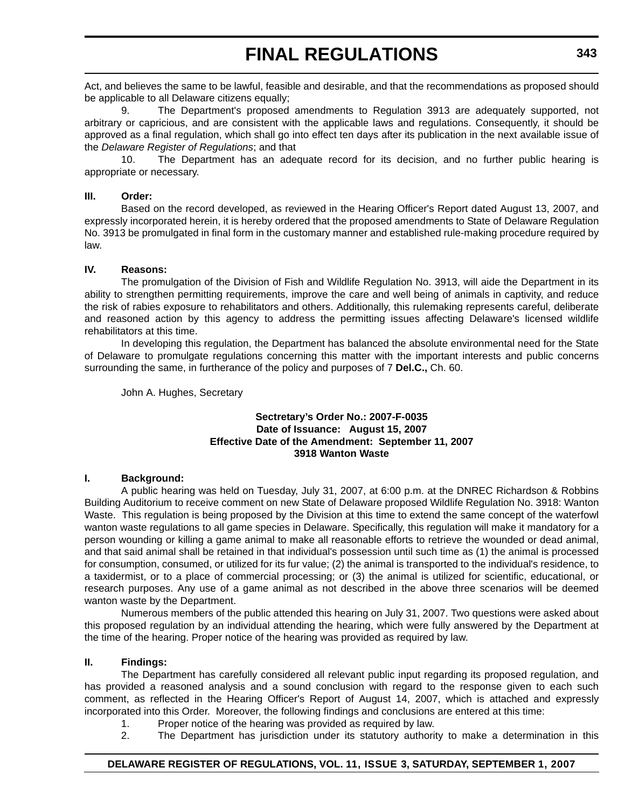Act, and believes the same to be lawful, feasible and desirable, and that the recommendations as proposed should be applicable to all Delaware citizens equally;

9. The Department's proposed amendments to Regulation 3913 are adequately supported, not arbitrary or capricious, and are consistent with the applicable laws and regulations. Consequently, it should be approved as a final regulation, which shall go into effect ten days after its publication in the next available issue of the *Delaware Register of Regulations*; and that

10. The Department has an adequate record for its decision, and no further public hearing is appropriate or necessary.

## **III. Order:**

Based on the record developed, as reviewed in the Hearing Officer's Report dated August 13, 2007, and expressly incorporated herein, it is hereby ordered that the proposed amendments to State of Delaware Regulation No. 3913 be promulgated in final form in the customary manner and established rule-making procedure required by law.

## **IV. Reasons:**

The promulgation of the Division of Fish and Wildlife Regulation No. 3913, will aide the Department in its ability to strengthen permitting requirements, improve the care and well being of animals in captivity, and reduce the risk of rabies exposure to rehabilitators and others. Additionally, this rulemaking represents careful, deliberate and reasoned action by this agency to address the permitting issues affecting Delaware's licensed wildlife rehabilitators at this time.

In developing this regulation, the Department has balanced the absolute environmental need for the State of Delaware to promulgate regulations concerning this matter with the important interests and public concerns surrounding the same, in furtherance of the policy and purposes of 7 **Del.C.,** Ch. 60.

John A. Hughes, Secretary

## **Sectretary's Order No.: 2007-F-0035 Date of Issuance: August 15, 2007 Effective Date of the Amendment: September 11, 2007 3918 Wanton Waste**

## **I. Background:**

A public hearing was held on Tuesday, July 31, 2007, at 6:00 p.m. at the DNREC Richardson & Robbins Building Auditorium to receive comment on new State of Delaware proposed Wildlife Regulation No. 3918: Wanton Waste. This regulation is being proposed by the Division at this time to extend the same concept of the waterfowl wanton waste regulations to all game species in Delaware. Specifically, this regulation will make it mandatory for a person wounding or killing a game animal to make all reasonable efforts to retrieve the wounded or dead animal, and that said animal shall be retained in that individual's possession until such time as (1) the animal is processed for consumption, consumed, or utilized for its fur value; (2) the animal is transported to the individual's residence, to a taxidermist, or to a place of commercial processing; or (3) the animal is utilized for scientific, educational, or research purposes. Any use of a game animal as not described in the above three scenarios will be deemed wanton waste by the Department.

Numerous members of the public attended this hearing on July 31, 2007. Two questions were asked about this proposed regulation by an individual attending the hearing, which were fully answered by the Department at the time of the hearing. Proper notice of the hearing was provided as required by law.

# **II. Findings:**

The Department has carefully considered all relevant public input regarding its proposed regulation, and has provided a reasoned analysis and a sound conclusion with regard to the response given to each such comment, as reflected in the Hearing Officer's Report of August 14, 2007, which is attached and expressly incorporated into this Order. Moreover, the following findings and conclusions are entered at this time:

- 1. Proper notice of the hearing was provided as required by law.
- 2. The Department has jurisdiction under its statutory authority to make a determination in this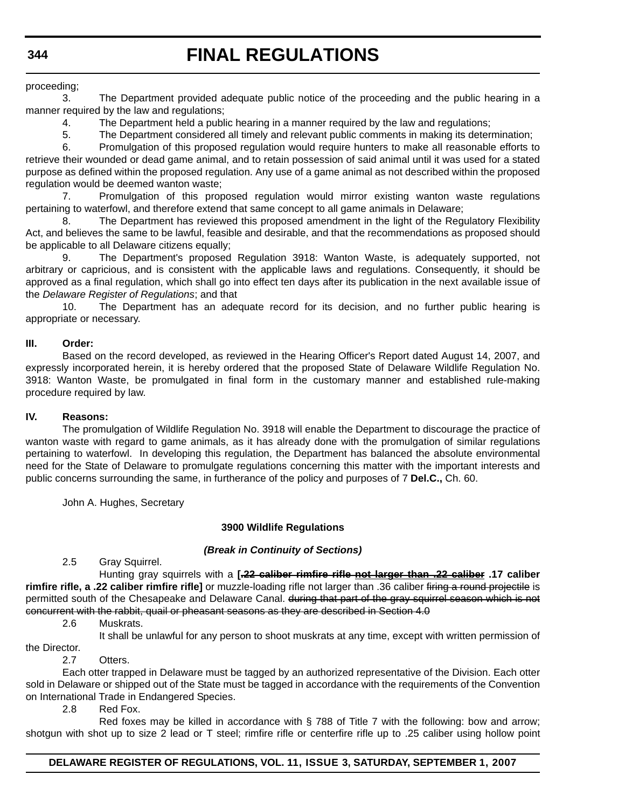## proceeding;

3. The Department provided adequate public notice of the proceeding and the public hearing in a manner required by the law and regulations;

4. The Department held a public hearing in a manner required by the law and regulations;

5. The Department considered all timely and relevant public comments in making its determination;

6. Promulgation of this proposed regulation would require hunters to make all reasonable efforts to retrieve their wounded or dead game animal, and to retain possession of said animal until it was used for a stated purpose as defined within the proposed regulation. Any use of a game animal as not described within the proposed regulation would be deemed wanton waste;

7. Promulgation of this proposed regulation would mirror existing wanton waste regulations pertaining to waterfowl, and therefore extend that same concept to all game animals in Delaware;

8. The Department has reviewed this proposed amendment in the light of the Regulatory Flexibility Act, and believes the same to be lawful, feasible and desirable, and that the recommendations as proposed should be applicable to all Delaware citizens equally;

9. The Department's proposed Regulation 3918: Wanton Waste, is adequately supported, not arbitrary or capricious, and is consistent with the applicable laws and regulations. Consequently, it should be approved as a final regulation, which shall go into effect ten days after its publication in the next available issue of the *Delaware Register of Regulations*; and that

10. The Department has an adequate record for its decision, and no further public hearing is appropriate or necessary.

## **III. Order:**

Based on the record developed, as reviewed in the Hearing Officer's Report dated August 14, 2007, and expressly incorporated herein, it is hereby ordered that the proposed State of Delaware Wildlife Regulation No. 3918: Wanton Waste, be promulgated in final form in the customary manner and established rule-making procedure required by law.

### **IV. Reasons:**

The promulgation of Wildlife Regulation No. 3918 will enable the Department to discourage the practice of wanton waste with regard to game animals, as it has already done with the promulgation of similar regulations pertaining to waterfowl. In developing this regulation, the Department has balanced the absolute environmental need for the State of Delaware to promulgate regulations concerning this matter with the important interests and public concerns surrounding the same, in furtherance of the policy and purposes of 7 **Del.C.,** Ch. 60.

John A. Hughes, Secretary

# **3900 Wildlife Regulations**

#### *(Break in Continuity of Sections)*

2.5 Gray Squirrel.

Hunting gray squirrels with a **[.22 caliber rimfire rifle not larger than .22 caliber .17 caliber rimfire rifle, a .22 caliber rimfire rifle]** or muzzle-loading rifle not larger than .36 caliber firing a round projectile is permitted south of the Chesapeake and Delaware Canal. during that part of the gray squirrel season which is not concurrent with the rabbit, quail or pheasant seasons as they are described in Section 4.0

2.6 Muskrats.

It shall be unlawful for any person to shoot muskrats at any time, except with written permission of

#### 2.7 Otters.

the Director.

Each otter trapped in Delaware must be tagged by an authorized representative of the Division. Each otter sold in Delaware or shipped out of the State must be tagged in accordance with the requirements of the Convention on International Trade in Endangered Species.

2.8 Red Fox.

Red foxes may be killed in accordance with § 788 of Title 7 with the following: bow and arrow; shotgun with shot up to size 2 lead or T steel; rimfire rifle or centerfire rifle up to .25 caliber using hollow point

# **DELAWARE REGISTER OF REGULATIONS, VOL. 11, ISSUE 3, SATURDAY, SEPTEMBER 1, 2007**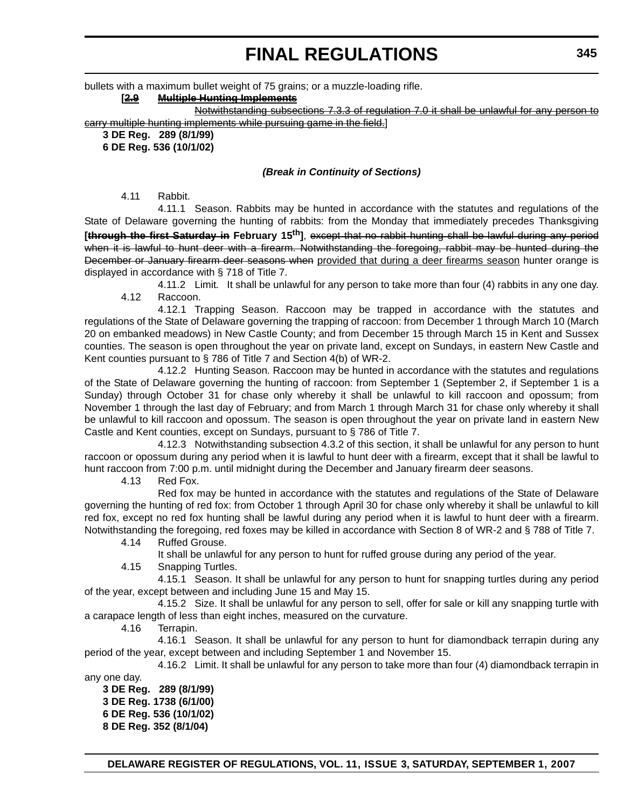bullets with a maximum bullet weight of 75 grains; or a muzzle-loading rifle.

## **[2.9 Multiple Hunting Implements**

Notwithstanding subsections 7.3.3 of regulation 7.0 it shall be unlawful for any person to carry multiple hunting implements while pursuing game in the field.]

**3 DE Reg. 289 (8/1/99)**

**6 DE Reg. 536 (10/1/02)**

## *(Break in Continuity of Sections)*

4.11 Rabbit.

4.11.1 Season. Rabbits may be hunted in accordance with the statutes and regulations of the State of Delaware governing the hunting of rabbits: from the Monday that immediately precedes Thanksgiving **[through the first Saturday in February 15th]**, except that no rabbit hunting shall be lawful during any period when it is lawful to hunt deer with a firearm. Notwithstanding the foregoing, rabbit may be hunted during the December or January firearm deer seasons when provided that during a deer firearms season hunter orange is displayed in accordance with § 718 of Title 7.

4.11.2 Limit*.* It shall be unlawful for any person to take more than four (4) rabbits in any one day. 4.12 Raccoon.

4.12.1 Trapping Season. Raccoon may be trapped in accordance with the statutes and regulations of the State of Delaware governing the trapping of raccoon: from December 1 through March 10 (March 20 on embanked meadows) in New Castle County; and from December 15 through March 15 in Kent and Sussex counties. The season is open throughout the year on private land, except on Sundays, in eastern New Castle and Kent counties pursuant to § 786 of Title 7 and Section 4(b) of WR-2.

4.12.2 Hunting Season. Raccoon may be hunted in accordance with the statutes and regulations of the State of Delaware governing the hunting of raccoon: from September 1 (September 2, if September 1 is a Sunday) through October 31 for chase only whereby it shall be unlawful to kill raccoon and opossum; from November 1 through the last day of February; and from March 1 through March 31 for chase only whereby it shall be unlawful to kill raccoon and opossum. The season is open throughout the year on private land in eastern New Castle and Kent counties, except on Sundays, pursuant to § 786 of Title 7.

4.12.3 Notwithstanding subsection 4.3.2 of this section, it shall be unlawful for any person to hunt raccoon or opossum during any period when it is lawful to hunt deer with a firearm, except that it shall be lawful to hunt raccoon from 7:00 p.m. until midnight during the December and January firearm deer seasons.

4.13 Red Fox.

Red fox may be hunted in accordance with the statutes and regulations of the State of Delaware governing the hunting of red fox: from October 1 through April 30 for chase only whereby it shall be unlawful to kill red fox, except no red fox hunting shall be lawful during any period when it is lawful to hunt deer with a firearm. Notwithstanding the foregoing, red foxes may be killed in accordance with Section 8 of WR-2 and § 788 of Title 7.

4.14 Ruffed Grouse.

It shall be unlawful for any person to hunt for ruffed grouse during any period of the year.

4.15 Snapping Turtles.

4.15.1 Season. It shall be unlawful for any person to hunt for snapping turtles during any period of the year, except between and including June 15 and May 15.

4.15.2 Size. It shall be unlawful for any person to sell, offer for sale or kill any snapping turtle with a carapace length of less than eight inches, measured on the curvature.

4.16 Terrapin.

4.16.1 Season. It shall be unlawful for any person to hunt for diamondback terrapin during any period of the year, except between and including September 1 and November 15.

4.16.2 Limit. It shall be unlawful for any person to take more than four (4) diamondback terrapin in

any one day.

**3 DE Reg. 289 (8/1/99) 3 DE Reg. 1738 (6/1/00) 6 DE Reg. 536 (10/1/02) 8 DE Reg. 352 (8/1/04)**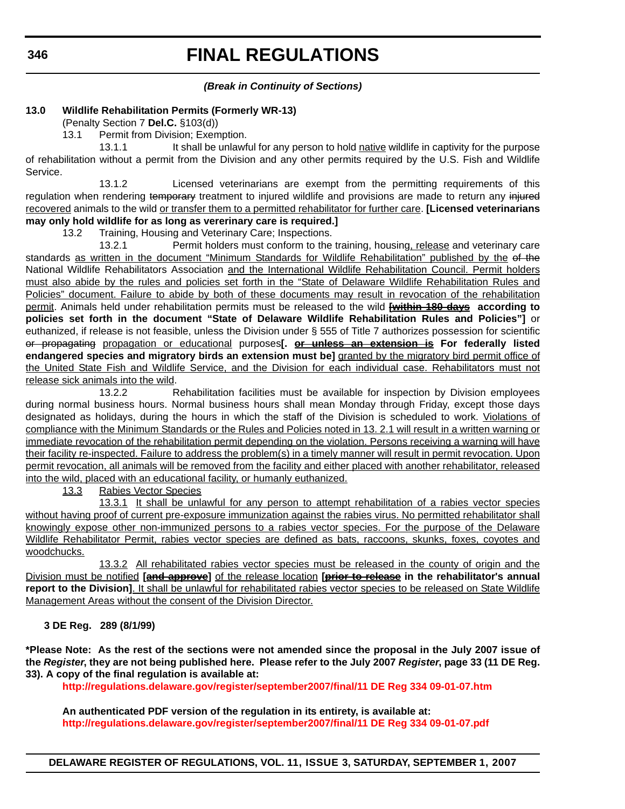## *(Break in Continuity of Sections)*

## **13.0 Wildlife Rehabilitation Permits (Formerly WR-13)**

(Penalty Section 7 **Del.C.** §103(d))

13.1 Permit from Division; Exemption.

13.1.1 It shall be unlawful for any person to hold native wildlife in captivity for the purpose of rehabilitation without a permit from the Division and any other permits required by the U.S. Fish and Wildlife Service.

13.1.2 Licensed veterinarians are exempt from the permitting requirements of this regulation when rendering temporary treatment to injured wildlife and provisions are made to return any injured recovered animals to the wild or transfer them to a permitted rehabilitator for further care. **[Licensed veterinarians may only hold wildlife for as long as vererinary care is required.]**

13.2 Training, Housing and Veterinary Care; Inspections.

13.2.1 Permit holders must conform to the training, housing, release and veterinary care standards as written in the document "Minimum Standards for Wildlife Rehabilitation" published by the of the National Wildlife Rehabilitators Association and the International Wildlife Rehabilitation Council. Permit holders must also abide by the rules and policies set forth in the "State of Delaware Wildlife Rehabilitation Rules and Policies" document. Failure to abide by both of these documents may result in revocation of the rehabilitation permit. Animals held under rehabilitation permits must be released to the wild **[within 180 days according to policies set forth in the document "State of Delaware Wildlife Rehabilitation Rules and Policies"]** or euthanized, if release is not feasible, unless the Division under § 555 of Title 7 authorizes possession for scientific or propagating propagation or educational purposes**[. or unless an extension is For federally listed endangered species and migratory birds an extension must be]** granted by the migratory bird permit office of the United State Fish and Wildlife Service, and the Division for each individual case. Rehabilitators must not release sick animals into the wild.

13.2.2 Rehabilitation facilities must be available for inspection by Division employees during normal business hours. Normal business hours shall mean Monday through Friday, except those days designated as holidays, during the hours in which the staff of the Division is scheduled to work. Violations of compliance with the Minimum Standards or the Rules and Policies noted in 13. 2.1 will result in a written warning or immediate revocation of the rehabilitation permit depending on the violation. Persons receiving a warning will have their facility re-inspected. Failure to address the problem(s) in a timely manner will result in permit revocation. Upon permit revocation, all animals will be removed from the facility and either placed with another rehabilitator, released into the wild, placed with an educational facility, or humanly euthanized.

13.3 Rabies Vector Species

13.3.1 It shall be unlawful for any person to attempt rehabilitation of a rabies vector species without having proof of current pre-exposure immunization against the rabies virus. No permitted rehabilitator shall knowingly expose other non-immunized persons to a rabies vector species. For the purpose of the Delaware Wildlife Rehabilitator Permit, rabies vector species are defined as bats, raccoons, skunks, foxes, coyotes and woodchucks.

13.3.2 All rehabilitated rabies vector species must be released in the county of origin and the Division must be notified **[and approve]** of the release location **[prior to release in the rehabilitator's annual report to the Division]**. It shall be unlawful for rehabilitated rabies vector species to be released on State Wildlife Management Areas without the consent of the Division Director.

# **3 DE Reg. 289 (8/1/99)**

**\*Please Note: As the rest of the sections were not amended since the proposal in the July 2007 issue of the** *Register***, they are not being published here. Please refer to the July 2007** *Register***, page 33 (11 DE Reg. 33). A copy of the final regulation is available at:**

**<http://regulations.delaware.gov/register/september2007/final/11 DE Reg 334 09-01-07.htm>**

**An authenticated PDF version of the regulation in its entirety, is available at: <http://regulations.delaware.gov/register/september2007/final/11 DE Reg 334 09-01-07.pdf>**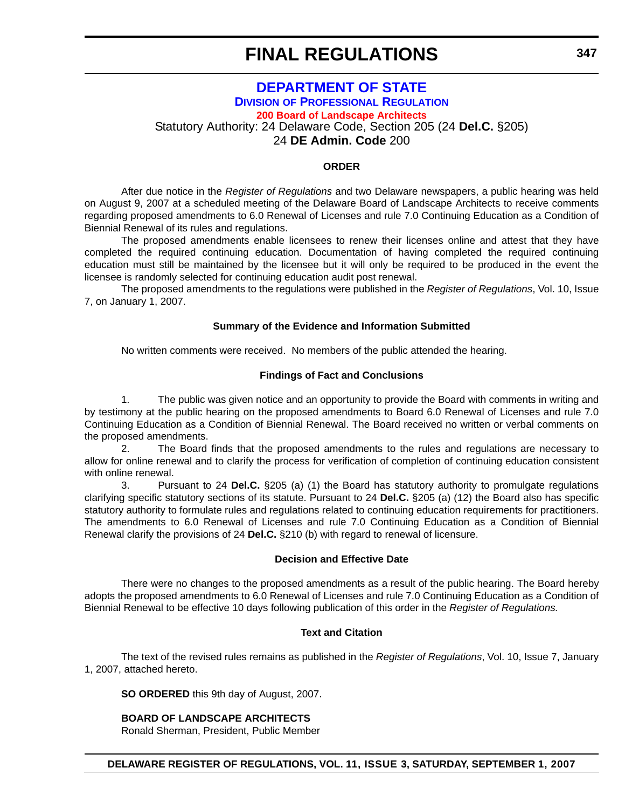# **DEPARTMENT OF STATE DIVISION OF PROFESSIONAL REGULATION [200 Board of Landscape Architects](#page-4-0)** Statutory Authority: 24 Delaware Code, Section 205 (24 **Del.C.** §205)

24 **DE Admin. Code** 200

## **ORDER**

After due notice in the *Register of Regulations* and two Delaware newspapers, a public hearing was held on August 9, 2007 at a scheduled meeting of the Delaware Board of Landscape Architects to receive comments regarding proposed amendments to 6.0 Renewal of Licenses and rule 7.0 Continuing Education as a Condition of Biennial Renewal of its rules and regulations.

The proposed amendments enable licensees to renew their licenses online and attest that they have completed the required continuing education. Documentation of having completed the required continuing education must still be maintained by the licensee but it will only be required to be produced in the event the licensee is randomly selected for continuing education audit post renewal.

The proposed amendments to the regulations were published in the *Register of Regulations*, Vol. 10, Issue 7, on January 1, 2007.

#### **Summary of the Evidence and Information Submitted**

No written comments were received. No members of the public attended the hearing.

#### **Findings of Fact and Conclusions**

1. The public was given notice and an opportunity to provide the Board with comments in writing and by testimony at the public hearing on the proposed amendments to Board 6.0 Renewal of Licenses and rule 7.0 Continuing Education as a Condition of Biennial Renewal. The Board received no written or verbal comments on the proposed amendments.

2. The Board finds that the proposed amendments to the rules and regulations are necessary to allow for online renewal and to clarify the process for verification of completion of continuing education consistent with online renewal.

3. Pursuant to 24 **Del.C.** §205 (a) (1) the Board has statutory authority to promulgate regulations clarifying specific statutory sections of its statute. Pursuant to 24 **Del.C.** §205 (a) (12) the Board also has specific statutory authority to formulate rules and regulations related to continuing education requirements for practitioners. The amendments to 6.0 Renewal of Licenses and rule 7.0 Continuing Education as a Condition of Biennial Renewal clarify the provisions of 24 **Del.C.** §210 (b) with regard to renewal of licensure.

#### **Decision and Effective Date**

There were no changes to the proposed amendments as a result of the public hearing. The Board hereby adopts the proposed amendments to 6.0 Renewal of Licenses and rule 7.0 Continuing Education as a Condition of Biennial Renewal to be effective 10 days following publication of this order in the *Register of Regulations.*

#### **Text and Citation**

The text of the revised rules remains as published in the *Register of Regulations*, Vol. 10, Issue 7, January 1, 2007, attached hereto.

**SO ORDERED** this 9th day of August, 2007.

#### **BOARD OF LANDSCAPE ARCHITECTS**

Ronald Sherman, President, Public Member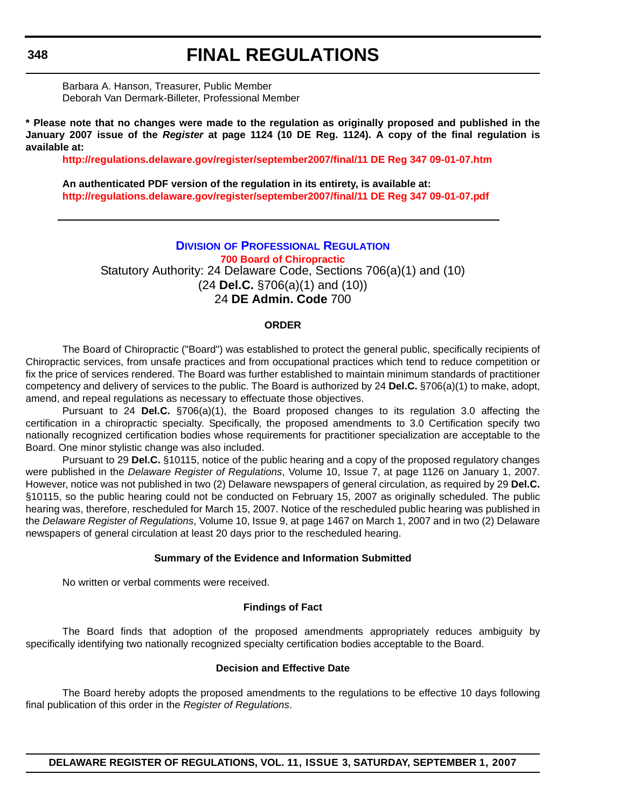Barbara A. Hanson, Treasurer, Public Member Deborah Van Dermark-Billeter, Professional Member

**\* Please note that no changes were made to the regulation as originally proposed and published in the January 2007 issue of the** *Register* **at page 1124 (10 DE Reg. 1124). A copy of the final regulation is available at:**

**<http://regulations.delaware.gov/register/september2007/final/11 DE Reg 347 09-01-07.htm>**

**An authenticated PDF version of the regulation in its entirety, is available at: <http://regulations.delaware.gov/register/september2007/final/11 DE Reg 347 09-01-07.pdf>**

## **DIVISION OF PROFESSIONAL REGULATION [700 Board of Chiropractic](#page-4-0)**

Statutory Authority: 24 Delaware Code, Sections 706(a)(1) and (10) (24 **Del.C.** §706(a)(1) and (10)) 24 **DE Admin. Code** 700

#### **ORDER**

The Board of Chiropractic ("Board") was established to protect the general public, specifically recipients of Chiropractic services, from unsafe practices and from occupational practices which tend to reduce competition or fix the price of services rendered. The Board was further established to maintain minimum standards of practitioner competency and delivery of services to the public. The Board is authorized by 24 **Del.C.** §706(a)(1) to make, adopt, amend, and repeal regulations as necessary to effectuate those objectives.

Pursuant to 24 **Del.C.** §706(a)(1), the Board proposed changes to its regulation 3.0 affecting the certification in a chiropractic specialty. Specifically, the proposed amendments to 3.0 Certification specify two nationally recognized certification bodies whose requirements for practitioner specialization are acceptable to the Board. One minor stylistic change was also included.

Pursuant to 29 **Del.C.** §10115, notice of the public hearing and a copy of the proposed regulatory changes were published in the *Delaware Register of Regulations*, Volume 10, Issue 7, at page 1126 on January 1, 2007. However, notice was not published in two (2) Delaware newspapers of general circulation, as required by 29 **Del.C.** §10115, so the public hearing could not be conducted on February 15, 2007 as originally scheduled. The public hearing was, therefore, rescheduled for March 15, 2007. Notice of the rescheduled public hearing was published in the *Delaware Register of Regulations*, Volume 10, Issue 9, at page 1467 on March 1, 2007 and in two (2) Delaware newspapers of general circulation at least 20 days prior to the rescheduled hearing.

#### **Summary of the Evidence and Information Submitted**

No written or verbal comments were received.

#### **Findings of Fact**

The Board finds that adoption of the proposed amendments appropriately reduces ambiguity by specifically identifying two nationally recognized specialty certification bodies acceptable to the Board.

### **Decision and Effective Date**

The Board hereby adopts the proposed amendments to the regulations to be effective 10 days following final publication of this order in the *Register of Regulations*.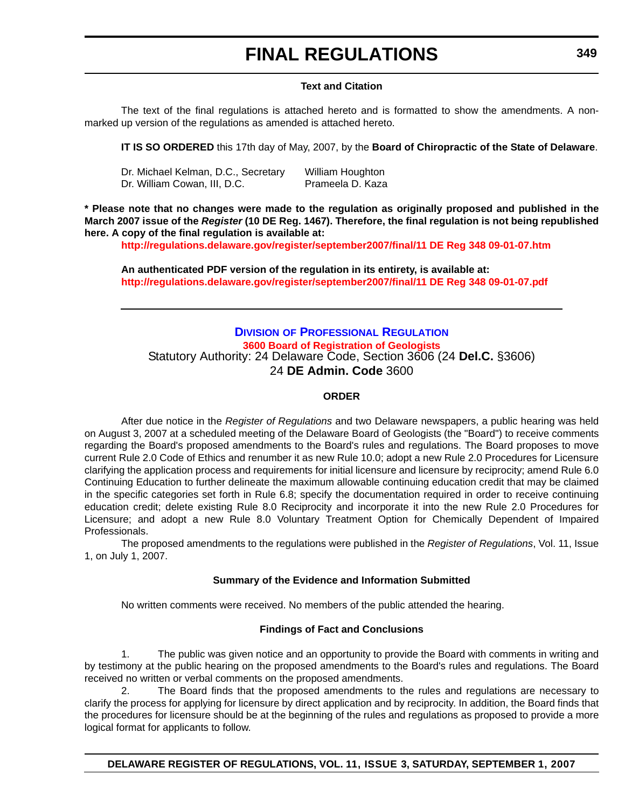## **FINAL REGULATIONS**

#### **Text and Citation**

The text of the final regulations is attached hereto and is formatted to show the amendments. A nonmarked up version of the regulations as amended is attached hereto.

**IT IS SO ORDERED** this 17th day of May, 2007, by the **Board of Chiropractic of the State of Delaware**.

| Dr. Michael Kelman, D.C., Secretary | William Houghton |
|-------------------------------------|------------------|
| Dr. William Cowan, III, D.C.        | Prameela D. Kaza |

**\* Please note that no changes were made to the regulation as originally proposed and published in the March 2007 issue of the** *Register* **(10 DE Reg. 1467). Therefore, the final regulation is not being republished here. A copy of the final regulation is available at:**

**<http://regulations.delaware.gov/register/september2007/final/11 DE Reg 348 09-01-07.htm>**

**An authenticated PDF version of the regulation in its entirety, is available at: <http://regulations.delaware.gov/register/september2007/final/11 DE Reg 348 09-01-07.pdf>**

#### **DIVISION OF PROFESSIONAL REGULATION [3600 Board of Registration of Geologists](#page-4-0)** Statutory Authority: 24 Delaware Code, Section 3606 (24 **Del.C.** §3606) 24 **DE Admin. Code** 3600

#### **ORDER**

After due notice in the *Register of Regulations* and two Delaware newspapers, a public hearing was held on August 3, 2007 at a scheduled meeting of the Delaware Board of Geologists (the "Board") to receive comments regarding the Board's proposed amendments to the Board's rules and regulations. The Board proposes to move current Rule 2.0 Code of Ethics and renumber it as new Rule 10.0; adopt a new Rule 2.0 Procedures for Licensure clarifying the application process and requirements for initial licensure and licensure by reciprocity; amend Rule 6.0 Continuing Education to further delineate the maximum allowable continuing education credit that may be claimed in the specific categories set forth in Rule 6.8; specify the documentation required in order to receive continuing education credit; delete existing Rule 8.0 Reciprocity and incorporate it into the new Rule 2.0 Procedures for Licensure; and adopt a new Rule 8.0 Voluntary Treatment Option for Chemically Dependent of Impaired Professionals.

The proposed amendments to the regulations were published in the *Register of Regulations*, Vol. 11, Issue 1, on July 1, 2007.

#### **Summary of the Evidence and Information Submitted**

No written comments were received. No members of the public attended the hearing.

#### **Findings of Fact and Conclusions**

1. The public was given notice and an opportunity to provide the Board with comments in writing and by testimony at the public hearing on the proposed amendments to the Board's rules and regulations. The Board received no written or verbal comments on the proposed amendments.

2. The Board finds that the proposed amendments to the rules and regulations are necessary to clarify the process for applying for licensure by direct application and by reciprocity. In addition, the Board finds that the procedures for licensure should be at the beginning of the rules and regulations as proposed to provide a more logical format for applicants to follow.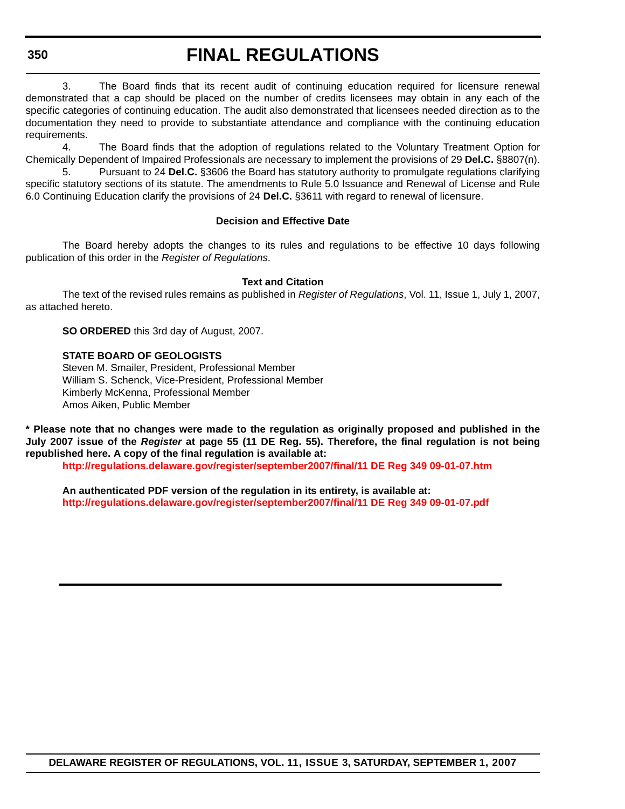## **FINAL REGULATIONS**

3. The Board finds that its recent audit of continuing education required for licensure renewal demonstrated that a cap should be placed on the number of credits licensees may obtain in any each of the specific categories of continuing education. The audit also demonstrated that licensees needed direction as to the documentation they need to provide to substantiate attendance and compliance with the continuing education requirements.

4. The Board finds that the adoption of regulations related to the Voluntary Treatment Option for Chemically Dependent of Impaired Professionals are necessary to implement the provisions of 29 **Del.C.** §8807(n). 5. Pursuant to 24 **Del.C.** §3606 the Board has statutory authority to promulgate regulations clarifying specific statutory sections of its statute. The amendments to Rule 5.0 Issuance and Renewal of License and Rule

6.0 Continuing Education clarify the provisions of 24 **Del.C.** §3611 with regard to renewal of licensure.

#### **Decision and Effective Date**

The Board hereby adopts the changes to its rules and regulations to be effective 10 days following publication of this order in the *Register of Regulations*.

#### **Text and Citation**

The text of the revised rules remains as published in *Register of Regulations*, Vol. 11, Issue 1, July 1, 2007, as attached hereto.

**SO ORDERED** this 3rd day of August, 2007.

#### **STATE BOARD OF GEOLOGISTS**

Steven M. Smailer, President, Professional Member William S. Schenck, Vice-President, Professional Member Kimberly McKenna, Professional Member Amos Aiken, Public Member

**\* Please note that no changes were made to the regulation as originally proposed and published in the July 2007 issue of the** *Register* **at page 55 (11 DE Reg. 55). Therefore, the final regulation is not being republished here. A copy of the final regulation is available at:**

**<http://regulations.delaware.gov/register/september2007/final/11 DE Reg 349 09-01-07.htm>**

**An authenticated PDF version of the regulation in its entirety, is available at: <http://regulations.delaware.gov/register/september2007/final/11 DE Reg 349 09-01-07.pdf>**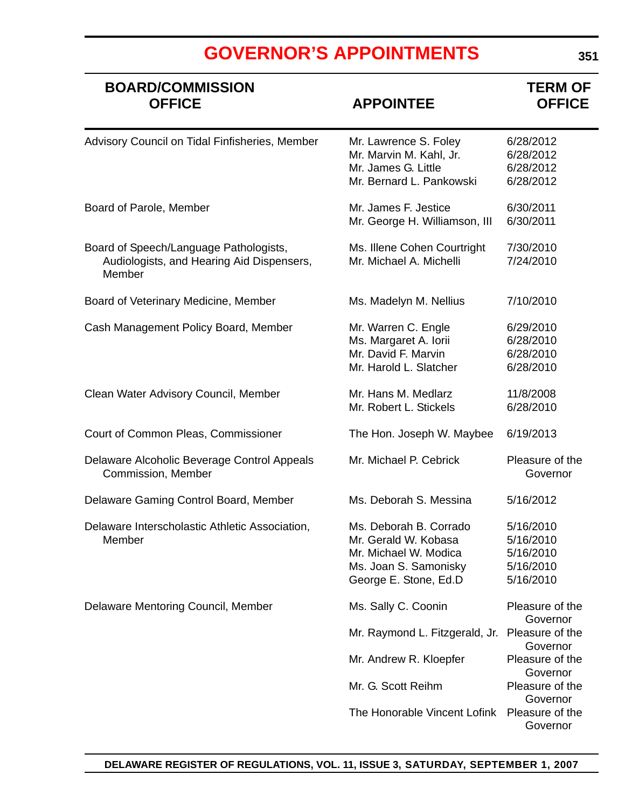### **BOARD/COMMISSION TERM OF OFFICE APPOINTEE OFFICE** Advisory Council on Tidal Finfisheries, Member Mr. Lawrence S. Foley 6/28/2012 Mr. Marvin M. Kahl, Jr. 6/28/2012 Mr. James G. Little 6/28/2012 Mr. Bernard L. Pankowski 6/28/2012 Board of Parole, Member Music Communication Control Mr. James F. Jestice 6/30/2011 Mr. George H. Williamson, III 6/30/2011 Board of Speech/Language Pathologists, Ms. Illene Cohen Courtright 7/30/2010 Audiologists, and Hearing Aid Dispensers, Mr. Michael A. Michelli 7/24/2010 **Member** Board of Veterinary Medicine, Member Ms. Madelyn M. Nellius 7/10/2010 Cash Management Policy Board, Member Mr. Warren C. Engle 6/29/2010 Ms. Margaret A. Iorii 6/28/2010 Mr. David F. Marvin 6/28/2010 Mr. Harold L. Slatcher 6/28/2010 Clean Water Advisory Council, Member Mr. Hans M. Medlarz 11/8/2008 Mr. Robert L. Stickels 6/28/2010 Court of Common Pleas, Commissioner The Hon. Joseph W. Maybee 6/19/2013 Delaware Alcoholic Beverage Control Appeals Mr. Michael P. Cebrick Pleasure of the **Commission, Member Governor Governor Commission, Member Governor Commission, Commission, Commission, Commission** Delaware Gaming Control Board, Member Ms. Deborah S. Messina 5/16/2012 Delaware Interscholastic Athletic Association, Ms. Deborah B. Corrado 5/16/2010 Member Mr. Gerald W. Kobasa 5/16/2010 Mr. Michael W. Modica 5/16/2010 Ms. Joan S. Samonisky 5/16/2010 George E. Stone, Ed.D 5/16/2010 Delaware Mentoring Council, Member Ms. Sally C. Coonin Pleasure of the **Governor** Mr. Raymond L. Fitzgerald, Jr. Pleasure of the Governor Mr. Andrew R. Kloepfer Pleasure of the Governor Mr. G. Scott Reihm Pleasure of the Governor The Honorable Vincent Lofink Pleasure of the Governor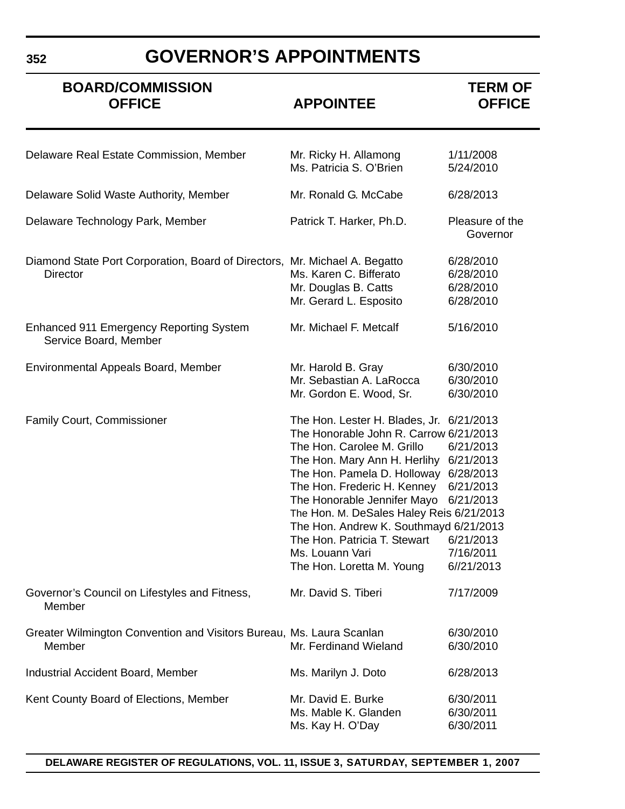## **GOVERNOR'S APPOINTMENTS**

| <b>BOARD/COMMISSION</b><br><b>OFFICE</b>                                                      | <b>APPOINTEE</b>                                                                                                                                                                                                                                                                                                                                                                                                    | <b>TERM OF</b><br><b>OFFICE</b>                                                                       |
|-----------------------------------------------------------------------------------------------|---------------------------------------------------------------------------------------------------------------------------------------------------------------------------------------------------------------------------------------------------------------------------------------------------------------------------------------------------------------------------------------------------------------------|-------------------------------------------------------------------------------------------------------|
| Delaware Real Estate Commission, Member                                                       | Mr. Ricky H. Allamong<br>Ms. Patricia S. O'Brien                                                                                                                                                                                                                                                                                                                                                                    | 1/11/2008<br>5/24/2010                                                                                |
| Delaware Solid Waste Authority, Member                                                        | Mr. Ronald G. McCabe                                                                                                                                                                                                                                                                                                                                                                                                | 6/28/2013                                                                                             |
| Delaware Technology Park, Member                                                              | Patrick T. Harker, Ph.D.                                                                                                                                                                                                                                                                                                                                                                                            | Pleasure of the<br>Governor                                                                           |
| Diamond State Port Corporation, Board of Directors, Mr. Michael A. Begatto<br><b>Director</b> | Ms. Karen C. Bifferato<br>Mr. Douglas B. Catts<br>Mr. Gerard L. Esposito                                                                                                                                                                                                                                                                                                                                            | 6/28/2010<br>6/28/2010<br>6/28/2010<br>6/28/2010                                                      |
| <b>Enhanced 911 Emergency Reporting System</b><br>Service Board, Member                       | Mr. Michael F. Metcalf                                                                                                                                                                                                                                                                                                                                                                                              | 5/16/2010                                                                                             |
| Environmental Appeals Board, Member                                                           | Mr. Harold B. Gray<br>Mr. Sebastian A. LaRocca<br>Mr. Gordon E. Wood, Sr.                                                                                                                                                                                                                                                                                                                                           | 6/30/2010<br>6/30/2010<br>6/30/2010                                                                   |
| <b>Family Court, Commissioner</b>                                                             | The Hon. Lester H. Blades, Jr.<br>The Honorable John R. Carrow 6/21/2013<br>The Hon. Carolee M. Grillo<br>The Hon. Mary Ann H. Herlihy<br>The Hon. Pamela D. Holloway 6/28/2013<br>The Hon. Frederic H. Kenney<br>The Honorable Jennifer Mayo<br>The Hon. M. DeSales Haley Reis 6/21/2013<br>The Hon. Andrew K. Southmayd 6/21/2013<br>The Hon. Patricia T. Stewart<br>Ms. Louann Vari<br>The Hon. Loretta M. Young | 6/21/2013<br>6/21/2013<br>6/21/2013<br>6/21/2013<br>6/21/2013<br>6/21/2013<br>7/16/2011<br>6//21/2013 |
| Governor's Council on Lifestyles and Fitness,<br>Member                                       | Mr. David S. Tiberi                                                                                                                                                                                                                                                                                                                                                                                                 | 7/17/2009                                                                                             |
| Greater Wilmington Convention and Visitors Bureau, Ms. Laura Scanlan<br>Member                | Mr. Ferdinand Wieland                                                                                                                                                                                                                                                                                                                                                                                               | 6/30/2010<br>6/30/2010                                                                                |
| <b>Industrial Accident Board, Member</b>                                                      | Ms. Marilyn J. Doto                                                                                                                                                                                                                                                                                                                                                                                                 | 6/28/2013                                                                                             |
| Kent County Board of Elections, Member                                                        | Mr. David E. Burke<br>Ms. Mable K. Glanden<br>Ms. Kay H. O'Day                                                                                                                                                                                                                                                                                                                                                      | 6/30/2011<br>6/30/2011<br>6/30/2011                                                                   |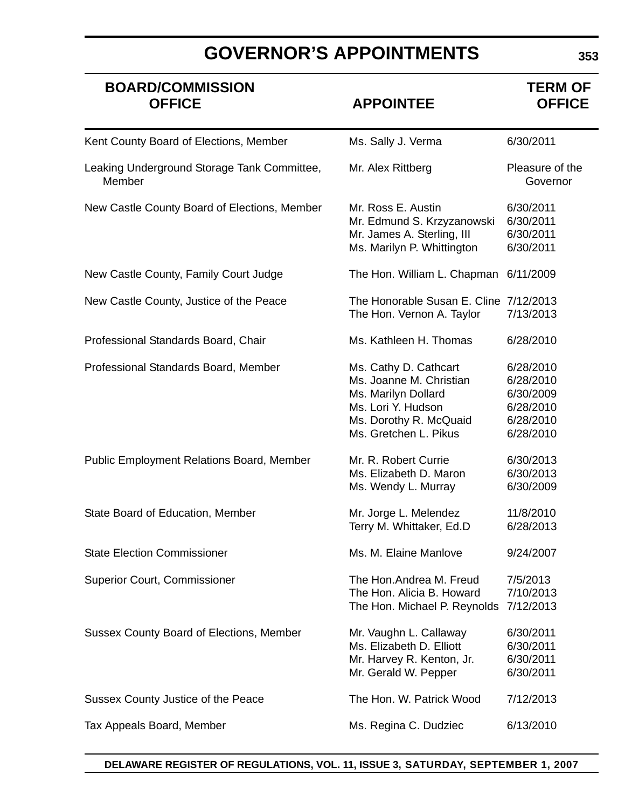# **BOARD/COMMISSION**<br>OFFICE **TERM OF APPOINTEE TERM OF**

### **APPOINTEE**

| Kent County Board of Elections, Member                | Ms. Sally J. Verma                                                                                                                               | 6/30/2011                                                                  |
|-------------------------------------------------------|--------------------------------------------------------------------------------------------------------------------------------------------------|----------------------------------------------------------------------------|
| Leaking Underground Storage Tank Committee,<br>Member | Mr. Alex Rittberg                                                                                                                                | Pleasure of the<br>Governor                                                |
| New Castle County Board of Elections, Member          | Mr. Ross E. Austin<br>Mr. Edmund S. Krzyzanowski<br>Mr. James A. Sterling, III<br>Ms. Marilyn P. Whittington                                     | 6/30/2011<br>6/30/2011<br>6/30/2011<br>6/30/2011                           |
| New Castle County, Family Court Judge                 | The Hon. William L. Chapman 6/11/2009                                                                                                            |                                                                            |
| New Castle County, Justice of the Peace               | The Honorable Susan E. Cline 7/12/2013<br>The Hon. Vernon A. Taylor                                                                              | 7/13/2013                                                                  |
| Professional Standards Board, Chair                   | Ms. Kathleen H. Thomas                                                                                                                           | 6/28/2010                                                                  |
| Professional Standards Board, Member                  | Ms. Cathy D. Cathcart<br>Ms. Joanne M. Christian<br>Ms. Marilyn Dollard<br>Ms. Lori Y. Hudson<br>Ms. Dorothy R. McQuaid<br>Ms. Gretchen L. Pikus | 6/28/2010<br>6/28/2010<br>6/30/2009<br>6/28/2010<br>6/28/2010<br>6/28/2010 |
| <b>Public Employment Relations Board, Member</b>      | Mr. R. Robert Currie<br>Ms. Elizabeth D. Maron<br>Ms. Wendy L. Murray                                                                            | 6/30/2013<br>6/30/2013<br>6/30/2009                                        |
| State Board of Education, Member                      | Mr. Jorge L. Melendez<br>Terry M. Whittaker, Ed.D                                                                                                | 11/8/2010<br>6/28/2013                                                     |
| <b>State Election Commissioner</b>                    | Ms. M. Elaine Manlove                                                                                                                            | 9/24/2007                                                                  |
| <b>Superior Court, Commissioner</b>                   | The Hon.Andrea M. Freud<br>The Hon. Alicia B. Howard<br>The Hon. Michael P. Reynolds                                                             | 7/5/2013<br>7/10/2013<br>7/12/2013                                         |
| <b>Sussex County Board of Elections, Member</b>       | Mr. Vaughn L. Callaway<br>Ms. Elizabeth D. Elliott<br>Mr. Harvey R. Kenton, Jr.<br>Mr. Gerald W. Pepper                                          | 6/30/2011<br>6/30/2011<br>6/30/2011<br>6/30/2011                           |
| Sussex County Justice of the Peace                    | The Hon. W. Patrick Wood                                                                                                                         | 7/12/2013                                                                  |
| Tax Appeals Board, Member                             | Ms. Regina C. Dudziec                                                                                                                            | 6/13/2010                                                                  |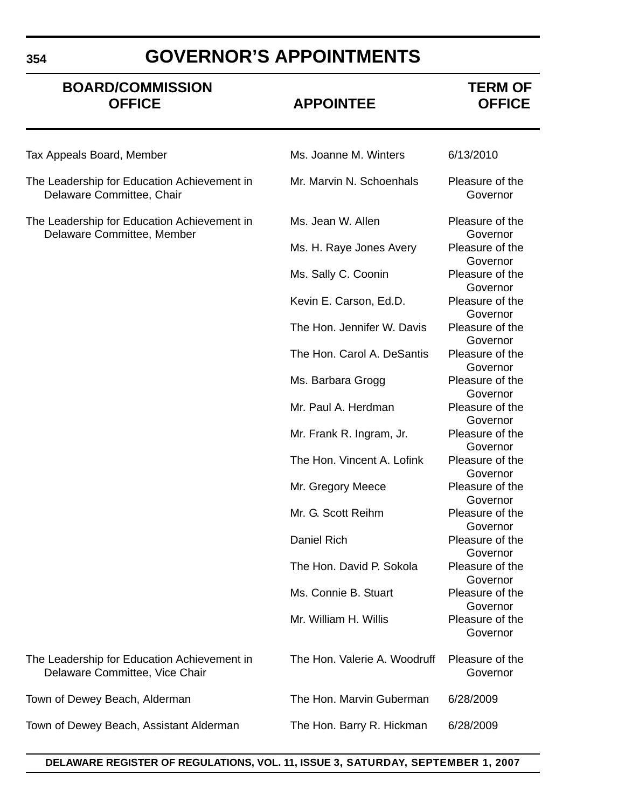# **BOARD/COMMISSION**<br>OFFICE **TERM OF APPOINTEE TERM OF**

### **OFFICE APPOINTEE OFFICE**

| Tax Appeals Board, Member                                                     | Ms. Joanne M. Winters        | 6/13/2010                   |
|-------------------------------------------------------------------------------|------------------------------|-----------------------------|
| The Leadership for Education Achievement in<br>Delaware Committee, Chair      | Mr. Marvin N. Schoenhals     | Pleasure of the<br>Governor |
| The Leadership for Education Achievement in<br>Delaware Committee, Member     | Ms. Jean W. Allen            | Pleasure of the<br>Governor |
|                                                                               | Ms. H. Raye Jones Avery      | Pleasure of the<br>Governor |
|                                                                               | Ms. Sally C. Coonin          | Pleasure of the<br>Governor |
|                                                                               | Kevin E. Carson, Ed.D.       | Pleasure of the<br>Governor |
|                                                                               | The Hon. Jennifer W. Davis   | Pleasure of the<br>Governor |
|                                                                               | The Hon. Carol A. DeSantis   | Pleasure of the<br>Governor |
|                                                                               | Ms. Barbara Grogg            | Pleasure of the<br>Governor |
|                                                                               | Mr. Paul A. Herdman          | Pleasure of the<br>Governor |
|                                                                               | Mr. Frank R. Ingram, Jr.     | Pleasure of the<br>Governor |
|                                                                               | The Hon. Vincent A. Lofink   | Pleasure of the<br>Governor |
|                                                                               | Mr. Gregory Meece            | Pleasure of the<br>Governor |
|                                                                               | Mr. G. Scott Reihm           | Pleasure of the<br>Governor |
|                                                                               | <b>Daniel Rich</b>           | Pleasure of the<br>Governor |
|                                                                               | The Hon. David P. Sokola     | Pleasure of the<br>Governor |
|                                                                               | Ms. Connie B. Stuart         | Pleasure of the<br>Governor |
|                                                                               | Mr. William H. Willis        | Pleasure of the<br>Governor |
| The Leadership for Education Achievement in<br>Delaware Committee, Vice Chair | The Hon. Valerie A. Woodruff | Pleasure of the<br>Governor |
| Town of Dewey Beach, Alderman                                                 | The Hon. Marvin Guberman     | 6/28/2009                   |
| Town of Dewey Beach, Assistant Alderman                                       | The Hon. Barry R. Hickman    | 6/28/2009                   |

#### **DELAWARE REGISTER OF REGULATIONS, VOL. 11, ISSUE 3, SATURDAY, SEPTEMBER 1, 2007**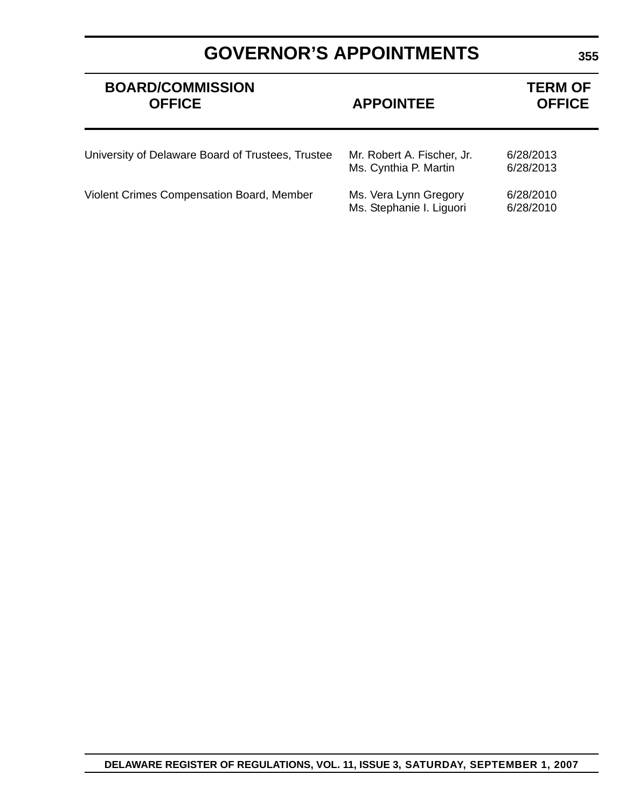# **BOARD/COMMISSION**<br> **DEFICE**<br> **DEFICE**<br> **DEFICE**<br> **PERM OF APPOINTEE**

|                  | TENNI VE      |
|------------------|---------------|
| <b>APPOINTEE</b> | <b>OFFICE</b> |

| University of Delaware Board of Trustees, Trustee | Mr. Robert A. Fischer, Jr.<br>Ms. Cynthia P. Martin | 6/28/2013<br>6/28/2013 |
|---------------------------------------------------|-----------------------------------------------------|------------------------|
| <b>Violent Crimes Compensation Board, Member</b>  | Ms. Vera Lynn Gregory<br>Ms. Stephanie I. Liguori   | 6/28/2010<br>6/28/2010 |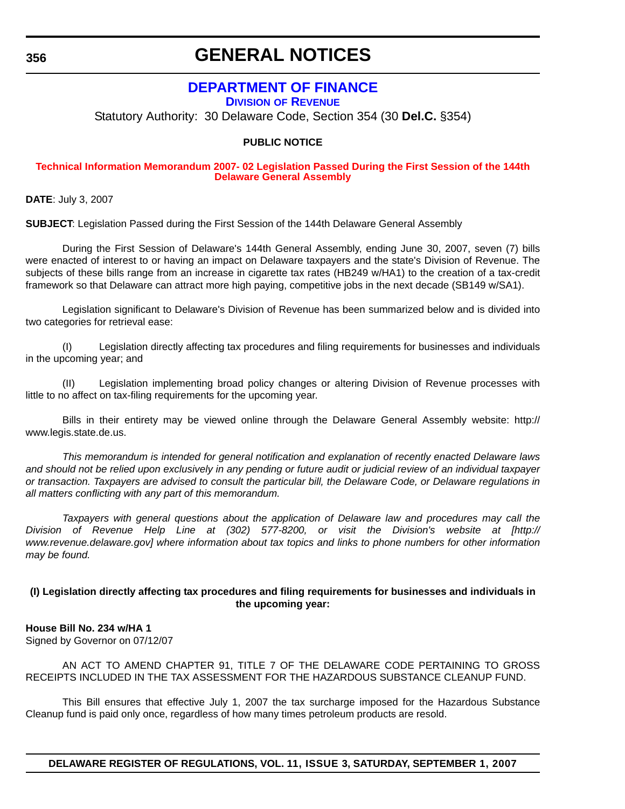### **GENERAL NOTICES**

### **DEPARTMENT OF FINANCE**

**DIVISION OF REVENUE**

Statutory Authority: 30 Delaware Code, Section 354 (30 **Del.C.** §354)

#### **PUBLIC NOTICE**

#### **[Technical Information Memorandum 2007- 02 Legislation Passed During the First Session of the 144th](#page-4-0)  Delaware General Assembly**

**DATE**: July 3, 2007

**SUBJECT**: Legislation Passed during the First Session of the 144th Delaware General Assembly

During the First Session of Delaware's 144th General Assembly, ending June 30, 2007, seven (7) bills were enacted of interest to or having an impact on Delaware taxpayers and the state's Division of Revenue. The subjects of these bills range from an increase in cigarette tax rates (HB249 w/HA1) to the creation of a tax-credit framework so that Delaware can attract more high paying, competitive jobs in the next decade (SB149 w/SA1).

Legislation significant to Delaware's Division of Revenue has been summarized below and is divided into two categories for retrieval ease:

(I) Legislation directly affecting tax procedures and filing requirements for businesses and individuals in the upcoming year; and

(II) Legislation implementing broad policy changes or altering Division of Revenue processes with little to no affect on tax-filing requirements for the upcoming year.

Bills in their entirety may be viewed online through the Delaware General Assembly website: http:// www.legis.state.de.us.

*This memorandum is intended for general notification and explanation of recently enacted Delaware laws and should not be relied upon exclusively in any pending or future audit or judicial review of an individual taxpayer or transaction. Taxpayers are advised to consult the particular bill, the Delaware Code, or Delaware regulations in all matters conflicting with any part of this memorandum.*

*Taxpayers with general questions about the application of Delaware law and procedures may call the Division of Revenue Help Line at (302) 577-8200, or visit the Division's website at [http:// www.revenue.delaware.gov] where information about tax topics and links to phone numbers for other information may be found.*

#### **(I) Legislation directly affecting tax procedures and filing requirements for businesses and individuals in the upcoming year:**

#### **House Bill No. 234 w/HA 1**

Signed by Governor on 07/12/07

AN ACT TO AMEND CHAPTER 91, TITLE 7 OF THE DELAWARE CODE PERTAINING TO GROSS RECEIPTS INCLUDED IN THE TAX ASSESSMENT FOR THE HAZARDOUS SUBSTANCE CLEANUP FUND.

This Bill ensures that effective July 1, 2007 the tax surcharge imposed for the Hazardous Substance Cleanup fund is paid only once, regardless of how many times petroleum products are resold.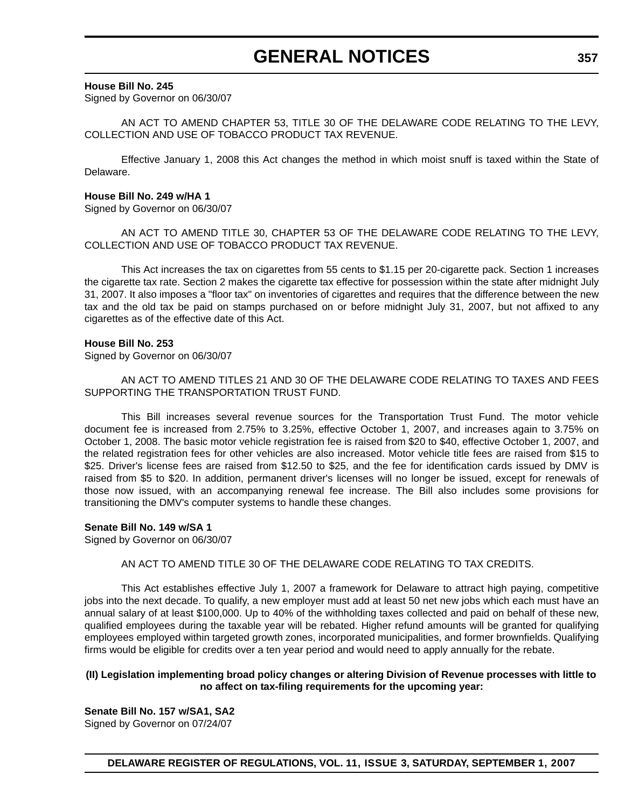## **GENERAL NOTICES**

#### **House Bill No. 245**

Signed by Governor on 06/30/07

AN ACT TO AMEND CHAPTER 53, TITLE 30 OF THE DELAWARE CODE RELATING TO THE LEVY, COLLECTION AND USE OF TOBACCO PRODUCT TAX REVENUE.

Effective January 1, 2008 this Act changes the method in which moist snuff is taxed within the State of Delaware.

#### **House Bill No. 249 w/HA 1**

Signed by Governor on 06/30/07

AN ACT TO AMEND TITLE 30, CHAPTER 53 OF THE DELAWARE CODE RELATING TO THE LEVY, COLLECTION AND USE OF TOBACCO PRODUCT TAX REVENUE.

This Act increases the tax on cigarettes from 55 cents to \$1.15 per 20-cigarette pack. Section 1 increases the cigarette tax rate. Section 2 makes the cigarette tax effective for possession within the state after midnight July 31, 2007. It also imposes a "floor tax" on inventories of cigarettes and requires that the difference between the new tax and the old tax be paid on stamps purchased on or before midnight July 31, 2007, but not affixed to any cigarettes as of the effective date of this Act.

#### **House Bill No. 253**

Signed by Governor on 06/30/07

AN ACT TO AMEND TITLES 21 AND 30 OF THE DELAWARE CODE RELATING TO TAXES AND FEES SUPPORTING THE TRANSPORTATION TRUST FUND.

This Bill increases several revenue sources for the Transportation Trust Fund. The motor vehicle document fee is increased from 2.75% to 3.25%, effective October 1, 2007, and increases again to 3.75% on October 1, 2008. The basic motor vehicle registration fee is raised from \$20 to \$40, effective October 1, 2007, and the related registration fees for other vehicles are also increased. Motor vehicle title fees are raised from \$15 to \$25. Driver's license fees are raised from \$12.50 to \$25, and the fee for identification cards issued by DMV is raised from \$5 to \$20. In addition, permanent driver's licenses will no longer be issued, except for renewals of those now issued, with an accompanying renewal fee increase. The Bill also includes some provisions for transitioning the DMV's computer systems to handle these changes.

#### **Senate Bill No. 149 w/SA 1**

Signed by Governor on 06/30/07

#### AN ACT TO AMEND TITLE 30 OF THE DELAWARE CODE RELATING TO TAX CREDITS.

This Act establishes effective July 1, 2007 a framework for Delaware to attract high paying, competitive jobs into the next decade. To qualify, a new employer must add at least 50 net new jobs which each must have an annual salary of at least \$100,000. Up to 40% of the withholding taxes collected and paid on behalf of these new, qualified employees during the taxable year will be rebated. Higher refund amounts will be granted for qualifying employees employed within targeted growth zones, incorporated municipalities, and former brownfields. Qualifying firms would be eligible for credits over a ten year period and would need to apply annually for the rebate.

#### **(II) Legislation implementing broad policy changes or altering Division of Revenue processes with little to no affect on tax-filing requirements for the upcoming year:**

**Senate Bill No. 157 w/SA1, SA2**

Signed by Governor on 07/24/07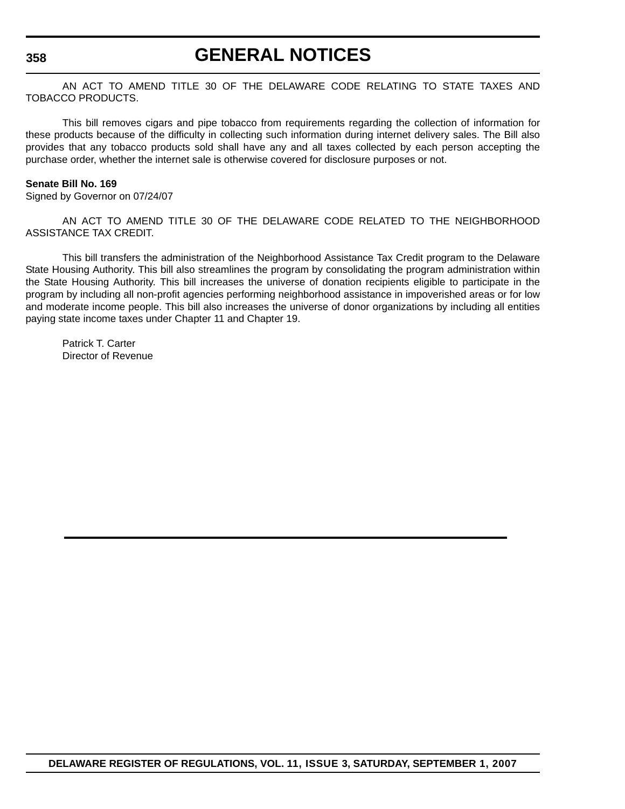### **GENERAL NOTICES**

AN ACT TO AMEND TITLE 30 OF THE DELAWARE CODE RELATING TO STATE TAXES AND TOBACCO PRODUCTS.

This bill removes cigars and pipe tobacco from requirements regarding the collection of information for these products because of the difficulty in collecting such information during internet delivery sales. The Bill also provides that any tobacco products sold shall have any and all taxes collected by each person accepting the purchase order, whether the internet sale is otherwise covered for disclosure purposes or not.

#### **Senate Bill No. 169**

Signed by Governor on 07/24/07

AN ACT TO AMEND TITLE 30 OF THE DELAWARE CODE RELATED TO THE NEIGHBORHOOD ASSISTANCE TAX CREDIT.

This bill transfers the administration of the Neighborhood Assistance Tax Credit program to the Delaware State Housing Authority. This bill also streamlines the program by consolidating the program administration within the State Housing Authority. This bill increases the universe of donation recipients eligible to participate in the program by including all non-profit agencies performing neighborhood assistance in impoverished areas or for low and moderate income people. This bill also increases the universe of donor organizations by including all entities paying state income taxes under Chapter 11 and Chapter 19.

Patrick T. Carter Director of Revenue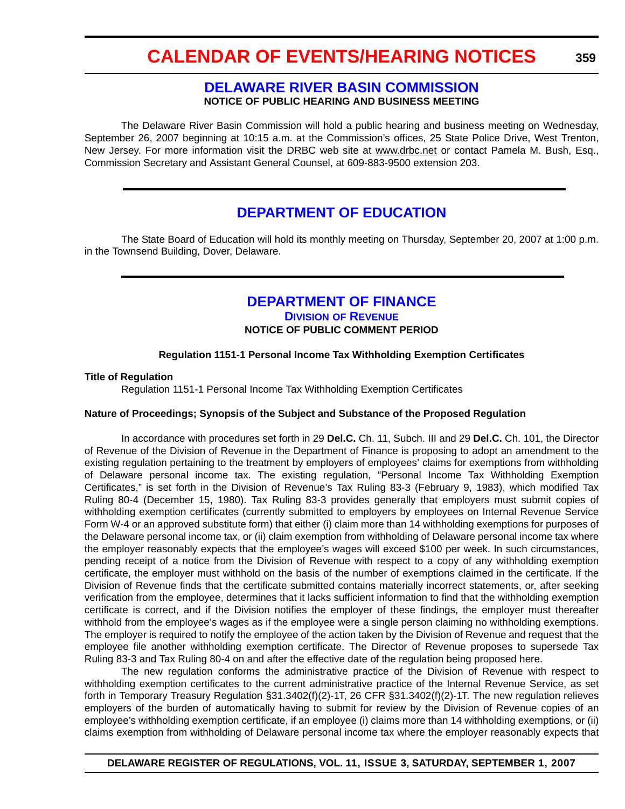#### **DELAWARE RIVER BASIN COMMISSION NOTICE OF PUBLIC HEARING AND BUSINESS MEETING**

The Delaware River Basin Commission will hold a public hearing and business meeting on Wednesday, September 26, 2007 beginning at 10:15 a.m. at the Commission's offices, 25 State Police Drive, West Trenton, New Jersey. For more information visit the DRBC web site at www.drbc.net or contact Pamela M. Bush, Esq., Commission Secretary and Assistant General Counsel, at 609-883-9500 extension 203.

### **DEPARTMENT OF EDUCATION**

The State Board of Education will hold its monthly meeting on Thursday, September 20, 2007 at 1:00 p.m. in the Townsend Building, Dover, Delaware.

### **DEPARTMENT OF FINANCE**

**DIVISION OF REVENUE**

#### **NOTICE OF PUBLIC COMMENT PERIOD**

#### **Regulation 1151-1 Personal Income Tax Withholding Exemption Certificates**

#### **Title of Regulation**

Regulation 1151-1 Personal Income Tax Withholding Exemption Certificates

#### **Nature of Proceedings; Synopsis of the Subject and Substance of the Proposed Regulation**

In accordance with procedures set forth in 29 **Del.C.** Ch. 11, Subch. III and 29 **Del.C.** Ch. 101, the Director of Revenue of the Division of Revenue in the Department of Finance is proposing to adopt an amendment to the existing regulation pertaining to the treatment by employers of employees' claims for exemptions from withholding of Delaware personal income tax. The existing regulation, "Personal Income Tax Withholding Exemption Certificates," is set forth in the Division of Revenue's Tax Ruling 83-3 (February 9, 1983), which modified Tax Ruling 80-4 (December 15, 1980). Tax Ruling 83-3 provides generally that employers must submit copies of withholding exemption certificates (currently submitted to employers by employees on Internal Revenue Service Form W-4 or an approved substitute form) that either (i) claim more than 14 withholding exemptions for purposes of the Delaware personal income tax, or (ii) claim exemption from withholding of Delaware personal income tax where the employer reasonably expects that the employee's wages will exceed \$100 per week. In such circumstances, pending receipt of a notice from the Division of Revenue with respect to a copy of any withholding exemption certificate, the employer must withhold on the basis of the number of exemptions claimed in the certificate. If the Division of Revenue finds that the certificate submitted contains materially incorrect statements, or, after seeking verification from the employee, determines that it lacks sufficient information to find that the withholding exemption certificate is correct, and if the Division notifies the employer of these findings, the employer must thereafter withhold from the employee's wages as if the employee were a single person claiming no withholding exemptions. The employer is required to notify the employee of the action taken by the Division of Revenue and request that the employee file another withholding exemption certificate. The Director of Revenue proposes to supersede Tax Ruling 83-3 and Tax Ruling 80-4 on and after the effective date of the regulation being proposed here.

The new regulation conforms the administrative practice of the Division of Revenue with respect to withholding exemption certificates to the current administrative practice of the Internal Revenue Service, as set forth in Temporary Treasury Regulation §31.3402(f)(2)-1T, 26 CFR §31.3402(f)(2)-1T. The new regulation relieves employers of the burden of automatically having to submit for review by the Division of Revenue copies of an employee's withholding exemption certificate, if an employee (i) claims more than 14 withholding exemptions, or (ii) claims exemption from withholding of Delaware personal income tax where the employer reasonably expects that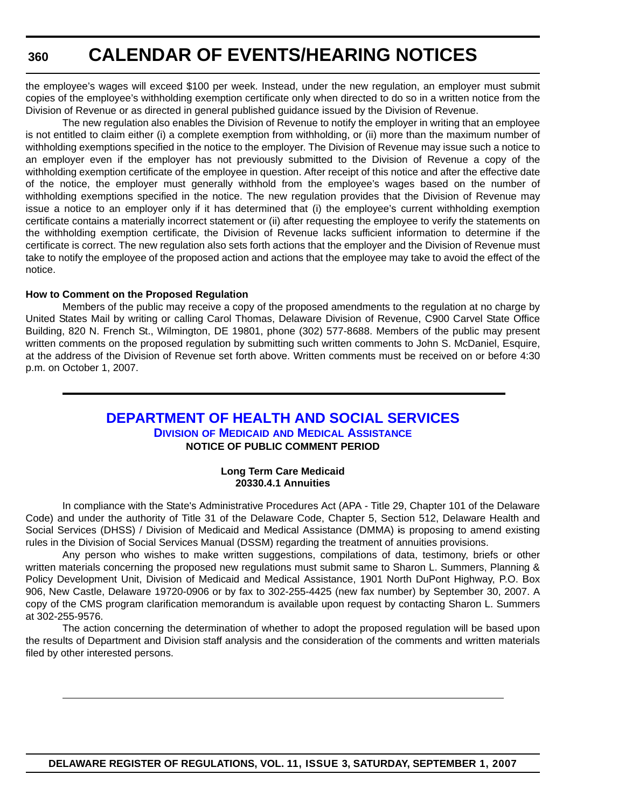the employee's wages will exceed \$100 per week. Instead, under the new regulation, an employer must submit copies of the employee's withholding exemption certificate only when directed to do so in a written notice from the Division of Revenue or as directed in general published guidance issued by the Division of Revenue.

The new regulation also enables the Division of Revenue to notify the employer in writing that an employee is not entitled to claim either (i) a complete exemption from withholding, or (ii) more than the maximum number of withholding exemptions specified in the notice to the employer. The Division of Revenue may issue such a notice to an employer even if the employer has not previously submitted to the Division of Revenue a copy of the withholding exemption certificate of the employee in question. After receipt of this notice and after the effective date of the notice, the employer must generally withhold from the employee's wages based on the number of withholding exemptions specified in the notice. The new regulation provides that the Division of Revenue may issue a notice to an employer only if it has determined that (i) the employee's current withholding exemption certificate contains a materially incorrect statement or (ii) after requesting the employee to verify the statements on the withholding exemption certificate, the Division of Revenue lacks sufficient information to determine if the certificate is correct. The new regulation also sets forth actions that the employer and the Division of Revenue must take to notify the employee of the proposed action and actions that the employee may take to avoid the effect of the notice.

#### **How to Comment on the Proposed Regulation**

Members of the public may receive a copy of the proposed amendments to the regulation at no charge by United States Mail by writing or calling Carol Thomas, Delaware Division of Revenue, C900 Carvel State Office Building, 820 N. French St., Wilmington, DE 19801, phone (302) 577-8688. Members of the public may present written comments on the proposed regulation by submitting such written comments to John S. McDaniel, Esquire, at the address of the Division of Revenue set forth above. Written comments must be received on or before 4:30 p.m. on October 1, 2007.

### **DEPARTMENT OF HEALTH AND SOCIAL SERVICES**

**DIVISION OF MEDICAID AND MEDICAL ASSISTANCE NOTICE OF PUBLIC COMMENT PERIOD**

#### **Long Term Care Medicaid 20330.4.1 Annuities**

In compliance with the State's Administrative Procedures Act (APA - Title 29, Chapter 101 of the Delaware Code) and under the authority of Title 31 of the Delaware Code, Chapter 5, Section 512, Delaware Health and Social Services (DHSS) / Division of Medicaid and Medical Assistance (DMMA) is proposing to amend existing rules in the Division of Social Services Manual (DSSM) regarding the treatment of annuities provisions.

Any person who wishes to make written suggestions, compilations of data, testimony, briefs or other written materials concerning the proposed new regulations must submit same to Sharon L. Summers, Planning & Policy Development Unit, Division of Medicaid and Medical Assistance, 1901 North DuPont Highway, P.O. Box 906, New Castle, Delaware 19720-0906 or by fax to 302-255-4425 (new fax number) by September 30, 2007. A copy of the CMS program clarification memorandum is available upon request by contacting Sharon L. Summers at 302-255-9576.

The action concerning the determination of whether to adopt the proposed regulation will be based upon the results of Department and Division staff analysis and the consideration of the comments and written materials filed by other interested persons.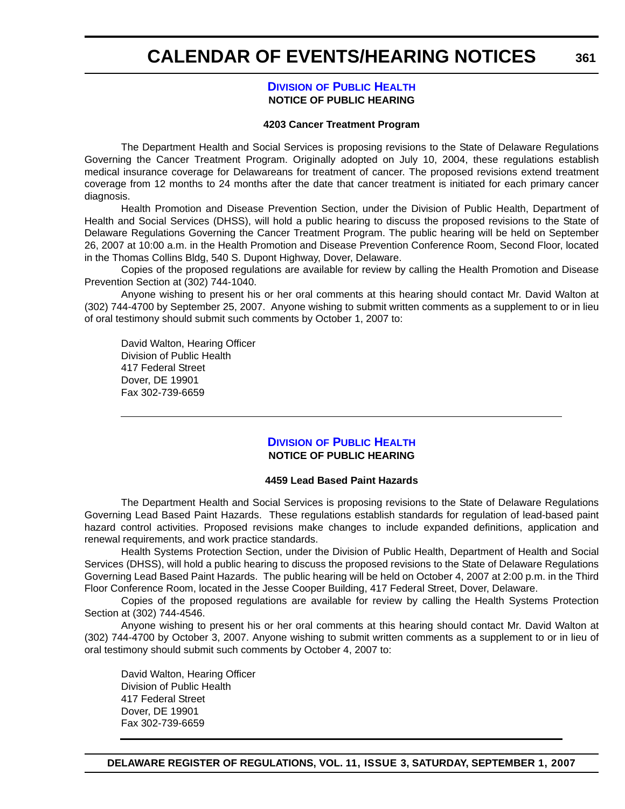**361**

#### **DIVISION OF PUBLIC HEALTH NOTICE OF PUBLIC HEARING**

#### **4203 Cancer Treatment Program**

The Department Health and Social Services is proposing revisions to the State of Delaware Regulations Governing the Cancer Treatment Program. Originally adopted on July 10, 2004, these regulations establish medical insurance coverage for Delawareans for treatment of cancer. The proposed revisions extend treatment coverage from 12 months to 24 months after the date that cancer treatment is initiated for each primary cancer diagnosis.

Health Promotion and Disease Prevention Section, under the Division of Public Health, Department of Health and Social Services (DHSS), will hold a public hearing to discuss the proposed revisions to the State of Delaware Regulations Governing the Cancer Treatment Program. The public hearing will be held on September 26, 2007 at 10:00 a.m. in the Health Promotion and Disease Prevention Conference Room, Second Floor, located in the Thomas Collins Bldg, 540 S. Dupont Highway, Dover, Delaware.

Copies of the proposed regulations are available for review by calling the Health Promotion and Disease Prevention Section at (302) 744-1040.

Anyone wishing to present his or her oral comments at this hearing should contact Mr. David Walton at (302) 744-4700 by September 25, 2007. Anyone wishing to submit written comments as a supplement to or in lieu of oral testimony should submit such comments by October 1, 2007 to:

David Walton, Hearing Officer Division of Public Health 417 Federal Street Dover, DE 19901 Fax 302-739-6659

#### **DIVISION OF PUBLIC HEALTH NOTICE OF PUBLIC HEARING**

#### **4459 Lead Based Paint Hazards**

The Department Health and Social Services is proposing revisions to the State of Delaware Regulations Governing Lead Based Paint Hazards. These regulations establish standards for regulation of lead-based paint hazard control activities. Proposed revisions make changes to include expanded definitions, application and renewal requirements, and work practice standards.

Health Systems Protection Section, under the Division of Public Health, Department of Health and Social Services (DHSS), will hold a public hearing to discuss the proposed revisions to the State of Delaware Regulations Governing Lead Based Paint Hazards. The public hearing will be held on October 4, 2007 at 2:00 p.m. in the Third Floor Conference Room, located in the Jesse Cooper Building, 417 Federal Street, Dover, Delaware.

Copies of the proposed regulations are available for review by calling the Health Systems Protection Section at (302) 744-4546.

Anyone wishing to present his or her oral comments at this hearing should contact Mr. David Walton at (302) 744-4700 by October 3, 2007. Anyone wishing to submit written comments as a supplement to or in lieu of oral testimony should submit such comments by October 4, 2007 to:

David Walton, Hearing Officer Division of Public Health 417 Federal Street Dover, DE 19901 Fax 302-739-6659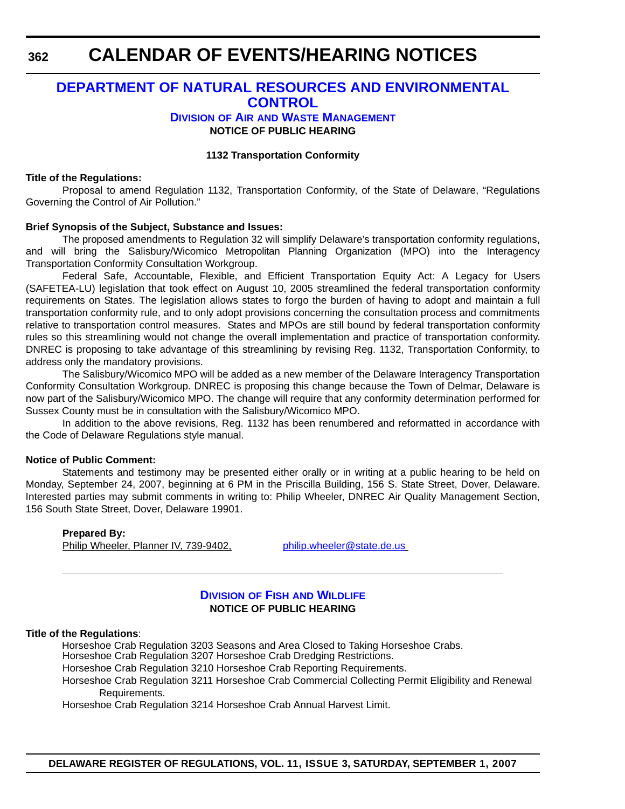### **DEPARTMENT OF NATURAL RESOURCES AND ENVIRONMENTAL CONTROL**

#### **DIVISION OF AIR AND WASTE MANAGEMENT NOTICE OF PUBLIC HEARING**

#### **1132 Transportation Conformity**

#### **Title of the Regulations:**

Proposal to amend Regulation 1132, Transportation Conformity, of the State of Delaware, "Regulations Governing the Control of Air Pollution."

#### **Brief Synopsis of the Subject, Substance and Issues:**

The proposed amendments to Regulation 32 will simplify Delaware's transportation conformity regulations, and will bring the Salisbury/Wicomico Metropolitan Planning Organization (MPO) into the Interagency Transportation Conformity Consultation Workgroup.

Federal Safe, Accountable, Flexible, and Efficient Transportation Equity Act: A Legacy for Users (SAFETEA-LU) legislation that took effect on August 10, 2005 streamlined the federal transportation conformity requirements on States. The legislation allows states to forgo the burden of having to adopt and maintain a full transportation conformity rule, and to only adopt provisions concerning the consultation process and commitments relative to transportation control measures. States and MPOs are still bound by federal transportation conformity rules so this streamlining would not change the overall implementation and practice of transportation conformity. DNREC is proposing to take advantage of this streamlining by revising Reg. 1132, Transportation Conformity, to address only the mandatory provisions.

The Salisbury/Wicomico MPO will be added as a new member of the Delaware Interagency Transportation Conformity Consultation Workgroup. DNREC is proposing this change because the Town of Delmar, Delaware is now part of the Salisbury/Wicomico MPO. The change will require that any conformity determination performed for Sussex County must be in consultation with the Salisbury/Wicomico MPO.

In addition to the above revisions, Reg. 1132 has been renumbered and reformatted in accordance with the Code of Delaware Regulations style manual.

#### **Notice of Public Comment:**

Statements and testimony may be presented either orally or in writing at a public hearing to be held on Monday, September 24, 2007, beginning at 6 PM in the Priscilla Building, 156 S. State Street, Dover, Delaware. Interested parties may submit comments in writing to: Philip Wheeler, DNREC Air Quality Management Section, 156 South State Street, Dover, Delaware 19901.

```
Prepared By:
Philip Wheeler, Planner IV, 739-9402, philip.wheeler@state.de.us
```
#### **DIVISION OF FISH AND WILDLIFE NOTICE OF PUBLIC HEARING**

#### **Title of the Regulations**:

Horseshoe Crab Regulation 3203 Seasons and Area Closed to Taking Horseshoe Crabs.

Horseshoe Crab Regulation 3207 Horseshoe Crab Dredging Restrictions.

Horseshoe Crab Regulation 3210 Horseshoe Crab Reporting Requirements.

Horseshoe Crab Regulation 3211 Horseshoe Crab Commercial Collecting Permit Eligibility and Renewal Requirements.

Horseshoe Crab Regulation 3214 Horseshoe Crab Annual Harvest Limit.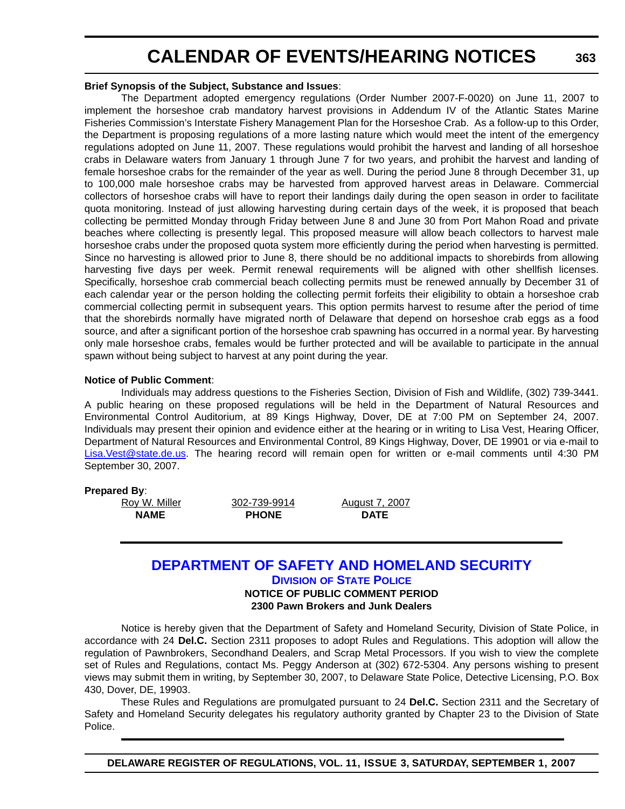#### **Brief Synopsis of the Subject, Substance and Issues**:

The Department adopted emergency regulations (Order Number 2007-F-0020) on June 11, 2007 to implement the horseshoe crab mandatory harvest provisions in Addendum IV of the Atlantic States Marine Fisheries Commission's Interstate Fishery Management Plan for the Horseshoe Crab. As a follow-up to this Order, the Department is proposing regulations of a more lasting nature which would meet the intent of the emergency regulations adopted on June 11, 2007. These regulations would prohibit the harvest and landing of all horseshoe crabs in Delaware waters from January 1 through June 7 for two years, and prohibit the harvest and landing of female horseshoe crabs for the remainder of the year as well. During the period June 8 through December 31, up to 100,000 male horseshoe crabs may be harvested from approved harvest areas in Delaware. Commercial collectors of horseshoe crabs will have to report their landings daily during the open season in order to facilitate quota monitoring. Instead of just allowing harvesting during certain days of the week, it is proposed that beach collecting be permitted Monday through Friday between June 8 and June 30 from Port Mahon Road and private beaches where collecting is presently legal. This proposed measure will allow beach collectors to harvest male horseshoe crabs under the proposed quota system more efficiently during the period when harvesting is permitted. Since no harvesting is allowed prior to June 8, there should be no additional impacts to shorebirds from allowing harvesting five days per week. Permit renewal requirements will be aligned with other shellfish licenses. Specifically, horseshoe crab commercial beach collecting permits must be renewed annually by December 31 of each calendar year or the person holding the collecting permit forfeits their eligibility to obtain a horseshoe crab commercial collecting permit in subsequent years. This option permits harvest to resume after the period of time that the shorebirds normally have migrated north of Delaware that depend on horseshoe crab eggs as a food source, and after a significant portion of the horseshoe crab spawning has occurred in a normal year. By harvesting only male horseshoe crabs, females would be further protected and will be available to participate in the annual spawn without being subject to harvest at any point during the year.

#### **Notice of Public Comment**:

Individuals may address questions to the Fisheries Section, Division of Fish and Wildlife, (302) 739-3441. A public hearing on these proposed regulations will be held in the Department of Natural Resources and Environmental Control Auditorium, at 89 Kings Highway, Dover, DE at 7:00 PM on September 24, 2007. Individuals may present their opinion and evidence either at the hearing or in writing to Lisa Vest, Hearing Officer, Department of Natural Resources and Environmental Control, 89 Kings Highway, Dover, DE 19901 or via e-mail to Lisa.Vest@state.de.us. The hearing record will remain open for written or e-mail comments until 4:30 PM September 30, 2007.

#### **Prepared By**:

NAME PHONE DATE

Roy W. Miller 302-739-9914 August 7, 2007

### **DEPARTMENT OF SAFETY AND HOMELAND SECURITY**

**DIVISION OF STATE POLICE**

**NOTICE OF PUBLIC COMMENT PERIOD 2300 Pawn Brokers and Junk Dealers**

Notice is hereby given that the Department of Safety and Homeland Security, Division of State Police, in accordance with 24 **Del.C.** Section 2311 proposes to adopt Rules and Regulations. This adoption will allow the regulation of Pawnbrokers, Secondhand Dealers, and Scrap Metal Processors. If you wish to view the complete set of Rules and Regulations, contact Ms. Peggy Anderson at (302) 672-5304. Any persons wishing to present views may submit them in writing, by September 30, 2007, to Delaware State Police, Detective Licensing, P.O. Box 430, Dover, DE, 19903.

These Rules and Regulations are promulgated pursuant to 24 **Del.C.** Section 2311 and the Secretary of Safety and Homeland Security delegates his regulatory authority granted by Chapter 23 to the Division of State Police.

**DELAWARE REGISTER OF REGULATIONS, VOL. 11, ISSUE 3, SATURDAY, SEPTEMBER 1, 2007**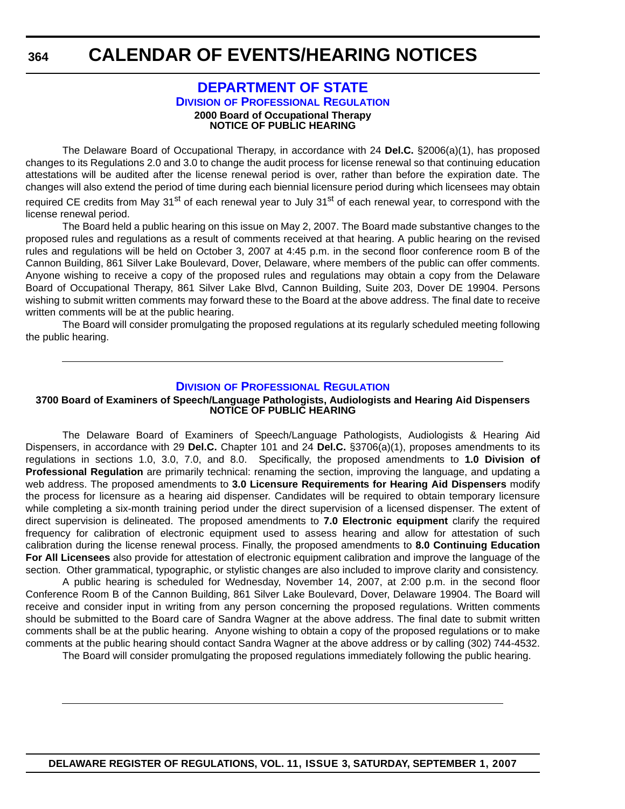### **CALENDAR OF EVENTS/HEARING NOTICES**

#### **DEPARTMENT OF STATE DIVISION OF PROFESSIONAL REGULATION 2000 Board of Occupational Therapy NOTICE OF PUBLIC HEARING**

The Delaware Board of Occupational Therapy, in accordance with 24 **Del.C.** §2006(a)(1), has proposed changes to its Regulations 2.0 and 3.0 to change the audit process for license renewal so that continuing education attestations will be audited after the license renewal period is over, rather than before the expiration date. The changes will also extend the period of time during each biennial licensure period during which licensees may obtain required CE credits from May 31<sup>st</sup> of each renewal year to July 31<sup>st</sup> of each renewal year, to correspond with the license renewal period.

The Board held a public hearing on this issue on May 2, 2007. The Board made substantive changes to the proposed rules and regulations as a result of comments received at that hearing. A public hearing on the revised rules and regulations will be held on October 3, 2007 at 4:45 p.m. in the second floor conference room B of the Cannon Building, 861 Silver Lake Boulevard, Dover, Delaware, where members of the public can offer comments. Anyone wishing to receive a copy of the proposed rules and regulations may obtain a copy from the Delaware Board of Occupational Therapy, 861 Silver Lake Blvd, Cannon Building, Suite 203, Dover DE 19904. Persons wishing to submit written comments may forward these to the Board at the above address. The final date to receive written comments will be at the public hearing.

The Board will consider promulgating the proposed regulations at its regularly scheduled meeting following the public hearing.

#### **DIVISION OF PROFESSIONAL REGULATION**

#### **3700 Board of Examiners of Speech/Language Pathologists, Audiologists and Hearing Aid Dispensers NOTICE OF PUBLIC HEARING**

The Delaware Board of Examiners of Speech/Language Pathologists, Audiologists & Hearing Aid Dispensers, in accordance with 29 **Del.C.** Chapter 101 and 24 **Del.C.** §3706(a)(1), proposes amendments to its regulations in sections 1.0, 3.0, 7.0, and 8.0. Specifically, the proposed amendments to **1.0 Division of Professional Regulation** are primarily technical: renaming the section, improving the language, and updating a web address. The proposed amendments to **3.0 Licensure Requirements for Hearing Aid Dispensers** modify the process for licensure as a hearing aid dispenser. Candidates will be required to obtain temporary licensure while completing a six-month training period under the direct supervision of a licensed dispenser. The extent of direct supervision is delineated. The proposed amendments to **7.0 Electronic equipment** clarify the required frequency for calibration of electronic equipment used to assess hearing and allow for attestation of such calibration during the license renewal process. Finally, the proposed amendments to **8.0 Continuing Education For All Licensees** also provide for attestation of electronic equipment calibration and improve the language of the section. Other grammatical, typographic, or stylistic changes are also included to improve clarity and consistency.

A public hearing is scheduled for Wednesday, November 14, 2007, at 2:00 p.m. in the second floor Conference Room B of the Cannon Building, 861 Silver Lake Boulevard, Dover, Delaware 19904. The Board will receive and consider input in writing from any person concerning the proposed regulations. Written comments should be submitted to the Board care of Sandra Wagner at the above address. The final date to submit written comments shall be at the public hearing. Anyone wishing to obtain a copy of the proposed regulations or to make comments at the public hearing should contact Sandra Wagner at the above address or by calling (302) 744-4532.

The Board will consider promulgating the proposed regulations immediately following the public hearing.